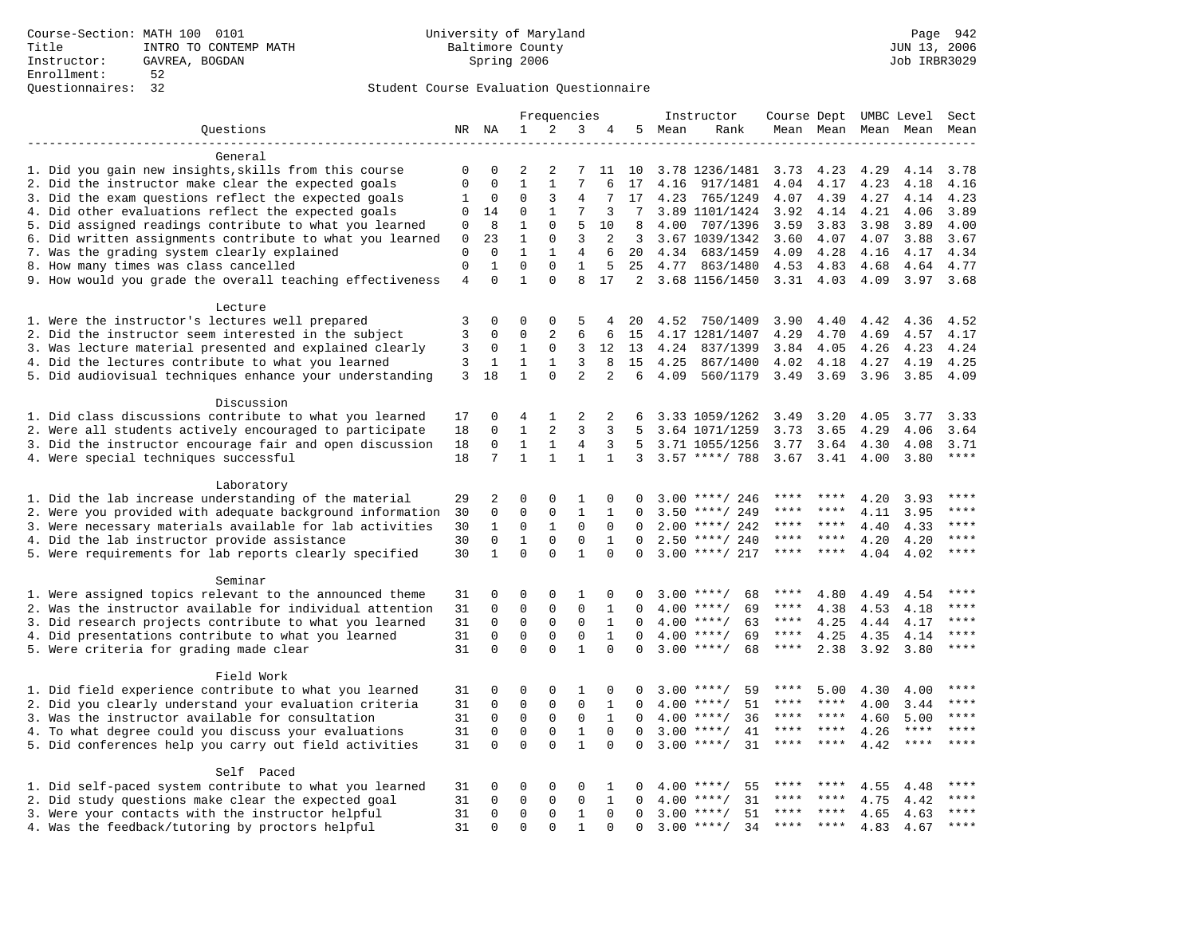|                                                           |                |              | Frequencies    |              |                |              | Instructor | Course Dept UMBC Level |                    |             |                     | Sect |       |             |
|-----------------------------------------------------------|----------------|--------------|----------------|--------------|----------------|--------------|------------|------------------------|--------------------|-------------|---------------------|------|-------|-------------|
| Questions                                                 |                | NR NA        | 1              | 2            | 3              | 4            | 5          | Mean                   | Rank               |             | Mean Mean Mean Mean |      |       | Mean        |
|                                                           |                |              |                |              |                |              |            |                        |                    |             |                     |      |       |             |
| General                                                   |                |              |                |              |                |              |            |                        |                    |             |                     |      |       |             |
| 1. Did you gain new insights, skills from this course     | 0              | $\Omega$     | 2              | 2            | 7              | 11           | 10         |                        | 3.78 1236/1481     | 3.73        | 4.23                | 4.29 | 4.14  | 3.78        |
| 2. Did the instructor make clear the expected goals       | $\mathbf 0$    | $\mathbf 0$  | $\mathbf{1}$   | $\mathbf{1}$ | 7              | 6            | 17         | 4.16                   | 917/1481           | 4.04        | 4.17                | 4.23 | 4.18  | 4.16        |
| 3. Did the exam questions reflect the expected goals      | 1              | 0            | $\mathbf 0$    | 3            | 4              |              | 17         | 4.23                   | 765/1249           | 4.07        | 4.39                | 4.27 | 4.14  | 4.23        |
| 4. Did other evaluations reflect the expected goals       | 0              | 14           | $\mathbf 0$    | 1            | 7              | 3            | 7          |                        | 3.89 1101/1424     | 3.92        | 4.14                | 4.21 | 4.06  | 3.89        |
| 5. Did assigned readings contribute to what you learned   | 0              | 8            | $\mathbf{1}$   | $\Omega$     | 5              | 10           | 8          | 4.00                   | 707/1396           | 3.59        | 3.83                | 3.98 | 3.89  | 4.00        |
| 6. Did written assignments contribute to what you learned | 0              | 23           | $\mathbf{1}$   | $\mathbf 0$  | 3              | 2            | 3          |                        | 3.67 1039/1342     | 3.60        | 4.07                | 4.07 | 3.88  | 3.67        |
| 7. Was the grading system clearly explained               | $\mathbf 0$    | $\Omega$     | $\mathbf{1}$   | $\mathbf{1}$ | 4              | 6            | 20         | 4.34                   | 683/1459           | 4.09        | 4.28                | 4.16 | 4.17  | 4.34        |
| 8. How many times was class cancelled                     | $\mathbf 0$    | $\mathbf{1}$ | $\mathbf{0}$   | $\Omega$     | $\mathbf{1}$   | 5            | 25         | 4.77                   | 863/1480           | 4.53        | 4.83                | 4.68 | 4.64  | 4.77        |
| 9. How would you grade the overall teaching effectiveness | $\overline{4}$ | $\mathbf 0$  | $\mathbf{1}$   | $\Omega$     | 8              | 17           |            |                        | 2 3.68 1156/1450   |             | $3.31$ 4.03         | 4.09 | 3.97  | 3.68        |
| Lecture                                                   |                |              |                |              |                |              |            |                        |                    |             |                     |      |       |             |
| 1. Were the instructor's lectures well prepared           | 3              | 0            | $\mathbf 0$    | $\mathbf 0$  | 5              | 4            | 20         | 4.52                   | 750/1409           | 3.90        | 4.40                | 4.42 | 4.36  | 4.52        |
| 2. Did the instructor seem interested in the subject      | 3              | 0            | $\mathbf{0}$   | 2            | 6              | 6            | 15         |                        | 4.17 1281/1407     | 4.29        | 4.70                | 4.69 | 4.57  | 4.17        |
| 3. Was lecture material presented and explained clearly   | 3              | 0            | 1              | $\mathsf{O}$ | 3              | 12           | 13         | 4.24                   | 837/1399           | 3.84        | 4.05                | 4.26 | 4.23  | 4.24        |
| 4. Did the lectures contribute to what you learned        | 3              | 1            | 1              | 1            | 3              | 8            | 15         | 4.25                   | 867/1400           | 4.02        | 4.18                | 4.27 | 4.19  | 4.25        |
| 5. Did audiovisual techniques enhance your understanding  | 3              | 18           | $\mathbf{1}$   | $\Omega$     | $\overline{2}$ | 2            | 6          | 4.09                   | 560/1179           | 3.49        | 3.69                | 3.96 | 3.85  | 4.09        |
| Discussion                                                |                |              |                |              |                |              |            |                        |                    |             |                     |      |       |             |
| 1. Did class discussions contribute to what you learned   | 17             | 0            | $\overline{4}$ | 1            | 2              | 2            | 6          |                        | 3.33 1059/1262     | 3.49        | 3.20                | 4.05 | 3.77  | 3.33        |
| 2. Were all students actively encouraged to participate   | 18             | $\mathbf 0$  | $\mathbf{1}$   | 2            | 3              | 3            | 5          |                        | 3.64 1071/1259     | 3.73        | 3.65                | 4.29 | 4.06  | 3.64        |
| 3. Did the instructor encourage fair and open discussion  | 18             | 0            | 1              | 1            | 4              | 3            | .5         |                        | 3.71 1055/1256     | 3.77        | 3.64                | 4.30 | 4.08  | 3.71        |
| 4. Were special techniques successful                     | 18             | 7            | $\mathbf{1}$   | $\mathbf{1}$ | $\mathbf{1}$   | $\mathbf{1}$ | 3          |                        | $3.57$ ****/ 788   | 3.67        | 3.41                | 4.00 | 3.80  | $***$       |
|                                                           |                |              |                |              |                |              |            |                        |                    |             |                     |      |       |             |
| Laboratory                                                |                |              |                |              |                |              |            |                        |                    |             |                     |      |       |             |
| 1. Did the lab increase understanding of the material     | 29             | 2            | $\mathbf 0$    | $\mathbf 0$  | $\mathbf{1}$   | 0            | $\Omega$   |                        | $3.00$ ****/ 246   | ****        | ****                | 4.20 | 3.93  | ****        |
| 2. Were you provided with adequate background information | 30             | 0            | $\mathbf{0}$   | $\mathbf 0$  | $\mathbf{1}$   | $\mathbf 1$  | $\Omega$   | 3.50                   | ****/ 249          | ****        | ****                | 4.11 | 3.95  | ****        |
| 3. Were necessary materials available for lab activities  | 30             | $\mathbf{1}$ | $\Omega$       | $\mathbf{1}$ | $\Omega$       | $\Omega$     | $\Omega$   | 2.00                   | ****/ 242          | ****        | ****                | 4.40 | 4.33  | $***$       |
| 4. Did the lab instructor provide assistance              | 30             | $\mathbf 0$  | $\mathbf{1}$   | $\mathbf 0$  | $\mathbf 0$    | $\mathbf{1}$ | $\Omega$   |                        | $2.50$ ****/ 240   | ****        | $***$ *             | 4.20 | 4.20  | ****        |
| 5. Were requirements for lab reports clearly specified    | 30             | $\mathbf{1}$ | $\mathbf{0}$   | $\mathbf 0$  | $\mathbf{1}$   | $\Omega$     | $\Omega$   |                        | $3.00$ ****/ 217   | ****        | $***$               | 4.04 | 4.02  | $***$       |
|                                                           |                |              |                |              |                |              |            |                        |                    |             |                     |      |       |             |
| Seminar                                                   |                |              |                |              |                |              |            |                        |                    |             |                     |      |       | $***$       |
| 1. Were assigned topics relevant to the announced theme   | 31             | 0            | $\mathbf 0$    | $\mathbf 0$  | 1              | 0            | $\Omega$   |                        | $3.00$ ****/<br>68 | ****        | 4.80                | 4.49 | 4.54  | ****        |
| 2. Was the instructor available for individual attention  | 31             | $\mathbf 0$  | $\mathbf{0}$   | $\mathbf 0$  | $\mathbf 0$    | $\mathbf{1}$ | $\Omega$   |                        | $4.00$ ****/<br>69 | $***$ * * * | 4.38                | 4.53 | 4.18  | ****        |
| 3. Did research projects contribute to what you learned   | 31             | $\mathbf 0$  | $\mathbf{0}$   | $\mathbf 0$  | $\mathbf{0}$   | $\mathbf{1}$ | $\Omega$   |                        | $4.00$ ****/<br>63 | $***$ * *   | 4.25                | 4.44 | 4.17  | $***$ * * * |
| 4. Did presentations contribute to what you learned       | 31             | 0            | $\mathbf 0$    | $\mathsf 0$  | $\mathsf 0$    | $\mathbf{1}$ | $\Omega$   |                        | $4.00$ ****/<br>69 | $***$ * *   | 4.25                | 4.35 | 4.14  | $***$       |
| 5. Were criteria for grading made clear                   | 31             | $\mathbf 0$  | $\mathbf{0}$   | $\Omega$     | $\mathbf{1}$   | $\Omega$     | $\Omega$   |                        | $3.00$ ****/<br>68 | $***$ * * * | 2.38                | 3.92 | 3.80  |             |
| Field Work                                                |                |              |                |              |                |              |            |                        |                    |             |                     |      |       |             |
| 1. Did field experience contribute to what you learned    | 31             | 0            | $\mathbf{0}$   | $\mathbf 0$  | 1              | $\mathbf 0$  | $\Omega$   | 3.00                   | $***$ /<br>59      | ****        | 5.00                | 4.30 | 4.00  |             |
| 2. Did you clearly understand your evaluation criteria    | 31             | $\mathbf 0$  | $\mathbf 0$    | $\mathsf 0$  | $\mathbf{0}$   | $\mathbf{1}$ | $\Omega$   | 4.00                   | $***/$<br>51       | ****        | ****                | 4.00 | 3.44  | ****        |
| 3. Was the instructor available for consultation          | 31             | $\mathbf 0$  | $\mathbf 0$    | $\mathsf 0$  | $\mathsf 0$    | 1            | 0          | 4.00                   | $***/$<br>36       | ****        | ****                | 4.60 | 5.00  | $***$ * * * |
| 4. To what degree could you discuss your evaluations      | 31             | $\mathbf 0$  | $\mathbf{0}$   | $\mathbf 0$  | $\mathbf{1}$   | $\Omega$     | $\Omega$   | 3.00                   | $***$ /<br>41      | $***$ * *   | ****                | 4.26 | $***$ | $***$       |
| 5. Did conferences help you carry out field activities    | 31             | $\Omega$     | $\mathbf{0}$   | $\Omega$     | $\mathbf{1}$   | $\Omega$     | $\Omega$   |                        | $3.00$ ****/<br>31 | ****        | ****                | 4.42 | ****  | ****        |
| Self Paced                                                |                |              |                |              |                |              |            |                        |                    |             |                     |      |       |             |
| 1. Did self-paced system contribute to what you learned   | 31             | 0            | 0              | $\mathbf 0$  | 0              | 1            | 0          | 4.00                   | $***$ /<br>55      | ****        | ****                | 4.55 | 4.48  | ****        |
| 2. Did study questions make clear the expected goal       | 31             | $\Omega$     | $\mathbf 0$    | $\Omega$     | 0              | $\mathbf{1}$ | $\Omega$   | 4.00                   | $***$ /<br>31      | ****        | ****                | 4.75 | 4.42  | ****        |
| 3. Were your contacts with the instructor helpful         | 31             | $\Omega$     | $\mathbf{0}$   | $\Omega$     | 1              | $\Omega$     | $\Omega$   | 3.00                   | $***$ /<br>51      | ****        | $***$ *             | 4.65 | 4.63  | ****        |
| 4. Was the feedback/tutoring by proctors helpful          | 31             | $\mathbf 0$  | $\mathbf{0}$   | $\mathbf 0$  | 1              | $\Omega$     | $\Omega$   |                        | $3.00$ ****/<br>34 | $***$ * *   | $***$ *             | 4.83 | 4.67  | ****        |
|                                                           |                |              |                |              |                |              |            |                        |                    |             |                     |      |       |             |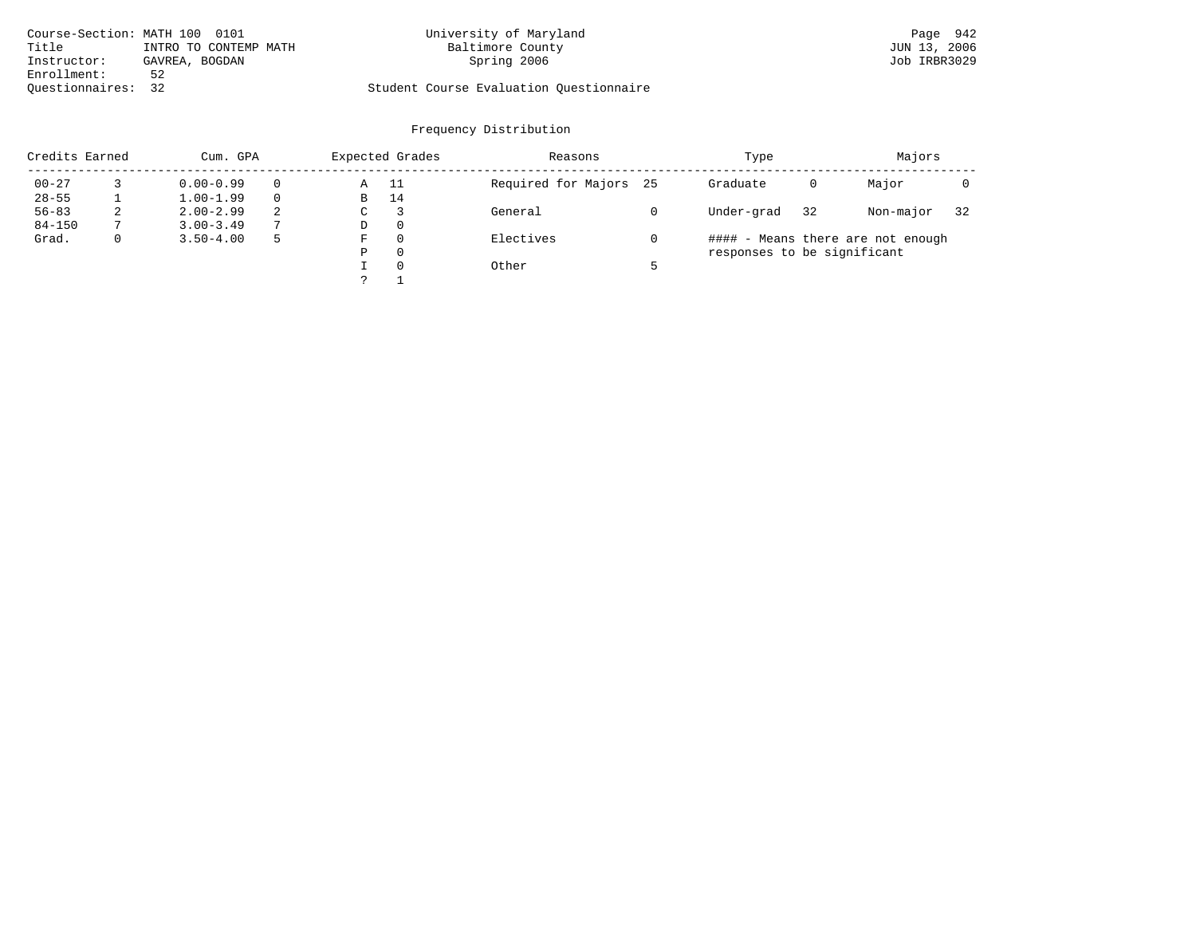| Course-Section: MATH 100 0101 |                       | University of Maryland                  | Page 942     |
|-------------------------------|-----------------------|-----------------------------------------|--------------|
| Title                         | INTRO TO CONTEMP MATH | Baltimore County                        | JUN 13, 2006 |
| Instructor:                   | GAVREA, BOGDAN        | Spring 2006                             | Job IRBR3029 |
| Enrollment:                   | 52                    |                                         |              |
| Ouestionnaires: 32            |                       | Student Course Evaluation Questionnaire |              |

|            | Credits Earned<br>Cum. GPA |               |   |               | Expected Grades | Reasons                | Type                        | Majors |                                   |    |
|------------|----------------------------|---------------|---|---------------|-----------------|------------------------|-----------------------------|--------|-----------------------------------|----|
| $00 - 27$  |                            | $0.00 - 0.99$ |   | Α             | - 11            | Required for Majors 25 | Graduate                    | 0      | Major                             |    |
| $28 - 55$  |                            | $1.00 - 1.99$ |   | B             | 14              |                        |                             |        |                                   |    |
| $56 - 83$  | 2                          | $2.00 - 2.99$ | 2 | $\sim$<br>◡   |                 | General                | Under-grad                  | 32     | Non-major                         | 32 |
| $84 - 150$ |                            | $3.00 - 3.49$ | 7 | D             | 0               |                        |                             |        |                                   |    |
| Grad.      | 0                          | $3.50 - 4.00$ | 5 | F             | 0               | Electives              |                             |        | #### - Means there are not enough |    |
|            |                            |               |   | Ρ             | 0               |                        | responses to be significant |        |                                   |    |
|            |                            |               |   |               | $\Omega$        | Other                  |                             |        |                                   |    |
|            |                            |               |   | $\mathcal{D}$ |                 |                        |                             |        |                                   |    |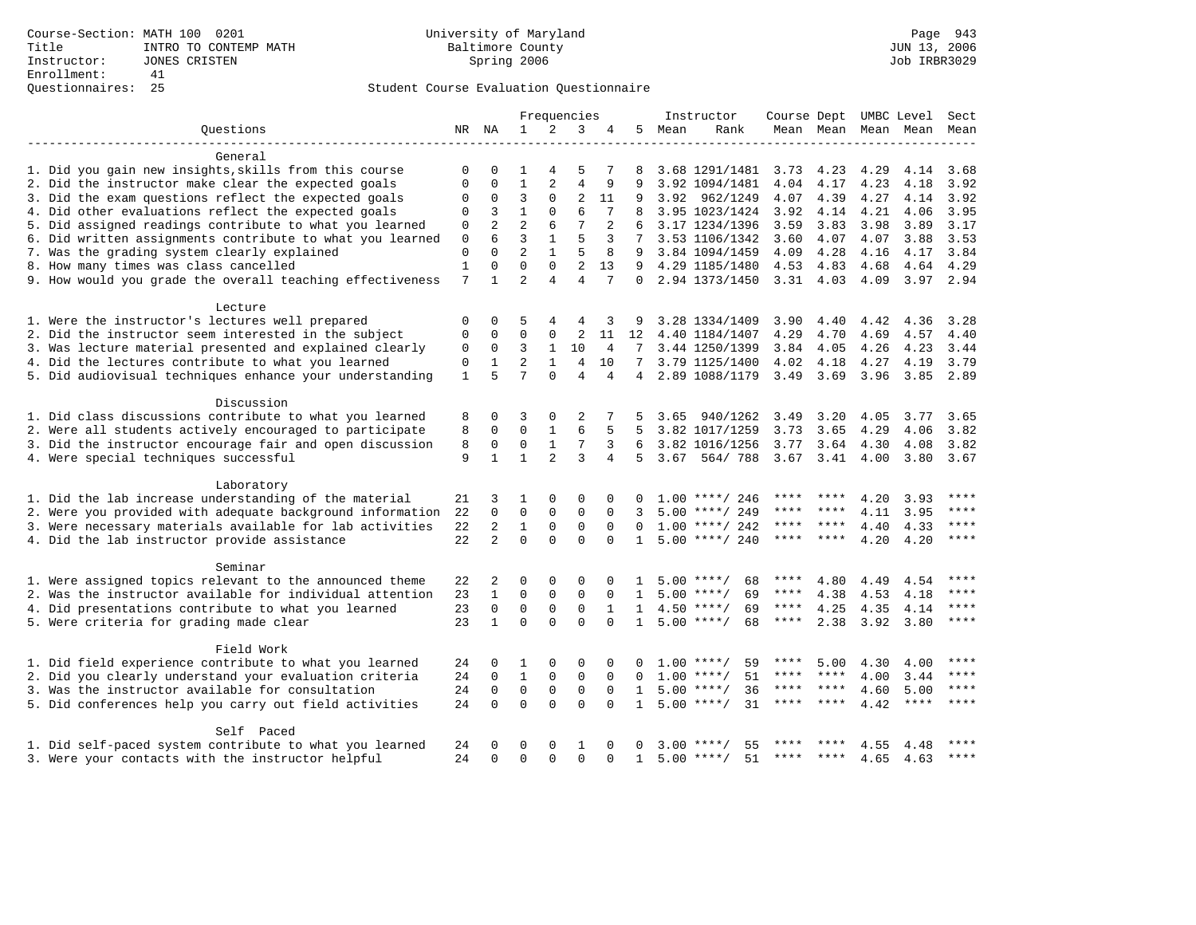|                                                           |              |                |                |                | Frequencies    |              |                 |      | Instructor         | Course Dept UMBC Level Sect |         |      |                     |           |
|-----------------------------------------------------------|--------------|----------------|----------------|----------------|----------------|--------------|-----------------|------|--------------------|-----------------------------|---------|------|---------------------|-----------|
| Ouestions                                                 |              | NR NA          | $\mathbf{1}$   | 2              | 3              | 4            | 5               | Mean | Rank               |                             |         |      | Mean Mean Mean Mean | Mean      |
| General                                                   |              |                |                |                |                |              |                 |      |                    |                             |         |      |                     |           |
| 1. Did you gain new insights, skills from this course     | $\Omega$     | $\Omega$       | 1              | 4              | 5              | 7            | 8               |      | 3.68 1291/1481     | 3.73                        | 4.23    | 4.29 | 4.14                | 3.68      |
| 2. Did the instructor make clear the expected goals       | $\Omega$     | $\Omega$       | $\mathbf{1}$   | 2              | $\overline{4}$ | 9            | 9               |      | 3.92 1094/1481     | 4.04                        | 4.17    | 4.23 | 4.18                | 3.92      |
| 3. Did the exam questions reflect the expected goals      | $\Omega$     | $\mathbf 0$    | $\overline{3}$ | $\Omega$       | $\overline{2}$ | 11           | 9               |      | 3.92 962/1249      | 4.07                        | 4.39    | 4.27 | 4.14                | 3.92      |
| 4. Did other evaluations reflect the expected goals       | 0            | 3              | $\mathbf{1}$   | $\Omega$       | 6              | 7            | 8               |      | 3.95 1023/1424     | 3.92                        | 4.14    | 4.21 | 4.06                | 3.95      |
| 5. Did assigned readings contribute to what you learned   | $\mathbf 0$  | $\overline{2}$ | $\overline{a}$ | 6              | 7              | 2            |                 |      | 3.17 1234/1396     | 3.59                        | 3.83    | 3.98 | 3.89                | 3.17      |
| 6. Did written assignments contribute to what you learned | $\mathbf 0$  | 6              | 3              | $\mathbf{1}$   | 5              | 3            | $7^{\circ}$     |      | 3.53 1106/1342     | 3.60                        | 4.07    | 4.07 | 3.88                | 3.53      |
| 7. Was the grading system clearly explained               | $\mathbf 0$  | $\Omega$       | $\overline{a}$ | $\mathbf{1}$   | 5              | 8            | 9               |      | 3.84 1094/1459     | 4.09                        | 4.28    | 4.16 | 4.17                | 3.84      |
| 8. How many times was class cancelled                     | $1\,$        | $\mathbf 0$    | $\Omega$       | $\Omega$       | $\overline{2}$ | 13           | 9               |      | 4.29 1185/1480     | 4.53 4.83                   |         | 4.68 | 4.64                | 4.29      |
| 9. How would you grade the overall teaching effectiveness | 7            | $\mathbf{1}$   | $\overline{2}$ | $\overline{4}$ | $\overline{4}$ | 7            | $\Omega$        |      | 2.94 1373/1450     | $3.31$ 4.03                 |         | 4.09 | 3.97 2.94           |           |
|                                                           |              |                |                |                |                |              |                 |      |                    |                             |         |      |                     |           |
| Lecture                                                   |              |                |                |                |                |              |                 |      |                    |                             |         |      |                     |           |
| 1. Were the instructor's lectures well prepared           | 0            | 0              | 5              | 4              | 4              | 3            | 9               |      | 3.28 1334/1409     | 3.90                        | 4.40    | 4.42 | 4.36                | 3.28      |
| 2. Did the instructor seem interested in the subject      | 0            | $\Omega$       | $\Omega$       | $\mathbf 0$    | 2              | 11           | 12              |      | 4.40 1184/1407     | 4.29                        | 4.70    | 4.69 | 4.57                | 4.40      |
| 3. Was lecture material presented and explained clearly   | 0            | $\mathbf 0$    | 3              | $\mathbf{1}$   | 10             | 4            | $7\phantom{.0}$ |      | 3.44 1250/1399     | 3.84                        | 4.05    | 4.26 | 4.23                | 3.44      |
| 4. Did the lectures contribute to what you learned        | 0            | $\mathbf{1}$   | $\overline{a}$ | $\mathbf{1}$   | $\overline{4}$ | 10           | 7               |      | 3.79 1125/1400     | 4.02                        | 4.18    | 4.27 | 4.19                | 3.79      |
| 5. Did audiovisual techniques enhance your understanding  | $\mathbf{1}$ | 5              | 7              | $\Omega$       | $\overline{4}$ | 4            | 4               |      | 2.89 1088/1179     | 3.49                        | 3.69    | 3.96 | 3.85                | 2.89      |
| Discussion                                                |              |                |                |                |                |              |                 |      |                    |                             |         |      |                     |           |
| 1. Did class discussions contribute to what you learned   |              | 0              | 3              | $\mathbf 0$    | 2              |              |                 | 3.65 | 940/1262           | 3.49                        | 3.20    | 4.05 | 3.77                | 3.65      |
| 2. Were all students actively encouraged to participate   | 8<br>8       | $\mathbf 0$    | $\mathbf 0$    | $\mathbf{1}$   | 6              | 5            | 5               |      | 3.82 1017/1259     | 3.73                        | 3.65    | 4.29 | 4.06                | 3.82      |
| 3. Did the instructor encourage fair and open discussion  | 8            | $\mathbf 0$    | $\mathsf 0$    | $\mathbf{1}$   | 7              | 3            | 6               |      | 3.82 1016/1256     | 3.77                        | 3.64    | 4.30 | 4.08                | 3.82      |
| 4. Were special techniques successful                     | 9            | $\mathbf{1}$   | $\mathbf{1}$   | $\overline{2}$ | 3              | 4            | 5               |      | 3.67 564/ 788      | $3.67 \quad 3.41$           |         | 4.00 | 3.80                | 3.67      |
|                                                           |              |                |                |                |                |              |                 |      |                    |                             |         |      |                     |           |
| Laboratory                                                |              |                |                |                |                |              |                 |      |                    |                             |         |      |                     |           |
| 1. Did the lab increase understanding of the material     | 21           | 3              | 1              | $\Omega$       | $\Omega$       | $\Omega$     |                 |      | $1.00$ ****/ 246   |                             |         | 4.20 | 3.93                | ****      |
| 2. Were you provided with adequate background information | 22           | $\Omega$       | $\mathbf 0$    | $\mathbf{0}$   | $\mathbf 0$    | $\Omega$     | 3               |      | $5.00$ ****/ 249   | ****                        | ****    | 4.11 | 3.95                | ****      |
| 3. Were necessary materials available for lab activities  | 22           | $\overline{a}$ | $\mathbf{1}$   | $\mathbf{0}$   | $\Omega$       | $\Omega$     | $\Omega$        |      | $1.00$ ****/ 242   | ****                        | $***$   | 4.40 | 4.33                | ****      |
| 4. Did the lab instructor provide assistance              | 22           | $\overline{2}$ | $\Omega$       | $\Omega$       | $\Omega$       | $\cap$       | $\mathbf{1}$    |      | $5.00$ ****/ 240   | ****                        | ****    | 4.20 | 4.20                | ****      |
| Seminar                                                   |              |                |                |                |                |              |                 |      |                    |                             |         |      |                     |           |
| 1. Were assigned topics relevant to the announced theme   | 22           | 2              | $\Omega$       | $\Omega$       | $\Omega$       |              |                 |      | 68<br>$5.00$ ****/ | ****                        | 4.80    | 4.49 | 4.54                | ****      |
| 2. Was the instructor available for individual attention  | 23           | $\mathbf{1}$   | $\mathbf 0$    | $\mathbf 0$    | $\mathbf 0$    | $\Omega$     | $\mathbf{1}$    |      | $5.00$ ****/<br>69 | ****                        | 4.38    | 4.53 | 4.18                | $***$     |
| 4. Did presentations contribute to what you learned       | 23           | $\mathbf 0$    | $\mathsf 0$    | $\mathbf 0$    | $\mathbf 0$    | $\mathbf{1}$ | $\mathbf{1}$    |      | $4.50$ ****/<br>69 | ****                        | 4.25    | 4.35 | 4.14                | $***$     |
| 5. Were criteria for grading made clear                   | 23           | $\mathbf{1}$   | $\Omega$       | $\Omega$       | $\Omega$       | $\Omega$     | $\mathbf{1}$    |      | $5.00$ ****/<br>68 | $***$ * * *                 | 2.38    | 3.92 | 3.80                | $* * * *$ |
|                                                           |              |                |                |                |                |              |                 |      |                    |                             |         |      |                     |           |
| Field Work                                                |              |                |                |                |                |              |                 |      |                    |                             |         |      |                     |           |
| 1. Did field experience contribute to what you learned    | 24           | 0              | 1              | 0              | $\Omega$       | $\Omega$     |                 |      | $1.00$ ****/<br>59 | ****                        | 5.00    | 4.30 | 4.00                |           |
| 2. Did you clearly understand your evaluation criteria    |              | $\Omega$       | $\mathbf{1}$   | $\Omega$       | $\Omega$       | $\Omega$     | $\Omega$        | 1.00 | 51<br>$***$ /      | ****                        | ****    | 4.00 | 3.44                | ****      |
| 3. Was the instructor available for consultation          |              | $\mathbf 0$    | $\Omega$       | $\Omega$       | $\Omega$       | $\Omega$     | $\mathbf{1}$    |      | $5.00$ ****/<br>36 | ****                        | ****    | 4.60 | 5.00                | ****      |
| 5. Did conferences help you carry out field activities    | 24           | $\Omega$       | $\Omega$       | $\Omega$       | $\Omega$       | $\Omega$     | $\mathbf{1}$    |      | 31<br>$5.00$ ****/ | ****                        | $***$ * | 4.42 | $***$ * * *         | ****      |
| Self Paced                                                |              |                |                |                |                |              |                 |      |                    |                             |         |      |                     |           |
| 1. Did self-paced system contribute to what you learned   | 24           | 0              | 0              | 0              | 1              | $\Omega$     | 0               | 3.00 | 55                 |                             |         | 4.55 | 4.48                |           |
| 3. Were your contacts with the instructor helpful         | 24           | $\Omega$       | $\Omega$       | $\Omega$       | $\Omega$       | $\Omega$     | $\mathbf{1}$    |      | 51<br>$5.00$ ****/ |                             |         | 4.65 | 4.63                |           |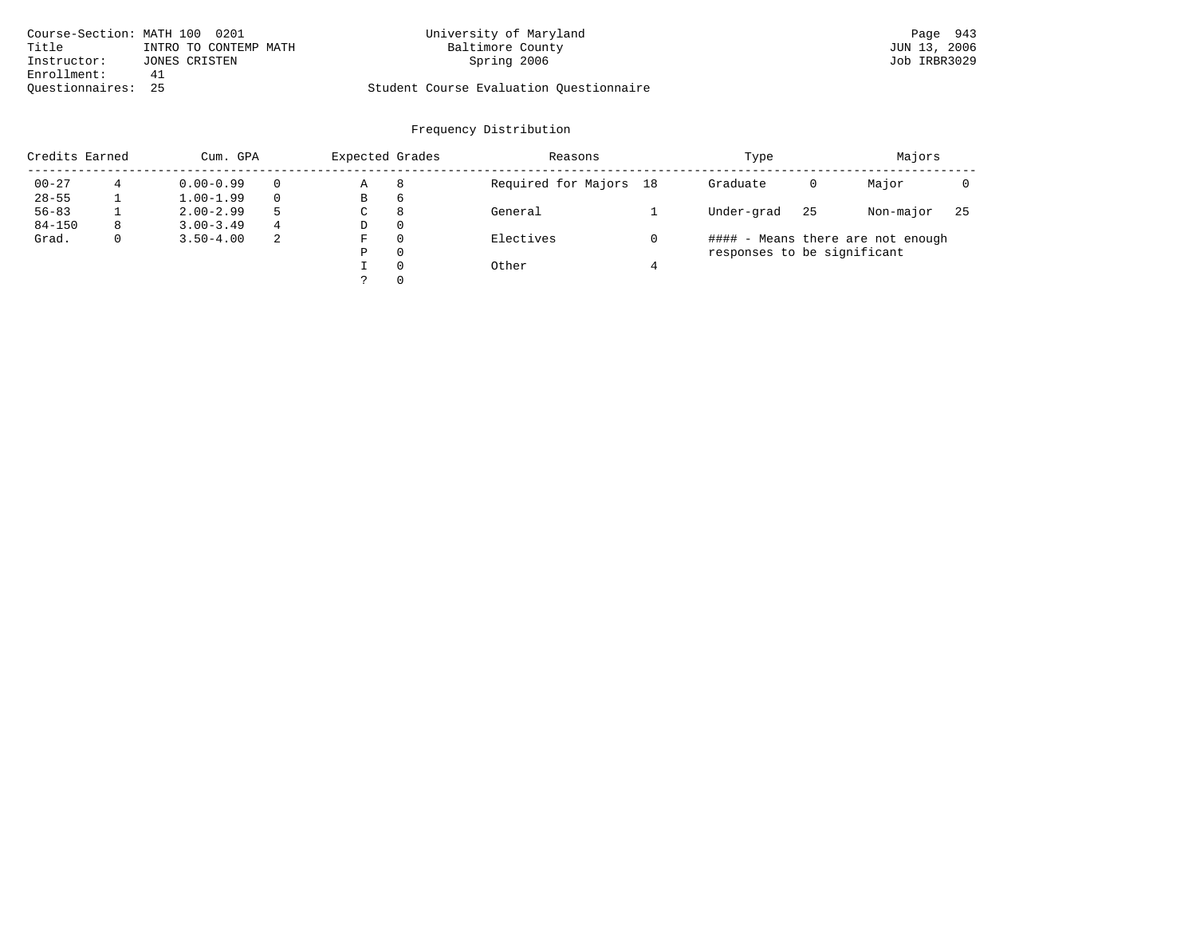| Course-Section: MATH 100 0201 |                       | University of Maryland                  | Page 943     |
|-------------------------------|-----------------------|-----------------------------------------|--------------|
| Title                         | INTRO TO CONTEMP MATH | Baltimore County                        | JUN 13, 2006 |
| Instructor:                   | JONES CRISTEN         | Spring 2006                             | Job IRBR3029 |
| Enrollment:                   | 41                    |                                         |              |
| Ouestionnaires: 25            |                       | Student Course Evaluation Questionnaire |              |

|            | Credits Earned<br>Cum. GPA |               |          | Expected Grades |          | Reasons                | Type                        | Majors |                                   |     |
|------------|----------------------------|---------------|----------|-----------------|----------|------------------------|-----------------------------|--------|-----------------------------------|-----|
| $00 - 27$  | 4                          | $0.00 - 0.99$ | $\Omega$ | Α               | 8        | Required for Majors 18 | Graduate                    | 0      | Major                             |     |
| $28 - 55$  |                            | $1.00 - 1.99$ | $\Omega$ | В               | 6        |                        |                             |        |                                   |     |
| $56 - 83$  |                            | $2.00 - 2.99$ | .5       | С               | 8        | General                | Under-grad                  | 25     | Non-major                         | -25 |
| $84 - 150$ | 8                          | $3.00 - 3.49$ | 4        | D               | 0        |                        |                             |        |                                   |     |
| Grad.      | 0                          | $3.50 - 4.00$ | -2       | F               | 0        | Electives              |                             |        | #### - Means there are not enough |     |
|            |                            |               |          | Ρ               | 0        |                        | responses to be significant |        |                                   |     |
|            |                            |               |          |                 | $\Omega$ | Other                  |                             |        |                                   |     |
|            |                            |               |          |                 | 0        |                        |                             |        |                                   |     |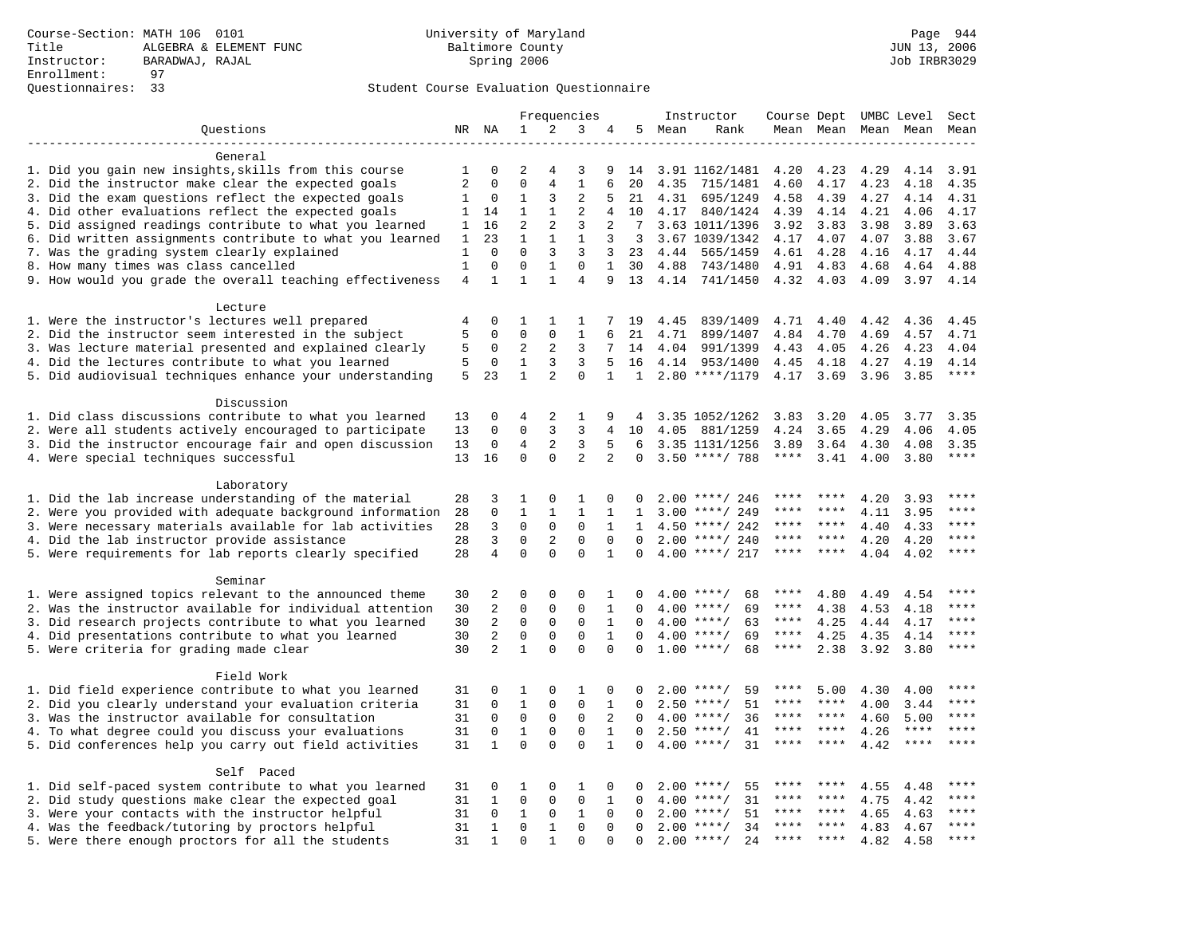|                                                           |                   |                          | Frequencies             |                   |                |                   |              | Instructor |                    | Course Dept UMBC Level |         |                     |             | Sect         |
|-----------------------------------------------------------|-------------------|--------------------------|-------------------------|-------------------|----------------|-------------------|--------------|------------|--------------------|------------------------|---------|---------------------|-------------|--------------|
| Questions                                                 |                   | NR NA                    | 1                       | 2                 | 3              | 4                 |              | 5 Mean     | Rank               |                        |         | Mean Mean Mean Mean |             | Mean         |
|                                                           |                   |                          |                         |                   |                |                   |              |            |                    |                        |         |                     |             |              |
| General                                                   |                   |                          |                         |                   |                |                   |              |            |                    |                        |         |                     |             |              |
| 1. Did you gain new insights, skills from this course     | 1                 | 0                        | 2                       | 4                 | 3              | 9                 | 14           |            | 3.91 1162/1481     | 4.20                   | 4.23    | 4.29                | 4.14        | 3.91         |
| 2. Did the instructor make clear the expected goals       | $\overline{2}$    | $\mathbf 0$              | $\mathbf 0$             | $\overline{4}$    | $\mathbf{1}$   | 6                 | 20           | 4.35       | 715/1481           | 4.60                   | 4.17    | 4.23                | 4.18        | 4.35         |
| 3. Did the exam questions reflect the expected goals      | 1                 | $\mathbf 0$              | 1                       | 3                 | 2              | 5                 | 21           | 4.31       | 695/1249           | 4.58                   | 4.39    | 4.27                | 4.14        | 4.31         |
| 4. Did other evaluations reflect the expected goals       | $\mathbf{1}$      | 14                       | $\mathbf{1}$            | $\mathbf{1}$      | $\overline{a}$ | 4                 | 10           |            | 4.17 840/1424      | 4.39                   | 4.14    | 4.21                | 4.06        | 4.17         |
| 5. Did assigned readings contribute to what you learned   | $\mathbf{1}$      | 16                       | $\overline{2}$          | 2                 | 3              | 2                 | 7            |            | 3.63 1011/1396     | 3.92                   | 3.83    | 3.98                | 3.89        | 3.63         |
| 6. Did written assignments contribute to what you learned | 1                 | 23                       | $\mathbf 1$             | $\mathbf{1}$      | $\mathbf{1}$   | 3                 | 3            |            | 3.67 1039/1342     | 4.17                   | 4.07    | 4.07                | 3.88        | 3.67         |
| 7. Was the grading system clearly explained               | 1<br>$\mathbf{1}$ | $\Omega$<br>$\mathbf{0}$ | $\Omega$<br>$\mathbf 0$ | 3<br>$\mathbf{1}$ | 3<br>$\Omega$  | 3<br>$\mathbf{1}$ | 23           | 4.44       | 565/1459           | 4.61                   | 4.28    | 4.16                | 4.17        | 4.44         |
| 8. How many times was class cancelled                     | $\overline{4}$    | $\mathbf{1}$             | $\mathbf{1}$            | $\mathbf{1}$      | $\overline{4}$ | 9                 | 30<br>13     | 4.88       | 743/1480           | 4.91                   | 4.83    | 4.68                | 4.64        | 4.88<br>4.14 |
| 9. How would you grade the overall teaching effectiveness |                   |                          |                         |                   |                |                   |              |            | 4.14 741/1450      | 4.32                   | 4.03    | 4.09                | 3.97        |              |
| Lecture                                                   |                   |                          |                         |                   |                |                   |              |            |                    |                        |         |                     |             |              |
| 1. Were the instructor's lectures well prepared           | 4                 | $\mathbf 0$              | 1                       | 1                 | 1              | 7                 | 19           | 4.45       | 839/1409           | 4.71                   | 4.40    | 4.42                | 4.36        | 4.45         |
| 2. Did the instructor seem interested in the subject      | 5                 | $\mathbf 0$              | 0                       | $\mathbf 0$       | 1              | 6                 | 21           | 4.71       | 899/1407           | 4.84                   | 4.70    | 4.69                | 4.57        | 4.71         |
| 3. Was lecture material presented and explained clearly   | 5                 | 0                        | 2                       | 2                 | 3              | 7                 | 14           | 4.04       | 991/1399           | 4.43                   | 4.05    | 4.26                | 4.23        | 4.04         |
| 4. Did the lectures contribute to what you learned        | 5                 | $\mathbf 0$              | 1                       | 3                 | 3              | 5                 | 16           |            | 4.14 953/1400      | 4.45                   | 4.18    | 4.27                | 4.19        | 4.14         |
| 5. Did audiovisual techniques enhance your understanding  | 5                 | 23                       | $\mathbf{1}$            | $\overline{2}$    | $\Omega$       | $\mathbf{1}$      | $\mathbf{1}$ |            | $2.80$ ****/1179   | 4.17                   | 3.69    | 3.96                | 3.85        | $***$        |
|                                                           |                   |                          |                         |                   |                |                   |              |            |                    |                        |         |                     |             |              |
| Discussion                                                |                   |                          |                         |                   |                |                   |              |            |                    |                        |         |                     |             |              |
| 1. Did class discussions contribute to what you learned   | 13                | $\mathbf 0$              | 4                       | 2                 | 1              | 9                 | 4            |            | 3.35 1052/1262     | 3.83                   | 3.20    | 4.05                | 3.77        | 3.35         |
| 2. Were all students actively encouraged to participate   | 13                | $\mathbf 0$              | $\mathbf 0$             | 3                 | 3              | 4                 | 10           | 4.05       | 881/1259           | 4.24                   | 3.65    | 4.29                | 4.06        | 4.05         |
| 3. Did the instructor encourage fair and open discussion  | 13                | 0                        | 4                       | 2                 | 3              | 5                 | 6            |            | 3.35 1131/1256     | 3.89                   | 3.64    | 4.30                | 4.08        | 3.35         |
| 4. Were special techniques successful                     | 13                | 16                       | $\mathbf 0$             | $\Omega$          | 2              | $\overline{a}$    | $\mathbf 0$  |            | $3.50$ ****/ 788   | $***$ * * *            | 3.41    | 4.00                | 3.80        | $***$        |
|                                                           |                   |                          |                         |                   |                |                   |              |            |                    |                        |         |                     |             |              |
| Laboratory                                                |                   |                          |                         |                   |                |                   |              |            |                    |                        |         |                     |             |              |
| 1. Did the lab increase understanding of the material     | 28                | 3                        | 1                       | 0                 | 1              | 0                 | 0            |            | $2.00$ ****/ 246   |                        |         | 4.20                | 3.93        |              |
| 2. Were you provided with adequate background information | 28                | $\mathbf 0$              | $\mathbf{1}$            | 1                 | $\mathbf{1}$   | 1                 | 1            | 3.00       | ****/ 249          | ****                   | ****    | 4.11                | 3.95        | ****         |
| 3. Were necessary materials available for lab activities  | 28                | 3                        | $\mathbf 0$             | $\mathbf 0$       | 0              | $\mathbf{1}$      | 1            | 4.50       | ****/ 242          | ****                   | ****    | 4.40                | 4.33        | ****         |
| 4. Did the lab instructor provide assistance              | 28                | 3                        | $\mathbf 0$             | 2                 | $\Omega$       | $\Omega$          | $\Omega$     |            | $2.00$ ****/ 240   | ****                   | ****    | 4.20                | 4.20        | $***$        |
| 5. Were requirements for lab reports clearly specified    | 28                | 4                        | $\Omega$                | $\Omega$          | $\Omega$       | $\mathbf{1}$      | $\Omega$     |            | $4.00$ ****/ 217   | ****                   | ****    | 4.04                | 4.02        | ****         |
| Seminar                                                   |                   |                          |                         |                   |                |                   |              |            |                    |                        |         |                     |             |              |
| 1. Were assigned topics relevant to the announced theme   | 30                | 2                        | 0                       | $\mathbf{0}$      | 0              | 1                 | 0            |            | $4.00$ ****/<br>68 | ****                   | 4.80    | 4.49                | 4.54        | ****         |
| 2. Was the instructor available for individual attention  | 30                | 2                        | 0                       | $\mathsf 0$       | $\mathbf 0$    | $\mathbf{1}$      | 0            |            | $4.00$ ****/<br>69 | $***$ * *              | 4.38    | 4.53                | 4.18        |              |
| 3. Did research projects contribute to what you learned   | 30                | $\overline{2}$           | $\mathbf 0$             | $\mathbf{0}$      | $\mathbf 0$    | $\mathbf{1}$      | $\Omega$     |            | $4.00$ ****/<br>63 | ****                   | 4.25    | 4.44                | 4.17        | ****         |
| 4. Did presentations contribute to what you learned       | 30                | 2                        | $\mathbf 0$             | $\mathbf 0$       | $\mathbf 0$    | $\mathbf{1}$      | $\Omega$     |            | $4.00$ ****/<br>69 | $***$ * *              | 4.25    | 4.35                | 4.14        | $***$        |
| 5. Were criteria for grading made clear                   | 30                | 2                        | $\mathbf{1}$            | $\Omega$          | $\Omega$       | $\Omega$          | $\Omega$     |            | $1.00$ ****/<br>68 | ****                   | 2.38    | 3.92                | 3.80        | ****         |
|                                                           |                   |                          |                         |                   |                |                   |              |            |                    |                        |         |                     |             |              |
| Field Work                                                |                   |                          |                         |                   |                |                   |              |            |                    |                        |         |                     |             |              |
| 1. Did field experience contribute to what you learned    | 31                | $\mathbf 0$              | 1                       | $\mathbf{0}$      | 1              | 0                 | 0            |            | $2.00$ ****/<br>59 | ****                   | 5.00    | 4.30                | 4.00        |              |
| 2. Did you clearly understand your evaluation criteria    | 31                | $\mathbf 0$              | 1                       | 0                 | 0              | $\mathbf{1}$      | $\Omega$     |            | $2.50$ ****/<br>51 | ****                   | ****    | 4.00                | 3.44        | $***$        |
| 3. Was the instructor available for consultation          | 31                | $\mathbf 0$              | $\mathbf 0$             | $\mathbf 0$       | $\mathbf 0$    | 2                 | $\Omega$     |            | $4.00$ ****/<br>36 | ****                   | ****    | 4.60                | 5.00        | ****         |
| 4. To what degree could you discuss your evaluations      | 31                | $\mathbf 0$              | $\mathbf{1}$            | $\mathbf{0}$      | $\mathbf 0$    | 1                 | $\Omega$     |            | 41<br>$2.50$ ****/ | ****                   | $***$ * | 4.26                | ****        | ****         |
| 5. Did conferences help you carry out field activities    | 31                | $\mathbf{1}$             | $\Omega$                | $\Omega$          | $\Omega$       | $\mathbf{1}$      | $\Omega$     | 4.00       | 31<br>$***/$       | ****                   | $***$ * | 4.42                | $***$ * * * |              |
|                                                           |                   |                          |                         |                   |                |                   |              |            |                    |                        |         |                     |             |              |
| Self Paced                                                |                   |                          |                         |                   |                |                   |              |            |                    |                        |         |                     |             |              |
| 1. Did self-paced system contribute to what you learned   | 31                | 0                        | 1                       | 0                 | 1              | 0                 | 0            | 2.00       | $***$ /<br>55      | ****                   |         | 4.55                | 4.48        | $***$ * * *  |
| 2. Did study questions make clear the expected goal       | 31                | $\mathbf{1}$             | $\mathbf 0$             | $\mathbf 0$       | $\mathbf 0$    | $\mathbf{1}$      | $\Omega$     | 4.00       | $***/$<br>31       | ****                   | ****    | 4.75                | 4.42        | ****         |
| 3. Were your contacts with the instructor helpful         | 31                | $\Omega$                 | 1                       | 0                 | $\mathbf{1}$   | $\Omega$          | $\Omega$     | 2.00       | $***/$<br>51       | ****                   | ****    | 4.65                | 4.63        | ****         |
| 4. Was the feedback/tutoring by proctors helpful          | 31                | 1                        | $\mathbf 0$             | 1                 | $\mathbf 0$    | $\mathbf 0$       | $\Omega$     | 2.00       | $***/$<br>34       | ***                    | ****    | 4.83                | 4.67        | ****         |
| 5. Were there enough proctors for all the students        | 31                | 1                        | $\mathbf 0$             | $\mathbf{1}$      | $\Omega$       | $\Omega$          | $\Omega$     |            | $2.00$ ****/<br>24 | $***$ * *              | $***$   | 4.82                | 4.58        | $***$        |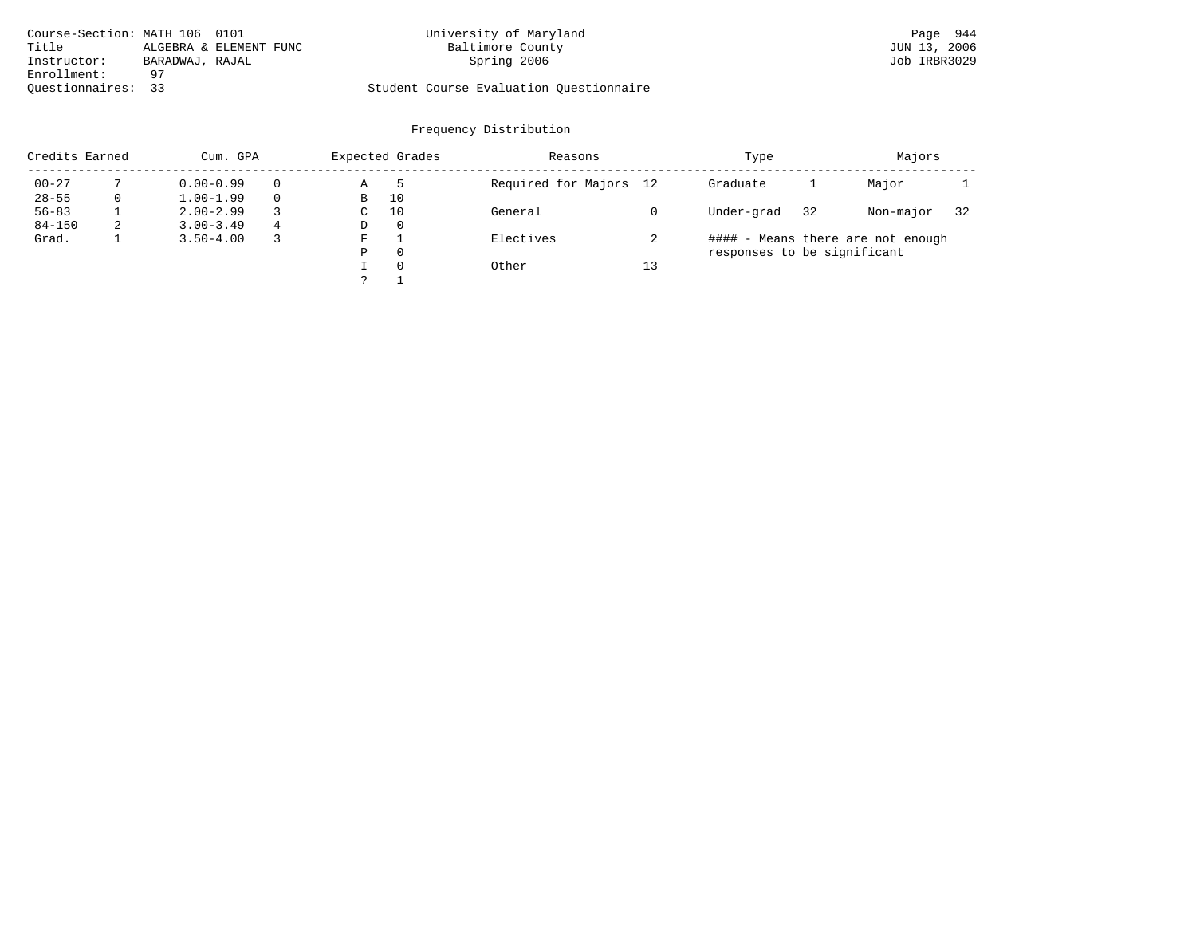| Course-Section: MATH 106 0101 |                        | University of Maryland                  | Page 944     |
|-------------------------------|------------------------|-----------------------------------------|--------------|
| Title                         | ALGEBRA & ELEMENT FUNC | Baltimore County                        | JUN 13, 2006 |
| Instructor:                   | BARADWAJ, RAJAL        | Spring 2006                             | Job IRBR3029 |
| Enrollment:                   | -97                    |                                         |              |
| Ouestionnaires: 33            |                        | Student Course Evaluation Questionnaire |              |

|            | Credits Earned<br>Cum. GPA |               |   |               | Expected Grades | Reasons                |    | Type                        | Majors |                                   |    |
|------------|----------------------------|---------------|---|---------------|-----------------|------------------------|----|-----------------------------|--------|-----------------------------------|----|
| $00 - 27$  |                            | $0.00 - 0.99$ |   | Α             | 5               | Required for Majors 12 |    | Graduate                    |        | Major                             |    |
| $28 - 55$  | $\mathbf 0$                | $1.00 - 1.99$ |   | B             | 10              |                        |    |                             |        |                                   |    |
| $56 - 83$  |                            | $2.00 - 2.99$ |   | $\sim$<br>◡   | 10              | General                |    | Under-grad                  | 32     | Non-major                         | 32 |
| $84 - 150$ | 2                          | $3.00 - 3.49$ | 4 | D             | 0               |                        |    |                             |        |                                   |    |
| Grad.      |                            | $3.50 - 4.00$ |   | F             |                 | Electives              |    |                             |        | #### - Means there are not enough |    |
|            |                            |               |   | Ρ             | 0               |                        |    | responses to be significant |        |                                   |    |
|            |                            |               |   |               | $\Omega$        | Other                  | 13 |                             |        |                                   |    |
|            |                            |               |   | $\mathcal{D}$ |                 |                        |    |                             |        |                                   |    |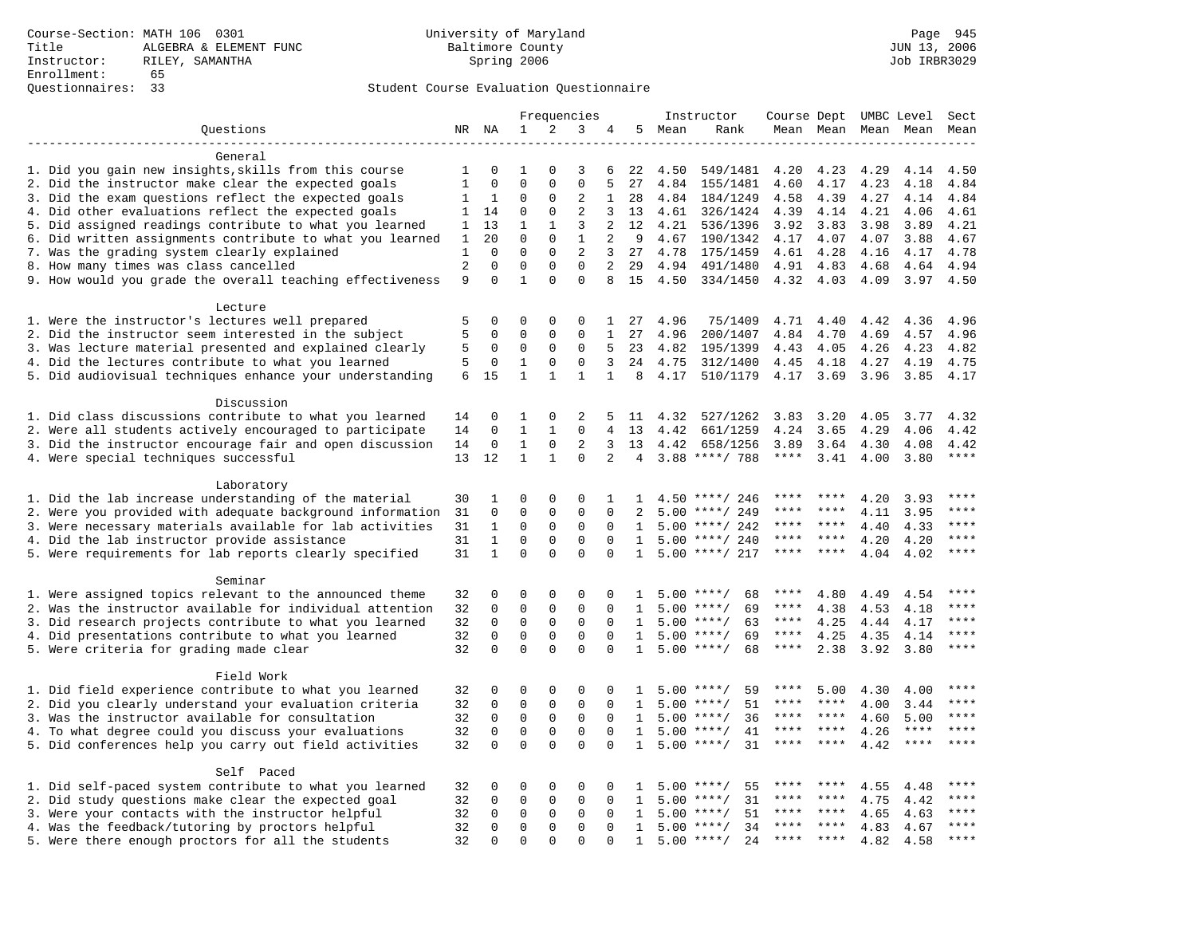# Questionnaires: 33 Student Course Evaluation Questionnaire

|                                                                                                    |                     |                | Frequencies          |                      |                  |                |              | Instructor   |                      |              |              | Course Dept UMBC Level |              | Sect         |
|----------------------------------------------------------------------------------------------------|---------------------|----------------|----------------------|----------------------|------------------|----------------|--------------|--------------|----------------------|--------------|--------------|------------------------|--------------|--------------|
| Questions                                                                                          |                     | NR NA          | $\mathbf{1}$         | 2                    | 3                | 4              |              | 5 Mean       | Rank                 |              | Mean Mean    |                        | Mean Mean    | Mean         |
|                                                                                                    |                     |                |                      |                      |                  |                |              |              |                      |              |              |                        |              |              |
| General                                                                                            |                     |                |                      |                      |                  |                |              |              |                      |              |              |                        |              |              |
| 1. Did you gain new insights, skills from this course                                              | 1                   | 0              | 1                    | <sup>0</sup>         | 3                | 6              | 22           | 4.50         | 549/1481             | 4.20         | 4.23         | 4.29                   | 4.14         | 4.50         |
| 2. Did the instructor make clear the expected goals                                                | $\mathbf{1}$        | $\mathbf 0$    | $\Omega$             | $\mathbf{0}$         | $\mathbf 0$      | 5              | 27           | 4.84         | 155/1481             | 4.60         | 4.17         | 4.23                   | 4.18         | 4.84         |
| 3. Did the exam questions reflect the expected goals                                               | 1                   | 1              | 0                    | 0                    | 2                | 1              | 28           | 4.84         | 184/1249             | 4.58         | 4.39         | 4.27                   | 4.14         | 4.84         |
| 4. Did other evaluations reflect the expected goals                                                | $\mathbf{1}$        | 14             | $\Omega$             | $\Omega$             | $\overline{a}$   | 3              | 13           | 4.61         | 326/1424             | 4.39         | 4.14         | 4.21                   | 4.06         | 4.61         |
| 5. Did assigned readings contribute to what you learned                                            | 1                   | 13             | $\mathbf{1}$         | $\mathbf{1}$         | 3                | 2              | 12           | 4.21         | 536/1396             | 3.92         | 3.83         | 3.98                   | 3.89         | 4.21         |
| 6. Did written assignments contribute to what you learned                                          | 1                   | 20<br>$\Omega$ | $\Omega$<br>$\Omega$ | $\Omega$<br>$\Omega$ | $\mathbf{1}$     | 2              | 9            | 4.67         | 190/1342             | 4.17         | 4.07         | 4.07                   | 3.88         | 4.67         |
| 7. Was the grading system clearly explained                                                        | 1<br>$\overline{c}$ | $\mathbf 0$    | $\mathbf 0$          | $\mathbf{0}$         | 2<br>$\mathbf 0$ | 3<br>2         | 27<br>29     | 4.78         | 175/1459<br>491/1480 | 4.61<br>4.91 | 4.28<br>4.83 | 4.16                   | 4.17<br>4.64 | 4.78<br>4.94 |
| 8. How many times was class cancelled<br>9. How would you grade the overall teaching effectiveness | 9                   | $\Omega$       | $\mathbf{1}$         | $\Omega$             | $\Omega$         | 8              | 15           | 4.94<br>4.50 | 334/1450             | 4.32         | 4.03         | 4.68<br>4.09           | 3.97         | 4.50         |
|                                                                                                    |                     |                |                      |                      |                  |                |              |              |                      |              |              |                        |              |              |
| Lecture                                                                                            |                     |                |                      |                      |                  |                |              |              |                      |              |              |                        |              |              |
| 1. Were the instructor's lectures well prepared                                                    | 5                   | 0              | $\Omega$             | 0                    | 0                | 1              | 27           | 4.96         | 75/1409              | 4.71         | 4.40         | 4.42                   | 4.36         | 4.96         |
| 2. Did the instructor seem interested in the subject                                               | 5                   | 0              | 0                    | 0                    | 0                | $\mathbf{1}$   | 27           | 4.96         | 200/1407             | 4.84         | 4.70         | 4.69                   | 4.57         | 4.96         |
| 3. Was lecture material presented and explained clearly                                            | 5                   | $\mathbf 0$    | 0                    | 0                    | $\mathbf 0$      | 5              | 23           | 4.82         | 195/1399             | 4.43         | 4.05         | 4.26                   | 4.23         | 4.82         |
| 4. Did the lectures contribute to what you learned                                                 | 5                   | 0              | 1                    | $\Omega$             | $\Omega$         | 3              | 24           | 4.75         | 312/1400             | 4.45         | 4.18         | 4.27                   | 4.19         | 4.75         |
| 5. Did audiovisual techniques enhance your understanding                                           | 6                   | 1.5            | $\mathbf{1}$         | $\mathbf{1}$         | $\mathbf{1}$     | $\mathbf{1}$   | 8            | 4.17         | 510/1179             | 4.17         | 3.69         | 3.96                   | 3.85         | 4.17         |
|                                                                                                    |                     |                |                      |                      |                  |                |              |              |                      |              |              |                        |              |              |
| Discussion                                                                                         |                     |                |                      |                      |                  |                |              |              |                      |              |              |                        |              |              |
| 1. Did class discussions contribute to what you learned                                            | 14                  | 0              | 1                    | 0                    | 2                | 5              |              | 11 4.32      | 527/1262             | 3.83         | 3.20         | 4.05                   | 3.77         | 4.32         |
| 2. Were all students actively encouraged to participate                                            | 14                  | $\mathbf 0$    | $\mathbf{1}$         | $\mathbf{1}$         | $\mathbf 0$      | $\overline{4}$ | 13           | 4.42         | 661/1259             | 4.24         | 3.65         | 4.29                   | 4.06         | 4.42         |
| 3. Did the instructor encourage fair and open discussion                                           | 14                  | 0              | 1                    | 0                    | $\overline{2}$   | 3              | 13           | 4.42         | 658/1256             | 3.89         | 3.64         | 4.30                   | 4.08         | 4.42         |
| 4. Were special techniques successful                                                              | 13                  | 12             | $\mathbf{1}$         | $\mathbf{1}$         | $\Omega$         | $\overline{2}$ | 4            |              | $3.88$ ****/ 788     | $***$ * * *  | 3.41         | 4.00                   | 3.80         | $***$        |
|                                                                                                    |                     |                |                      |                      |                  |                |              |              |                      |              |              |                        |              |              |
| Laboratory                                                                                         |                     |                |                      |                      |                  |                |              |              |                      |              |              |                        |              |              |
| 1. Did the lab increase understanding of the material                                              | 30                  | 1              | $\Omega$             | $\Omega$             | $\Omega$         | 1              | $\mathbf{1}$ |              | 4.50 ****/ 246       |              |              | 4.20                   | 3.93         |              |
| 2. Were you provided with adequate background information                                          | 31                  | $\mathbf 0$    | $\mathbf 0$          | $\mathsf 0$          | 0                | 0              | 2            | 5.00         | ****/ 249            | ****         | ****         | 4.11                   | 3.95         | ****         |
| 3. Were necessary materials available for lab activities                                           | 31                  | $\mathbf 1$    | $\mathbf 0$          | $\mathbf 0$          | $\mathbf 0$      | $\mathbf 0$    | 1            |              | $5.00$ ****/ 242     | ****         | $***$ *      | 4.40                   | 4.33         | $***$        |
| 4. Did the lab instructor provide assistance                                                       | 31                  | $\mathbf{1}$   | $\Omega$             | 0                    | $\Omega$         | $\Omega$       | $\mathbf{1}$ |              | $5.00$ ****/ 240     | ****         | ****         | 4.20                   | 4.20         | $***$        |
| 5. Were requirements for lab reports clearly specified                                             | 31                  | $\mathbf{1}$   | $\Omega$             | $\Omega$             | $\Omega$         | $\Omega$       | $\mathbf{1}$ |              | $5.00$ ****/ 217     | ****         | ****         | 4.04                   | 4.02         | $***$        |
| Seminar                                                                                            |                     |                |                      |                      |                  |                |              |              |                      |              |              |                        |              |              |
| 1. Were assigned topics relevant to the announced theme                                            | 32                  | 0              | 0                    | $\Omega$             | $\Omega$         | $\Omega$       | -1           |              | $5.00$ ****/<br>68   | ****         | 4.80         | 4.49                   | 4.54         | * * * *      |
| 2. Was the instructor available for individual attention                                           | 32                  | $\mathbf 0$    | $\mathbf 0$          | $\mathbf{0}$         | $\mathbf 0$      | $\Omega$       | $\mathbf{1}$ |              | $5.00$ ****/<br>69   | ****         | 4.38         | 4.53                   | 4.18         | ****         |
| 3. Did research projects contribute to what you learned                                            | 32                  | $\mathbf 0$    | $\mathsf 0$          | $\mathbf 0$          | $\mathbf 0$      | $\mathbf 0$    | 1            |              | $5.00$ ****/<br>63   | $***$ * *    | 4.25         | 4.44                   | 4.17         | ****         |
| 4. Did presentations contribute to what you learned                                                | 32                  | $\mathbf 0$    | $\mathsf 0$          | $\mathbf 0$          | $\mathbf 0$      | $\mathbf 0$    | $\mathbf{1}$ |              | 69<br>$5.00$ ****/   | $***$ * * *  | 4.25         | 4.35                   | 4.14         | $***$        |
| 5. Were criteria for grading made clear                                                            | 32                  | $\Omega$       | $\Omega$             | $\Omega$             | $\Omega$         | $\Omega$       | $\mathbf{1}$ |              | $5.00$ ****/<br>68   | $***$ * * *  | 2.38         | 3.92                   | 3.80         | ****         |
|                                                                                                    |                     |                |                      |                      |                  |                |              |              |                      |              |              |                        |              |              |
| Field Work                                                                                         |                     |                |                      |                      |                  |                |              |              |                      |              |              |                        |              |              |
| 1. Did field experience contribute to what you learned                                             | 32                  | 0              | 0                    | $\mathbf 0$          | 0                | 0              | 1            |              | $5.00$ ****/<br>59   | ****         | 5.00         | 4.30                   | 4.00         | ****         |
| 2. Did you clearly understand your evaluation criteria                                             | 32                  | $\Omega$       | $\mathbf 0$          | $\mathbf 0$          | $\mathbf 0$      | $\Omega$       | $\mathbf{1}$ |              | 51<br>$5.00$ ****/   | ****         | ****         | 4.00                   | 3.44         | ****         |
| 3. Was the instructor available for consultation                                                   | 32                  | $\Omega$       | $\mathbf 0$          | $\mathbf{0}$         | $\mathbf 0$      | $\Omega$       | $\mathbf{1}$ |              | 36<br>$5.00$ ****/   | ****         | ****         | 4.60                   | 5.00         | ****         |
| 4. To what degree could you discuss your evaluations                                               | 32                  | $\mathbf 0$    | $\mathbf 0$          | $\mathbf 0$          | $\mathbf 0$      | $\Omega$       | $\mathbf{1}$ | 5.00         | $***/$<br>41         | ****         | $***$ *      | 4.26                   | $***$ * * *  | ****         |
| 5. Did conferences help you carry out field activities                                             | 32                  | $\Omega$       | $\Omega$             | $\Omega$             | $\Omega$         | $\Omega$       | $\mathbf{1}$ |              | $5.00$ ****/<br>31   | ****         | $* * * *$    | 4.42                   | $***$ * * *  | $***$        |
|                                                                                                    |                     |                |                      |                      |                  |                |              |              |                      |              |              |                        |              |              |
| Self Paced                                                                                         |                     |                |                      |                      |                  |                |              |              |                      |              |              |                        |              |              |
| 1. Did self-paced system contribute to what you learned                                            | 32                  | 0              | 0                    | 0                    | $\mathbf 0$      | $\Omega$       | $\mathbf{1}$ | 5.00         | 55<br>$***$ /        |              |              | 4.55                   | 4.48         | ****         |
| 2. Did study questions make clear the expected goal                                                | 32                  | $\mathbf 0$    | $\mathbf 0$          | 0                    | $\mathbf 0$      | $\Omega$       | 1            | 5.00         | 31<br>$***/$         | ****         | ****         | 4.75                   | 4.42         | ****         |
| 3. Were your contacts with the instructor helpful                                                  | 32                  | $\Omega$       | 0                    | 0                    | 0                | $\Omega$       | 1            | 5.00         | 51<br>$* * * * /$    | ****         | ****         | 4.65                   | 4.63         | ****         |
| 4. Was the feedback/tutoring by proctors helpful                                                   | 32                  | $\Omega$       | $\mathbf 0$          | $\mathbf{0}$         | $\Omega$         | $\Omega$       | $\mathbf{1}$ |              | $5.00$ ****/<br>34   | ****         | ****         | 4.83                   | 4.67         | ****         |
| 5. Were there enough proctors for all the students                                                 | 32                  | $\Omega$       | $\Omega$             | $\Omega$             | $\Omega$         | $\Omega$       | $\mathbf{1}$ |              | $5.00$ ****/<br>24   | ****         |              | 4.82                   | 4.58         | $***$        |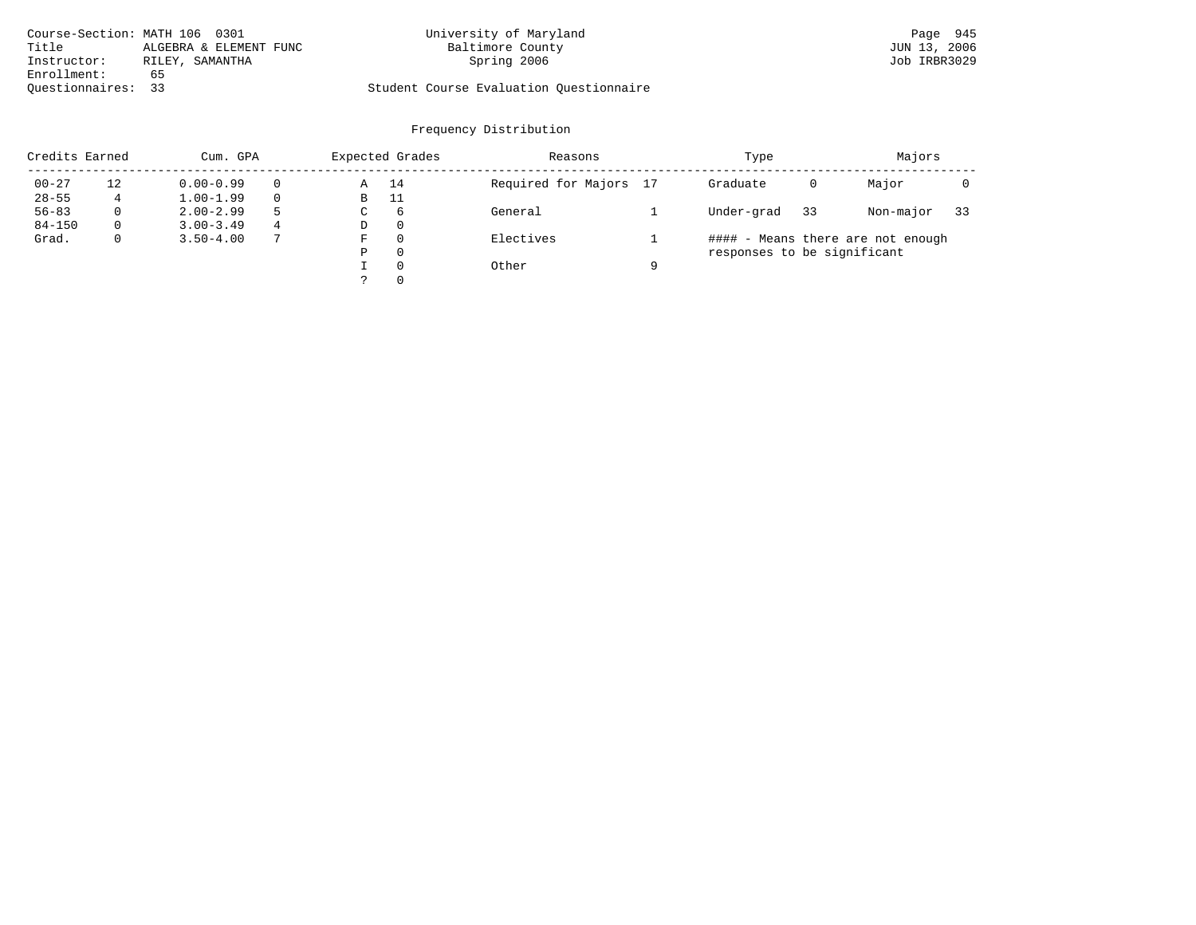| Course-Section: MATH 106 0301 |                        | University of Maryland                  | Page 945     |
|-------------------------------|------------------------|-----------------------------------------|--------------|
| Title                         | ALGEBRA & ELEMENT FUNC | Baltimore County                        | JUN 13, 2006 |
| Instructor:                   | RILEY, SAMANTHA        | Spring 2006                             | Job IRBR3029 |
| Enrollment:                   | 65                     |                                         |              |
| Ouestionnaires: 33            |                        | Student Course Evaluation Questionnaire |              |

|            | Credits Earned<br>Cum. GPA |               |   |   | Expected Grades | Reasons                |   | Type                        | Majors |                                   |    |
|------------|----------------------------|---------------|---|---|-----------------|------------------------|---|-----------------------------|--------|-----------------------------------|----|
| $00 - 27$  | 12                         | $0.00 - 0.99$ |   | Α | 14              | Required for Majors 17 |   | Graduate                    | 0      | Major                             |    |
| $28 - 55$  |                            | $1.00 - 1.99$ |   | В | 11              |                        |   |                             |        |                                   |    |
| $56 - 83$  | $\Omega$                   | $2.00 - 2.99$ |   | C | 6               | General                |   | Under-grad                  | 33     | Non-major                         | 33 |
| $84 - 150$ | $\Omega$                   | $3.00 - 3.49$ | 4 | D | $\Omega$        |                        |   |                             |        |                                   |    |
| Grad.      | $\mathbf 0$                | $3.50 - 4.00$ |   | F | $\Omega$        | Electives              |   |                             |        | #### - Means there are not enough |    |
|            |                            |               |   | Ρ | $\Omega$        |                        |   | responses to be significant |        |                                   |    |
|            |                            |               |   |   | $\Omega$        | Other                  | a |                             |        |                                   |    |
|            |                            |               |   |   | $\Omega$        |                        |   |                             |        |                                   |    |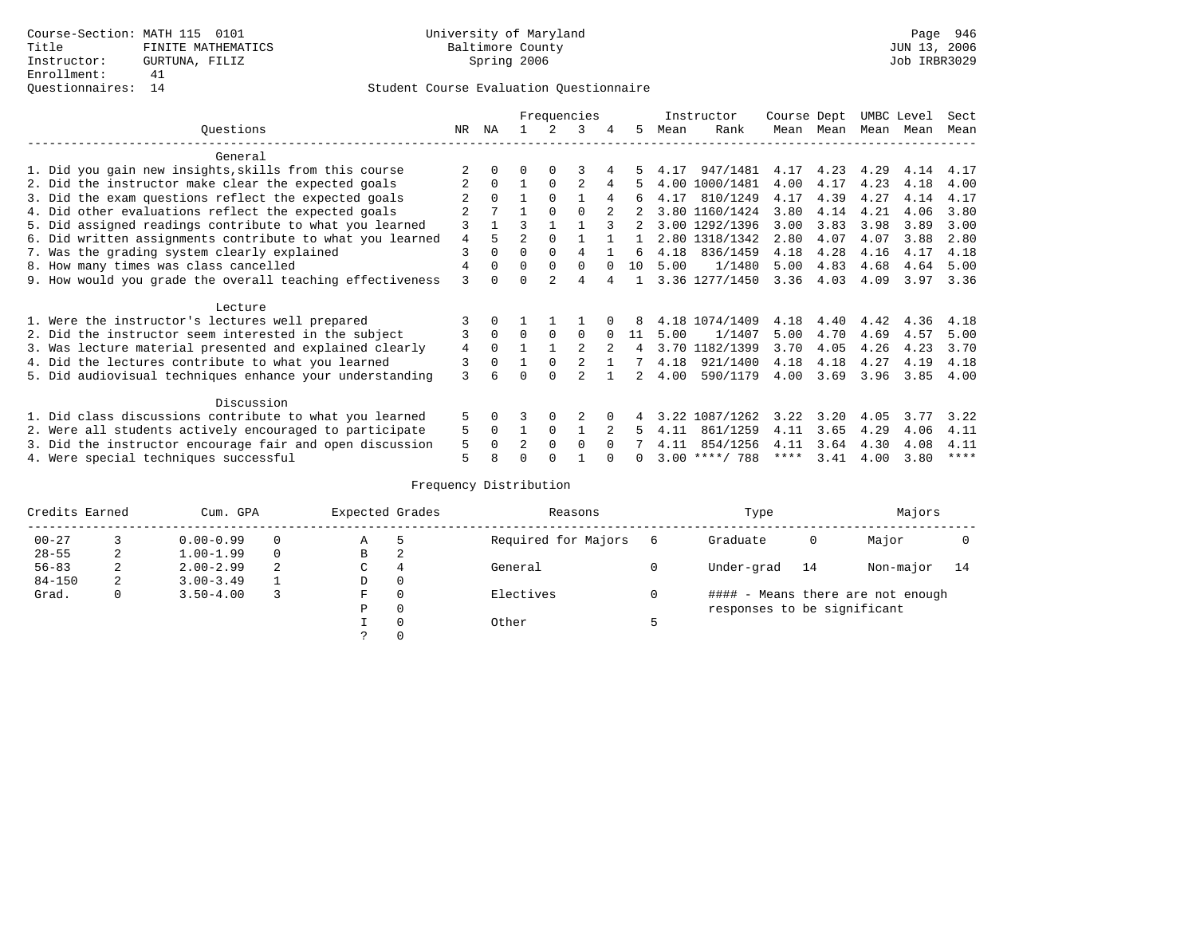|                                                           |                |          |                |          | Frequencies |        |    |      | Instructor       | Course Dept |           | UMBC Level |      | Sect |
|-----------------------------------------------------------|----------------|----------|----------------|----------|-------------|--------|----|------|------------------|-------------|-----------|------------|------|------|
| Ouestions                                                 | NR.            | ΝA       |                |          | 3           | 4      | 5. | Mean | Rank             |             | Mean Mean | Mean       | Mean | Mean |
| General                                                   |                |          |                |          |             |        |    |      |                  |             |           |            |      |      |
| 1. Did you gain new insights, skills from this course     |                |          | 0              | 0        |             |        |    | 4.17 | 947/1481         | 4.17        | 4.23      | 4.29       | 4.14 | 4.17 |
| 2. Did the instructor make clear the expected goals       |                | $\Omega$ |                | $\Omega$ |             |        | 5. | 4.00 | 1000/1481        | 4.00        | 4.17      | 4.23       | 4.18 | 4.00 |
| 3. Did the exam questions reflect the expected goals      |                | $\Omega$ |                | $\Omega$ |             | 4      | б. | 4.17 | 810/1249         | 4.17        | 4.39      | 4.27       | 4.14 | 4.17 |
| 4. Did other evaluations reflect the expected goals       |                |          |                | $\Omega$ | $\Omega$    |        |    |      | 3.80 1160/1424   | 3.80        | 4.14      | 4.21       | 4.06 | 3.80 |
| 5. Did assigned readings contribute to what you learned   | 3              |          | ζ              |          |             |        |    |      | 3.00 1292/1396   | 3.00        | 3.83      | 3.98       | 3.89 | 3.00 |
| 6. Did written assignments contribute to what you learned | $\overline{4}$ | 5        | $\mathfrak{D}$ | $\Omega$ |             |        |    |      | 2.80 1318/1342   | 2.80        | 4.07      | 4.07       | 3.88 | 2.80 |
| 7. Was the grading system clearly explained               | 3              | $\Omega$ | $\Omega$       | $\Omega$ | 4           |        | Б. | 4.18 | 836/1459         | 4.18        | 4.28      | 4.16       | 4.17 | 4.18 |
| 8. How many times was class cancelled                     | 4              | $\Omega$ | $\Omega$       | $\Omega$ | $\Omega$    | $\cap$ | 10 | 5.00 | 1/1480           | 5.00        | 4.83      | 4.68       | 4.64 | 5.00 |
| 9. How would you grade the overall teaching effectiveness | 3              | $\cap$   | ∩              |          | 4           |        |    |      | 3.36 1277/1450   | 3.36        | 4.03      | 4.09       | 3.97 | 3.36 |
| Lecture                                                   |                |          |                |          |             |        |    |      |                  |             |           |            |      |      |
| 1. Were the instructor's lectures well prepared           |                |          |                |          |             |        |    |      | 4.18 1074/1409   | 4.18        | 4.40      | 4.42       | 4.36 | 4.18 |
| 2. Did the instructor seem interested in the subject      | 3              | $\Omega$ | $\Omega$       | $\Omega$ | $\Omega$    |        | 11 | 5.00 | 1/1407           | 5.00        | 4.70      | 4.69       | 4.57 | 5.00 |
| 3. Was lecture material presented and explained clearly   | 4              | $\Omega$ |                |          |             |        | 4  | 3.70 | 1182/1399        | 3.70        | 4.05      | 4.26       | 4.23 | 3.70 |
| 4. Did the lectures contribute to what you learned        | 3              | $\Omega$ |                | $\Omega$ |             |        |    | 4.18 | 921/1400         | 4.18        | 4.18      | 4.27       | 4.19 | 4.18 |
| 5. Did audiovisual techniques enhance your understanding  | 3              |          |                | $\cap$   |             |        |    | 4.00 | 590/1179         | 4.00        | 3.69      | 3.96       | 3.85 | 4.00 |
| Discussion                                                |                |          |                |          |             |        |    |      |                  |             |           |            |      |      |
| 1. Did class discussions contribute to what you learned   | 5              | 0        |                | $\Omega$ |             |        |    |      | 3.22 1087/1262   | 3.22        | 3.20      | 4.05       | 3.77 | 3.22 |
| 2. Were all students actively encouraged to participate   | 5              | $\Omega$ |                | $\Omega$ |             |        |    | 4.11 | 861/1259         | 4.11        | 3.65      | 4.29       | 4.06 | 4.11 |
| 3. Did the instructor encourage fair and open discussion  | 5              |          | $\mathfrak{D}$ | $\Omega$ | $\Omega$    |        |    | 4.11 | 854/1256         | 4.11        | 3.64      | 4.30       | 4.08 | 4.11 |
| 4. Were special techniques successful                     | 5              |          |                |          |             |        |    |      | $3.00$ ****/ 788 | ****        | 3.41      | 4.00       | 3.80 | **** |

| Credits Earned |   | Cum. GPA      |   |             | Expected Grades | Reasons             |   | Type                        | Majors |                                   |      |
|----------------|---|---------------|---|-------------|-----------------|---------------------|---|-----------------------------|--------|-----------------------------------|------|
| $00 - 27$      |   | $0.00 - 0.99$ |   | Α           | 5               | Required for Majors | 6 | Graduate                    | 0      | Major                             |      |
| $28 - 55$      | 2 | $1.00 - 1.99$ |   | В           | 2               |                     |   |                             |        |                                   |      |
| $56 - 83$      | 2 | $2.00 - 2.99$ | 2 | $\sim$<br>◡ | 4               | General             |   | Under-grad                  | 14     | Non-major                         | - 14 |
| $84 - 150$     | 2 | $3.00 - 3.49$ |   | D           | 0               |                     |   |                             |        |                                   |      |
| Grad.          | 0 | $3.50 - 4.00$ |   | F           | 0               | Electives           | 0 |                             |        | #### - Means there are not enough |      |
|                |   |               |   | Ρ           | 0               |                     |   | responses to be significant |        |                                   |      |
|                |   |               |   |             | $\Omega$        | Other               |   |                             |        |                                   |      |
|                |   |               |   |             |                 |                     |   |                             |        |                                   |      |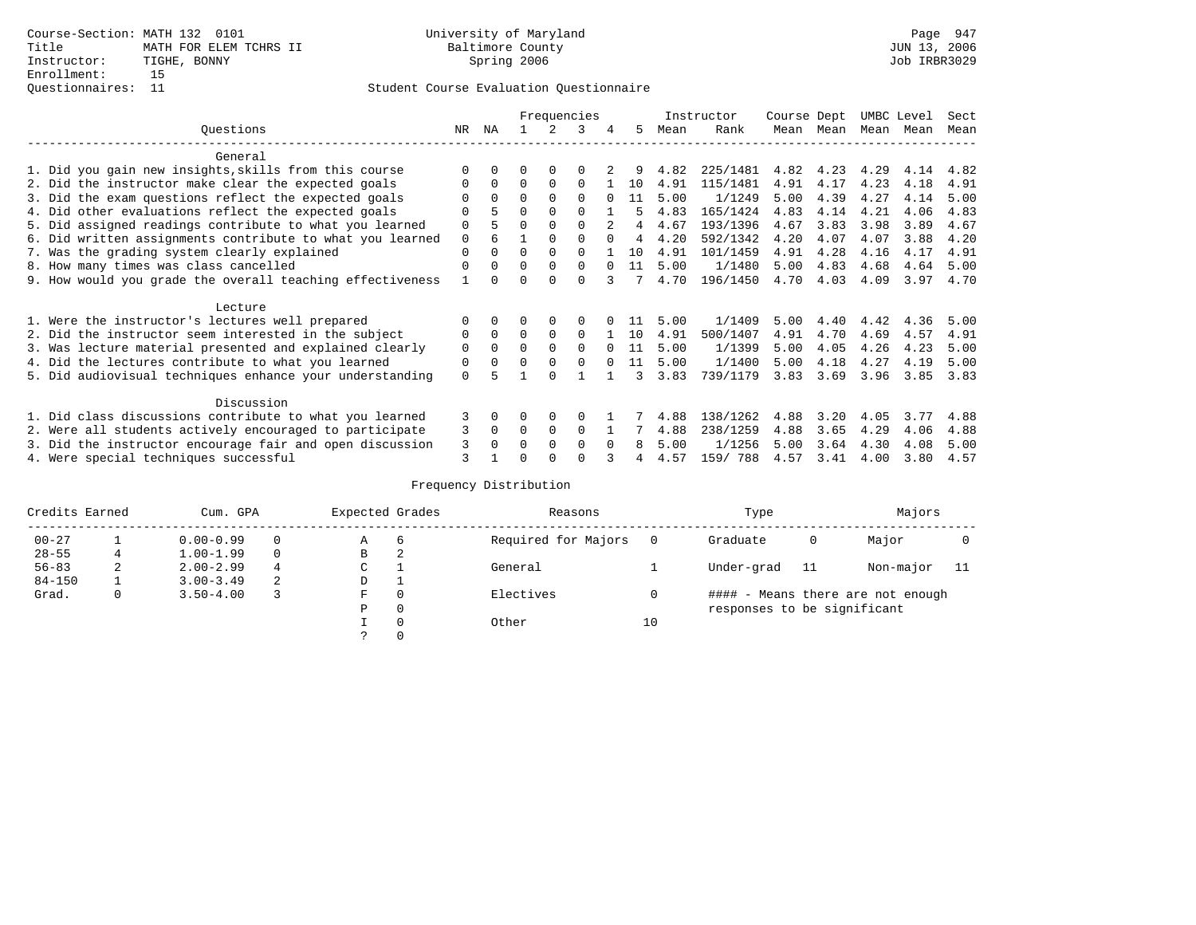|                                                           |             |              |          |          | Frequencies |          |    |      | Instructor | Course Dept |      | UMBC Level |      | Sect |
|-----------------------------------------------------------|-------------|--------------|----------|----------|-------------|----------|----|------|------------|-------------|------|------------|------|------|
| Ouestions                                                 | NR.         | ΝA           |          |          | 3           |          | 5. | Mean | Rank       | Mean        | Mean | Mean       | Mean | Mean |
| General                                                   |             |              |          |          |             |          |    |      |            |             |      |            |      |      |
| 1. Did you gain new insights, skills from this course     | $\Omega$    | $\cap$       | O        | $\Omega$ | O           |          |    | 4.82 | 225/1481   | 4.82        | 4.23 | 4.29       | 4.14 | 4.82 |
| 2. Did the instructor make clear the expected goals       | O           | $\Omega$     | $\Omega$ | $\Omega$ | $\Omega$    |          | 10 | 4.91 | 115/1481   | 4.91        | 4.17 | 4.23       | 4.18 | 4.91 |
| 3. Did the exam questions reflect the expected goals      |             | $\Omega$     | $\Omega$ | $\Omega$ | $\Omega$    |          | 11 | 5.00 | 1/1249     | 5.00        | 4.39 | 4.27       | 4.14 | 5.00 |
| 4. Did other evaluations reflect the expected goals       | O           | 5            | $\Omega$ | $\Omega$ | $\Omega$    |          | 5  | 4.83 | 165/1424   | 4.83        | 4.14 | 4.21       | 4.06 | 4.83 |
| 5. Did assigned readings contribute to what you learned   | $\mathbf 0$ |              | $\Omega$ | $\Omega$ | $\Omega$    |          | 4  | 4.67 | 193/1396   | 4.67        | 3.83 | 3.98       | 3.89 | 4.67 |
| 6. Did written assignments contribute to what you learned | $\mathbf 0$ |              |          | $\Omega$ |             | $\cap$   | 4  | 4.20 | 592/1342   | 4.20        | 4.07 | 4.07       | 3.88 | 4.20 |
| 7. Was the grading system clearly explained               | $\Omega$    | $\Omega$     | $\Omega$ | $\Omega$ |             |          | 10 | 4.91 | 101/1459   | 4.91        | 4.28 | 4.16       | 4.17 | 4.91 |
| 8. How many times was class cancelled                     | $\Omega$    | $\Omega$     | $\Omega$ | $\Omega$ | $\Omega$    | $\cap$   | 11 | 5.00 | 1/1480     | 5.00        | 4.83 | 4.68       | 4.64 | 5.00 |
| 9. How would you grade the overall teaching effectiveness |             | <sup>n</sup> | ∩        | ∩        | $\cap$      |          |    | 4.70 | 196/1450   | 4.70        | 4.03 | 4.09       | 3.97 | 4.70 |
| Lecture                                                   |             |              |          |          |             |          |    |      |            |             |      |            |      |      |
| 1. Were the instructor's lectures well prepared           |             |              |          |          | $\Omega$    |          |    | 5.00 | 1/1409     | 5.00        | 4.40 | 4.42       | 4.36 | 5.00 |
| 2. Did the instructor seem interested in the subject      | 0           | $\Omega$     | $\Omega$ | $\Omega$ | $\Omega$    |          | 10 | 4.91 | 500/1407   | 4.91        | 4.70 | 4.69       | 4.57 | 4.91 |
| 3. Was lecture material presented and explained clearly   | $\mathbf 0$ | $\Omega$     | $\Omega$ | $\Omega$ | $\Omega$    |          | 11 | 5.00 | 1/1399     | 5.00        | 4.05 | 4.26       | 4.23 | 5.00 |
| 4. Did the lectures contribute to what you learned        | 0           | $\Omega$     | $\Omega$ | $\Omega$ | $\Omega$    |          | 11 | 5.00 | 1/1400     | 5.00        | 4.18 | 4.27       | 4.19 | 5.00 |
| 5. Did audiovisual techniques enhance your understanding  | $\Omega$    |              |          | ∩        |             |          |    | 3.83 | 739/1179   | 3.83        | 3.69 | 3.96       | 3.85 | 3.83 |
| Discussion                                                |             |              |          |          |             |          |    |      |            |             |      |            |      |      |
| 1. Did class discussions contribute to what you learned   | 3           | $\Omega$     | O        | $\Omega$ | $\Omega$    |          |    | 4.88 | 138/1262   | 4.88        | 3.20 | 4.05       | 3.77 | 4.88 |
| 2. Were all students actively encouraged to participate   | 3           | $\Omega$     | $\Omega$ | $\Omega$ | $\Omega$    |          |    | 4.88 | 238/1259   | 4.88        | 3.65 | 4.29       | 4.06 | 4.88 |
| 3. Did the instructor encourage fair and open discussion  | 3           | $\Omega$     | O        | $\Omega$ | $\Omega$    | $\Omega$ | 8  | 5.00 | 1/1256     | 5.00        | 3.64 | 4.30       | 4.08 | 5.00 |
| 4. Were special techniques successful                     | 3           |              |          |          |             |          |    | 4.57 | 159/ 788   | 4.57        | 3.41 | 4.00       | 3.80 | 4.57 |

| Credits Earned |   | Cum. GPA      |          |   | Expected Grades | Reasons             |    | Type                        | Majors |                                   |  |
|----------------|---|---------------|----------|---|-----------------|---------------------|----|-----------------------------|--------|-----------------------------------|--|
| $00 - 27$      |   | $0.00 - 0.99$ |          | Α | 6               | Required for Majors |    | Graduate                    | 0      | Major                             |  |
| $28 - 55$      |   | $1.00 - 1.99$ | $\Omega$ | В | 2               |                     |    |                             |        |                                   |  |
| $56 - 83$      | 2 | $2.00 - 2.99$ | 4        | С |                 | General             |    | Under-grad                  | -11    | Non-major                         |  |
| $84 - 150$     |   | $3.00 - 3.49$ | 2        | D |                 |                     |    |                             |        |                                   |  |
| Grad.          | 0 | $3.50 - 4.00$ |          | F | $\Omega$        | Electives           |    |                             |        | #### - Means there are not enough |  |
|                |   |               |          | Ρ | 0               |                     |    | responses to be significant |        |                                   |  |
|                |   |               |          |   | $\Omega$        | Other               | 10 |                             |        |                                   |  |
|                |   |               |          |   |                 |                     |    |                             |        |                                   |  |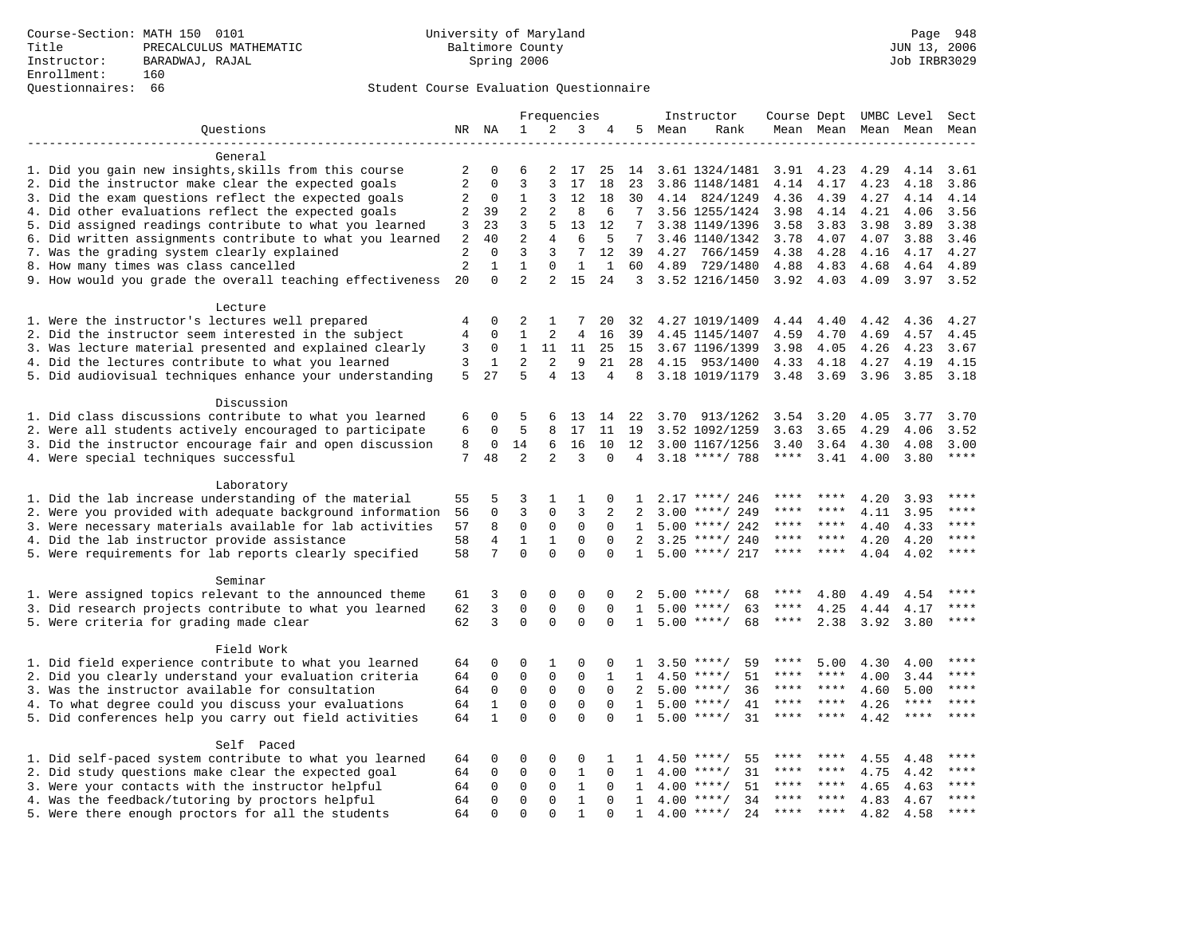# Questionnaires: 66 Student Course Evaluation Questionnaire

|                                                           |                |              |                |                | Frequencies    |                |                |      | Instructor         | Course Dept UMBC Level |             |      |             | Sect        |
|-----------------------------------------------------------|----------------|--------------|----------------|----------------|----------------|----------------|----------------|------|--------------------|------------------------|-------------|------|-------------|-------------|
| Ouestions                                                 |                | NR NA        | 1              | 2              | 3              | 4              | 5              | Mean | Rank               |                        | Mean Mean   | Mean | Mean        | Mean        |
|                                                           |                |              |                |                |                |                |                |      |                    |                        |             |      |             |             |
| General                                                   |                |              |                |                |                |                |                |      |                    |                        |             |      |             |             |
| 1. Did you gain new insights, skills from this course     | 2              | $\Omega$     | 6              | 2              | 17             | 25             | 14             |      | 3.61 1324/1481     | 3.91                   | 4.23        | 4.29 | 4.14        | 3.61        |
| 2. Did the instructor make clear the expected goals       | 2              | 0            | 3              | 3              | 17             | 18             | 23             |      | 3.86 1148/1481     | 4.14                   | 4.17        | 4.23 | 4.18        | 3.86        |
| 3. Did the exam questions reflect the expected goals      | 2              | 0            | 1              | 3              | 12             | 18             | 30             |      | 4.14 824/1249      | 4.36                   | 4.39        | 4.27 | 4.14        | 4.14        |
| 4. Did other evaluations reflect the expected goals       | 2              | 39           | $\overline{2}$ | $\overline{a}$ | 8              | 6              | 7              |      | 3.56 1255/1424     | 3.98                   | 4.14        | 4.21 | 4.06        | 3.56        |
| 5. Did assigned readings contribute to what you learned   | 3              | 23           | 3              | 5              | 13             | 12             | 7              |      | 3.38 1149/1396     | 3.58                   | 3.83        | 3.98 | 3.89        | 3.38        |
| 6. Did written assignments contribute to what you learned | 2              | 40           | $\overline{2}$ | 4              | 6              | 5              | 7              |      | 3.46 1140/1342     | 3.78                   | 4.07        | 4.07 | 3.88        | 3.46        |
| 7. Was the grading system clearly explained               | $\sqrt{2}$     | $\Omega$     | 3              | 3              | 7              | 12             | 39             | 4.27 | 766/1459           | 4.38                   | 4.28        | 4.16 | 4.17        | 4.27        |
| 8. How many times was class cancelled                     | $\sqrt{2}$     | $\mathbf 1$  | 1              | 0              | $\mathbf{1}$   | $\mathbf{1}$   | 60             | 4.89 | 729/1480           | 4.88                   | 4.83        | 4.68 | 4.64        | 4.89        |
| 9. How would you grade the overall teaching effectiveness | 20             | $\Omega$     | $\overline{2}$ | 2              | 15             | 24             | $\overline{3}$ |      | 3.52 1216/1450     | 3.92                   | 4.03        | 4.09 | 3.97        | 3.52        |
| Lecture                                                   |                |              |                |                |                |                |                |      |                    |                        |             |      |             |             |
| 1. Were the instructor's lectures well prepared           | 4              | $\Omega$     | 2              | 1              |                | 20             | 32             |      | 4.27 1019/1409     | 4.44                   | 4.40        | 4.42 | 4.36        | 4.27        |
| 2. Did the instructor seem interested in the subject      | $\overline{4}$ | $\mathbf 0$  | $\mathbf{1}$   | 2              | $\overline{4}$ | 16             | 39             |      | 4.45 1145/1407     | 4.59                   | 4.70        | 4.69 | 4.57        | 4.45        |
| 3. Was lecture material presented and explained clearly   | 3              | 0            | 1              | 11             | 11             | 25             | 15             |      | 3.67 1196/1399     | 3.98                   | 4.05        | 4.26 | 4.23        | 3.67        |
| 4. Did the lectures contribute to what you learned        | 3              | $\mathbf{1}$ | 2              | $\overline{a}$ | 9              | 21             | 28             | 4.15 | 953/1400           | 4.33                   | 4.18        | 4.27 | 4.19        | 4.15        |
| 5. Did audiovisual techniques enhance your understanding  | 5              | 27           | 5              | 4              | 13             | $\overline{4}$ | 8              |      | 3.18 1019/1179     | 3.48                   | 3.69        | 3.96 | 3.85        | 3.18        |
|                                                           |                |              |                |                |                |                |                |      |                    |                        |             |      |             |             |
| Discussion                                                |                |              |                |                |                |                |                |      |                    |                        |             |      |             |             |
| 1. Did class discussions contribute to what you learned   | 6              | $\Omega$     | 5              | 6              | 13             | 14             | 22             | 3.70 | 913/1262           | 3.54                   | 3.20        | 4.05 | 3.77        | 3.70        |
| 2. Were all students actively encouraged to participate   | 6              | $\Omega$     | 5              | 8              | 17             | 11             | 19             |      | 3.52 1092/1259     | 3.63                   | 3.65        | 4.29 | 4.06        | 3.52        |
| 3. Did the instructor encourage fair and open discussion  | 8              | 0            | 14             | 6              | 16             | 10             | 12             |      | 3.00 1167/1256     | 3.40                   | 3.64        | 4.30 | 4.08        | 3.00        |
| 4. Were special techniques successful                     | 7              | 48           | 2              | 2              | ς              | $\Omega$       | 4              |      | $3.18$ ****/ 788   | ****                   | 3.41        | 4.00 | 3.80        | ****        |
| Laboratory                                                |                |              |                |                |                |                |                |      |                    |                        |             |      |             |             |
| 1. Did the lab increase understanding of the material     | 55             | 5            | 3              | 1              | 1              | 0              | 1              |      | $2.17$ ****/ 246   |                        |             | 4.20 | 3.93        | ****        |
| 2. Were you provided with adequate background information | 56             | $\Omega$     | 3              | 0              | 3              | $\overline{2}$ | $\mathfrak{D}$ | 3.00 | ****/ 249          |                        |             | 4.11 | 3.95        | ****        |
| 3. Were necessary materials available for lab activities  | 57             | 8            | $\mathbf 0$    | $\mathbf 0$    | $\mathbf 0$    | $\Omega$       | 1              | 5.00 | ****/ 242          | ****                   | ****        | 4.40 | 4.33        | $***$       |
| 4. Did the lab instructor provide assistance              | 58             | 4            | $\mathbf{1}$   | $1\,$          | $\Omega$       | $\Omega$       | $\mathcal{L}$  | 3.25 | ****/ 240          | ****                   | ****        | 4.20 | 4.20        | ****        |
| 5. Were requirements for lab reports clearly specified    | 58             | 7            | $\mathbf 0$    | $\Omega$       | $\mathbf 0$    | $\mathbf 0$    | $\mathbf{1}$   |      | $5.00$ ****/ 217   | ****                   | ****        | 4.04 | 4.02        | ****        |
| Seminar                                                   |                |              |                |                |                |                |                |      |                    |                        |             |      |             |             |
| 1. Were assigned topics relevant to the announced theme   | 61             | 3            | $\Omega$       | $\Omega$       | $\mathbf 0$    | $\Omega$       | 2              |      | $5.00$ ****/<br>68 | ****                   | 4.80        | 4.49 | 4.54        | $***$       |
| 3. Did research projects contribute to what you learned   | 62             | 3            | $\mathbf 0$    | 0              | $\mathbf 0$    | $\Omega$       | 1              |      | $5.00$ ****/<br>63 | ****                   | 4.25        | 4.44 | 4.17        | ****        |
| 5. Were criteria for grading made clear                   | 62             | 3            | $\mathbf 0$    | $\mathbf 0$    | $\mathbf 0$    | $\mathbf 0$    | 1              |      | 68<br>$5.00$ ****/ | $***$ * *              | 2.38        | 3.92 | 3.80        | ****        |
|                                                           |                |              |                |                |                |                |                |      |                    |                        |             |      |             |             |
| Field Work                                                |                |              |                |                |                |                |                |      |                    |                        |             |      |             |             |
| 1. Did field experience contribute to what you learned    | 64             | 0            | $\Omega$       | $\mathbf{1}$   | $\mathbf 0$    | 0              | 1              | 3.50 | 59<br>****/        | ****                   | 5.00        | 4.30 | 4.00        |             |
| 2. Did you clearly understand your evaluation criteria    | 64             | 0            | $\mathbf 0$    | $\mathbf 0$    | $\mathbf 0$    | 1              | 1              | 4.50 | 51<br>$***$ /      | ****                   | ****        | 4.00 | 3.44        | ****        |
| 3. Was the instructor available for consultation          | 64             | $\Omega$     | $\Omega$       | $\Omega$       | $\mathbf 0$    | $\Omega$       | 2              | 5.00 | $***/$<br>36       | ****                   | ****        | 4.60 | 5.00        | $***$ * * * |
| 4. To what degree could you discuss your evaluations      | 64             | $\mathbf{1}$ | $\mathbf 0$    | 0              | $\mathbf 0$    | $\mathbf 0$    | 1              |      | $5.00$ ****/<br>41 | ****                   | $***$ * * * | 4.26 | $***$ * * * | ****        |
| 5. Did conferences help you carry out field activities    |                | $\mathbf{1}$ | $\mathbf 0$    | $\Omega$       | $\Omega$       | $\Omega$       | $\mathbf{1}$   | 5.00 | $***$ /<br>31      | ****                   | $***$ *     | 4.42 | $***$ * * * | ****        |
| Self Paced                                                |                |              |                |                |                |                |                |      |                    |                        |             |      |             |             |
| 1. Did self-paced system contribute to what you learned   | 64             | $\Omega$     | $\Omega$       | $\Omega$       | $\mathbf 0$    | 1              | 1              | 4.50 | 55<br>****/        |                        |             | 4.55 | 4.48        |             |
| 2. Did study questions make clear the expected goal       | 64             | $\mathbf 0$  | $\mathbf 0$    | 0              | $\mathbf{1}$   | $\mathbf 0$    | 1              | 4.00 | 31<br>$* * * * /$  |                        | ****        | 4.75 | 4.42        |             |
| 3. Were your contacts with the instructor helpful         | 64             | 0            | $\mathbf 0$    | 0              | $\mathbf{1}$   | $\mathbf 0$    | 1              | 4.00 | $***$ /<br>51      | ****                   | ****        | 4.65 | 4.63        | ****        |
| 4. Was the feedback/tutoring by proctors helpful          | 64             | $\Omega$     | $\Omega$       | $\Omega$       | $\mathbf{1}$   | $\Omega$       | $\mathbf{1}$   | 4.00 | $***$ /<br>34      | ****                   | $* * * *$   | 4.83 | 4.67        | ****        |
| 5. Were there enough proctors for all the students        | 64             | $\Omega$     | $\Omega$       | $\Omega$       | $\mathbf{1}$   | $\Omega$       | $\mathbf{1}$   | 4.00 | $* * * * /$<br>2.4 | $***$ * * *            | $***$ *     | 4.82 | 4.58        | $***$       |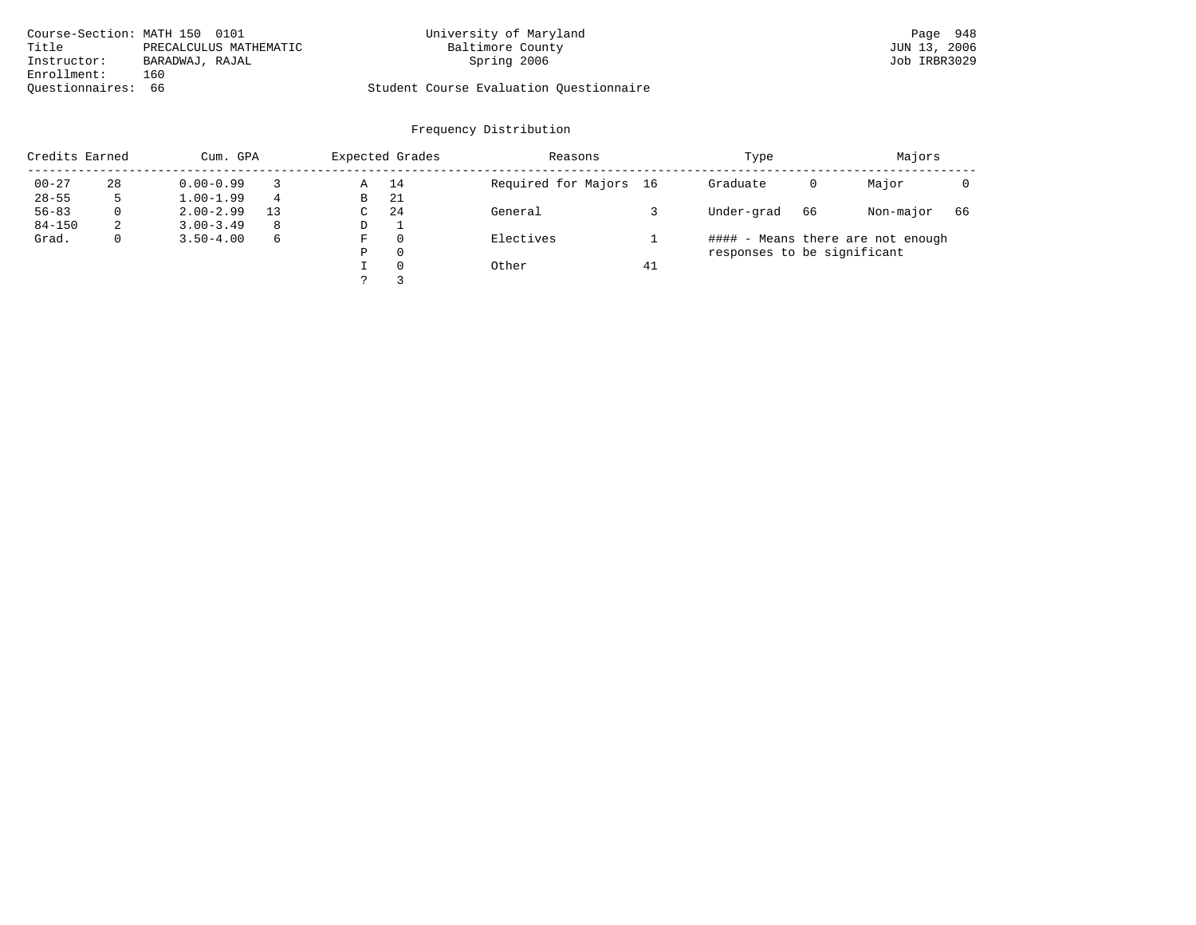| Course-Section: MATH 150 0101 |                        | University of Maryland                  | Page 948     |
|-------------------------------|------------------------|-----------------------------------------|--------------|
| Title                         | PRECALCULUS MATHEMATIC | Baltimore County                        | JUN 13, 2006 |
| Instructor:                   | BARADWAJ, RAJAL        | Spring 2006                             | Job IRBR3029 |
| Enrollment:                   | 160                    |                                         |              |
| Ouestionnaires: 66            |                        | Student Course Evaluation Questionnaire |              |

| Credits Earned |    | Cum. GPA      |    |   | Expected Grades | Reasons                |    | Type                        | Majors |                                   |    |
|----------------|----|---------------|----|---|-----------------|------------------------|----|-----------------------------|--------|-----------------------------------|----|
| $00 - 27$      | 28 | $0.00 - 0.99$ |    | Α | 14              | Required for Majors 16 |    | Graduate                    | 0      | Major                             |    |
| $28 - 55$      | ל  | $1.00 - 1.99$ | 4  | В | -21             |                        |    |                             |        |                                   |    |
| $56 - 83$      | 0  | $2.00 - 2.99$ | 13 | C | 24              | General                |    | Under-grad                  | 66     | Non-major                         | 66 |
| $84 - 150$     | 2  | $3.00 - 3.49$ | 8  | D | ┸               |                        |    |                             |        |                                   |    |
| Grad.          | 0  | $3.50 - 4.00$ | 6  | F | 0               | Electives              |    |                             |        | #### - Means there are not enough |    |
|                |    |               |    | Ρ | 0               |                        |    | responses to be significant |        |                                   |    |
|                |    |               |    |   | 0               | Other                  | 41 |                             |        |                                   |    |
|                |    |               |    |   |                 |                        |    |                             |        |                                   |    |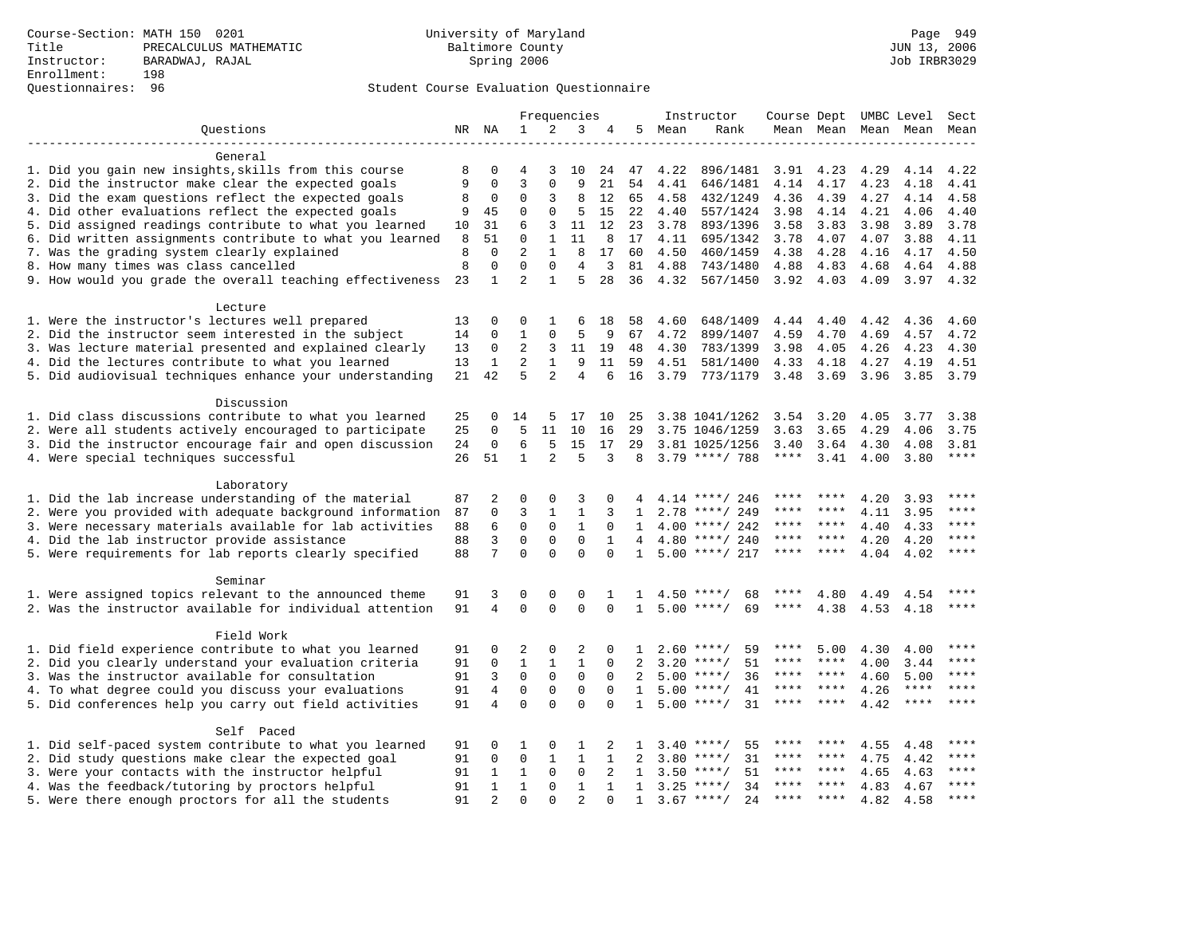# Questionnaires: 96 Student Course Evaluation Questionnaire

|                                                           |       |                |                |                | Frequencies    |              |                |      | Instructor          | Course Dept UMBC Level Sect |           |      |             |              |
|-----------------------------------------------------------|-------|----------------|----------------|----------------|----------------|--------------|----------------|------|---------------------|-----------------------------|-----------|------|-------------|--------------|
| Ouestions                                                 | NR NA |                | $\mathbf{1}$   | 2              | 3              | 4            | 5              | Mean | Rank                |                             | Mean Mean |      | Mean Mean   | Mean         |
|                                                           |       |                |                |                |                |              |                |      |                     |                             |           |      |             |              |
| General                                                   |       |                |                |                |                |              |                |      |                     |                             |           |      |             |              |
| 1. Did you gain new insights, skills from this course     | 8     | 0              | 4              | 3              | 10             | 24           | 47             | 4.22 | 896/1481            | 3.91                        | 4.23      | 4.29 | 4.14        | 4.22         |
| 2. Did the instructor make clear the expected goals       | 9     | $\Omega$       | 3              | $\Omega$       | 9              | 21           | 54             | 4.41 | 646/1481            | 4.14                        | 4.17      | 4.23 | 4.18        | 4.41         |
| 3. Did the exam questions reflect the expected goals      | 8     | 0              | 0              | 3              | 8              | 12           | 65             | 4.58 | 432/1249            | 4.36                        | 4.39      | 4.27 | 4.14        | 4.58         |
| 4. Did other evaluations reflect the expected goals       | 9     | 45             | $\mathbf 0$    | 0              | 5              | 15           | 22             | 4.40 | 557/1424            | 3.98                        | 4.14      | 4.21 | 4.06        | 4.40         |
| 5. Did assigned readings contribute to what you learned   | 10    | 31             | 6              | 3              | 11             | 12           | 23             | 3.78 | 893/1396            | 3.58                        | 3.83      | 3.98 | 3.89        | 3.78         |
| 6. Did written assignments contribute to what you learned | 8     | 51             | $\Omega$       | 1              | 11             | 8            | 17             | 4.11 | 695/1342            | 3.78                        | 4.07      | 4.07 | 3.88        | 4.11         |
| 7. Was the grading system clearly explained               | 8     | $\mathbf 0$    | $\overline{2}$ | $\mathbf{1}$   | 8              | 17           | 60             | 4.50 | 460/1459            | 4.38                        | 4.28      | 4.16 | 4.17        | 4.50         |
| 8. How many times was class cancelled                     | 8     | 0              | $\Omega$       | $\Omega$       | $\overline{4}$ | 3            | 81             | 4.88 | 743/1480            | 4.88                        | 4.83      | 4.68 | 4.64        | 4.88         |
| 9. How would you grade the overall teaching effectiveness | 23    | $\mathbf{1}$   | $\overline{a}$ | $\mathbf{1}$   | 5              | 28           | 36             | 4.32 | 567/1450            | 3.92                        | 4.03      | 4.09 | 3.97 4.32   |              |
| Lecture                                                   |       |                |                |                |                |              |                |      |                     |                             |           |      |             |              |
| 1. Were the instructor's lectures well prepared           | 13    | 0              | $\Omega$       | $\mathbf{1}$   | 6              | 18           | 58             | 4.60 | 648/1409            | 4.44                        | 4.40      | 4.42 | 4.36        | 4.60         |
| 2. Did the instructor seem interested in the subject      | 14    | $\Omega$       | 1              | $\Omega$       | 5              | 9            | 67             | 4.72 | 899/1407            | 4.59                        | 4.70      | 4.69 | 4.57        | 4.72         |
| 3. Was lecture material presented and explained clearly   | 13    | 0              | 2              | 3              | 11             | 19           | 48             | 4.30 | 783/1399            | 3.98                        | 4.05      | 4.26 | 4.23        | 4.30         |
| 4. Did the lectures contribute to what you learned        | 13    | $\mathbf{1}$   | 2              | $\mathbf{1}$   | 9              | 11           | 59             | 4.51 | 581/1400            | 4.33                        | 4.18      | 4.27 | 4.19        | 4.51         |
| 5. Did audiovisual techniques enhance your understanding  | 21    | 42             | 5              | $\overline{a}$ | $\overline{4}$ | 6            | 16             | 3.79 | 773/1179            | 3.48                        | 3.69      | 3.96 | 3.85        | 3.79         |
|                                                           |       |                |                |                |                |              |                |      |                     |                             |           |      |             |              |
| Discussion                                                |       |                |                |                |                |              |                |      |                     |                             |           |      |             |              |
| 1. Did class discussions contribute to what you learned   | 25    | $\Omega$       | 14             | 5              | 17             | 10           | 25             |      | 3.38 1041/1262      | 3.54                        | 3.20      | 4.05 | 3.77        | 3.38         |
| 2. Were all students actively encouraged to participate   | 25    | $\Omega$       | 5              | 11             | 10             | 16           | 29             |      | 3.75 1046/1259      | 3.63                        | 3.65      | 4.29 | 4.06        | 3.75         |
| 3. Did the instructor encourage fair and open discussion  | 24    | 0              | 6              | 5              | 15             | 17           | 29             |      | 3.81 1025/1256      | 3.40                        | 3.64      | 4.30 | 4.08        | 3.81<br>**** |
| 4. Were special techniques successful                     | 26    | 51             | $\mathbf{1}$   | $\overline{2}$ | 5              | 3            | 8              |      | $3.79$ ****/ 788    | $***$ * * *                 | 3.41      | 4.00 | 3.80        |              |
| Laboratory                                                |       |                |                |                |                |              |                |      |                     |                             |           |      |             |              |
| 1. Did the lab increase understanding of the material     | 87    | 2              | $\mathbf 0$    | $\Omega$       | 3              | $\Omega$     |                |      | $4.14$ ****/ 246    | ****                        |           | 4.20 | 3.93        | ****         |
| 2. Were you provided with adequate background information | 87    | $\mathbf 0$    | 3              | $\mathbf 1$    | $\mathbf{1}$   | 3            | $\mathbf{1}$   |      | $2.78$ ****/ 249    | ****                        | ****      | 4.11 | 3.95        | $***$        |
| 3. Were necessary materials available for lab activities  | 88    | 6              | $\Omega$       | $\Omega$       | $\mathbf{1}$   | $\Omega$     | $\mathbf{1}$   |      | $4.00$ ****/ 242    | ****                        | $***$     | 4.40 | 4.33        | ****         |
| 4. Did the lab instructor provide assistance              | 88    | 3              | $\mathbf 0$    | $\mathbf 0$    | $\mathbf 0$    | $\mathbf{1}$ | $\overline{4}$ |      | $4.80$ ****/ 240    | $***$ * *                   | $***$ *   | 4.20 | 4.20        | ****         |
| 5. Were requirements for lab reports clearly specified    | 88    | 7              | $\mathbf 0$    | $\Omega$       | $\Omega$       | $\Omega$     | 1              |      | $5.00$ ****/ 217    | $***$ * * *                 | $***$     | 4.04 | 4.02        | $***$        |
|                                                           |       |                |                |                |                |              |                |      |                     |                             |           |      |             |              |
| Seminar                                                   |       |                |                |                |                |              |                |      |                     |                             |           |      |             |              |
| 1. Were assigned topics relevant to the announced theme   | 91    | 3              | 0<br>$\Omega$  | 0              | 0<br>$\Omega$  | 1            | 1.             | 4.50 | 68                  |                             | 4.80      | 4.49 | 4.54        | $***$        |
| 2. Was the instructor available for individual attention  | 91    | 4              |                | $\Omega$       |                | $\Omega$     | $\mathbf{1}$   |      | 69<br>$5.00$ ****/  | ****                        | 4.38      | 4.53 | 4.18        |              |
| Field Work                                                |       |                |                |                |                |              |                |      |                     |                             |           |      |             |              |
| 1. Did field experience contribute to what you learned    | 91    | 0              | 2              | $\Omega$       | 2              | $\Omega$     |                |      | 59<br>$2.60$ ****/  | ****                        | 5.00      | 4.30 | 4.00        | $***$ * * *  |
| 2. Did you clearly understand your evaluation criteria    | 91    | $\mathbf 0$    | $\mathbf{1}$   | $\mathbf{1}$   | $\mathbf{1}$   | $\Omega$     | 2              |      | $3.20$ ****/<br>51  | ****                        | ****      | 4.00 | 3.44        | ****         |
| 3. Was the instructor available for consultation          | 91    | 3              | $\mathbf 0$    | $\mathbf 0$    | $\mathsf 0$    | $\mathbf 0$  | 2              |      | $5.00$ ****/<br>36  | ****                        | $***$ *   | 4.60 | 5.00        | ****         |
| 4. To what degree could you discuss your evaluations      | 91    | 4              | $\mathbf 0$    | 0              | $\mathbf 0$    | $\Omega$     | 1              |      | $5.00$ ****/<br>41  | ****                        | $***$ *   | 4.26 | $***$ * * * | $***$ * * *  |
| 5. Did conferences help you carry out field activities    |       | $\overline{4}$ | $\mathbf 0$    | $\Omega$       | $\Omega$       | $\Omega$     | $\mathbf{1}$   |      | $5.00$ ****/<br>31  | ****                        | $***$     | 4.42 | $***$ * * * | ****         |
| Self Paced                                                |       |                |                |                |                |              |                |      |                     |                             |           |      |             |              |
| 1. Did self-paced system contribute to what you learned   | 91    | 0              | 1              | $\Omega$       | 1              | 2            | 1              | 3.40 | $***/$<br>55        |                             |           | 4.55 | 4.48        | ****         |
| 2. Did study questions make clear the expected goal       | 91    | $\Omega$       | $\Omega$       | $\mathbf{1}$   | $\mathbf{1}$   | $\mathbf{1}$ | $\overline{a}$ | 3.80 | 31<br>$***/$        | ****                        | ****      | 4.75 | 4.42        | ****         |
| 3. Were your contacts with the instructor helpful         | 91    | 1              | $\mathbf{1}$   | $\mathbf 0$    | $\mathbf 0$    | 2            | 1              |      | $3.50$ ****/<br>51  | ****                        | ****      | 4.65 | 4.63        | ****         |
| 4. Was the feedback/tutoring by proctors helpful          | 91    | $\mathbf{1}$   | $\mathbf{1}$   | 0              | $\mathbf{1}$   | $\mathbf{1}$ | $\mathbf{1}$   |      | $3.25$ ****/<br>34  | ****                        | ****      | 4.83 | 4.67        | $***$        |
| 5. Were there enough proctors for all the students        | 91    | $\mathfrak{D}$ | $\Omega$       | $\cap$         | $\mathfrak{D}$ | $\Omega$     | $\mathbf{1}$   |      | $3.67$ ****/<br>2.4 | ****                        | $***$     | 4.82 | 4.58        | $***$ * * *  |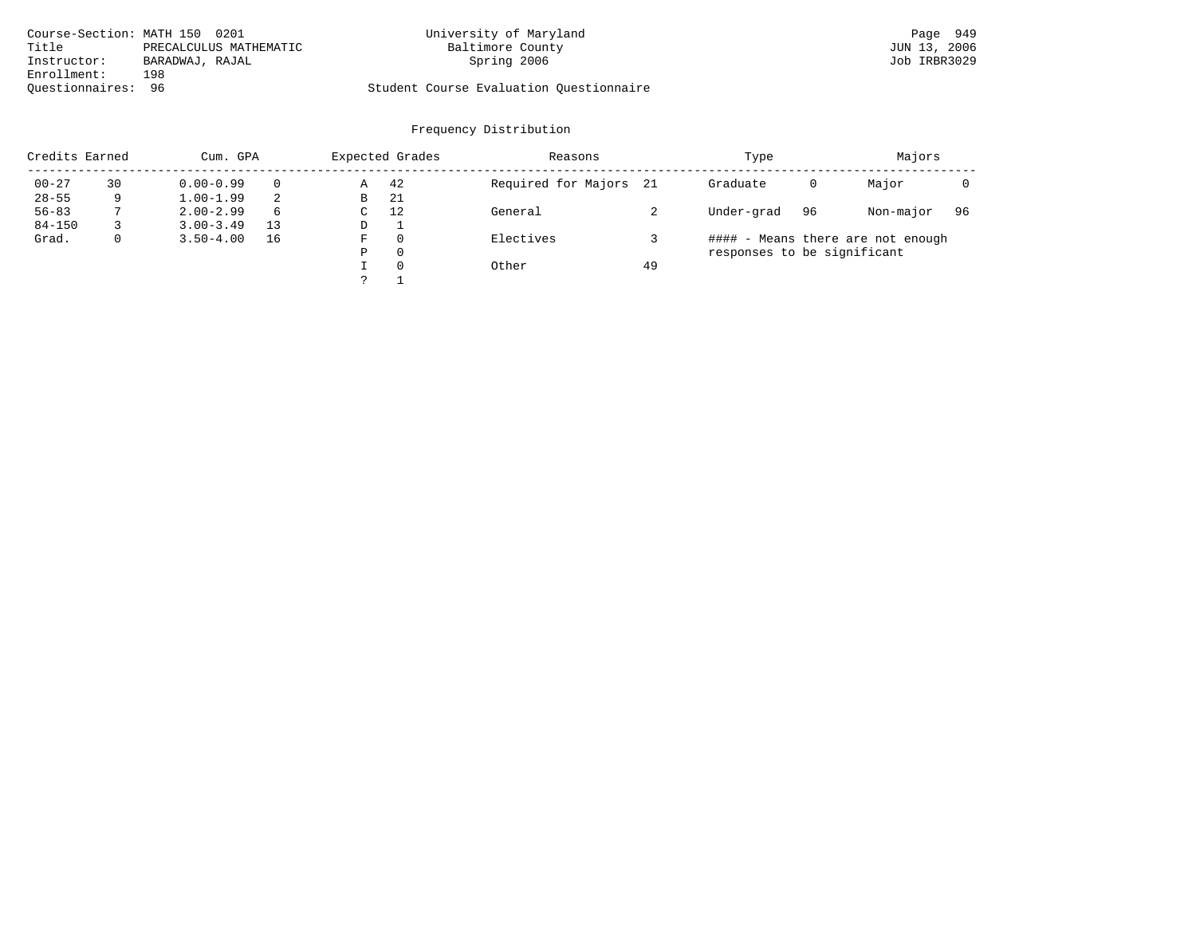| Course-Section: MATH 150 0201   | University of Maryland                  | Page 949     |
|---------------------------------|-----------------------------------------|--------------|
| Title<br>PRECALCULUS MATHEMATIC | Baltimore County                        | JUN 13, 2006 |
| Instructor:<br>BARADWAJ, RAJAL  | Spring 2006                             | Job IRBR3029 |
| Enrollment:<br>198              |                                         |              |
| Ouestionnaires: 96              | Student Course Evaluation Questionnaire |              |

| Credits Earned |    | Cum. GPA      |          |   | Expected Grades | Reasons                |    | Type                        | Majors |                                   |    |
|----------------|----|---------------|----------|---|-----------------|------------------------|----|-----------------------------|--------|-----------------------------------|----|
| $00 - 27$      | 30 | $0.00 - 0.99$ | $\Omega$ | Α | 42              | Required for Majors 21 |    | Graduate                    | 0      | Major                             |    |
| $28 - 55$      | 9  | $1.00 - 1.99$ | 2        | В | -21             |                        |    |                             |        |                                   |    |
| $56 - 83$      |    | $2.00 - 2.99$ | 6        | C | 12              | General                |    | Under-grad                  | 96     | Non-major                         | 96 |
| $84 - 150$     |    | $3.00 - 3.49$ | 13       | D |                 |                        |    |                             |        |                                   |    |
| Grad.          | 0  | $3.50 - 4.00$ | 16       | F | 0               | Electives              |    |                             |        | #### - Means there are not enough |    |
|                |    |               |          | Ρ | 0               |                        |    | responses to be significant |        |                                   |    |
|                |    |               |          |   | 0               | Other                  | 49 |                             |        |                                   |    |
|                |    |               |          |   |                 |                        |    |                             |        |                                   |    |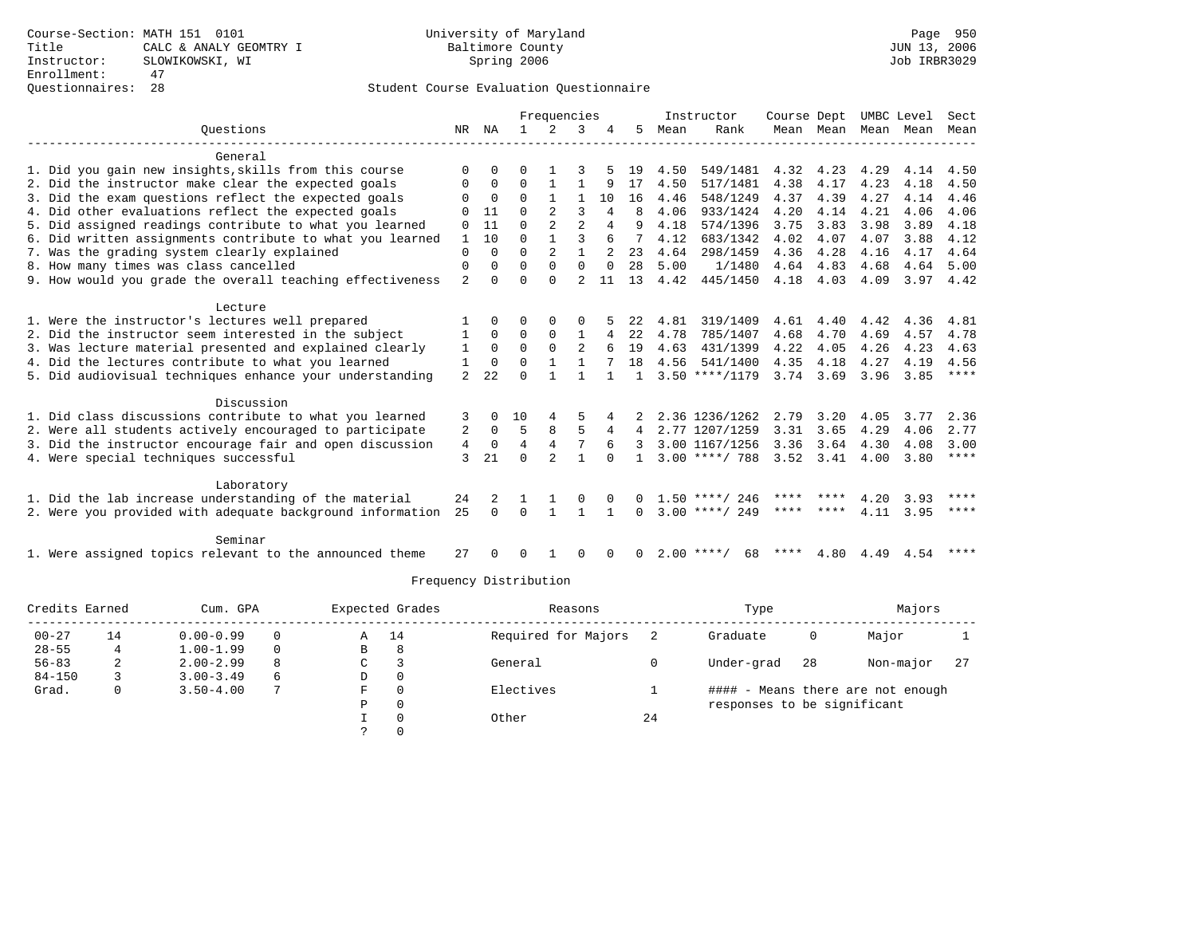|                                                           |                |              | Frequencies |                |                | Instructor  |              | Course Dept |                    | UMBC Level |      | Sect |      |             |
|-----------------------------------------------------------|----------------|--------------|-------------|----------------|----------------|-------------|--------------|-------------|--------------------|------------|------|------|------|-------------|
| Ouestions                                                 | NR             | ΝA           |             | 2              | 3              |             | 5.           | Mean        | Rank               | Mean Mean  |      | Mean | Mean | Mean        |
| General                                                   |                |              |             |                |                |             |              |             |                    |            |      |      |      |             |
| 1. Did you gain new insights, skills from this course     | 0              | 0            | U           |                | 3              |             | 19           | 4.50        | 549/1481           | 4.32       | 4.23 | 4.29 | 4.14 | 4.50        |
| 2. Did the instructor make clear the expected goals       | 0              | $\mathbf 0$  | 0           | 1              |                | 9           | 17           | 4.50        | 517/1481           | 4.38       | 4.17 | 4.23 | 4.18 | 4.50        |
| 3. Did the exam questions reflect the expected goals      | 0              | $\mathbf 0$  | $\Omega$    | $\mathbf{1}$   |                | 10          | 16           | 4.46        | 548/1249           | 4.37       | 4.39 | 4.27 | 4.14 | 4.46        |
| 4. Did other evaluations reflect the expected goals       |                | 11           | U           |                | 3              | 4           | 8            | 4.06        | 933/1424           | 4.20       | 4.14 | 4.21 | 4.06 | 4.06        |
| 5. Did assigned readings contribute to what you learned   | 0              | 11           | U           |                | $\mathfrak{D}$ | 4           | 9            | 4.18        | 574/1396           | 3.75       | 3.83 | 3.98 | 3.89 | 4.18        |
| 6. Did written assignments contribute to what you learned | 1              | 10           | $\Omega$    | $\mathbf{1}$   | 3              | б           |              | 4.12        | 683/1342           | 4.02       | 4.07 | 4.07 | 3.88 | 4.12        |
| 7. Was the grading system clearly explained               | 0              | $\Omega$     | $\Omega$    | $\overline{2}$ |                |             | 23           | 4.64        | 298/1459           | 4.36       | 4.28 | 4.16 | 4.17 | 4.64        |
| 8. How many times was class cancelled                     | 0              | 0            | 0           | 0              | 0              | $\mathbf 0$ | 28           | 5.00        | 1/1480             | 4.64       | 4.83 | 4.68 | 4.64 | 5.00        |
| 9. How would you grade the overall teaching effectiveness | 2              | $\Omega$     | U           | $\Omega$       | $\mathfrak{D}$ | 11          | 13           | 4.42        | 445/1450           | 4.18       | 4.03 | 4.09 |      | $3.97$ 4.42 |
| Lecture                                                   |                |              |             |                |                |             |              |             |                    |            |      |      |      |             |
| 1. Were the instructor's lectures well prepared           |                | 0            | U           | $\Omega$       |                |             | 22           | 4.81        | 319/1409           | 4.61       | 4.40 | 4.42 | 4.36 | 4.81        |
| 2. Did the instructor seem interested in the subject      | 1              | $\Omega$     | 0           | $\Omega$       | 1              |             | 22           | 4.78        | 785/1407           | 4.68       | 4.70 | 4.69 | 4.57 | 4.78        |
| 3. Was lecture material presented and explained clearly   | 1              | $\Omega$     | $\Omega$    | $\Omega$       | 2              |             | 19           | 4.63        | 431/1399           | 4.22       | 4.05 | 4.26 | 4.23 | 4.63        |
| 4. Did the lectures contribute to what you learned        | 1              | 0            | $\Omega$    | $\mathbf{1}$   |                |             | 18           | 4.56        | 541/1400           | 4.35       | 4.18 | 4.27 | 4.19 | 4.56        |
| 5. Did audiovisual techniques enhance your understanding  | $\overline{a}$ | 22           | U           |                |                |             | $\mathbf{1}$ |             | $3.50$ ****/1179   | 3.74       | 3.69 | 3.96 | 3.85 | $***$ * * * |
| Discussion                                                |                |              |             |                |                |             |              |             |                    |            |      |      |      |             |
| 1. Did class discussions contribute to what you learned   | 3              | 0            | 10          |                |                |             |              |             | 2.36 1236/1262     | 2.79       | 3.20 | 4.05 | 3.77 | 2.36        |
| 2. Were all students actively encouraged to participate   | 2              | 0            | 5           | 8              | 5              | 4           | 4            |             | 2.77 1207/1259     | 3.31       | 3.65 | 4.29 | 4.06 | 2.77        |
| 3. Did the instructor encourage fair and open discussion  | 4              | $\mathbf 0$  | 4           | $\overline{4}$ | 7              | 6           |              |             | 3.00 1167/1256     | 3.36       | 3.64 | 4.30 | 4.08 | 3.00        |
| 4. Were special techniques successful                     | 3              | 21           | $\Omega$    | $\mathfrak{D}$ | $\mathbf{1}$   |             |              |             | $3.00$ ****/ 788   | 3.52       | 3.41 | 4.00 | 3.80 | $***$ * * * |
| Laboratory                                                |                |              |             |                |                |             |              |             |                    |            |      |      |      |             |
| 1. Did the lab increase understanding of the material     | 24             | 2            |             |                | 0              |             |              |             | $1.50$ ****/ 246   | ****       |      | 4.20 | 3.93 | ****        |
| 2. Were you provided with adequate background information | 25             | $\Omega$     | $\Omega$    | $\mathbf{1}$   |                |             | 0            |             | $3.00$ ****/ 249   | **** ****  |      | 4.11 | 3.95 | ****        |
| Seminar                                                   |                |              |             |                |                |             |              |             |                    |            |      |      |      |             |
| 1. Were assigned topics relevant to the announced theme   | 27             | <sup>0</sup> | U           |                | $\Omega$       |             | 0            |             | $2.00$ ****/<br>68 | ****       | 4.80 | 4.49 | 4.54 | ****        |

| Credits Earned |    | Cum. GPA      |   |   | Expected Grades | Reasons             |    | Type                        | Majors |                                   |     |
|----------------|----|---------------|---|---|-----------------|---------------------|----|-----------------------------|--------|-----------------------------------|-----|
| $00 - 27$      | 14 | $0.00 - 0.99$ |   | A | 14              | Required for Majors |    | Graduate                    | 0      | Major                             |     |
| $28 - 55$      | 4  | $1.00 - 1.99$ |   | B | 8               |                     |    |                             |        |                                   |     |
| $56 - 83$      | ∠  | $2.00 - 2.99$ | 8 | C |                 | General             |    | Under-grad                  | -28    | Non-major                         | -27 |
| $84 - 150$     |    | $3.00 - 3.49$ | 6 | D | 0               |                     |    |                             |        |                                   |     |
| Grad.          | 0  | $3.50 - 4.00$ |   | F | $\Omega$        | Electives           |    |                             |        | #### - Means there are not enough |     |
|                |    |               |   | Ρ | 0               |                     |    | responses to be significant |        |                                   |     |
|                |    |               |   |   | $\Omega$        | Other               | 24 |                             |        |                                   |     |
|                |    |               |   |   |                 |                     |    |                             |        |                                   |     |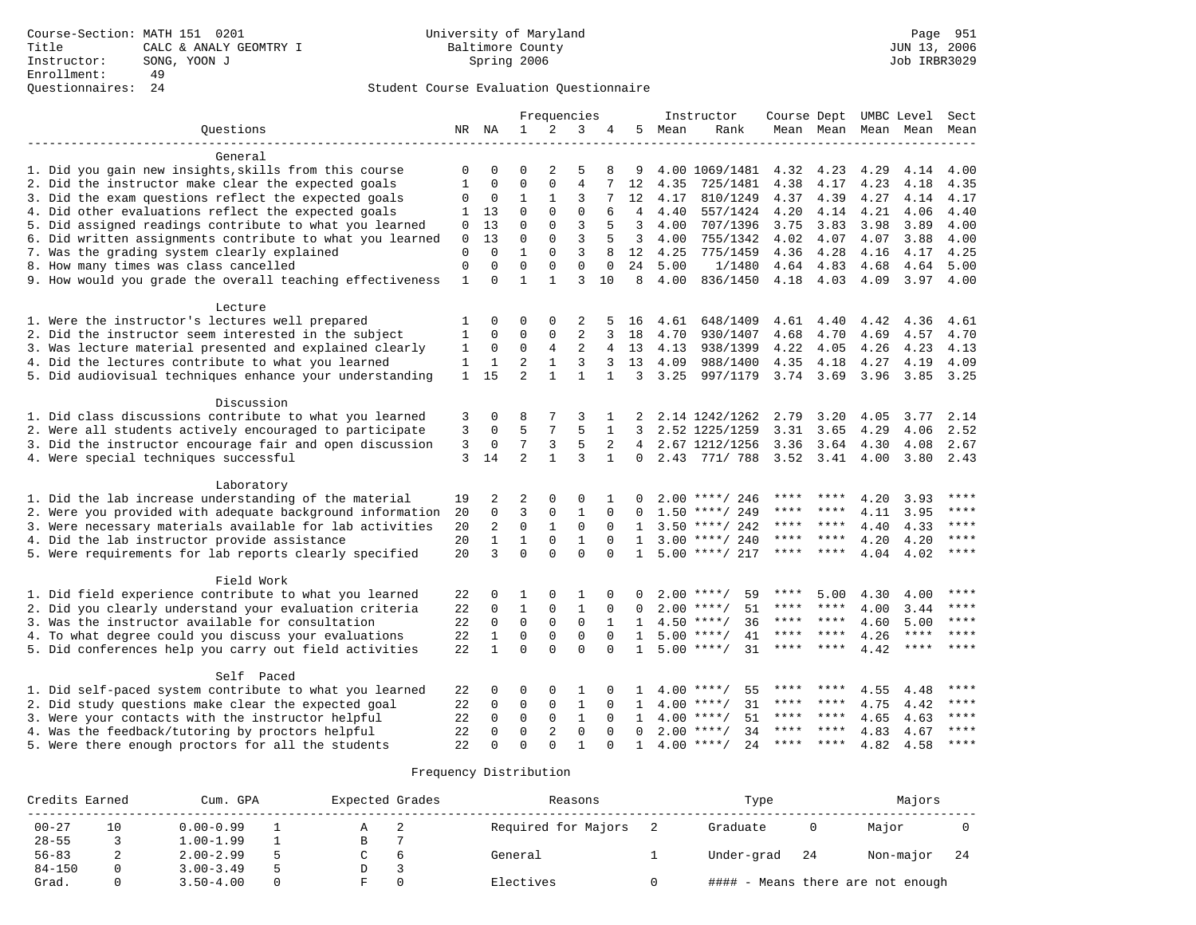# Questionnaires: 24 Student Course Evaluation Questionnaire

|                                                           |              |              |                |                | Frequencies    |              |                 |      | Instructor          |             |                     |      | Course Dept UMBC Level | Sect        |
|-----------------------------------------------------------|--------------|--------------|----------------|----------------|----------------|--------------|-----------------|------|---------------------|-------------|---------------------|------|------------------------|-------------|
| Ouestions                                                 |              | NR NA        | $\mathbf{1}$   | 2              | 3              | 4            | 5               | Mean | Rank                |             | Mean Mean Mean Mean |      |                        | Mean        |
|                                                           |              |              |                |                |                |              |                 |      |                     |             |                     |      |                        |             |
| General                                                   |              |              |                |                |                |              |                 |      |                     |             |                     |      |                        |             |
| 1. Did you gain new insights, skills from this course     | 0            | 0            | 0              | $\overline{2}$ | 5              | 8            | 9               |      | 4.00 1069/1481      | 4.32        | 4.23                | 4.29 | 4.14                   | 4.00        |
| 2. Did the instructor make clear the expected goals       | 1            | $\mathbf 0$  | $\mathbf 0$    | $\mathbf{0}$   | $\overline{4}$ | 7            | 12              | 4.35 | 725/1481            | 4.38        | 4.17                | 4.23 | 4.18                   | 4.35        |
| 3. Did the exam questions reflect the expected goals      | 0            | 0            | 1              | 1              | 3              | 7            | 12 <sup>°</sup> | 4.17 | 810/1249            | 4.37        | 4.39                | 4.27 | 4.14                   | 4.17        |
| 4. Did other evaluations reflect the expected goals       | 1            | 13           | $\mathbf 0$    | $\mathbf 0$    | $\mathbf 0$    | 6            | 4               | 4.40 | 557/1424            | 4.20        | 4.14                | 4.21 | 4.06                   | 4.40        |
| 5. Did assigned readings contribute to what you learned   | $\mathbf 0$  | 13           | $\Omega$       | $\Omega$       | 3              | 5            | 3               | 4.00 | 707/1396            | 3.75        | 3.83                | 3.98 | 3.89                   | 4.00        |
| 6. Did written assignments contribute to what you learned | 0            | 13           | $\mathbf 0$    | 0              | 3              | 5            | 3               | 4.00 | 755/1342            | 4.02        | 4.07                | 4.07 | 3.88                   | 4.00        |
| 7. Was the grading system clearly explained               | $\mathbf 0$  | $\Omega$     | $\mathbf 1$    | $\mathbf{0}$   | 3              | 8            | 12              | 4.25 | 775/1459            | 4.36        | 4.28                | 4.16 | 4.17                   | 4.25        |
| 8. How many times was class cancelled                     | $\mathbf{0}$ | $\Omega$     | $\mathbf 0$    | $\mathbf{0}$   | $\mathbf 0$    | $\mathbf 0$  | 24              | 5.00 | 1/1480              | 4.64        | 4.83                | 4.68 | 4.64                   | 5.00        |
| 9. How would you grade the overall teaching effectiveness | $\mathbf{1}$ | $\Omega$     | $\mathbf{1}$   | $\mathbf{1}$   | 3              | 10           | 8               | 4.00 | 836/1450            | 4.18        | 4.03                | 4.09 | 3.97                   | 4.00        |
| Lecture                                                   |              |              |                |                |                |              |                 |      |                     |             |                     |      |                        |             |
| 1. Were the instructor's lectures well prepared           | 1            | $\Omega$     | $\Omega$       | $\Omega$       | 2              | 5            | 16              | 4.61 | 648/1409            | 4.61        | 4.40                | 4.42 | 4.36                   | 4.61        |
| 2. Did the instructor seem interested in the subject      | 1            | $\Omega$     | $\mathbf 0$    | 0              | 2              | 3            | 18              | 4.70 | 930/1407            | 4.68        | 4.70                | 4.69 | 4.57                   | 4.70        |
| 3. Was lecture material presented and explained clearly   | 1            | 0            | $\mathbf 0$    | $\overline{4}$ | $\overline{2}$ | 4            | 13              | 4.13 | 938/1399            | 4.22        | 4.05                | 4.26 | 4.23                   | 4.13        |
| 4. Did the lectures contribute to what you learned        | 1            | $\mathbf{1}$ | $\overline{2}$ | $\mathbf{1}$   | 3              | 3            | 13              | 4.09 | 988/1400            | 4.35        | 4.18                | 4.27 | 4.19                   | 4.09        |
| 5. Did audiovisual techniques enhance your understanding  | $\mathbf{1}$ | 15           | $\overline{a}$ | $\mathbf{1}$   | $\mathbf{1}$   | $\mathbf{1}$ | 3               | 3.25 | 997/1179            | 3.74 3.69   |                     | 3.96 | 3.85                   | 3.25        |
|                                                           |              |              |                |                |                |              |                 |      |                     |             |                     |      |                        |             |
| Discussion                                                |              |              |                |                |                |              |                 |      |                     |             |                     |      |                        |             |
| 1. Did class discussions contribute to what you learned   | 3            | 0            | 8              | 7              | 3              | 1            |                 |      | 2.14 1242/1262      | 2.79        | 3.20                | 4.05 | 3.77                   | 2.14        |
| 2. Were all students actively encouraged to participate   | 3            | $\mathbf 0$  | 5              | 7              | 5              | $\mathbf{1}$ | 3               |      | 2.52 1225/1259      | 3.31        | 3.65                | 4.29 | 4.06                   | 2.52        |
| 3. Did the instructor encourage fair and open discussion  | 3            | $\mathbf 0$  | 7              | 3              | 5              | 2            | $\overline{4}$  |      | 2.67 1212/1256      | 3.36        | 3.64                | 4.30 | 4.08                   | 2.67        |
| 4. Were special techniques successful                     | 3            | 14           | $\overline{a}$ | $\mathbf{1}$   | 3              | $\mathbf{1}$ | 0               |      | 2.43 771/ 788       | 3.52        | 3.41                | 4.00 |                        | $3.80$ 2.43 |
| Laboratory                                                |              |              |                |                |                |              |                 |      |                     |             |                     |      |                        |             |
| 1. Did the lab increase understanding of the material     | 19           | 2            | 2              | 0              | 0              | 1            |                 |      | $2.00$ ****/ 246    |             |                     | 4.20 | 3.93                   | ****        |
| 2. Were you provided with adequate background information | 20           | $\mathbf 0$  | 3              | $\mathsf 0$    | $\mathbf{1}$   | 0            | $\Omega$        |      | $1.50$ ****/ 249    | ****        | ****                | 4.11 | 3.95                   | ****        |
| 3. Were necessary materials available for lab activities  | 20           | 2            | $\mathbf 0$    | $\mathbf{1}$   | $\mathbf 0$    | $\Omega$     | $\mathbf{1}$    |      | $3.50$ ****/ 242    | ****        | ****                | 4.40 | 4.33                   | $***$       |
| 4. Did the lab instructor provide assistance              | 20           | $\mathbf{1}$ | $\mathbf{1}$   | $\mathbf 0$    | 1              | $\Omega$     | $\mathbf{1}$    |      | $3.00$ ****/ 240    | ****        | ****                | 4.20 | 4.20                   | ****        |
| 5. Were requirements for lab reports clearly specified    | 20           | 3            | $\Omega$       | $\Omega$       | $\Omega$       | $\Omega$     | $\mathbf{1}$    |      | $5.00$ ****/ 217    | $***$ * *   | $***$               | 4.04 | 4.02                   | $***$ * * * |
| Field Work                                                |              |              |                |                |                |              |                 |      |                     |             |                     |      |                        |             |
| 1. Did field experience contribute to what you learned    | 22           | 0            | 1              | 0              | $\mathbf{1}$   |              |                 | 2.00 | 59<br>****/         | ****        | 5.00                | 4.30 | 4.00                   | ****        |
| 2. Did you clearly understand your evaluation criteria    | 22           | $\mathbf 0$  | $\mathbf{1}$   | $\mathbf{0}$   | $\mathbf{1}$   | 0            |                 | 2.00 | 51<br>$***/$        | ****        | ****                | 4.00 | 3.44                   | $***$       |
| 3. Was the instructor available for consultation          | 22           | $\Omega$     | $\mathbf 0$    | $\mathbf{0}$   | $\mathbf 0$    | $\mathbf{1}$ | 1               |      | $4.50$ ****/<br>36  | $***$ * * * | $***$ *             | 4.60 | 5.00                   | ****        |
| 4. To what degree could you discuss your evaluations      | 22           | $\mathbf{1}$ | $\mathbf 0$    | 0              | $\mathbf{0}$   | $\Omega$     | 1               | 5.00 | 41<br>$***$ /       | ****        | ****                | 4.26 | $***$ * * *            | $***$       |
| 5. Did conferences help you carry out field activities    | 22           | $\mathbf{1}$ | $\Omega$       | $\Omega$       | $\Omega$       | $\Omega$     | $\mathbf{1}$    |      | $5.00$ ****/<br>31  | ****        | ****                | 4.42 | ****                   | ****        |
|                                                           |              |              |                |                |                |              |                 |      |                     |             |                     |      |                        |             |
| Self Paced                                                |              |              |                |                |                |              |                 |      |                     |             |                     |      |                        |             |
| 1. Did self-paced system contribute to what you learned   | 22           | 0            | 0              | 0              | $\mathbf{1}$   | $\Omega$     |                 |      | $4.00$ ****/<br>55  | ****        | ****                | 4.55 | 4.48                   | ****        |
| 2. Did study questions make clear the expected goal       | 22           | $\mathbf 0$  | $\mathbf 0$    | 0              | 1              | 0            | $\mathbf{1}$    | 4.00 | $***$ /<br>31       | ****        | ****                | 4.75 | 4.42                   | ****        |
| 3. Were your contacts with the instructor helpful         | 22           | $\mathbf 0$  | $\mathbf 0$    | $\mathbf{0}$   | $\mathbf{1}$   | $\mathbf 0$  | 1               |      | 51<br>$4.00$ ****/  | ****        | ****                | 4.65 | 4.63                   | ****        |
| 4. Was the feedback/tutoring by proctors helpful          | 22           | $\Omega$     | $\Omega$       | $\overline{2}$ | $\Omega$       | $\Omega$     | $\Omega$        |      | $2.00$ ****/<br>34  | ****        | ****                | 4.83 | 4.67                   | ****        |
| 5. Were there enough proctors for all the students        | 22           | $\Omega$     | $\Omega$       | $\Omega$       | $\mathbf{1}$   |              | $\mathbf{1}$    |      | 2.4<br>$4.00$ ****/ | ****        | ****                | 4.82 | 4.58                   | ****        |

| Credits Earned |    | Cum. GPA      | Expected Grades |   | Reasons             | Type          | Majors                       |      |
|----------------|----|---------------|-----------------|---|---------------------|---------------|------------------------------|------|
| $00 - 27$      | 10 | $0.00 - 0.99$ | $\mathcal{A}$   | ▵ | Required for Majors | Graduate      | Major                        |      |
| $28 - 55$      |    | $1.00 - 1.99$ | B               |   |                     |               |                              |      |
| $56 - 83$      | ▵  | $2.00 - 2.99$ |                 |   | General             | Under-grad 24 | Non-major                    | - 24 |
| $84 - 150$     |    | $3.00 - 3.49$ |                 |   |                     |               |                              |      |
| Grad.          |    | $3.50 - 4.00$ |                 |   | Electives           | ####          | - Means there are not enough |      |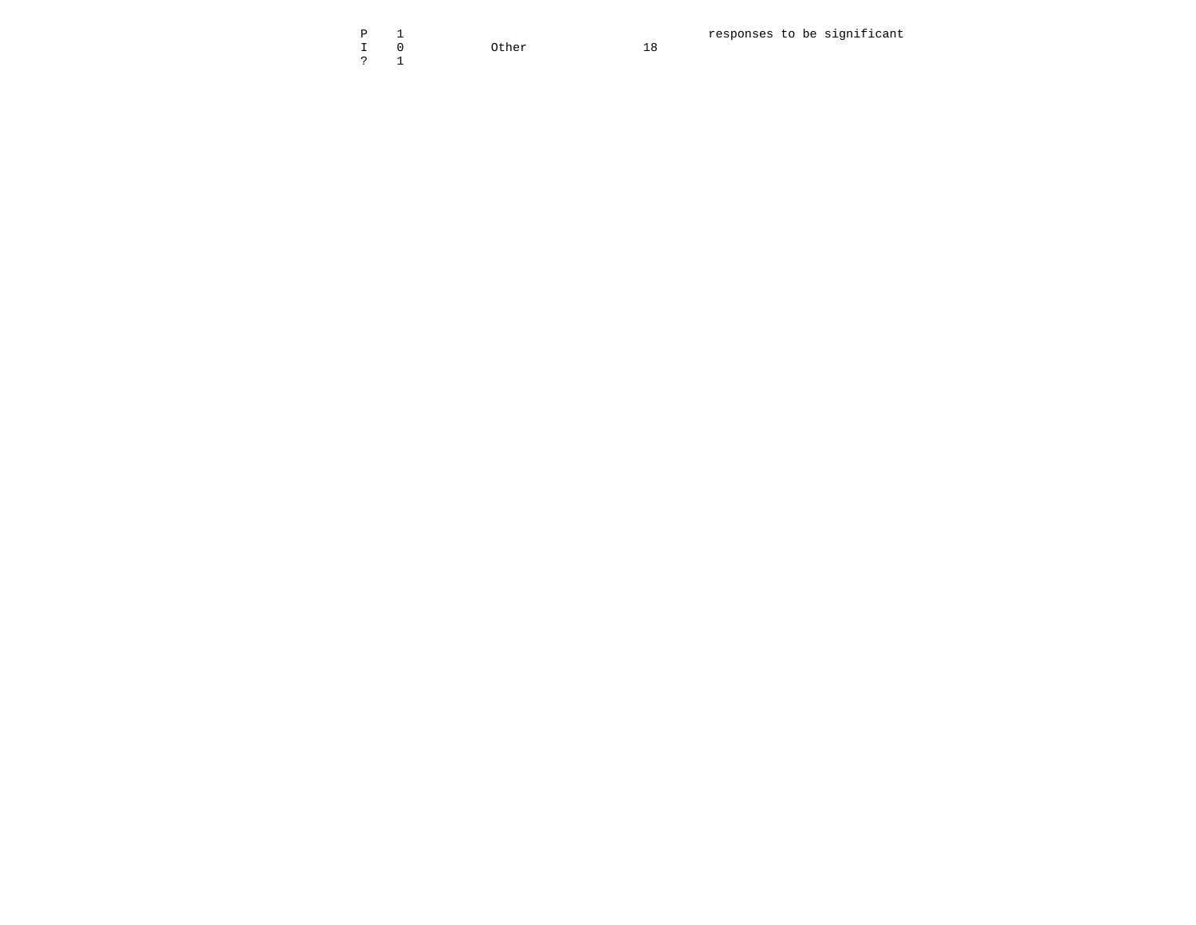I 0 Other 18 . The contract of the contract of the contract of  $\sim$  1  $\sim$  1

18

P 1 responses to be significant 10 other 18 responses to be significant 2 18 responses to be significant 2 18 responses to be significant 2 18 responses to be significant 2  $\frac{1}{2}$  1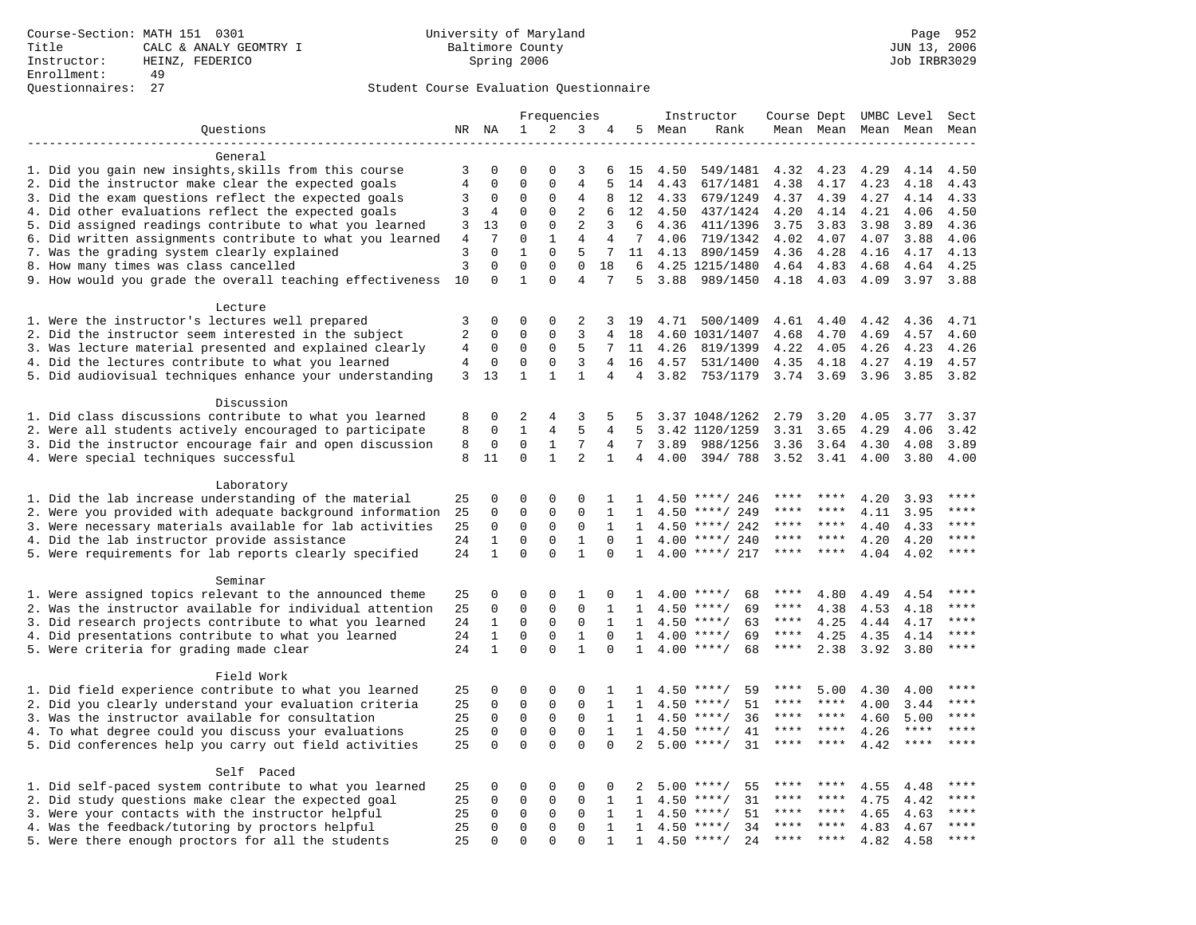|                                                           |                |                              |                         | Frequencies    |                              |                         |                              |      | Instructor                               | Course Dept  |           | UMBC Level |             | Sect      |
|-----------------------------------------------------------|----------------|------------------------------|-------------------------|----------------|------------------------------|-------------------------|------------------------------|------|------------------------------------------|--------------|-----------|------------|-------------|-----------|
| Ouestions                                                 |                | NR NA                        | $\mathbf{1}$            | 2              | 3                            | 4                       | 5                            | Mean | Rank                                     | Mean Mean    |           | Mean       | Mean        | Mean      |
|                                                           |                |                              |                         |                |                              |                         |                              |      |                                          |              |           |            |             |           |
| General                                                   |                |                              |                         |                |                              |                         |                              |      |                                          |              |           |            |             |           |
| 1. Did you gain new insights, skills from this course     | 3              | 0                            | ∩                       |                | 3                            | 6                       | 15                           | 4.50 | 549/1481                                 | 4.32         | 4.23      | 4.29       | 4.14        | 4.50      |
| 2. Did the instructor make clear the expected goals       | $\,4$          | $\mathbf 0$                  | $\Omega$                | $\mathbf{0}$   | $\overline{4}$               | 5                       | 14                           | 4.43 | 617/1481                                 | 4.38         | 4.17      | 4.23       | 4.18        | 4.43      |
| 3. Did the exam questions reflect the expected goals      | 3              | 0                            | $\Omega$                | $\Omega$       | 4                            | 8                       | 12                           | 4.33 | 679/1249                                 | 4.37         | 4.39      | 4.27       | 4.14        | 4.33      |
| 4. Did other evaluations reflect the expected goals       | 3              | 4                            | $\mathbf 0$             | $\mathbf{0}$   | 2                            | 6                       | 12                           | 4.50 | 437/1424                                 | 4.20         | 4.14      | 4.21       | 4.06        | 4.50      |
| 5. Did assigned readings contribute to what you learned   | 3              | 13                           | $\mathbf 0$             | $\mathbf{0}$   | 2                            | 3                       | 6                            | 4.36 | 411/1396                                 | 3.75         | 3.83      | 3.98       | 3.89        | 4.36      |
| 6. Did written assignments contribute to what you learned | $\overline{4}$ | 7                            | $\mathbf 0$             | $\mathbf{1}$   | $\overline{4}$               | 4                       | 7                            | 4.06 | 719/1342                                 | 4.02         | 4.07      | 4.07       | 3.88        | 4.06      |
| 7. Was the grading system clearly explained               | 3              | $\Omega$                     | $\mathbf{1}$            | $\Omega$       | 5                            | 7                       | 11                           | 4.13 | 890/1459                                 | 4.36         | 4.28      | 4.16       | 4.17        | 4.13      |
| 8. How many times was class cancelled                     | $\overline{3}$ | $\mathbf 0$                  | $\mathbf 0$             | $\mathbf{0}$   | $\mathbf 0$                  | 18                      | 6                            |      | 4.25 1215/1480                           | 4.64         | 4.83      | 4.68       | 4.64        | 4.25      |
| 9. How would you grade the overall teaching effectiveness | 10             | $\Omega$                     | $\mathbf{1}$            | $\Omega$       | $\overline{4}$               | 7                       | 5                            | 3.88 | 989/1450                                 | 4.18         | 4.03      | 4.09       | 3.97        | 3.88      |
|                                                           |                |                              |                         |                |                              |                         |                              |      |                                          |              |           |            |             |           |
| Lecture                                                   |                |                              |                         |                |                              |                         |                              |      |                                          |              |           |            |             |           |
| 1. Were the instructor's lectures well prepared           | 3              | $\mathbf 0$                  | $\mathbf 0$             | $\mathbf{0}$   | 2                            | 3                       | 19                           |      | 4.71 500/1409                            | 4.61         | 4.40      | 4.42       | 4.36        | 4.71      |
| 2. Did the instructor seem interested in the subject      | $\overline{c}$ | 0                            | 0                       | $\mathbf 0$    | $\overline{3}$               | 4                       | 18                           |      | 4.60 1031/1407                           | 4.68         | 4.70      | 4.69       | 4.57        | 4.60      |
| 3. Was lecture material presented and explained clearly   | 4              | 0                            | 0                       | $\mathbf 0$    | 5                            | 7                       | 11                           | 4.26 | 819/1399                                 | 4.22         | 4.05      | 4.26       | 4.23        | 4.26      |
| 4. Did the lectures contribute to what you learned        | 4              | 0                            | 0                       | $\mathbf 0$    | 3                            | $\overline{4}$          | 16                           | 4.57 | 531/1400                                 | 4.35         | 4.18      | 4.27       | 4.19        | 4.57      |
| 5. Did audiovisual techniques enhance your understanding  | 3              | 13                           | $\mathbf{1}$            | $\mathbf{1}$   | $\mathbf{1}$                 | 4                       | 4                            | 3.82 | 753/1179                                 | 3.74         | 3.69      | 3.96       | 3.85        | 3.82      |
|                                                           |                |                              |                         |                |                              |                         |                              |      |                                          |              |           |            |             |           |
| Discussion                                                |                |                              |                         |                |                              |                         |                              |      |                                          |              |           |            |             |           |
| 1. Did class discussions contribute to what you learned   | 8              | $\Omega$                     | 2                       | 4              | 3                            | 5                       | 5                            |      | 3.37 1048/1262                           | 2.79         | 3.20      | 4.05       | 3.77        | 3.37      |
| 2. Were all students actively encouraged to participate   | 8              | $\mathbf 0$                  | $\mathbf{1}$            | $\overline{4}$ | 5                            | 4                       | 5                            |      | 3.42 1120/1259                           | 3.31         | 3.65      | 4.29       | 4.06        | 3.42      |
| 3. Did the instructor encourage fair and open discussion  | 8              | $\mathbf 0$                  | $\mathbf 0$             | $\mathbf{1}$   | 7                            | 4                       | 7                            | 3.89 | 988/1256                                 | 3.36         | 3.64      | 4.30       | 4.08        | 3.89      |
| 4. Were special techniques successful                     | 8              | 11                           | $\mathbf 0$             | $\mathbf{1}$   | 2                            | $\mathbf{1}$            | $\overline{4}$               | 4.00 | 394/788                                  | 3.52         | 3.41      | 4.00       | 3.80        | 4.00      |
|                                                           |                |                              |                         |                |                              |                         |                              |      |                                          |              |           |            |             |           |
| Laboratory                                                |                |                              |                         |                |                              |                         |                              |      |                                          |              |           |            |             |           |
| 1. Did the lab increase understanding of the material     | 25             | 0                            | $\Omega$                | $\mathbf 0$    | $\Omega$                     | 1                       | 1.                           |      | $4.50$ ****/ 246                         |              |           | 4.20       | 3.93        |           |
| 2. Were you provided with adequate background information | 25             | 0                            | $\mathbf 0$             | $\mathbf{0}$   | $\mathbf 0$                  | 1                       | $\mathbf{1}$                 | 4.50 | ****/ 249                                | ****         | ****      | 4.11       | 3.95        | ****      |
| 3. Were necessary materials available for lab activities  | 25             | $\mathbf 0$                  | $\mathbf 0$             | 0              | 0                            | $\mathbf{1}$            | $\mathbf{1}$                 | 4.50 | ****/ 242                                | ****         | ****      | 4.40       | 4.33        | ****      |
| 4. Did the lab instructor provide assistance              | 24             | $\mathbf{1}$                 | $\Omega$                | $\Omega$       | $\mathbf{1}$                 | $\Omega$                | $\mathbf{1}$                 | 4.00 | ****/ 240                                | ****         | ****      | 4.20       | 4.20        | ****      |
| 5. Were requirements for lab reports clearly specified    | 24             | $\mathbf{1}$                 | $\Omega$                | $\Omega$       | $\mathbf{1}$                 | $\Omega$                | $\mathbf{1}$                 | 4.00 | ****/ 217                                | ****         | ****      | 4.04       | 4.02        | ****      |
|                                                           |                |                              |                         |                |                              |                         |                              |      |                                          |              |           |            |             |           |
| Seminar                                                   |                |                              |                         |                |                              |                         |                              |      |                                          | ****         |           |            |             | $***$     |
| 1. Were assigned topics relevant to the announced theme   | 25             | 0                            | 0                       | $\mathbf{0}$   | 1<br>$\mathbf 0$             | 0                       | 1                            |      | $4.00$ ****/<br>68                       | ****         | 4.80      | 4.49       | 4.54        |           |
| 2. Was the instructor available for individual attention  | 25             | $\mathsf 0$                  | $\mathbf 0$             | $\mathsf 0$    |                              | $\mathbf{1}$            | 1                            |      | 69<br>$4.50$ ****/                       |              | 4.38      | 4.53       | 4.18        | $***$ + + |
| 3. Did research projects contribute to what you learned   | 24             | 1                            | $\mathsf 0$             | $\mathbf 0$    | $\mathbf 0$                  | 1                       | $\mathbf{1}$                 |      | $4.50$ ****/<br>63                       | ****<br>**** | 4.25      | 4.44       | 4.17        | $***$     |
| 4. Did presentations contribute to what you learned       | 24             | $\mathbf{1}$<br>$\mathbf{1}$ | $\mathbf 0$<br>$\Omega$ | 0<br>$\Omega$  | $\mathbf{1}$<br>$\mathbf{1}$ | $\mathbf 0$<br>$\Omega$ | $\mathbf{1}$<br>$\mathbf{1}$ |      | $4.00$ ****/<br>69<br>$4.00$ ****/<br>68 | ****         | 4.25      | 4.35       | 4.14        | ****      |
| 5. Were criteria for grading made clear                   | 24             |                              |                         |                |                              |                         |                              |      |                                          |              | 2.38      | 3.92       | 3.80        |           |
| Field Work                                                |                |                              |                         |                |                              |                         |                              |      |                                          |              |           |            |             |           |
| 1. Did field experience contribute to what you learned    | 25             | 0                            | 0                       | $\mathbf 0$    | $\Omega$                     | 1                       | 1                            |      | $4.50$ ****/<br>59                       | ****         | 5.00      | 4.30       | 4.00        | ****      |
| 2. Did you clearly understand your evaluation criteria    | 25             | $\Omega$                     | $\mathbf 0$             | $\mathbf 0$    | $\Omega$                     | $\mathbf{1}$            | $\mathbf{1}$                 | 4.50 | 51<br>$* * * * /$                        | ****         | ****      | 4.00       | 3.44        | ****      |
| 3. Was the instructor available for consultation          | 25             | $\Omega$                     | $\mathsf 0$             | $\mathsf 0$    | $\mathbf 0$                  | $\mathbf{1}$            | $\mathbf{1}$                 |      | $4.50$ ****/<br>36                       | ****         | $***$ *   | 4.60       | 5.00        | ****      |
| 4. To what degree could you discuss your evaluations      | 25             | $\mathsf 0$                  | $\mathsf 0$             | $\mathbf 0$    | $\mathbf 0$                  | $\mathbf{1}$            | $\mathbf{1}$                 | 4.50 | $***$ /<br>41                            | $***$ * * *  | $***$ *   | 4.26       | $***$ * * * | ****      |
| 5. Did conferences help you carry out field activities    | 25             | $\mathbf 0$                  | $\mathbf 0$             | $\Omega$       | $\mathbf 0$                  | $\Omega$                | $\overline{2}$               | 5.00 | $***$ /<br>31                            | ****         | $* * * *$ | 4.42       | $***$ * * * | ****      |
|                                                           |                |                              |                         |                |                              |                         |                              |      |                                          |              |           |            |             |           |
| Self Paced                                                |                |                              |                         |                |                              |                         |                              |      |                                          |              |           |            |             |           |
| 1. Did self-paced system contribute to what you learned   | 25             | 0                            | 0                       | 0              | $\mathbf 0$                  | 0                       | 2                            | 5.00 | 55<br>$***$ /                            |              |           | 4.55       | 4.48        |           |
| 2. Did study questions make clear the expected goal       | 25             | $\mathbf 0$                  | $\mathbf 0$             | $\mathbf 0$    | $\mathbf 0$                  | 1                       | 1                            | 4.50 | 31<br>$***/$                             | ****         | ****      | 4.75       | 4.42        | ****      |
| 3. Were your contacts with the instructor helpful         | 25             | $\Omega$                     | 0                       | 0              | 0                            | $\mathbf{1}$            | $\mathbf{1}$                 | 4.50 | 51<br>$***$ /                            | ****         | ****      | 4.65       | 4.63        | $***$     |
| 4. Was the feedback/tutoring by proctors helpful          | 25             | $\Omega$                     | $\mathbf 0$             | $\mathbf{0}$   | $\Omega$                     | $\mathbf{1}$            | $\mathbf{1}$                 | 4.50 | $***$ /<br>34                            | ****         | ****      | 4.83       | 4.67        | ****      |
| 5. Were there enough proctors for all the students        | 25             | $\Omega$                     | $\Omega$                | $\Omega$       | $\Omega$                     | $\mathbf{1}$            | $\mathbf{1}$                 |      | $4.50$ ****/<br>24                       | ****         |           | 4.82       | 4.58        | ****      |
|                                                           |                |                              |                         |                |                              |                         |                              |      |                                          |              |           |            |             |           |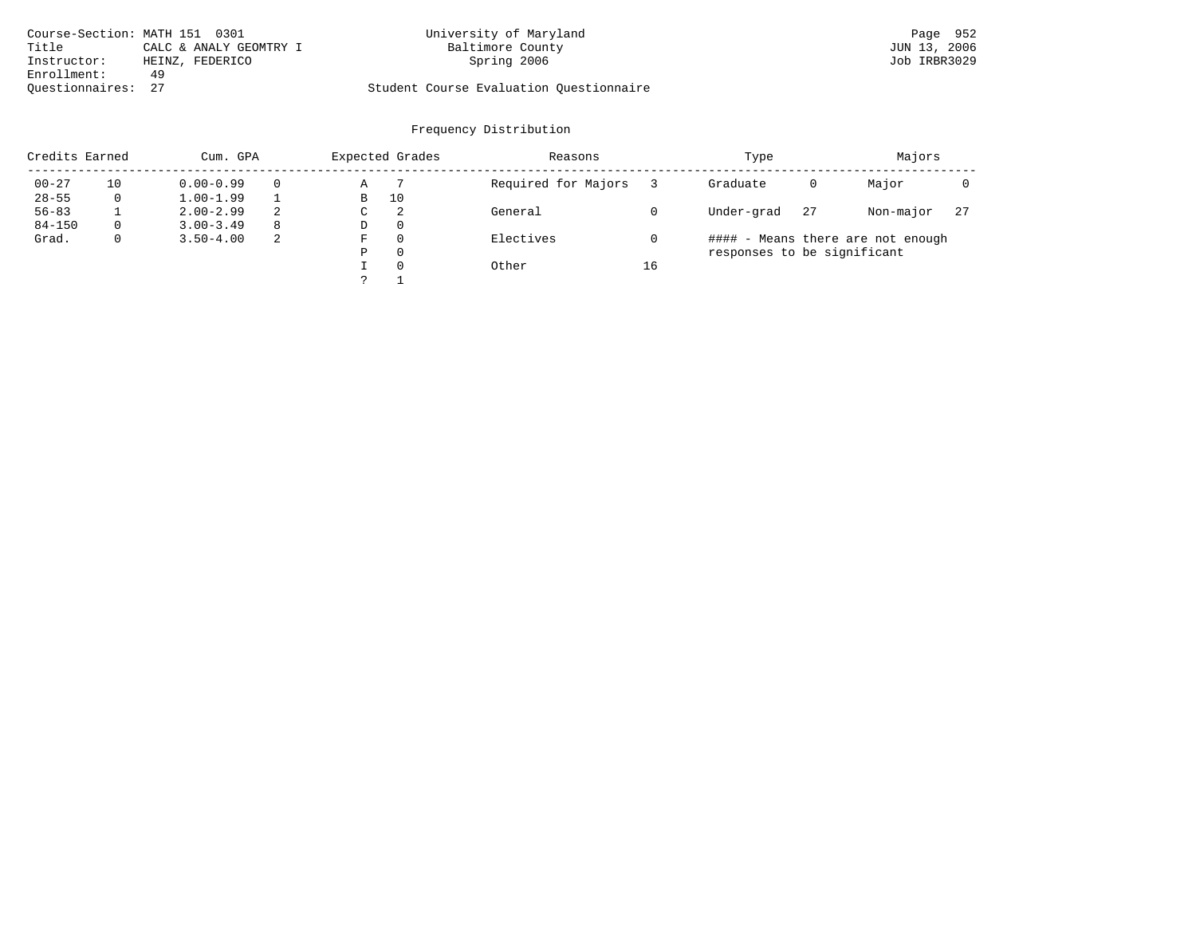| Course-Section: MATH 151 0301 |                        | University of Maryland                  | Page 952     |
|-------------------------------|------------------------|-----------------------------------------|--------------|
| Title                         | CALC & ANALY GEOMTRY I | Baltimore County                        | JUN 13, 2006 |
| Instructor:                   | HEINZ, FEDERICO        | Spring 2006                             | Job IRBR3029 |
| Enrollment:                   | 49                     |                                         |              |
| Ouestionnaires: 27            |                        | Student Course Evaluation Ouestionnaire |              |

| Credits Earned |              | Cum. GPA      |    |   | Expected Grades | Reasons             |    | Type                        |    | Majors                            |    |
|----------------|--------------|---------------|----|---|-----------------|---------------------|----|-----------------------------|----|-----------------------------------|----|
| $00 - 27$      | 10           | $0.00 - 0.99$ |    | Α |                 | Required for Majors |    | Graduate                    | 0  | Major                             |    |
| $28 - 55$      | 0            | $1.00 - 1.99$ |    | В | 10              |                     |    |                             |    |                                   |    |
| $56 - 83$      |              | $2.00 - 2.99$ | 2  | C | 2               | General             |    | Under-grad                  | 27 | Non-major                         | 27 |
| $84 - 150$     | $\Omega$     | $3.00 - 3.49$ | -8 | D | $\Omega$        |                     |    |                             |    |                                   |    |
| Grad.          | $\mathbf{0}$ | $3.50 - 4.00$ | -2 | F | $\Omega$        | Electives           |    |                             |    | #### - Means there are not enough |    |
|                |              |               |    | Ρ | $\Omega$        |                     |    | responses to be significant |    |                                   |    |
|                |              |               |    |   | $\Omega$        | Other               | 16 |                             |    |                                   |    |
|                |              |               |    |   |                 |                     |    |                             |    |                                   |    |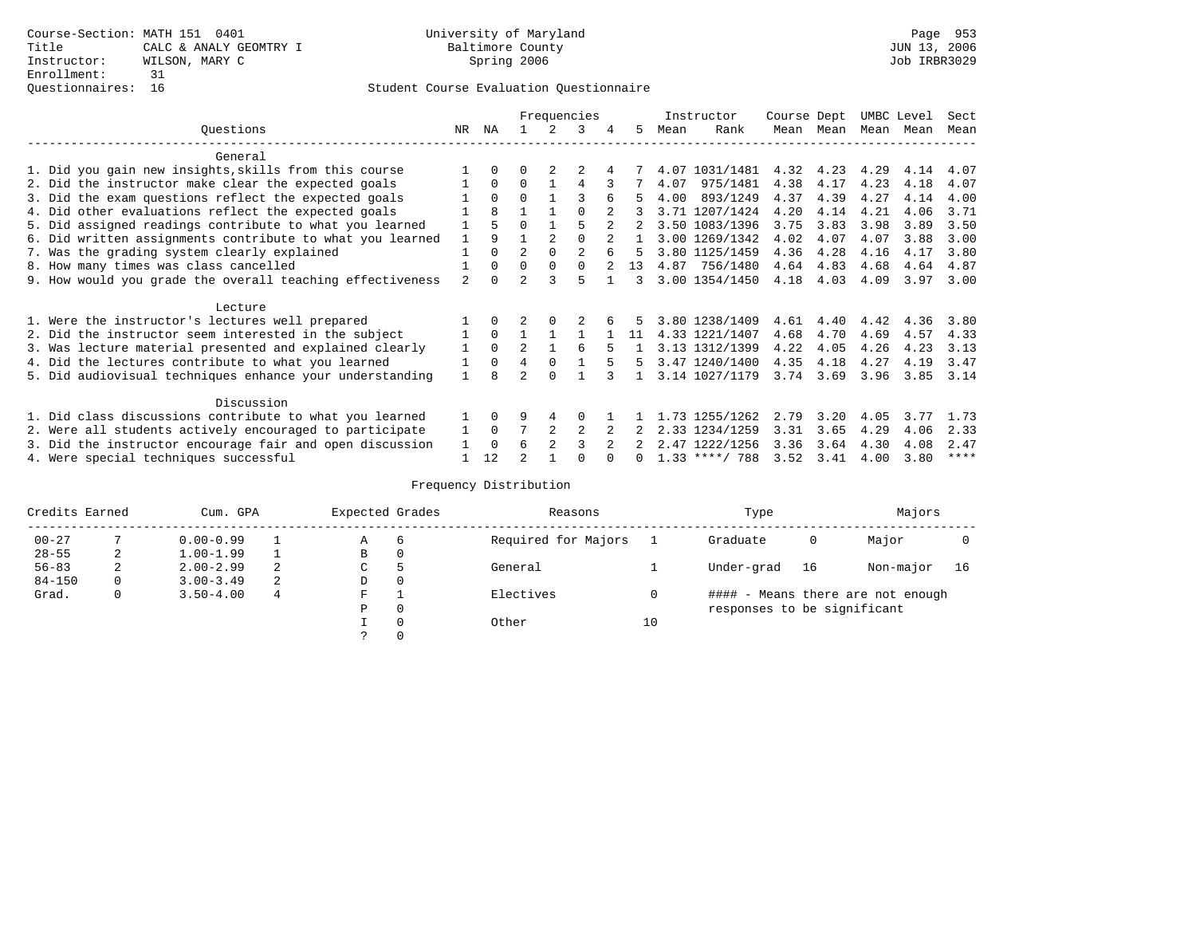|                                                           |                |              |                | Frequencies |          |              |      | Instructor       | Course Dept |           | UMBC Level |      | Sect |
|-----------------------------------------------------------|----------------|--------------|----------------|-------------|----------|--------------|------|------------------|-------------|-----------|------------|------|------|
| Ouestions                                                 | NR.            | ΝA           |                |             | 3        | 5.           | Mean | Rank             |             | Mean Mean | Mean       | Mean | Mean |
| General                                                   |                |              |                |             |          |              |      |                  |             |           |            |      |      |
| 1. Did you gain new insights, skills from this course     |                | $\Omega$     | 0              |             |          |              |      | 4.07 1031/1481   | 4.32        | 4.23      | 4.29       | 4.14 | 4.07 |
| 2. Did the instructor make clear the expected goals       |                | $\Omega$     | $\Omega$       |             | 4        |              | 4.07 | 975/1481         | 4.38        | 4.17      | 4.23       | 4.18 | 4.07 |
| 3. Did the exam questions reflect the expected goals      |                | $\Omega$     | $\Omega$       |             |          | 5            | 4.00 | 893/1249         | 4.37        | 4.39      | 4.27       | 4.14 | 4.00 |
| 4. Did other evaluations reflect the expected goals       |                | $\mathsf{R}$ |                |             | $\Omega$ |              |      | 3.71 1207/1424   | 4.20        | 4.14      | 4.21       | 4.06 | 3.71 |
| 5. Did assigned readings contribute to what you learned   |                |              | $\Omega$       |             |          |              |      | 3.50 1083/1396   | 3.75        | 3.83      | 3.98       | 3.89 | 3.50 |
| 6. Did written assignments contribute to what you learned | $\mathbf{1}$   | 9            |                |             |          | $\mathbf{1}$ |      | 3.00 1269/1342   | 4.02        | 4.07      | 4.07       | 3.88 | 3.00 |
| 7. Was the grading system clearly explained               |                | $\Omega$     | $\overline{2}$ | $\Omega$    |          | 5.           |      | 3.80 1125/1459   | 4.36        | 4.28      | 4.16       | 4.17 | 3.80 |
| 8. How many times was class cancelled                     |                | $\Omega$     | $\Omega$       | $\Omega$    |          | 13           |      | 4.87 756/1480    | 4.64        | 4.83      | 4.68       | 4.64 | 4.87 |
| 9. How would you grade the overall teaching effectiveness | $\mathfrak{D}$ | $\cap$       | $\mathcal{D}$  |             |          | २            |      | 3.00 1354/1450   | 4.18        | 4.03      | 4.09       | 3.97 | 3.00 |
| Lecture                                                   |                |              |                |             |          |              |      |                  |             |           |            |      |      |
| 1. Were the instructor's lectures well prepared           |                | $\Omega$     |                |             |          |              |      | 3.80 1238/1409   | 4.61        | 4.40      | 4.42       | 4.36 | 3.80 |
| 2. Did the instructor seem interested in the subject      |                | $\Omega$     |                |             |          | 11           |      | 4.33 1221/1407   | 4.68        | 4.70      | 4.69       | 4.57 | 4.33 |
| 3. Was lecture material presented and explained clearly   | 1              | $\Omega$     | $\mathfrak{D}$ |             | 6        |              |      | 3.13 1312/1399   | 4.22        | 4.05      | 4.26       | 4.23 | 3.13 |
| 4. Did the lectures contribute to what you learned        |                | $\Omega$     | 4              | $\Omega$    |          | 5.           |      | 3.47 1240/1400   | 4.35        | 4.18      | 4.27       | 4.19 | 3.47 |
| 5. Did audiovisual techniques enhance your understanding  |                | R            |                | $\cap$      |          |              |      | 3.14 1027/1179   | 3.74        | 3.69      | 3.96       | 3.85 | 3.14 |
| Discussion                                                |                |              |                |             |          |              |      |                  |             |           |            |      |      |
| 1. Did class discussions contribute to what you learned   |                | $\Omega$     | 9              |             | $\Omega$ |              |      | 1.73 1255/1262   | 2.79        | 3.20      | 4.05       | 3.77 | 1.73 |
| 2. Were all students actively encouraged to participate   |                | $\Omega$     |                |             | 2        |              |      | 2.33 1234/1259   | 3.31        | 3.65      | 4.29       | 4.06 | 2.33 |
| 3. Did the instructor encourage fair and open discussion  |                | $\Omega$     | 6              |             |          |              |      | 2.47 1222/1256   | 3.36        | 3.64      | 4.30       | 4.08 | 2.47 |
| 4. Were special techniques successful                     |                | 12           | $\mathcal{D}$  |             |          |              |      | $1.33$ ****/ 788 | 3.52        | 3.41      | 4.00       | 3.80 | **** |

| Credits Earned |   | Cum. GPA      |   | Expected Grades |          | Reasons             |    | Type                        |    | Majors                            |    |
|----------------|---|---------------|---|-----------------|----------|---------------------|----|-----------------------------|----|-----------------------------------|----|
| $00 - 27$      |   | $0.00 - 0.99$ |   | Α               | 6        | Required for Majors |    | Graduate                    | 0  | Major                             |    |
| $28 - 55$      | 2 | $1.00 - 1.99$ |   | В               | 0        |                     |    |                             |    |                                   |    |
| $56 - 83$      | 2 | $2.00 - 2.99$ | 2 | $\sim$<br>◡     |          | General             |    | Under-grad                  | 16 | Non-major                         | 16 |
| $84 - 150$     | 0 | $3.00 - 3.49$ | 2 | D               | 0        |                     |    |                             |    |                                   |    |
| Grad.          | 0 | $3.50 - 4.00$ | 4 | F               |          | Electives           | 0  |                             |    | #### - Means there are not enough |    |
|                |   |               |   | Ρ               | 0        |                     |    | responses to be significant |    |                                   |    |
|                |   |               |   |                 | $\Omega$ | Other               | 10 |                             |    |                                   |    |
|                |   |               |   |                 |          |                     |    |                             |    |                                   |    |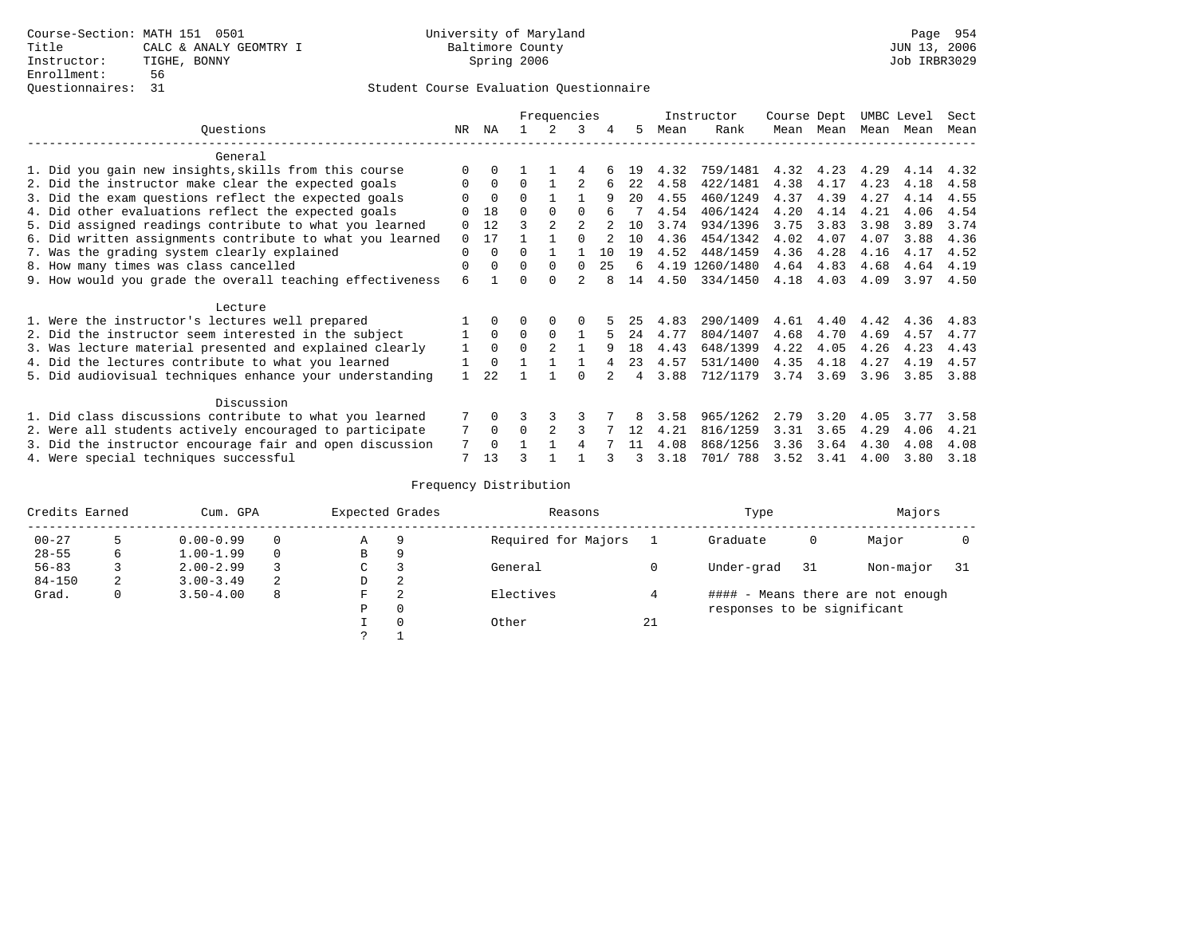# Questionnaires: 31 Student Course Evaluation Questionnaire

|                                                           |              |             |          | Frequencies    |                |     |                |      | Instructor     | Course Dept |      | UMBC Level |      | Sect |
|-----------------------------------------------------------|--------------|-------------|----------|----------------|----------------|-----|----------------|------|----------------|-------------|------|------------|------|------|
| Ouestions                                                 | NR.          | ΝA          |          |                | 3              | 4   | 5.             | Mean | Rank           | Mean        | Mean | Mean       | Mean | Mean |
| General                                                   |              |             |          |                |                |     |                |      |                |             |      |            |      |      |
| 1. Did you gain new insights, skills from this course     | $\Omega$     | $\Omega$    |          |                |                |     | 19             | 4.32 | 759/1481       | 4.32        | 4.23 | 4.29       | 4.14 | 4.32 |
| 2. Did the instructor make clear the expected goals       | 0            | $\Omega$    | $\Omega$ |                |                |     | 2.2.           | 4.58 | 422/1481       | 4.38        | 4.17 | 4.23       | 4.18 | 4.58 |
| 3. Did the exam questions reflect the expected goals      |              | $\Omega$    | $\Omega$ |                |                | 9   | 20             | 4.55 | 460/1249       | 4.37        | 4.39 | 4.27       | 4.14 | 4.55 |
| 4. Did other evaluations reflect the expected goals       |              | 18          | $\Omega$ | $\Omega$       | $\Omega$       |     |                | 4.54 | 406/1424       | 4.20        | 4.14 | 4.21       | 4.06 | 4.54 |
| 5. Did assigned readings contribute to what you learned   | $\Omega$     | 12          | २        |                | $\mathfrak{D}$ |     | 10             | 3.74 | 934/1396       | 3.75        | 3.83 | 3.98       | 3.89 | 3.74 |
| 6. Did written assignments contribute to what you learned | $\Omega$     | 17          |          |                |                |     | 10             | 4.36 | 454/1342       | 4.02        | 4.07 | 4.07       | 3.88 | 4.36 |
| 7. Was the grading system clearly explained               | $\Omega$     | $\Omega$    | 0        |                |                | 1 O | 19             | 4.52 | 448/1459       | 4.36        | 4.28 | 4.16       | 4.17 | 4.52 |
| 8. How many times was class cancelled                     | 0            | $\Omega$    | $\Omega$ | $\Omega$       | $\cap$         | 25  | 6              |      | 4.19 1260/1480 | 4.64        | 4.83 | 4.68       | 4.64 | 4.19 |
| 9. How would you grade the overall teaching effectiveness | 6            |             | U        | $\cap$         |                |     | 14             | 4.50 | 334/1450       | 4.18        | 4.03 | 4.09       | 3.97 | 4.50 |
| Lecture                                                   |              |             |          |                |                |     |                |      |                |             |      |            |      |      |
| 1. Were the instructor's lectures well prepared           |              |             |          |                |                |     | 25             | 4.83 | 290/1409       | 4.61        | 4.40 | 4.42       | 4.36 | 4.83 |
| 2. Did the instructor seem interested in the subject      |              | $\Omega$    | $\Omega$ | $\Omega$       |                |     | 24             | 4.77 | 804/1407       | 4.68        | 4.70 | 4.69       | 4.57 | 4.77 |
| 3. Was lecture material presented and explained clearly   | $\mathbf{1}$ | $\Omega$    | $\Omega$ | $\mathfrak{D}$ |                |     | 18             | 4.43 | 648/1399       | 4.22        | 4.05 | 4.26       | 4.23 | 4.43 |
| 4. Did the lectures contribute to what you learned        |              | $\Omega$    |          |                |                |     | 23             | 4.57 | 531/1400       | 4.35        | 4.18 | 4.27       | 4.19 | 4.57 |
| 5. Did audiovisual techniques enhance your understanding  |              | 2.2         |          |                | $\cap$         |     | $\overline{4}$ | 3.88 | 712/1179       | 3.74        | 3.69 | 3.96       | 3.85 | 3.88 |
|                                                           |              |             |          |                |                |     |                |      |                |             |      |            |      |      |
| Discussion                                                |              |             |          |                |                |     |                |      |                |             |      |            |      |      |
| 1. Did class discussions contribute to what you learned   |              | $\Omega$    |          |                |                |     |                | 3.58 | 965/1262       | 2.79        | 3.20 | 4.05       | 3.77 | 3.58 |
| 2. Were all students actively encouraged to participate   |              | $\mathbf 0$ | $\Omega$ |                |                |     | 12             | 4.21 | 816/1259       | 3.31        | 3.65 | 4.29       | 4.06 | 4.21 |
| 3. Did the instructor encourage fair and open discussion  | 7            | $\Omega$    |          |                |                |     | 11             | 4.08 | 868/1256       | 3.36        | 3.64 | 4.30       | 4.08 | 4.08 |
| 4. Were special techniques successful                     | 7            | 13          |          |                |                |     | 3              | 3.18 | 701/ 788       | 3.52        | 3.41 | 4.00       | 3.80 | 3.18 |

| Credits Earned |   | Cum. GPA      |   | Expected Grades |          | Reasons             |    | Type                        |     | Majors                            |    |
|----------------|---|---------------|---|-----------------|----------|---------------------|----|-----------------------------|-----|-----------------------------------|----|
| $00 - 27$      |   | $0.00 - 0.99$ |   | Α               | 9        | Required for Majors |    | Graduate                    | 0   | Major                             |    |
| $28 - 55$      | 6 | $1.00 - 1.99$ |   | B               | 9        |                     |    |                             |     |                                   |    |
| $56 - 83$      |   | $2.00 - 2.99$ |   | $\sim$<br>◡     |          | General             |    | Under-grad                  | -31 | Non-major                         | 31 |
| $84 - 150$     | 2 | $3.00 - 3.49$ | 2 | D               | 2        |                     |    |                             |     |                                   |    |
| Grad.          | 0 | $3.50 - 4.00$ | 8 | F               | 2        | Electives           |    |                             |     | #### - Means there are not enough |    |
|                |   |               |   | Ρ               | 0        |                     |    | responses to be significant |     |                                   |    |
|                |   |               |   |                 | $\Omega$ | Other               | 21 |                             |     |                                   |    |
|                |   |               |   | C               |          |                     |    |                             |     |                                   |    |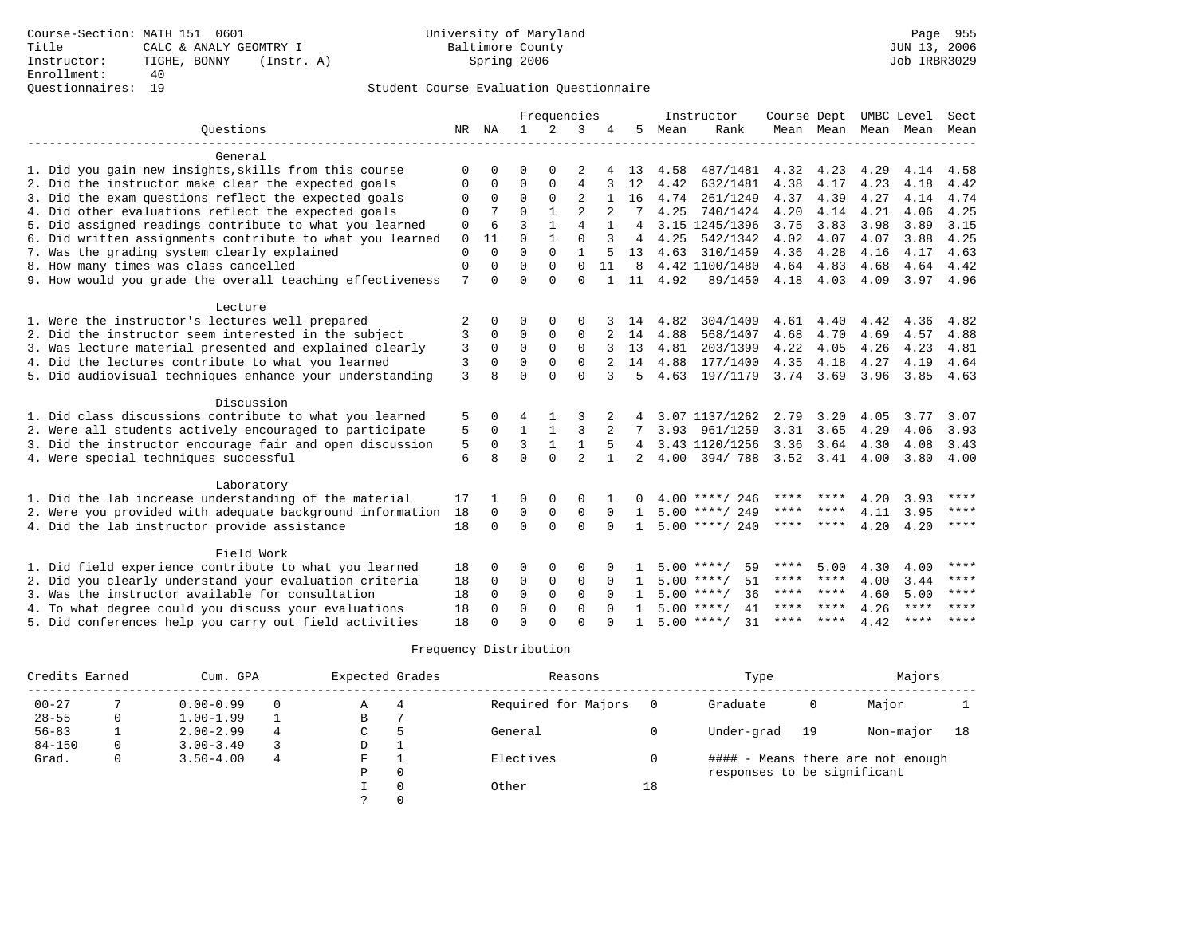# Questionnaires: 19 Student Course Evaluation Questionnaire

|                                                           |          |              |              |              | Frequencies    |                |                |      | Instructor         | Course Dept       |      | UMBC Level |                          | Sect        |
|-----------------------------------------------------------|----------|--------------|--------------|--------------|----------------|----------------|----------------|------|--------------------|-------------------|------|------------|--------------------------|-------------|
| Ouestions                                                 | NR NA    |              | 1            |              | 3              | 4              | 5              | Mean | Rank               |                   |      |            | Mean Mean Mean Mean Mean |             |
|                                                           |          |              |              |              |                |                |                |      |                    |                   |      |            |                          |             |
| General                                                   |          |              |              |              |                |                |                |      |                    |                   |      |            |                          |             |
| 1. Did you gain new insights, skills from this course     | 0        | $\Omega$     | 0            | <sup>0</sup> | 2              |                | 13             | 4.58 | 487/1481           | 4.32              | 4.23 | 4.29       | 4.14                     | 4.58        |
| 2. Did the instructor make clear the expected goals       | 0        | 0            | 0            | $\Omega$     | 4              | 3              | 12             | 4.42 | 632/1481           | 4.38              | 4.17 | 4.23       | 4.18                     | 4.42        |
| 3. Did the exam questions reflect the expected goals      | 0        | 0            | $\Omega$     | $\Omega$     | 2              | $\mathbf{1}$   | 16             | 4.74 | 261/1249           | 4.37              | 4.39 | 4.27       | 4.14                     | 4.74        |
| 4. Did other evaluations reflect the expected goals       | $\Omega$ | 7            | $\Omega$     | $\mathbf{1}$ | $\overline{2}$ | $\overline{2}$ | 7              | 4.25 | 740/1424           | 4.20              | 4.14 | 4.21       | 4.06                     | 4.25        |
| 5. Did assigned readings contribute to what you learned   | 0        | 6            | ζ            | $\mathbf{1}$ | 4              | 1              | $\overline{4}$ |      | 3.15 1245/1396     | 3.75              | 3.83 | 3.98       | 3.89                     | 3.15        |
| 6. Did written assignments contribute to what you learned | $\Omega$ | 11           | $\Omega$     | $\mathbf{1}$ | $\Omega$       | 3              | 4              | 4.25 | 542/1342           | 4.02              | 4.07 | 4.07       | 3.88                     | 4.25        |
| 7. Was the grading system clearly explained               | 0        | 0            | $\Omega$     | $\Omega$     |                | 5              | 13             | 4.63 | 310/1459           | 4.36              | 4.28 | 4.16       | 4.17                     | 4.63        |
| 8. How many times was class cancelled                     | 0        | $\Omega$     | $\Omega$     | $\Omega$     | $\Omega$       | 11             | 8              |      | 4.42 1100/1480     | 4.64              | 4.83 | 4.68       | 4.64                     | 4.42        |
| 9. How would you grade the overall teaching effectiveness | 7        | $\Omega$     | $\Omega$     | $\Omega$     | $\Omega$       | $\mathbf{1}$   | 11             | 4.92 | 89/1450            | 4.18 4.03         |      | 4.09       | 3.97                     | 4.96        |
|                                                           |          |              |              |              |                |                |                |      |                    |                   |      |            |                          |             |
| Lecture                                                   |          |              |              |              |                |                |                |      |                    |                   |      |            |                          |             |
| 1. Were the instructor's lectures well prepared           | 2        | 0            | 0            | 0            | 0              |                | 14             | 4.82 | 304/1409           | 4.61              | 4.40 | 4.42       | 4.36                     | 4.82        |
| 2. Did the instructor seem interested in the subject      | 3        | $\Omega$     | $\Omega$     | $\Omega$     | 0              |                | 14             | 4.88 | 568/1407           | 4.68              | 4.70 | 4.69       | 4.57                     | 4.88        |
| 3. Was lecture material presented and explained clearly   | 3        | 0            | 0            | $\Omega$     | $\Omega$       | 3              | 13             | 4.81 | 203/1399           | 4.22              | 4.05 | 4.26       | 4.23                     | 4.81        |
| 4. Did the lectures contribute to what you learned        | 3        | $\Omega$     | $\Omega$     | $\Omega$     | $\Omega$       | 2              | 14             | 4.88 | 177/1400           | 4.35              | 4.18 | 4.27       | 4.19                     | 4.64        |
| 5. Did audiovisual techniques enhance your understanding  | 3        | 8            | 0            | $\Omega$     | $\Omega$       | 3              | 5              | 4.63 | 197/1179           | 3.74 3.69         |      | 3.96       | 3.85                     | 4.63        |
|                                                           |          |              |              |              |                |                |                |      |                    |                   |      |            |                          |             |
| Discussion                                                |          |              |              |              |                |                |                |      |                    |                   |      |            |                          |             |
| 1. Did class discussions contribute to what you learned   | 5        | 0            | 4            | -1           | 3              |                | 4              |      | 3.07 1137/1262     | 2.79              | 3.20 | 4.05       | 3.77                     | 3.07        |
| 2. Were all students actively encouraged to participate   | 5        | 0            | $\mathbf{1}$ | $\mathbf{1}$ | 3              |                | 7              | 3.93 | 961/1259           | 3.31              | 3.65 | 4.29       | 4.06                     | 3.93        |
| 3. Did the instructor encourage fair and open discussion  | 5        | $\Omega$     | 3            | $\mathbf{1}$ | $\mathbf{1}$   | 5              | 4              |      | 3.43 1120/1256     | 3.36              | 3.64 | 4.30       | 4.08                     | 3.43        |
| 4. Were special techniques successful                     | 6        | 8            | $\Omega$     | $\Omega$     | $\overline{a}$ | $\mathbf{1}$   | 2.             | 4.00 | 394/788            | $3.52 \quad 3.41$ |      | 4.00       | 3.80                     | 4.00        |
|                                                           |          |              |              |              |                |                |                |      |                    |                   |      |            |                          |             |
| Laboratory                                                |          |              |              |              |                |                |                |      |                    |                   |      |            |                          |             |
| 1. Did the lab increase understanding of the material     | 17       | 1            | 0            | 0            | $\Omega$       |                |                |      | 4.00 ****/ 246     | ****              |      | 4.20       | 3.93                     | ****        |
| 2. Were you provided with adequate background information | 18       | $\Omega$     | $\Omega$     | 0            | 0              | $\Omega$       | $\mathbf{1}$   |      | $5.00$ ****/ 249   | **** ****         |      | 4.11       | 3.95                     | ****        |
| 4. Did the lab instructor provide assistance              | 18       | $\Omega$     | $\Omega$     | $\Omega$     | $\Omega$       | $\Omega$       | $\mathbf{1}$   |      | $5.00$ ****/ 240   | ****              | **** | 4.20       | 4.20                     | $***$ * * * |
|                                                           |          |              |              |              |                |                |                |      |                    |                   |      |            |                          |             |
| Field Work                                                |          |              |              |              |                |                |                |      |                    |                   |      |            |                          |             |
| 1. Did field experience contribute to what you learned    | 18       | 0            | 0            | 0            | 0              |                |                |      | 59<br>$5.00$ ****/ | ****              | 5.00 | 4.30       | 4.00                     | ****        |
| 2. Did you clearly understand your evaluation criteria    | 18       | $\Omega$     | 0            | 0            | 0              | $\Omega$       | -1             |      | 51<br>$5.00$ ****/ | **** ****         |      | 4.00       | 3.44                     | $* * * * *$ |
| 3. Was the instructor available for consultation          | 18       | <sup>0</sup> | 0            | 0            | 0              | $\Omega$       | $\mathbf{1}$   |      | $5.00$ ****/<br>36 | **** ****         |      | 4.60       | 5.00                     | $* * * * *$ |
| 4. To what degree could you discuss your evaluations      | 18       | 0            | 0            | $\Omega$     | $\Omega$       |                | $\mathbf{1}$   |      | $5.00$ ****/<br>41 | ****              | **** | 4.26       | $***$ * * *              | ****        |
| 5. Did conferences help you carry out field activities    | 18       | U            | U            | U            | U              |                |                |      | $5.00$ ****/<br>31 | **** ****         |      | 4.42       | $***$ * * *              | $* * * *$   |
|                                                           |          |              |              |              |                |                |                |      |                    |                   |      |            |                          |             |

| Credits Earned |          | Cum. GPA      |   | Expected Grades |   | Reasons             |    | Type                        |    | Majors                            |    |
|----------------|----------|---------------|---|-----------------|---|---------------------|----|-----------------------------|----|-----------------------------------|----|
| $00 - 27$      |          | $0.00 - 0.99$ | 0 | Α               | 4 | Required for Majors |    | Graduate                    | 0  | Major                             |    |
| $28 - 55$      |          | $1.00 - 1.99$ |   | B               |   |                     |    |                             |    |                                   |    |
| $56 - 83$      |          | $2.00 - 2.99$ | 4 | C               |   | General             |    | Under-grad                  | 19 | Non-major                         | 18 |
| $84 - 150$     | $\Omega$ | $3.00 - 3.49$ |   | D               |   |                     |    |                             |    |                                   |    |
| Grad.          | 0        | $3.50 - 4.00$ | 4 | F               |   | Electives           |    |                             |    | #### - Means there are not enough |    |
|                |          |               |   | Ρ               |   |                     |    | responses to be significant |    |                                   |    |
|                |          |               |   |                 |   | Other               | 18 |                             |    |                                   |    |
|                |          |               |   |                 |   |                     |    |                             |    |                                   |    |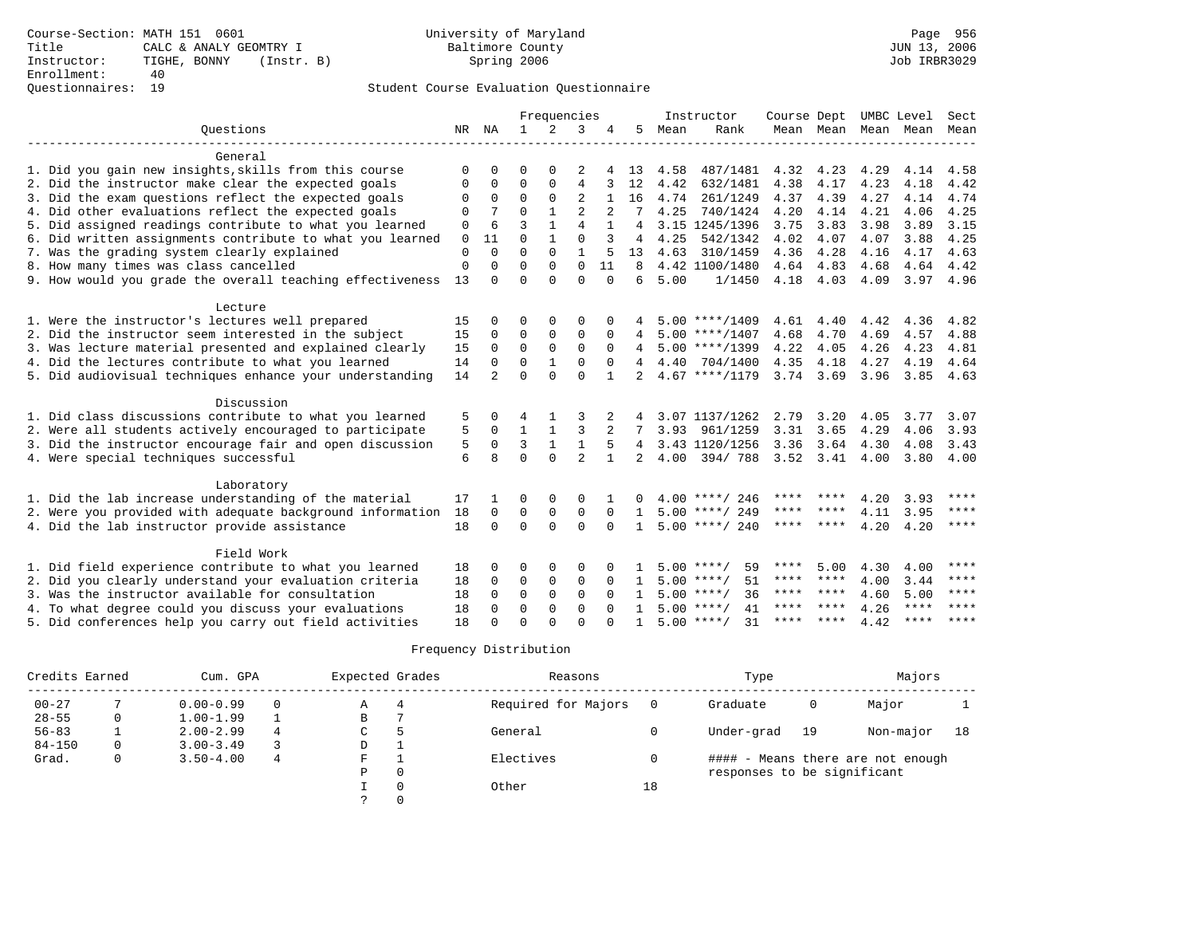# Questionnaires: 19 Student Course Evaluation Questionnaire

|                                                           |             |             |              |              | Frequencies    |              |                |      | Instructor         | Course Dept       |               | UMBC Level |                          | Sect        |
|-----------------------------------------------------------|-------------|-------------|--------------|--------------|----------------|--------------|----------------|------|--------------------|-------------------|---------------|------------|--------------------------|-------------|
| Ouestions                                                 | NR          | ΝA          | $\mathbf{1}$ | 2            | 3              |              | 5              | Mean | Rank               |                   |               |            | Mean Mean Mean Mean Mean |             |
|                                                           |             |             |              |              |                |              |                |      |                    |                   |               |            |                          |             |
| General                                                   |             |             |              |              |                |              |                |      |                    |                   |               |            |                          |             |
| 1. Did you gain new insights, skills from this course     | $\Omega$    | $\Omega$    | 0            | $\Omega$     | 2              | $4 \square$  | 13             | 4.58 | 487/1481           | 4.32              | 4.23          | 4.29       | 4.14                     | 4.58        |
| 2. Did the instructor make clear the expected goals       | 0           | 0           | 0            | $\mathbf 0$  | 4              | 3            | 12             | 4.42 | 632/1481           | 4.38              | 4.17          | 4.23       | 4.18                     | 4.42        |
| 3. Did the exam questions reflect the expected goals      | $\Omega$    | 0           | 0            | $\mathbf 0$  | 2              | 1            | 16             | 4.74 | 261/1249           | 4.37              | 4.39          | 4.27       | 4.14                     | 4.74        |
| 4. Did other evaluations reflect the expected goals       | $\Omega$    |             | 0            | $\mathbf{1}$ | 2              |              | 7              | 4.25 | 740/1424           | 4.20              | 4.14          | 4.21       | 4.06                     | 4.25        |
| 5. Did assigned readings contribute to what you learned   | 0           | 6           | 3            | $\mathbf{1}$ | 4              | 1            | 4              |      | 3.15 1245/1396     | 3.75              | 3.83          | 3.98       | 3.89                     | 3.15        |
| 6. Did written assignments contribute to what you learned | 0           | 11          | $\Omega$     | $\mathbf{1}$ | $\Omega$       | 3            | 4              | 4.25 | 542/1342           | 4.02              | 4.07          | 4.07       | 3.88                     | 4.25        |
| 7. Was the grading system clearly explained               | 0           | $\Omega$    | $\Omega$     | $\Omega$     | $\mathbf{1}$   | 5            | 13             |      | 4.63 310/1459      | 4.36              | 4.28          | 4.16       | 4.17                     | 4.63        |
| 8. How many times was class cancelled                     | $\mathbf 0$ | 0           | $\Omega$     | $\Omega$     | $\Omega$       | 11           | 8              |      | 4.42 1100/1480     | 4.64 4.83         |               | 4.68       | 4.64                     | 4.42        |
| 9. How would you grade the overall teaching effectiveness | 13          | $\Omega$    | $\Omega$     | $\Omega$     | $\Omega$       | $\Omega$     | 6              | 5.00 | 1/1450             | 4.18 4.03         |               | 4.09       | 3.97 4.96                |             |
| Lecture                                                   |             |             |              |              |                |              |                |      |                    |                   |               |            |                          |             |
| 1. Were the instructor's lectures well prepared           | 15          | 0           | 0            | 0            | 0              | 0            |                |      | $5.00$ ****/1409   | 4.61              | 4.40          | 4.42       | 4.36                     | 4.82        |
| 2. Did the instructor seem interested in the subject      | 15          | $\Omega$    | 0            | $\mathbf 0$  | 0              | 0            | 4              |      | $5.00$ ****/1407   | 4.68              | 4.70          | 4.69       | 4.57                     | 4.88        |
| 3. Was lecture material presented and explained clearly   | 15          | $\mathbf 0$ | 0            | $\mathbf 0$  | $\mathbf 0$    | 0            | 4              |      | $5.00$ ****/1399   | 4.22              | 4.05          | 4.26       | 4.23                     | 4.81        |
| 4. Did the lectures contribute to what you learned        | 14          | $\Omega$    | $\Omega$     | $\mathbf{1}$ | $\Omega$       | $\Omega$     | 4              |      | 4.40 704/1400      | 4.35              | 4.18          | 4.27       | 4.19                     | 4.64        |
| 5. Did audiovisual techniques enhance your understanding  | 14          | 2           | $\Omega$     | $\Omega$     | $\Omega$       | $\mathbf{1}$ | 2              |      | $4.67$ ****/1179   |                   | $3.74$ $3.69$ | 3.96       | 3.85                     | 4.63        |
|                                                           |             |             |              |              |                |              |                |      |                    |                   |               |            |                          |             |
| Discussion                                                |             |             |              |              |                |              |                |      |                    |                   |               |            |                          |             |
| 1. Did class discussions contribute to what you learned   | 5           | $\Omega$    | 4            |              | 3              |              | 4              |      | 3.07 1137/1262     | 2.79              | 3.20          | 4.05       | 3.77                     | 3.07        |
| 2. Were all students actively encouraged to participate   | 5           | $\Omega$    | $\mathbf{1}$ | $\mathbf{1}$ | 3              | 2            | 7              | 3.93 | 961/1259           | 3.31              | 3.65          | 4.29       | 4.06                     | 3.93        |
| 3. Did the instructor encourage fair and open discussion  | 5           | $\Omega$    | 3            | 1            | $\mathbf{1}$   | .5           | 4              |      | 3.43 1120/1256     | 3.36              | 3.64          | 4.30       | 4.08                     | 3.43        |
| 4. Were special techniques successful                     | 6           | 8           | $\Omega$     | $\Omega$     | $\overline{a}$ | $\mathbf{1}$ | $\overline{a}$ | 4.00 | 394/788            | $3.52 \quad 3.41$ |               | 4.00       | 3.80                     | 4.00        |
| Laboratory                                                |             |             |              |              |                |              |                |      |                    |                   |               |            |                          |             |
| 1. Did the lab increase understanding of the material     | 17          | -1          | 0            | 0            | $\Omega$       |              |                |      | $4.00$ ****/ 246   | **** ****         |               | 4.20       | 3.93                     | ****        |
| 2. Were you provided with adequate background information | 18          | $\Omega$    | 0            | $\mathbf 0$  | $\mathbf 0$    | $\Omega$     | $\mathbf{1}$   |      | $5.00$ ****/ 249   | **** ****         |               | 4.11       | 3.95                     | $***$ * * * |
| 4. Did the lab instructor provide assistance              | 18          | $\Omega$    | $\Omega$     | $\Omega$     | $\Omega$       | $\Omega$     | $\mathbf{1}$   |      | $5.00$ ****/ 240   | ****              | ****          | 4.20       | 4.20                     | ****        |
|                                                           |             |             |              |              |                |              |                |      |                    |                   |               |            |                          |             |
| Field Work                                                |             |             |              |              |                |              |                |      |                    |                   |               |            |                          |             |
| 1. Did field experience contribute to what you learned    | 18          | 0           | 0            | 0            | 0              |              |                |      | $5.00$ ****/<br>59 | ****              | 5.00          | 4.30       | 4.00                     | $* * * * *$ |
| 2. Did you clearly understand your evaluation criteria    | 18          | $\Omega$    | 0            | $\mathbf 0$  | $\mathbf 0$    | $\Omega$     | 1              |      | $5.00$ ****/<br>51 | **** ****         |               | 4.00       | 3.44                     | $* * * * *$ |
| 3. Was the instructor available for consultation          | 18          | $\Omega$    | 0            | $\mathbf 0$  | 0              | $\Omega$     | -1.            |      | 36<br>$5.00$ ****/ | **** ****         |               | 4.60       | 5.00                     | $* * * * *$ |
| 4. To what degree could you discuss your evaluations      | 18          | $\Omega$    | 0            | $\Omega$     | $\Omega$       |              |                |      | 41<br>$5.00$ ****/ | ****              | * * * *       | 4.26       | $***$ * * *              | $***$ * * * |
| 5. Did conferences help you carry out field activities    | 18          | U           | U            | ∩            | U              |              |                |      | $5.00$ ****/<br>31 | **** ****         |               | 4.42       | $***$ * * *              | $* * * *$   |

| Credits Earned |          | Cum. GPA      |   | Expected Grades |   | Reasons             |    | Type                        |    | Majors                            |    |
|----------------|----------|---------------|---|-----------------|---|---------------------|----|-----------------------------|----|-----------------------------------|----|
| $00 - 27$      |          | $0.00 - 0.99$ | 0 | Α               | 4 | Required for Majors |    | Graduate                    | 0  | Major                             |    |
| $28 - 55$      |          | $1.00 - 1.99$ |   | B               |   |                     |    |                             |    |                                   |    |
| $56 - 83$      |          | $2.00 - 2.99$ | 4 | C               |   | General             |    | Under-grad                  | 19 | Non-major                         | 18 |
| $84 - 150$     | $\Omega$ | $3.00 - 3.49$ |   | D               |   |                     |    |                             |    |                                   |    |
| Grad.          | 0        | $3.50 - 4.00$ | 4 | F               |   | Electives           |    |                             |    | #### - Means there are not enough |    |
|                |          |               |   | Ρ               |   |                     |    | responses to be significant |    |                                   |    |
|                |          |               |   |                 |   | Other               | 18 |                             |    |                                   |    |
|                |          |               |   |                 |   |                     |    |                             |    |                                   |    |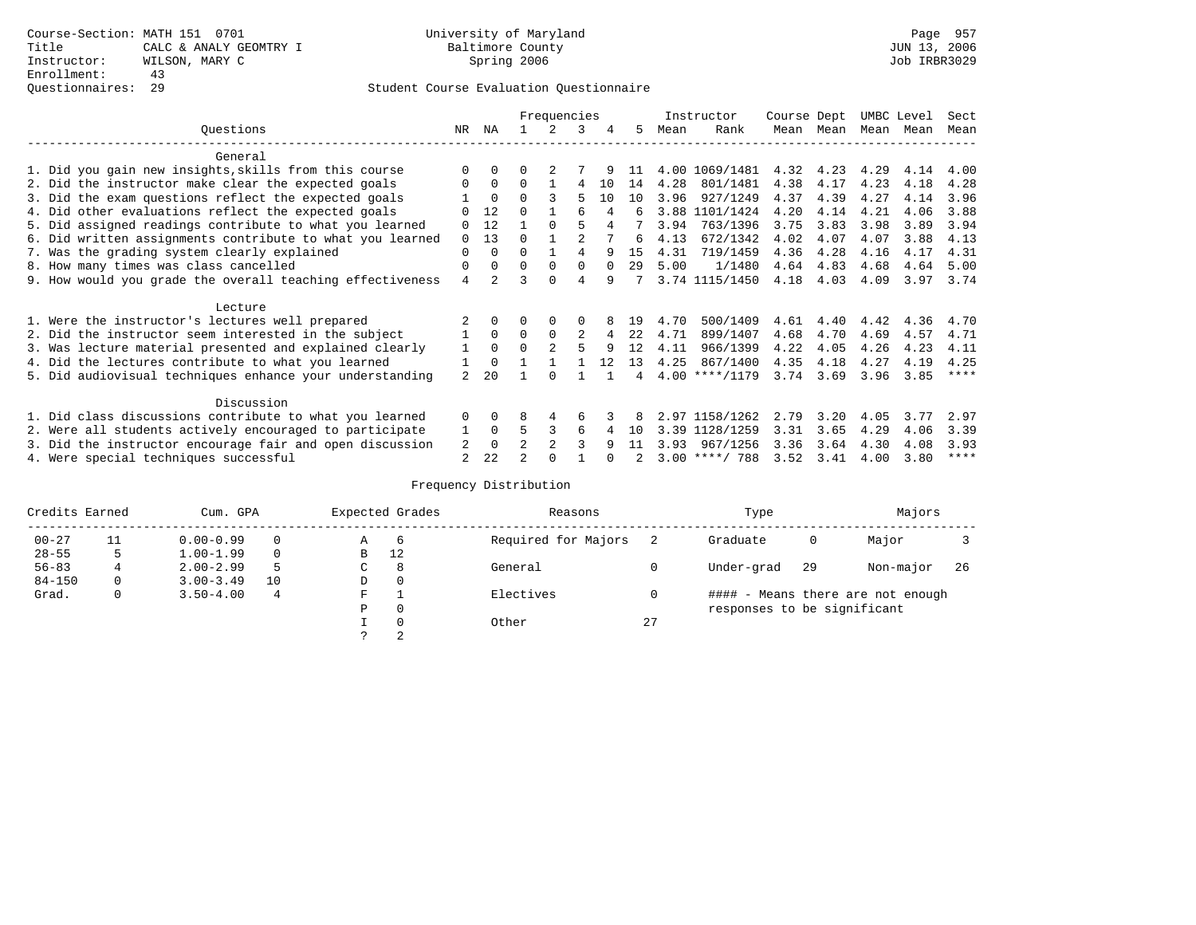|                                                           |                |                |                | Frequencies    |                |          |     |      | Instructor       | Course Dept |           | UMBC Level |           | Sect        |
|-----------------------------------------------------------|----------------|----------------|----------------|----------------|----------------|----------|-----|------|------------------|-------------|-----------|------------|-----------|-------------|
| Ouestions                                                 | NR             | ΝA             |                | $\mathcal{L}$  | 3              | 4        | 5   | Mean | Rank             |             | Mean Mean |            | Mean Mean | Mean        |
| General                                                   |                |                |                |                |                |          |     |      |                  |             |           |            |           |             |
| 1. Did you gain new insights, skills from this course     |                | $\Omega$       | 0              | 2              |                |          | 11  |      | 4.00 1069/1481   | 4.32        | 4.23      | 4.29       | 4.14      | 4.00        |
| 2. Did the instructor make clear the expected goals       | 0              | $\Omega$       | 0              |                | 4              | 10       | 14  | 4.28 | 801/1481         | 4.38        | 4.17      | 4.23       | 4.18      | 4.28        |
| 3. Did the exam questions reflect the expected goals      |                | $\Omega$       | 0              |                | 5              | 1 O      | 10  | 3.96 | 927/1249         | 4.37        | 4.39      | 4.27       | 4.14      | 3.96        |
| 4. Did other evaluations reflect the expected goals       |                | 12             |                |                |                | 4        | 6   |      | 3.88 1101/1424   | 4.20        | 4.14      | 4.21       | 4.06      | 3.88        |
| 5. Did assigned readings contribute to what you learned   | 0              | 12             |                | $\Omega$       | 5              |          |     | 3.94 | 763/1396         | 3.75        | 3.83      | 3.98       | 3.89      | 3.94        |
| 6. Did written assignments contribute to what you learned | $\Omega$       | 13             | <sup>0</sup>   |                | $\mathfrak{D}$ |          | 6   | 4.13 | 672/1342         | 4.02        | 4.07      | 4.07       | 3.88      | 4.13        |
| 7. Was the grading system clearly explained               | 0              | $\Omega$       | U              |                | 4              | q        | 1.5 | 4.31 | 719/1459         | 4.36        | 4.28      | 4.16       | 4.17      | 4.31        |
| 8. How many times was class cancelled                     | 0              | $\Omega$       | $\Omega$       | $\Omega$       | $\Omega$       | $\Omega$ | 29  | 5.00 | 1/1480           | 4.64        | 4.83      | 4.68       | 4.64      | 5.00        |
| 9. How would you grade the overall teaching effectiveness | 4              | $\overline{2}$ |                | $\Omega$       | 4              | q        |     |      | 3.74 1115/1450   | 4.18        | 4.03      | 4.09       | 3.97      | 3.74        |
| Lecture                                                   |                |                |                |                |                |          |     |      |                  |             |           |            |           |             |
| 1. Were the instructor's lectures well prepared           |                | $\Omega$       |                |                |                |          | 19  | 4.70 | 500/1409         | 4.61        | 4.40      | 4.42       | 4.36      | 4.70        |
| 2. Did the instructor seem interested in the subject      |                | $\Omega$       | $\Omega$       | $\Omega$       | 2              | 4        | 22  | 4.71 | 899/1407         | 4.68        | 4.70      | 4.69       | 4.57      | 4.71        |
| 3. Was lecture material presented and explained clearly   | 1              | $\Omega$       | 0              | $\mathfrak{D}$ | 5              | q        | 12  | 4.11 | 966/1399         | 4.22        | 4.05      | 4.26       | 4.23      | 4.11        |
| 4. Did the lectures contribute to what you learned        |                |                |                |                |                | 12       | 13  | 4.25 | 867/1400         | 4.35        | 4.18      | 4.27       | 4.19      | 4.25        |
| 5. Did audiovisual techniques enhance your understanding  | $\mathfrak{D}$ | 2.0            |                |                |                |          |     |      | $4.00$ ****/1179 | 3.74        | 3.69      | 3.96       | 3.85      | $***$ *     |
| Discussion                                                |                |                |                |                |                |          |     |      |                  |             |           |            |           |             |
| 1. Did class discussions contribute to what you learned   | $\Omega$       | $\Omega$       | 8              | 4              | 6              |          |     |      | 2.97 1158/1262   | 2.79        | 3.20      | 4.05       | 3.77      | 2.97        |
| 2. Were all students actively encouraged to participate   |                | 0              | 5              | 3              | 6              |          | 1 N | 3.39 | 1128/1259        | 3.31        | 3.65      | 4.29       | 4.06      | 3.39        |
| 3. Did the instructor encourage fair and open discussion  | 2              | $\Omega$       | $\mathfrak{D}$ | $\mathfrak{D}$ |                | q        | 11  | 3.93 | 967/1256         | 3.36        | 3.64      | 4.30       | 4.08      | 3.93        |
| 4. Were special techniques successful                     | 2              | 22             |                |                |                |          |     |      | $3.00$ ****/ 788 | 3.52        | 3.41      | 4.00       | 3.80      | $***$ * * * |

| Credits Earned |              | Cum. GPA      |    |   | Expected Grades | Reasons             |    | Type                        |     | Majors                            |     |
|----------------|--------------|---------------|----|---|-----------------|---------------------|----|-----------------------------|-----|-----------------------------------|-----|
| $00 - 27$      | 11           | $0.00 - 0.99$ |    | Α | -6              | Required for Majors |    | Graduate                    | 0   | Major                             |     |
| $28 - 55$      | 5            | $1.00 - 1.99$ |    | B | 12              |                     |    |                             |     |                                   |     |
| $56 - 83$      |              | $2.00 - 2.99$ |    | C | 8               | General             |    | Under-grad                  | -29 | Non-major                         | -26 |
| $84 - 150$     | $\mathbf{0}$ | $3.00 - 3.49$ | 10 | D | 0               |                     |    |                             |     |                                   |     |
| Grad.          | 0            | $3.50 - 4.00$ | 4  | F |                 | Electives           |    |                             |     | #### - Means there are not enough |     |
|                |              |               |    | Ρ | 0               |                     |    | responses to be significant |     |                                   |     |
|                |              |               |    |   | $\Omega$        | Other               | 27 |                             |     |                                   |     |
|                |              |               |    |   | 2               |                     |    |                             |     |                                   |     |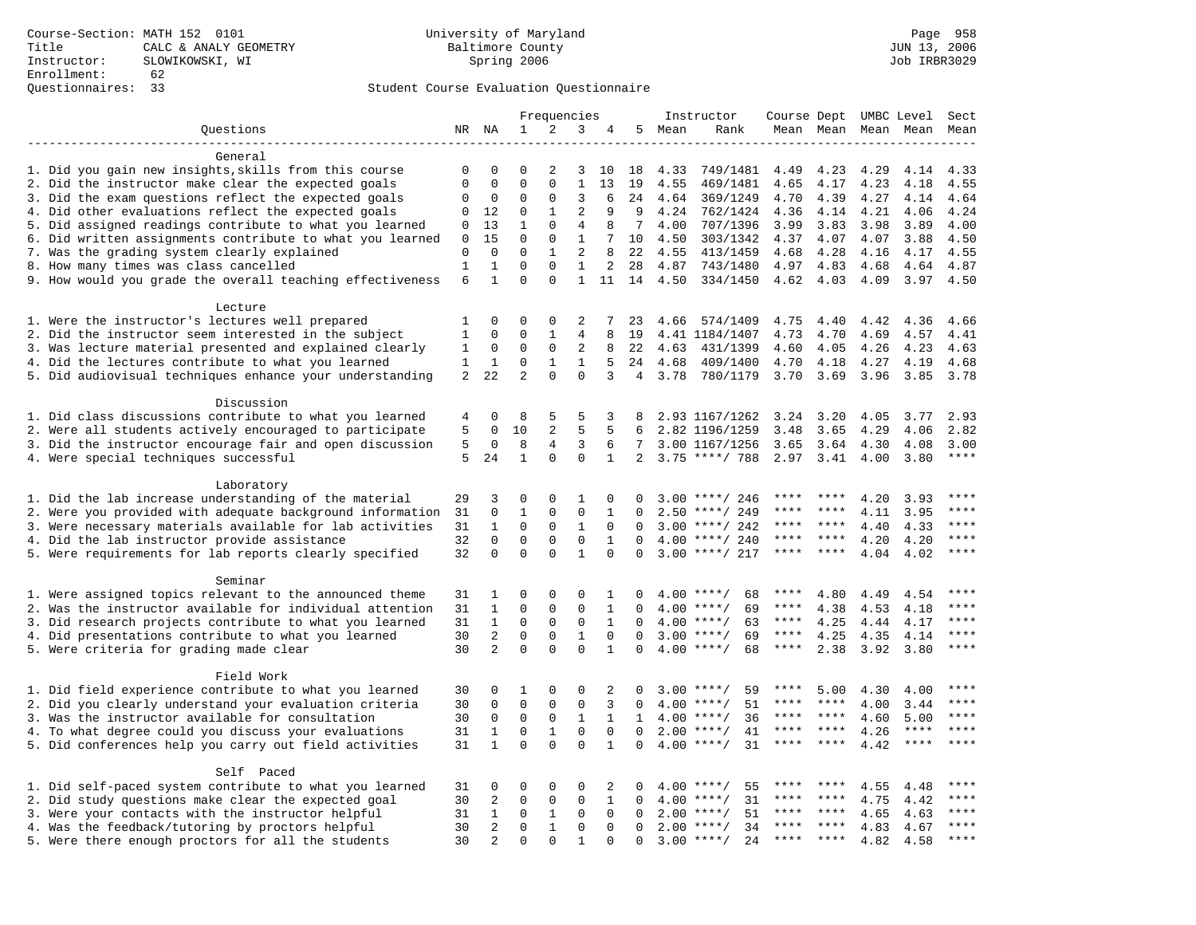|                                                                    |             |                   |                         |                      | Frequencies       |              |                |        | Instructor         | Course Dept UMBC Level |           |                     |             | Sect                   |
|--------------------------------------------------------------------|-------------|-------------------|-------------------------|----------------------|-------------------|--------------|----------------|--------|--------------------|------------------------|-----------|---------------------|-------------|------------------------|
| Questions                                                          |             | NR NA             | 1                       | 2                    | 3                 | 4            |                | 5 Mean | Rank               |                        |           | Mean Mean Mean Mean |             | Mean                   |
|                                                                    |             |                   |                         |                      |                   |              |                |        |                    |                        |           |                     |             |                        |
| General                                                            |             |                   |                         |                      |                   |              |                |        |                    |                        |           |                     |             |                        |
| 1. Did you gain new insights, skills from this course              | 0           | 0                 | $\Omega$                | 2                    | 3                 | 10           | 18             | 4.33   | 749/1481           | 4.49                   | 4.23      | 4.29                | 4.14        | 4.33                   |
| 2. Did the instructor make clear the expected goals                | $\mathbf 0$ | $\Omega$          | $\Omega$                | $\Omega$             | $\mathbf{1}$      | 13           | 19             | 4.55   | 469/1481           | 4.65                   | 4.17      | 4.23                | 4.18        | 4.55                   |
| 3. Did the exam questions reflect the expected goals               | 0           | 0                 | $\Omega$                | $\Omega$             | 3                 | 6            | 24             | 4.64   | 369/1249           | 4.70                   | 4.39      | 4.27                | 4.14        | 4.64                   |
| 4. Did other evaluations reflect the expected goals                | 0           | 12                | $\Omega$                | $\mathbf{1}$         | $\overline{a}$    | 9            | 9              | 4.24   | 762/1424           | 4.36                   | 4.14      | 4.21                | 4.06        | 4.24                   |
| 5. Did assigned readings contribute to what you learned            | 0           | 13                | $\mathbf{1}$            | $\Omega$             | $\overline{4}$    | 8            | 7              | 4.00   | 707/1396           | 3.99                   | 3.83      | 3.98                | 3.89        | 4.00                   |
| 6. Did written assignments contribute to what you learned          | 0           | 15                | $\Omega$                | $\mathbf{0}$         | $\mathbf{1}$      | 7            | 10             | 4.50   | 303/1342           | 4.37                   | 4.07      | 4.07                | 3.88        | 4.50                   |
| 7. Was the grading system clearly explained                        | $\mathbf 0$ | $\Omega$          | $\Omega$                | $\mathbf{1}$         | $\overline{a}$    | 8            | 22             | 4.55   | 413/1459           | 4.68                   | 4.28      | 4.16                | 4.17        | 4.55                   |
| 8. How many times was class cancelled                              | 1           | 1<br>$\mathbf{1}$ | $\mathbf 0$<br>$\Omega$ | $\Omega$<br>$\Omega$ | 1<br>$\mathbf{1}$ | 2            | 28             | 4.87   | 743/1480           | 4.97                   | 4.83      | 4.68                | 4.64        | 4.87                   |
| 9. How would you grade the overall teaching effectiveness          | 6           |                   |                         |                      |                   | 11           | 14             | 4.50   | 334/1450           |                        | 4.62 4.03 | 4.09                | 3.97        | 4.50                   |
| Lecture                                                            |             |                   |                         |                      |                   |              |                |        |                    |                        |           |                     |             |                        |
| 1. Were the instructor's lectures well prepared                    | 1           | $\Omega$          | $\Omega$                | $\Omega$             | 2                 | 7            | 23             | 4.66   | 574/1409           | 4.75                   | 4.40      | 4.42                | 4.36        | 4.66                   |
| 2. Did the instructor seem interested in the subject               | $\mathbf 1$ | $\mathsf 0$       | $\mathsf 0$             | $\mathbf{1}$         | 4                 | 8            | 19             |        | 4.41 1184/1407     | 4.73                   | 4.70      | 4.69                | 4.57        | 4.41                   |
| 3. Was lecture material presented and explained clearly            | 1           | 0                 | $\mathbf 0$             | $\mathsf 0$          | 2                 | 8            | 22             | 4.63   | 431/1399           | 4.60                   | 4.05      | 4.26                | 4.23        | 4.63                   |
| 4. Did the lectures contribute to what you learned                 | $\mathbf 1$ | $\mathbf{1}$      | $\mathbf 0$             | $\mathbf{1}$         | $\mathbf{1}$      | 5            | 24             | 4.68   | 409/1400           | 4.70                   | 4.18      | 4.27                | 4.19        | 4.68                   |
| 5. Did audiovisual techniques enhance your understanding           | 2           | 22                | $\overline{2}$          | $\Omega$             | $\Omega$          | 3            | $\overline{4}$ | 3.78   | 780/1179           | 3.70                   | 3.69      | 3.96                | 3.85        | 3.78                   |
|                                                                    |             |                   |                         |                      |                   |              |                |        |                    |                        |           |                     |             |                        |
| Discussion                                                         |             |                   |                         |                      |                   |              |                |        |                    |                        |           |                     |             |                        |
| 1. Did class discussions contribute to what you learned            | 4           | 0                 | 8                       | 5                    | 5                 | 3            | 8              |        | 2.93 1167/1262     | 3.24                   | 3.20      | 4.05                | 3.77        | 2.93                   |
| 2. Were all students actively encouraged to participate            | 5           | $\Omega$          | 10                      | 2                    | 5                 | 5            | 6              |        | 2.82 1196/1259     | 3.48                   | 3.65      | 4.29                | 4.06        | 2.82                   |
| 3. Did the instructor encourage fair and open discussion           | 5           | $\mathbf 0$       | 8                       | 4                    | 3                 | 6            | 7              |        | 3.00 1167/1256     | 3.65                   | 3.64      | 4.30                | 4.08        | 3.00                   |
| 4. Were special techniques successful                              | 5           | 24                | $\mathbf{1}$            | $\mathbf{0}$         | $\mathbf 0$       | 1            | $\overline{a}$ |        | $3.75$ ****/ 788   | 2.97                   | 3.41      | 4.00                | 3.80        | $\star\star\star\star$ |
|                                                                    |             |                   |                         |                      |                   |              |                |        |                    |                        |           |                     |             |                        |
| Laboratory                                                         |             |                   |                         |                      |                   |              |                |        |                    |                        |           |                     |             |                        |
| 1. Did the lab increase understanding of the material              | 29          | 3                 | $\Omega$                | 0                    | 1                 | $\mathbf 0$  | $\Omega$       |        | $3.00$ ****/ 246   |                        |           | 4.20                | 3.93        | ****                   |
| 2. Were you provided with adequate background information          | 31          | 0                 | 1                       | 0                    | $\mathbf 0$       | 1            | $\Omega$       | 2.50   | ****/ 249          |                        |           | 4.11                | 3.95        | ****                   |
| 3. Were necessary materials available for lab activities           | 31          | $\mathbf{1}$      | $\mathbf 0$             | 0                    | $\mathbf{1}$      | $\Omega$     | $\Omega$       |        | $3.00$ ****/ 242   | ****                   | $***$ *   | 4.40                | 4.33        | ****                   |
| 4. Did the lab instructor provide assistance                       | 32          | $\Omega$          | $\Omega$                | $\Omega$             | $\Omega$          | $\mathbf{1}$ | $\Omega$       | 4.00   | ****/ 240          | ****                   | $***$ *   | 4.20                | 4.20        | ****                   |
| 5. Were requirements for lab reports clearly specified             | 32          | $\mathbf 0$       | $\mathbf 0$             | $\mathbf 0$          | $\mathbf{1}$      | $\mathbf 0$  | $\Omega$       |        | $3.00$ ****/ 217   | ****                   | ****      | 4.04                | 4.02        | ****                   |
|                                                                    |             |                   |                         |                      |                   |              |                |        |                    |                        |           |                     |             |                        |
| Seminar<br>1. Were assigned topics relevant to the announced theme | 31          | 1                 | 0                       | $\mathbf 0$          | 0                 | 1            | $\Omega$       |        | $4.00$ ****/<br>68 | ****                   | 4.80      | 4.49                | 4.54        | $***$                  |
| 2. Was the instructor available for individual attention           | 31          | $\mathbf{1}$      | $\mathbf 0$             | $\mathbf{0}$         | $\mathbf 0$       | $\mathbf{1}$ | $\Omega$       |        | $4.00$ ****/<br>69 | ****                   | 4.38      | 4.53                | 4.18        | ****                   |
| 3. Did research projects contribute to what you learned            | 31          | $\mathbf{1}$      | $\mathbf 0$             | $\mathbf 0$          | $\mathbf 0$       | 1            | $\Omega$       |        | $4.00$ ****/<br>63 | ****                   | 4.25      | 4.44                | 4.17        | ****                   |
| 4. Did presentations contribute to what you learned                | 30          | $\overline{2}$    | $\mathbf 0$             | $\mathbf 0$          | $\mathbf{1}$      | $\Omega$     | $\Omega$       |        | $3.00$ ****/<br>69 | ****                   | 4.25      | 4.35                | 4.14        | $***$                  |
| 5. Were criteria for grading made clear                            | 30          | 2                 | $\Omega$                | $\Omega$             | $\Omega$          | $\mathbf{1}$ | $\Omega$       |        | $4.00$ ****/<br>68 | $***$ * * *            | 2.38      | 3.92                | 3.80        | $***$                  |
|                                                                    |             |                   |                         |                      |                   |              |                |        |                    |                        |           |                     |             |                        |
| Field Work                                                         |             |                   |                         |                      |                   |              |                |        |                    |                        |           |                     |             |                        |
| 1. Did field experience contribute to what you learned             | 30          | 0                 | 1                       | $\mathbf 0$          | $\Omega$          | 2            | 0              |        | $3.00$ ****/<br>59 | ****                   | 5.00      | 4.30                | 4.00        | $* * * *$              |
| 2. Did you clearly understand your evaluation criteria             | 30          | $\mathbf 0$       | $\mathbf 0$             | 0                    | $\mathbf 0$       | 3            | $\Omega$       |        | 51<br>$4.00$ ****/ | ****                   | ****      | 4.00                | 3.44        | ****                   |
| 3. Was the instructor available for consultation                   | 30          | $\mathbf 0$       | $\mathbf 0$             | $\mathbf 0$          | $\mathbf{1}$      | $\mathbf{1}$ | $\mathbf{1}$   |        | 36<br>$4.00$ ****/ | ****                   | ****      | 4.60                | 5.00        | ****                   |
| 4. To what degree could you discuss your evaluations               | 31          | $\mathbf{1}$      | $\mathbf 0$             | $\mathbf{1}$         | $\mathbf 0$       | $\Omega$     | $\Omega$       | 2.00   | $***$ /<br>41      | ****                   | $***$ *   | 4.26                | $***$ * * * | ****                   |
| 5. Did conferences help you carry out field activities             | 31          | $\mathbf{1}$      | $\Omega$                | $\Omega$             | $\Omega$          | $\mathbf{1}$ | $\Omega$       |        | $4.00$ ****/<br>31 | ****                   | $* * * *$ | 4.42                | $***$ * * * | $***$ * * *            |
|                                                                    |             |                   |                         |                      |                   |              |                |        |                    |                        |           |                     |             |                        |
| Self Paced                                                         |             |                   |                         |                      |                   |              |                |        |                    |                        |           |                     |             |                        |
| 1. Did self-paced system contribute to what you learned            | 31          | 0                 | 0                       | 0                    | 0                 | 2            | $\Omega$       | 4.00   | $***$ /<br>55      |                        |           | 4.55                | 4.48        | ****                   |
| 2. Did study questions make clear the expected goal                | 30          | 2                 | $\mathbf 0$             | 0                    | $\mathbf 0$       | 1            | 0              | 4.00   | 31<br>$***/$       | ****                   | ****      | 4.75                | 4.42        | ****                   |
| 3. Were your contacts with the instructor helpful                  | 31          | $\mathbf{1}$      | 0                       | 1                    | 0                 | $\Omega$     | $\Omega$       | 2.00   | $* * * * /$<br>51  | ****                   | ****      | 4.65                | 4.63        | ****                   |
| 4. Was the feedback/tutoring by proctors helpful                   | 30          | $\overline{2}$    | $\mathbf 0$             | $\mathbf{1}$         | 0                 | $\Omega$     | $\Omega$       | 2.00   | $***$ /<br>34      | ****                   | ****      | 4.83                | 4.67        | ****                   |
| 5. Were there enough proctors for all the students                 | 30          | $\overline{2}$    | $\Omega$                | $\Omega$             | $\mathbf{1}$      | $\Omega$     | $\Omega$       |        | $3.00$ ****/<br>24 | ****                   |           | 4.82                | 4.58        | $***$                  |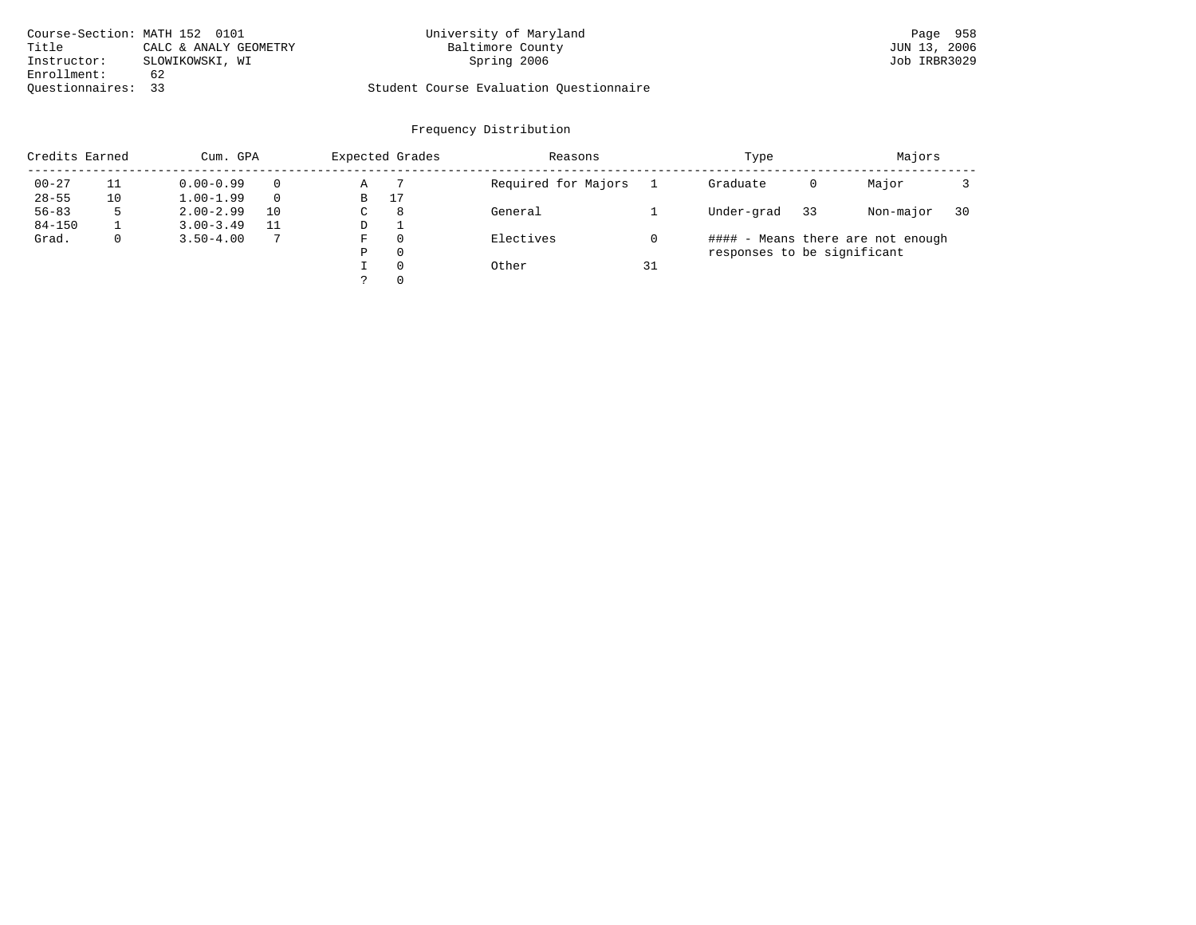| Course-Section: MATH 152 0101 |                       | University of Maryland                  | Page 958     |
|-------------------------------|-----------------------|-----------------------------------------|--------------|
| Title                         | CALC & ANALY GEOMETRY | Baltimore County                        | JUN 13, 2006 |
| Instructor:                   | SLOWIKOWSKI, WI       | Spring 2006                             | Job IRBR3029 |
| Enrollment:                   | -62                   |                                         |              |
| Ouestionnaires: 33            |                       | Student Course Evaluation Questionnaire |              |

| Credits Earned |              | Cum. GPA      |    |    | Expected Grades | Reasons             |    | Type                        |    | Majors                            |    |
|----------------|--------------|---------------|----|----|-----------------|---------------------|----|-----------------------------|----|-----------------------------------|----|
| $00 - 27$      |              | $0.00 - 0.99$ |    | Α  |                 | Required for Majors |    | Graduate                    | 0  | Major                             |    |
| $28 - 55$      | 10           | $1.00 - 1.99$ |    | В  | 17              |                     |    |                             |    |                                   |    |
| $56 - 83$      | 5            | $2.00 - 2.99$ | 10 | C. | 8               | General             |    | Under-grad                  | 33 | Non-major                         | 30 |
| $84 - 150$     |              | $3.00 - 3.49$ |    | D  |                 |                     |    |                             |    |                                   |    |
| Grad.          | $\mathbf{0}$ | $3.50 - 4.00$ |    | F  | $\Omega$        | Electives           |    |                             |    | #### - Means there are not enough |    |
|                |              |               |    | P  | $\Omega$        |                     |    | responses to be significant |    |                                   |    |
|                |              |               |    |    | $\Omega$        | Other               | 31 |                             |    |                                   |    |
|                |              |               |    |    | $\Omega$        |                     |    |                             |    |                                   |    |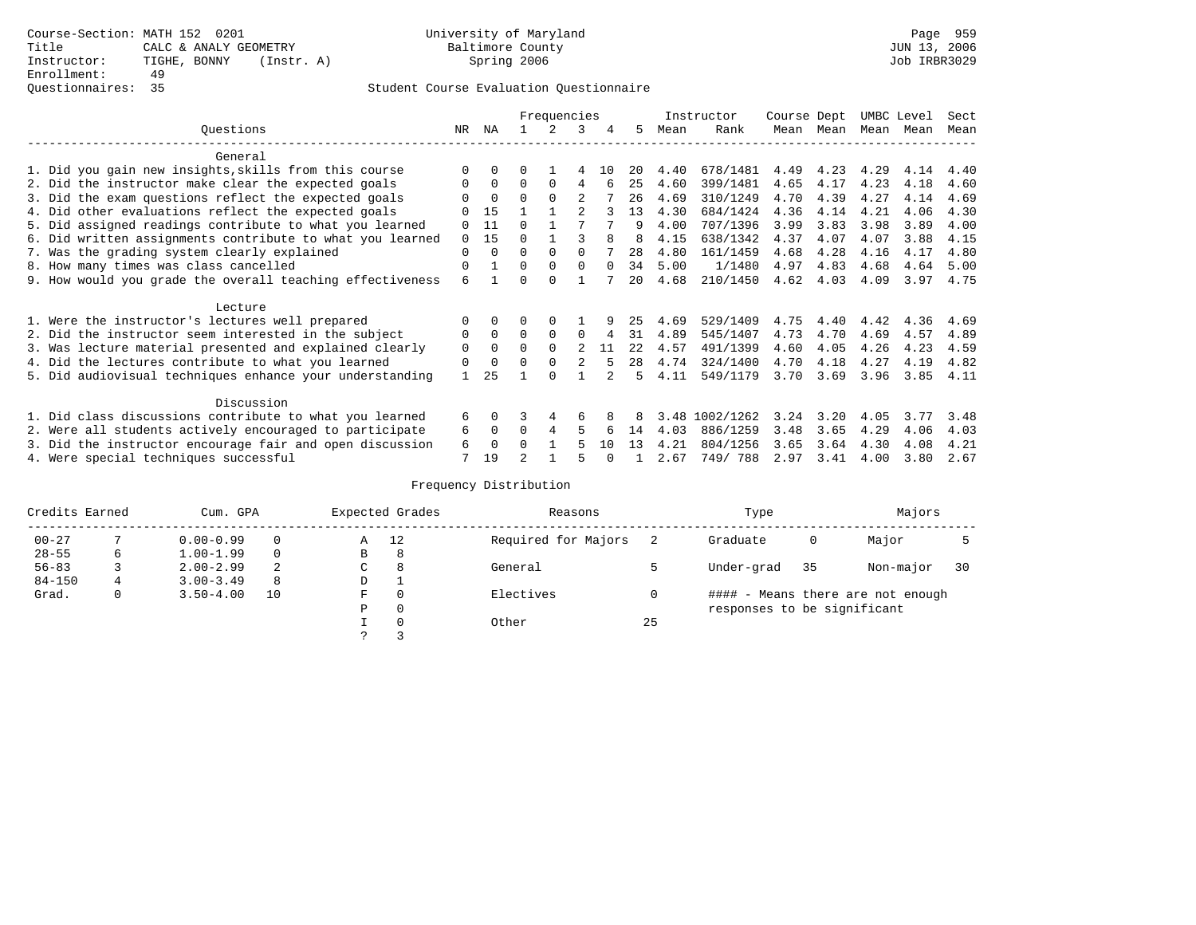|                                                           |             |          |          | Frequencies |                |          |      |      | Instructor | Course Dept |      | UMBC Level |      | Sect |
|-----------------------------------------------------------|-------------|----------|----------|-------------|----------------|----------|------|------|------------|-------------|------|------------|------|------|
| Ouestions                                                 | NR.         | ΝA       |          |             | 3              | 4        | 5.   | Mean | Rank       | Mean        | Mean | Mean       | Mean | Mean |
| General                                                   |             |          |          |             |                |          |      |      |            |             |      |            |      |      |
| 1. Did you gain new insights, skills from this course     | $\Omega$    | $\Omega$ | 0        |             |                | 1 N      | 20   | 4.40 | 678/1481   | 4.49        | 4.23 | 4.29       | 4.14 | 4.40 |
| 2. Did the instructor make clear the expected goals       | 0           | $\Omega$ | $\Omega$ | $\Omega$    | 4              | б        | 25   | 4.60 | 399/1481   | 4.65        | 4.17 | 4.23       | 4.18 | 4.60 |
| 3. Did the exam questions reflect the expected goals      |             | $\Omega$ | $\Omega$ | $\Omega$    |                |          | 26   | 4.69 | 310/1249   | 4.70        | 4.39 | 4.27       | 4.14 | 4.69 |
| 4. Did other evaluations reflect the expected goals       |             | 15       |          |             |                |          | 13   | 4.30 | 684/1424   | 4.36        | 4.14 | 4.21       | 4.06 | 4.30 |
| 5. Did assigned readings contribute to what you learned   | $\Omega$    | 11       | $\Omega$ |             |                |          | q    | 4.00 | 707/1396   | 3.99        | 3.83 | 3.98       | 3.89 | 4.00 |
| 6. Did written assignments contribute to what you learned | $\Omega$    | 15       | $\Omega$ |             |                |          | 8    | 4.15 | 638/1342   | 4.37        | 4.07 | 4.07       | 3.88 | 4.15 |
| 7. Was the grading system clearly explained               | $\Omega$    | $\Omega$ | $\Omega$ | $\Omega$    | $\Omega$       |          | 28   | 4.80 | 161/1459   | 4.68        | 4.28 | 4.16       | 4.17 | 4.80 |
| 8. How many times was class cancelled                     | $\Omega$    |          | $\Omega$ | $\Omega$    | $\Omega$       | $\Omega$ | 34   | 5.00 | 1/1480     | 4.97        | 4.83 | 4.68       | 4.64 | 5.00 |
| 9. How would you grade the overall teaching effectiveness | 6           |          | U        | $\cap$      |                |          | 20   | 4.68 | 210/1450   | 4.62        | 4.03 | 4.09       | 3.97 | 4.75 |
| Lecture                                                   |             |          |          |             |                |          |      |      |            |             |      |            |      |      |
| 1. Were the instructor's lectures well prepared           | $\Omega$    |          |          |             |                |          | 25   | 4.69 | 529/1409   | 4.75        | 4.40 | 4.42       | 4.36 | 4.69 |
| 2. Did the instructor seem interested in the subject      | 0           | $\Omega$ | $\Omega$ | $\Omega$    | $\Omega$       | 4        | 31   | 4.89 | 545/1407   | 4.73        | 4.70 | 4.69       | 4.57 | 4.89 |
| 3. Was lecture material presented and explained clearly   | $\mathbf 0$ | $\Omega$ | $\Omega$ | $\Omega$    | $\mathfrak{D}$ | 11       | 22.2 | 4.57 | 491/1399   | 4.60        | 4.05 | 4.26       | 4.23 | 4.59 |
| 4. Did the lectures contribute to what you learned        | 0           | $\Omega$ | $\Omega$ | $\Omega$    |                |          | 28   | 4.74 | 324/1400   | 4.70        | 4.18 | 4.27       | 4.19 | 4.82 |
| 5. Did audiovisual techniques enhance your understanding  |             | 25       |          | ∩           |                |          | 5.   | 4.11 | 549/1179   | 3.70        | 3.69 | 3.96       | 3.85 | 4.11 |
|                                                           |             |          |          |             |                |          |      |      |            |             |      |            |      |      |
| Discussion                                                |             |          |          |             |                |          |      |      |            |             |      |            |      |      |
| 1. Did class discussions contribute to what you learned   | 6           | $\Omega$ | 3        | 4           | 6              |          |      | 3.48 | 1002/1262  | 3.24        | 3.20 | 4.05       | 3.77 | 3.48 |
| 2. Were all students actively encouraged to participate   | 6           | $\Omega$ | 0        | 4           | 5              |          | 14   | 4.03 | 886/1259   | 3.48        | 3.65 | 4.29       | 4.06 | 4.03 |
| 3. Did the instructor encourage fair and open discussion  | 6           | $\Omega$ | 0        |             |                | 10       | 13   | 4.21 | 804/1256   | 3.65        | 3.64 | 4.30       | 4.08 | 4.21 |
| 4. Were special techniques successful                     | 7           | 19       |          |             |                |          |      | 2.67 | 749/788    | 2.97        | 3.41 | 4.00       | 3.80 | 2.67 |

| Credits Earned |              | Cum. GPA      |          |    | Expected Grades | Reasons             |    | Type                        |    | Majors                            |    |
|----------------|--------------|---------------|----------|----|-----------------|---------------------|----|-----------------------------|----|-----------------------------------|----|
| $00 - 27$      |              | $0.00 - 0.99$ |          | Α  | 12              | Required for Majors |    | Graduate                    | 0  | Major                             |    |
| $28 - 55$      | 6            | $1.00 - 1.99$ | $\Omega$ | В  | 8               |                     |    |                             |    |                                   |    |
| $56 - 83$      |              | $2.00 - 2.99$ |          | C. | 8               | General             |    | Under-grad                  | 35 | Non-major                         | 30 |
| $84 - 150$     | 4            | $3.00 - 3.49$ | 8        | D  | л.              |                     |    |                             |    |                                   |    |
| Grad.          | $\mathbf{0}$ | $3.50 - 4.00$ | 10       | F  | $\Omega$        | Electives           |    |                             |    | #### - Means there are not enough |    |
|                |              |               |          | Ρ  | 0               |                     |    | responses to be significant |    |                                   |    |
|                |              |               |          |    | $\Omega$        | Other               | 25 |                             |    |                                   |    |
|                |              |               |          |    |                 |                     |    |                             |    |                                   |    |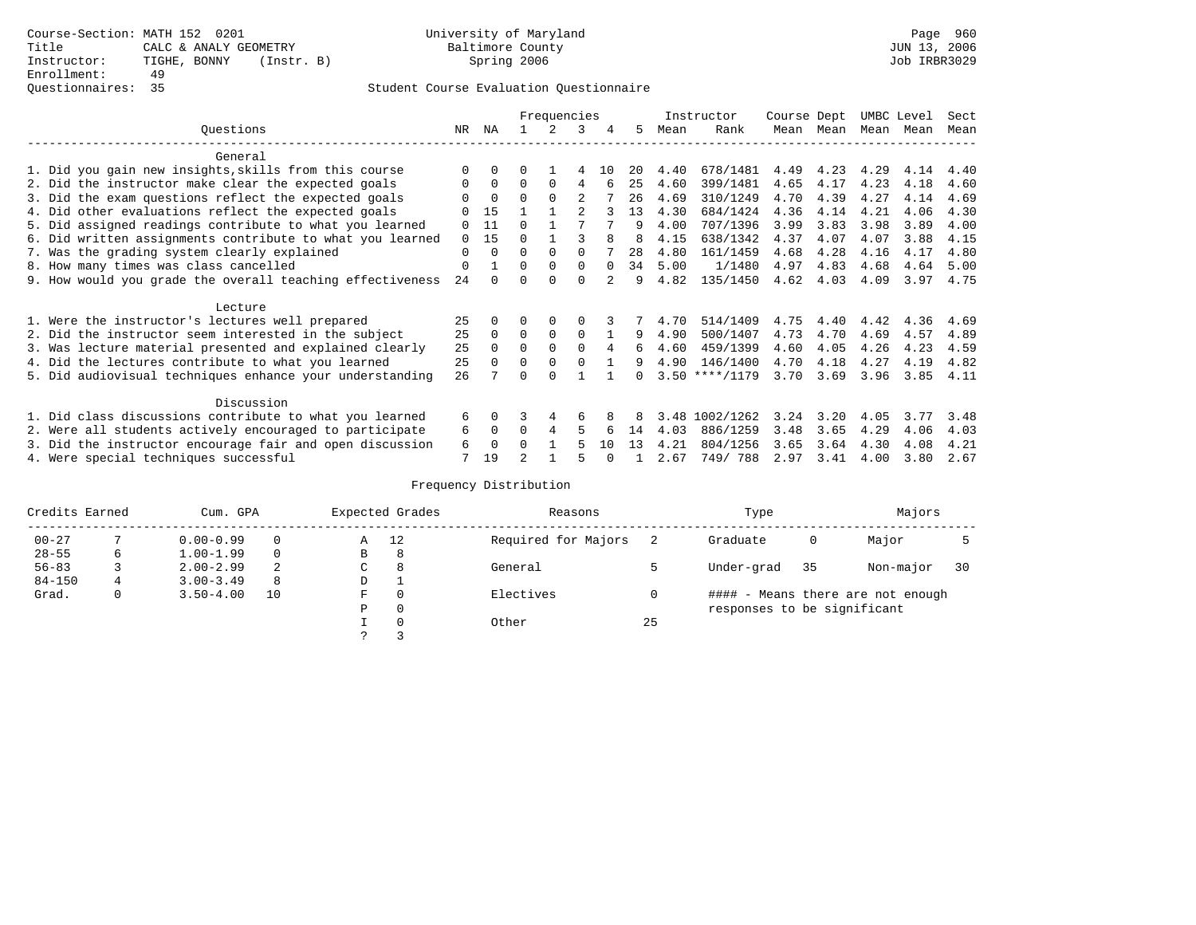|                                                           |          |          |          | Frequencies   |              |          |    |      | Instructor       | Course Dept |           | UMBC Level |      | Sect |
|-----------------------------------------------------------|----------|----------|----------|---------------|--------------|----------|----|------|------------------|-------------|-----------|------------|------|------|
| Ouestions                                                 | NR.      | ΝA       |          | $\mathcal{L}$ | 3            | 4        | 5. | Mean | Rank             |             | Mean Mean | Mean Mean  |      | Mean |
| General                                                   |          |          |          |               |              |          |    |      |                  |             |           |            |      |      |
| 1. Did you gain new insights, skills from this course     |          | $\Omega$ |          |               |              | 1 N      | 20 | 4.40 | 678/1481         | 4.49        | 4.23      | 4.29       | 4.14 | 4.40 |
| 2. Did the instructor make clear the expected goals       | O        | $\Omega$ | $\Omega$ | $\Omega$      | 4            |          | 25 | 4.60 | 399/1481         | 4.65        | 4.17      | 4.23       | 4.18 | 4.60 |
| 3. Did the exam questions reflect the expected goals      |          | $\Omega$ | 0        | $\Omega$      | 2            |          | 26 | 4.69 | 310/1249         | 4.70        | 4.39      | 4.27       | 4.14 | 4.69 |
| 4. Did other evaluations reflect the expected goals       |          | 15       |          |               |              |          | 13 | 4.30 | 684/1424         | 4.36        | 4.14      | 4.21       | 4.06 | 4.30 |
| 5. Did assigned readings contribute to what you learned   | 0        | 11       | O        |               |              |          | 9  | 4.00 | 707/1396         | 3.99        | 3.83      | 3.98       | 3.89 | 4.00 |
| 6. Did written assignments contribute to what you learned | $\Omega$ | 15       | U        |               |              | 8        | 8  | 4.15 | 638/1342         | 4.37        | 4.07      | 4.07       | 3.88 | 4.15 |
| 7. Was the grading system clearly explained               | 0        | $\Omega$ | 0        | $\Omega$      | <sup>0</sup> |          | 28 | 4.80 | 161/1459         | 4.68        | 4.28      | 4.16       | 4.17 | 4.80 |
| 8. How many times was class cancelled                     | 0        |          | 0        | $\Omega$      | <sup>0</sup> | $\Omega$ | 34 | 5.00 | 1/1480           | 4.97        | 4.83      | 4.68       | 4.64 | 5.00 |
| 9. How would you grade the overall teaching effectiveness | 24       | $\cap$   |          |               | U            |          | q  | 4.82 | 135/1450         | 4.62        | 4.03      | 4.09       | 3.97 | 4.75 |
| Lecture                                                   |          |          |          |               |              |          |    |      |                  |             |           |            |      |      |
| 1. Were the instructor's lectures well prepared           | 25       |          | U        | $\Omega$      |              |          |    | 4.70 | 514/1409         | 4.75        | 4.40      | 4.42       | 4.36 | 4.69 |
| 2. Did the instructor seem interested in the subject      | 25       | $\Omega$ | $\Omega$ | $\mathbf 0$   | $\Omega$     |          | 9  | 4.90 | 500/1407         | 4.73        | 4.70      | 4.69       | 4.57 | 4.89 |
| 3. Was lecture material presented and explained clearly   | 25       | $\Omega$ | $\Omega$ | $\Omega$      | $\Omega$     |          | б. | 4.60 | 459/1399         | 4.60        | 4.05      | 4.26       | 4.23 | 4.59 |
| 4. Did the lectures contribute to what you learned        | 25       | $\Omega$ | 0        | $\mathbf 0$   | $\Omega$     |          | 9  | 4.90 | 146/1400         | 4.70        | 4.18      | 4.27       | 4.19 | 4.82 |
| 5. Did audiovisual techniques enhance your understanding  | 26       |          |          |               |              |          |    |      | $3.50$ ****/1179 | 3.70        | 3.69      | 3.96       | 3.85 | 4.11 |
| Discussion                                                |          |          |          |               |              |          |    |      |                  |             |           |            |      |      |
| 1. Did class discussions contribute to what you learned   | 6        | $\Omega$ |          | 4             | 6            |          |    | 3.48 | 1002/1262        | 3.24        | 3.20      | 4.05       | 3.77 | 3.48 |
| 2. Were all students actively encouraged to participate   | 6        | $\Omega$ | U        | 4             | 5            | 6        | 14 | 4.03 | 886/1259         | 3.48        | 3.65      | 4.29       | 4.06 | 4.03 |
| 3. Did the instructor encourage fair and open discussion  | 6        | $\Omega$ | U        |               |              | 10       | 13 | 4.21 | 804/1256         | 3.65        | 3.64      | 4.30       | 4.08 | 4.21 |
| 4. Were special techniques successful                     | 7        | 19       |          |               |              |          |    | 2.67 | 749/788          | 2.97        | 3.41      | 4.00       | 3.80 | 2.67 |

| Credits Earned |   | Cum. GPA      |    |               | Expected Grades | Reasons             |    | Type                        |    | Majors                            |    |
|----------------|---|---------------|----|---------------|-----------------|---------------------|----|-----------------------------|----|-----------------------------------|----|
| $00 - 27$      |   | $0.00 - 0.99$ |    | A             | 12              | Required for Majors |    | Graduate                    | 0  | Major                             |    |
| $28 - 55$      | 6 | $1.00 - 1.99$ |    | B             | 8               |                     |    |                             |    |                                   |    |
| $56 - 83$      |   | $2.00 - 2.99$ | 2  | $\sim$<br>◡   | 8               | General             |    | Under-grad                  | 35 | Non-major                         | 30 |
| $84 - 150$     | 4 | $3.00 - 3.49$ | 8  | D             |                 |                     |    |                             |    |                                   |    |
| Grad.          | 0 | $3.50 - 4.00$ | 10 | F             | 0               | Electives           |    |                             |    | #### - Means there are not enough |    |
|                |   |               |    | Ρ             | 0               |                     |    | responses to be significant |    |                                   |    |
|                |   |               |    |               | 0               | Other               | 25 |                             |    |                                   |    |
|                |   |               |    | $\mathcal{D}$ |                 |                     |    |                             |    |                                   |    |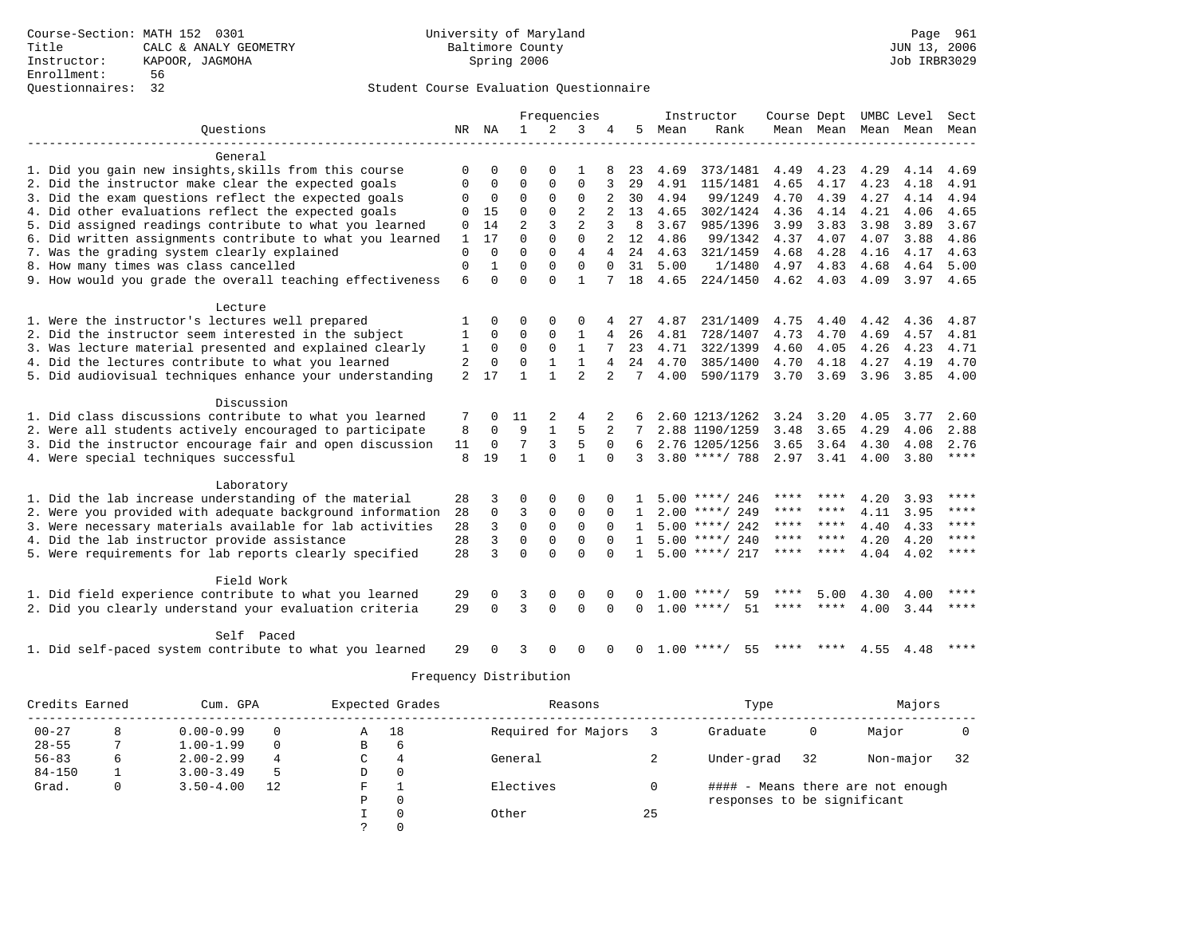|                                                           |                |             |                |              | Frequencies    |                |              |      | Instructor           | Course Dept |           |      | UMBC Level               | Sect        |
|-----------------------------------------------------------|----------------|-------------|----------------|--------------|----------------|----------------|--------------|------|----------------------|-------------|-----------|------|--------------------------|-------------|
| Ouestions                                                 |                | NR NA       | 1              | 2            | 3              | 4              | 5            | Mean | Rank                 |             |           |      | Mean Mean Mean Mean Mean |             |
|                                                           |                |             |                |              |                |                |              |      |                      |             |           |      |                          |             |
| General                                                   |                |             |                |              |                |                |              |      |                      |             |           |      |                          |             |
| 1. Did you gain new insights, skills from this course     |                | $\Omega$    | ∩              | $\Omega$     |                |                | 23           | 4.69 | 373/1481             | 4.49        | 4.23      | 4.29 | 4.14                     | 4.69        |
| 2. Did the instructor make clear the expected goals       | 0              | $\Omega$    | $\Omega$       | $\Omega$     | $\Omega$       | 3              | 29           | 4.91 | 115/1481             | 4.65        | 4.17      | 4.23 | 4.18                     | 4.91        |
| 3. Did the exam questions reflect the expected goals      | 0              | 0           | 0              | 0            | 0              |                | 30           | 4.94 | 99/1249              | 4.70        | 4.39      | 4.27 | 4.14                     | 4.94        |
| 4. Did other evaluations reflect the expected goals       | 0              | 15          | 0              | $\mathbf{0}$ | $\overline{2}$ |                | 13           | 4.65 | 302/1424             | 4.36        | 4.14      | 4.21 | 4.06                     | 4.65        |
| 5. Did assigned readings contribute to what you learned   | 0              | 14          | $\overline{a}$ | 3            | $\overline{a}$ | 3              | 8            | 3.67 | 985/1396             | 3.99        | 3.83      | 3.98 | 3.89                     | 3.67        |
| 6. Did written assignments contribute to what you learned | 1              | 17          | $\Omega$       | $\Omega$     | $\Omega$       |                | 12           | 4.86 | 99/1342              | 4.37        | 4.07      | 4.07 | 3.88                     | 4.86        |
| 7. Was the grading system clearly explained               | $\mathbf 0$    | $\Omega$    | $\Omega$       | $\Omega$     | $\overline{4}$ | 4              | 24           | 4.63 | 321/1459             | 4.68        | 4.28      | 4.16 | 4.17                     | 4.63        |
| 8. How many times was class cancelled                     | $\Omega$       |             | $\Omega$       | $\Omega$     | $\Omega$       | $\Omega$       | 31           | 5.00 | 1/1480               | 4.97 4.83   |           | 4.68 | 4.64                     | 5.00        |
| 9. How would you grade the overall teaching effectiveness | 6              | $\Omega$    | $\Omega$       | $\Omega$     | $\mathbf{1}$   |                | 18           | 4.65 | 224/1450             |             | 4.62 4.03 | 4.09 | 3.97 4.65                |             |
| Lecture                                                   |                |             |                |              |                |                |              |      |                      |             |           |      |                          |             |
| 1. Were the instructor's lectures well prepared           |                | 0           | $\Omega$       | $\Omega$     | 0              |                | 27           | 4.87 | 231/1409             | 4.75        | 4.40      | 4.42 | 4.36                     | 4.87        |
| 2. Did the instructor seem interested in the subject      | 1              | $\mathbf 0$ | 0              | 0            | 1              | 4              | 26           | 4.81 | 728/1407             | 4.73        | 4.70      | 4.69 | 4.57                     | 4.81        |
| 3. Was lecture material presented and explained clearly   | 1              | $\Omega$    | $\Omega$       | $\Omega$     | $\mathbf{1}$   | 7              | 23           | 4.71 | 322/1399             | 4.60        | 4.05      | 4.26 | 4.23                     | 4.71        |
| 4. Did the lectures contribute to what you learned        | 2              | 0           | $\mathbf 0$    | $\mathbf{1}$ | $\mathbf{1}$   | 4              | 24           | 4.70 | 385/1400             | 4.70        | 4.18      | 4.27 | 4.19                     | 4.70        |
| 5. Did audiovisual techniques enhance your understanding  | $\overline{a}$ | 17          | 1              |              | $\overline{2}$ | $\overline{2}$ | 7            | 4.00 | 590/1179             | 3.70        | 3.69      | 3.96 | 3.85                     | 4.00        |
|                                                           |                |             |                |              |                |                |              |      |                      |             |           |      |                          |             |
| Discussion                                                |                |             |                |              |                |                |              |      |                      |             |           |      |                          |             |
| 1. Did class discussions contribute to what you learned   | 7              | $\Omega$    | 11             | 2            | 4              | 2              |              |      | 2.60 1213/1262       | 3.24        | 3.20      | 4.05 | 3.77                     | 2.60        |
| 2. Were all students actively encouraged to participate   | 8              | 0           | 9              |              | 5              |                |              |      | 2.88 1190/1259       | 3.48        | 3.65      | 4.29 | 4.06                     | 2.88        |
| 3. Did the instructor encourage fair and open discussion  | 11             | $\Omega$    | 7              | 3            | 5              | $\Omega$       | 6            |      | 2.76 1205/1256       | 3.65        | 3.64      | 4.30 | 4.08                     | 2.76        |
| 4. Were special techniques successful                     | 8              | 19          | $\mathbf{1}$   | $\Omega$     | 1              | $\Omega$       | 3            |      | $3.80$ ****/ 788     | 2.97 3.41   |           | 4.00 | 3.80                     | $***$ * * * |
| Laboratory                                                |                |             |                |              |                |                |              |      |                      |             |           |      |                          |             |
| 1. Did the lab increase understanding of the material     | 28             | 3           | $\Omega$       | $\Omega$     | $\Omega$       |                |              |      | $5.00$ ****/ 246     | ****        |           | 4.20 | 3.93                     | ****        |
| 2. Were you provided with adequate background information | 28             | $\mathbf 0$ | 3              | 0            | $\mathbf 0$    | $\Omega$       |              |      | $2.00$ ****/ 249     | ****        | ****      | 4.11 | 3.95                     | ****        |
| 3. Were necessary materials available for lab activities  | 28             | 3           | $\Omega$       | $\mathbf 0$  | $\mathbf 0$    |                | $\mathbf{1}$ |      | $5.00$ ****/ 242     | ****        | ****      | 4.40 | 4.33                     | ****        |
| 4. Did the lab instructor provide assistance              | 28             | 3           | $\Omega$       | $\Omega$     | $\Omega$       |                | $\mathbf{1}$ |      | $5.00$ ****/ 240     | ****        | $***$ *   | 4.20 | 4.20                     | $* * * * *$ |
| 5. Were requirements for lab reports clearly specified    | 28             | 3           | $\Omega$       | $\cap$       | $\Omega$       | $\cap$         |              |      | $1, 5, 00$ ****/ 217 | ****        | ****      | 4.04 | 4.02                     | $***$ * * * |
|                                                           |                |             |                |              |                |                |              |      |                      |             |           |      |                          |             |
| Field Work                                                |                |             |                |              |                |                |              |      |                      |             |           |      |                          |             |
| 1. Did field experience contribute to what you learned    | 29             | $\Omega$    | 3              | $\Omega$     | $\Omega$       |                |              |      | 59<br>$1.00$ ****/   | ****        | 5.00      | 4.30 | 4.00                     | ****        |
| 2. Did you clearly understand your evaluation criteria    | 29             | $\Omega$    | 3              | $\Omega$     | $\Omega$       | $\Omega$       | $\Omega$     |      | $1.00$ ****/<br>51   |             | ****      | 4.00 | 3.44                     | ****        |
| Self Paced                                                |                |             |                |              |                |                |              |      |                      |             |           |      |                          |             |
| 1. Did self-paced system contribute to what you learned   | 29             |             | 3              | $\Omega$     | $\Omega$       | $\Omega$       | $\Omega$     |      | $1.00$ ****/<br>55   | ****        | ****      |      | 4.55 4.48                | ****        |

| Credits Earned |   | Cum. GPA      |          |   | Expected Grades | Reasons             |    | Type                        |    | Majors                            |    |
|----------------|---|---------------|----------|---|-----------------|---------------------|----|-----------------------------|----|-----------------------------------|----|
| $00 - 27$      | 8 | $0.00 - 0.99$ |          | Α | 18              | Required for Majors |    | Graduate                    | 0  | Major                             |    |
| $28 - 55$      |   | $1.00 - 1.99$ | $\Omega$ | В | 6               |                     |    |                             |    |                                   |    |
| $56 - 83$      | 6 | $2.00 - 2.99$ | 4        | С | 4               | General             |    | Under-grad                  | 32 | Non-major                         | 32 |
| $84 - 150$     |   | $3.00 - 3.49$ |          | D | 0               |                     |    |                             |    |                                   |    |
| Grad.          | 0 | $3.50 - 4.00$ | 12       | F |                 | Electives           |    |                             |    | #### - Means there are not enough |    |
|                |   |               |          | P | $\Omega$        |                     |    | responses to be significant |    |                                   |    |
|                |   |               |          |   | $\Omega$        | Other               | 25 |                             |    |                                   |    |
|                |   |               |          |   |                 |                     |    |                             |    |                                   |    |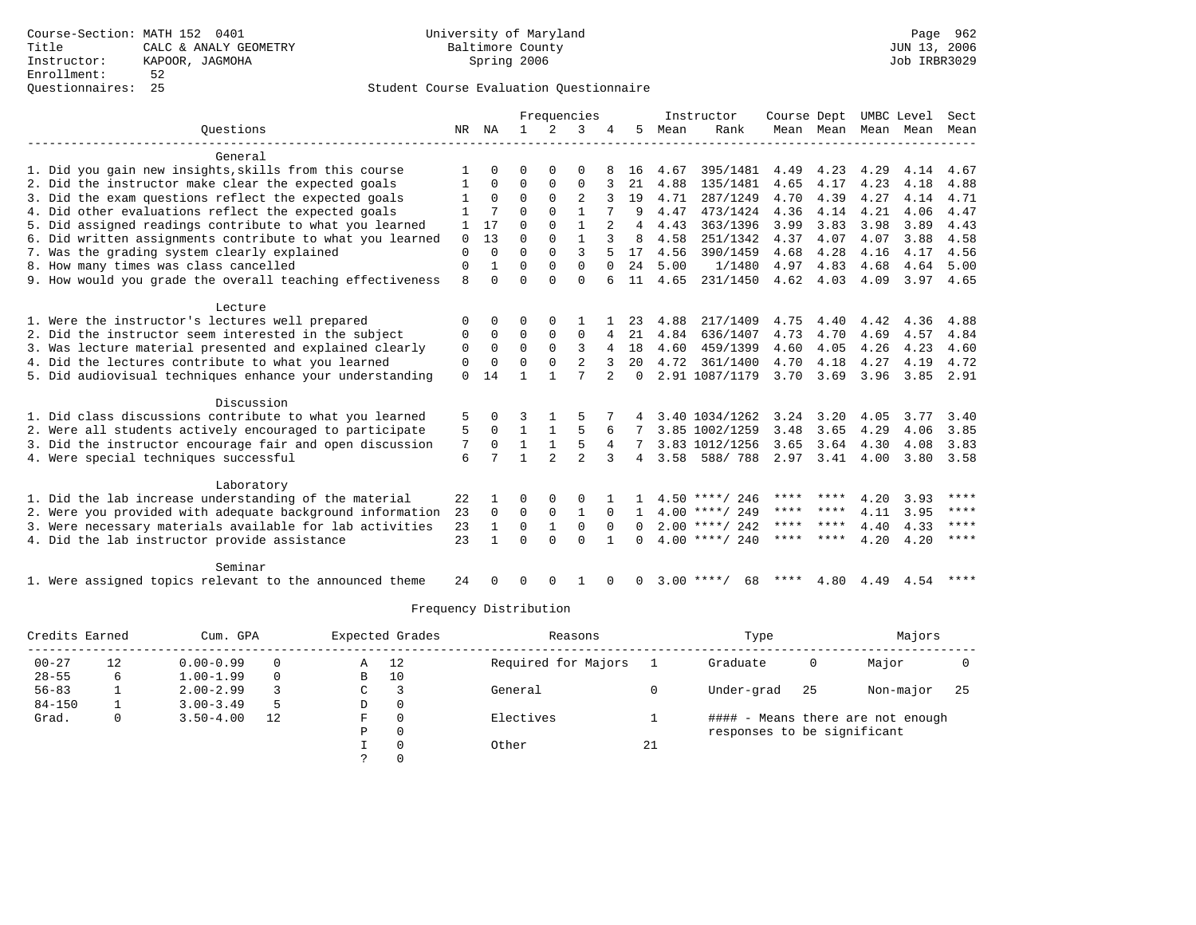|                                                           |             |              |              |                | Frequencies    |                |          |      | Instructor        | Course Dept |                     |      | UMBC Level | Sect        |
|-----------------------------------------------------------|-------------|--------------|--------------|----------------|----------------|----------------|----------|------|-------------------|-------------|---------------------|------|------------|-------------|
| Ouestions                                                 |             | NR NA        | $\mathbf{1}$ | $\overline{2}$ | 3              |                | 5        | Mean | Rank              |             | Mean Mean Mean Mean |      |            | Mean        |
| General                                                   |             |              |              |                |                |                |          |      |                   |             |                     |      |            |             |
| 1. Did you gain new insights, skills from this course     |             |              | $\Omega$     | $\Omega$       | $\Omega$       |                | 16       | 4.67 | 395/1481          | 4.49        | 4.23                | 4.29 | 4.14       | 4.67        |
| 2. Did the instructor make clear the expected goals       |             | 0            | $\Omega$     | $\Omega$       | $\Omega$       |                | 21       | 4.88 | 135/1481          | 4.65        | 4.17                | 4.23 | 4.18       | 4.88        |
| 3. Did the exam questions reflect the expected goals      |             | $\Omega$     | $\Omega$     | $\Omega$       | 2              | २              | 19       | 4.71 | 287/1249          | 4.70        | 4.39                | 4.27 | 4.14       | 4.71        |
| 4. Did other evaluations reflect the expected goals       |             | 7            | $\Omega$     | $\Omega$       | $\mathbf{1}$   |                | 9        | 4.47 | 473/1424          | 4.36        | 4.14                | 4.21 | 4.06       | 4.47        |
| 5. Did assigned readings contribute to what you learned   |             | 17           | $\Omega$     | $\Omega$       | $\mathbf{1}$   |                | 4        | 4.43 | 363/1396          | 3.99        | 3.83                | 3.98 | 3.89       | 4.43        |
| 6. Did written assignments contribute to what you learned | $\mathbf 0$ | 13           | $\Omega$     | 0              | $\mathbf{1}$   |                | 8        | 4.58 | 251/1342          | 4.37        | 4.07                | 4.07 | 3.88       | 4.58        |
| 7. Was the grading system clearly explained               | $\Omega$    | $\Omega$     | $\Omega$     | $\Omega$       | 3              |                | 17       | 4.56 | 390/1459          | 4.68        | 4.28                | 4.16 | 4.17       | 4.56        |
| 8. How many times was class cancelled                     | $\mathbf 0$ |              | $\Omega$     | $\Omega$       | $\Omega$       | $\Omega$       | 2.4      | 5.00 | 1/1480            | 4.97        | 4.83                | 4.68 | 4.64       | 5.00        |
| 9. How would you grade the overall teaching effectiveness | 8           | $\Omega$     | $\Omega$     | $\Omega$       | $\Omega$       |                | 11       | 4.65 | 231/1450          | 4.62        | 4.03                | 4.09 | 3.97 4.65  |             |
|                                                           |             |              |              |                |                |                |          |      |                   |             |                     |      |            |             |
| Lecture                                                   |             |              |              |                |                |                |          |      |                   |             |                     |      |            |             |
| 1. Were the instructor's lectures well prepared           | $\Omega$    | <sup>0</sup> | U            | $\Omega$       |                |                | 23       | 4.88 | 217/1409          | 4.75        | 4.40                | 4.42 | 4.36       | 4.88        |
| 2. Did the instructor seem interested in the subject      | 0           | 0            | $\Omega$     | $\Omega$       | $\mathbf 0$    | 4              | 21       | 4.84 | 636/1407          | 4.73        | 4.70                | 4.69 | 4.57       | 4.84        |
| 3. Was lecture material presented and explained clearly   | 0           | $\Omega$     | $\Omega$     | $\Omega$       | 3              | 4              | 18       | 4.60 | 459/1399          | 4.60        | 4.05                | 4.26 | 4.23       | 4.60        |
| 4. Did the lectures contribute to what you learned        | 0           | $\Omega$     | $\Omega$     | 0              | $\overline{2}$ |                | 20       | 4.72 | 361/1400          | 4.70        | 4.18                | 4.27 | 4.19       | 4.72        |
| 5. Did audiovisual techniques enhance your understanding  | $\Omega$    | 14           | 1            | $\mathbf{1}$   | 7              | $\mathfrak{D}$ | $\Omega$ |      | 2.91 1087/1179    | 3.70        | 3.69                | 3.96 | 3.85       | 2.91        |
| Discussion                                                |             |              |              |                |                |                |          |      |                   |             |                     |      |            |             |
| 1. Did class discussions contribute to what you learned   | 5           | <sup>0</sup> |              |                |                |                |          |      | 3.40 1034/1262    | 3.24        | 3.20                | 4.05 | 3.77       | 3.40        |
| 2. Were all students actively encouraged to participate   | 5           | $\Omega$     | 1            |                | 5              | 6              |          |      | 3.85 1002/1259    | 3.48        | 3.65                | 4.29 | 4.06       | 3.85        |
| 3. Did the instructor encourage fair and open discussion  | 7           | $\Omega$     | $\mathbf{1}$ | $\mathbf{1}$   | 5              | 4              |          |      | 3.83 1012/1256    | 3.65        | 3.64                | 4.30 | 4.08       | 3.83        |
| 4. Were special techniques successful                     | 6           |              | 1            | $\overline{a}$ | $\overline{a}$ | 3              | 4        | 3.58 | 588/788           | 2.97        | 3.41                | 4.00 | 3.80       | 3.58        |
|                                                           |             |              |              |                |                |                |          |      |                   |             |                     |      |            |             |
| Laboratory                                                |             |              |              |                |                |                |          |      |                   |             |                     |      |            |             |
| 1. Did the lab increase understanding of the material     | 22          |              | O            | $\Omega$       | $\Omega$       |                |          |      | $4.50$ ****/ 246  | ****        |                     | 4.20 | 3.93       | ****        |
| 2. Were you provided with adequate background information | 23          | $\Omega$     | $\Omega$     | $\mathbf 0$    | $\mathbf{1}$   | $\Omega$       |          |      | $4.00$ ****/ 249  | ****        | ****                | 4.11 | 3.95       | ****        |
| 3. Were necessary materials available for lab activities  | 23          | $\mathbf{1}$ | $\Omega$     | $\mathbf{1}$   | $\Omega$       | $\Omega$       | 0        |      | $2.00$ ****/ 242  | ****        | ****                | 4.40 | 4.33       | $***$       |
| 4. Did the lab instructor provide assistance              | 23          |              | $\Omega$     | $\Omega$       | $\Omega$       |                | 0        |      | $4.00$ ****/ 240  | ****        | ****                | 4.20 | 4.20       | $* * * * *$ |
| Seminar                                                   |             |              |              |                |                |                |          |      |                   |             |                     |      |            |             |
| 1. Were assigned topics relevant to the announced theme   | 24          |              | 0            | O              |                |                |          |      | $3.00$ ****<br>68 | ****        | 4.80                | 4.49 | 4.54       | ****        |
|                                                           |             |              |              |                |                |                |          |      |                   |             |                     |      |            |             |

| Credits Earned |    | Cum. GPA      |    |             | Expected Grades | Reasons             |    | Type                        |    | Majors                            |     |
|----------------|----|---------------|----|-------------|-----------------|---------------------|----|-----------------------------|----|-----------------------------------|-----|
| $00 - 27$      | 12 | $0.00 - 0.99$ |    | Α           | 12              | Required for Majors |    | Graduate                    | 0  | Major                             |     |
| $28 - 55$      | 6  | $1.00 - 1.99$ |    | B           | 10              |                     |    |                             |    |                                   |     |
| $56 - 83$      |    | $2.00 - 2.99$ |    | $\sim$<br>J |                 | General             |    | Under-grad                  | 25 | Non-major                         | -25 |
| $84 - 150$     |    | $3.00 - 3.49$ | -5 | D           | 0               |                     |    |                             |    |                                   |     |
| Grad.          | 0  | $3.50 - 4.00$ | 12 | F           |                 | Electives           |    |                             |    | #### - Means there are not enough |     |
|                |    |               |    | Ρ           | 0               |                     |    | responses to be significant |    |                                   |     |
|                |    |               |    |             | $\Omega$        | Other               | 21 |                             |    |                                   |     |
|                |    |               |    |             |                 |                     |    |                             |    |                                   |     |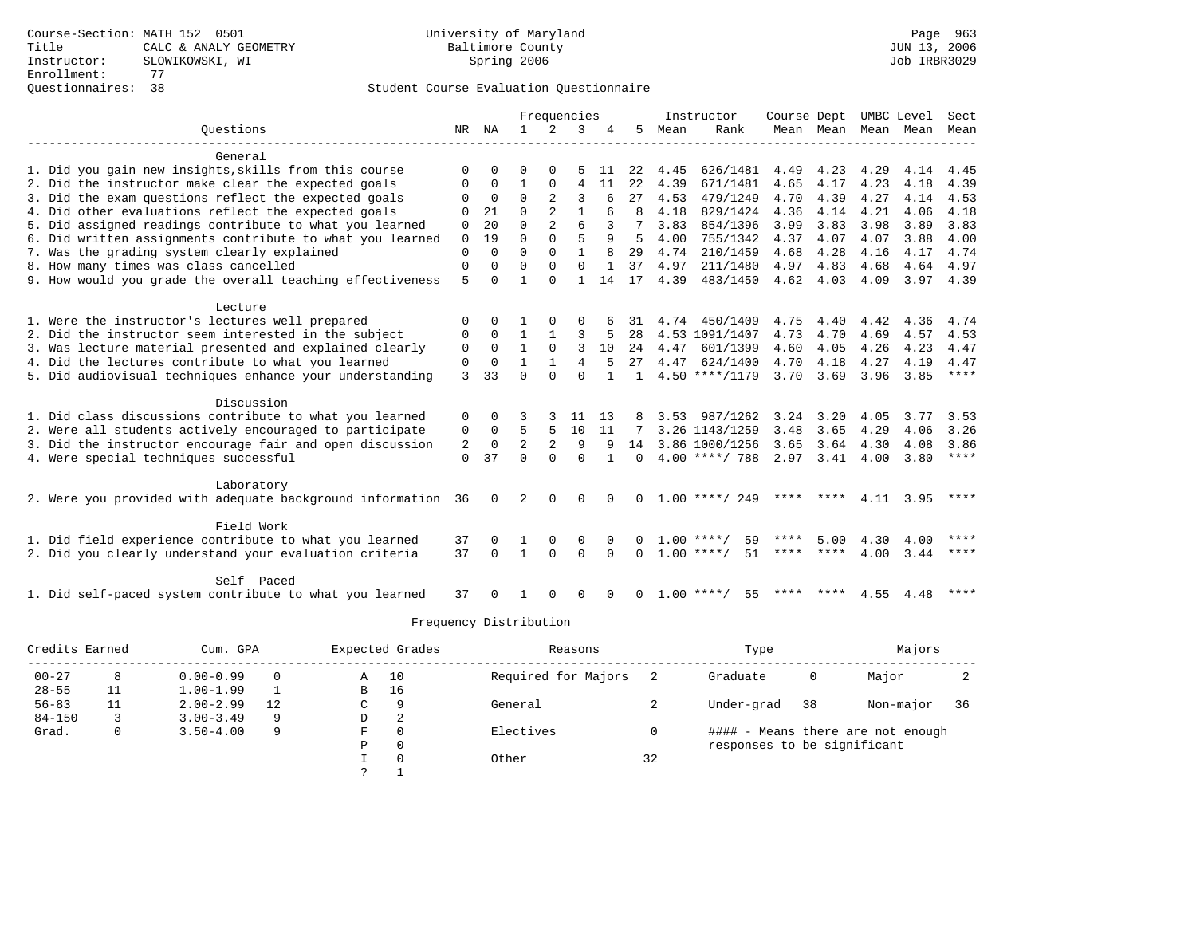|                                                           |              |             |                |                | Frequencies    |          |              |           | Instructor         | Course Dept |                |      | UMBC Level  | Sect        |
|-----------------------------------------------------------|--------------|-------------|----------------|----------------|----------------|----------|--------------|-----------|--------------------|-------------|----------------|------|-------------|-------------|
| Ouestions                                                 | NR           | ΝA          | $\mathbf{1}$   | 2              | 3              |          | 5            | Mean      | Rank               |             | Mean Mean Mean |      | Mean        | Mean        |
| General                                                   |              |             |                |                |                |          |              |           |                    |             |                |      |             |             |
| 1. Did you gain new insights, skills from this course     | $\Omega$     | $\Omega$    | $\Omega$       | $\cap$         |                | 11       | 22           | 4.45      | 626/1481           | 4.49        | 4.23           | 4.29 | 4.14        | 4.45        |
| 2. Did the instructor make clear the expected goals       |              | $\Omega$    | 1              | $\Omega$       | 4              | 11       | 2.2.         | 4.39      | 671/1481           | 4.65        | 4.17           | 4.23 | 4.18        | 4.39        |
| 3. Did the exam questions reflect the expected goals      |              | $\Omega$    | $\Omega$       | $\overline{a}$ | ς              | 6        | 27           | 4.53      | 479/1249           | 4.70        | 4.39           | 4.27 | 4.14        | 4.53        |
| 4. Did other evaluations reflect the expected goals       | $\Omega$     | 21          | $\Omega$       | $\mathfrak{D}$ | $\mathbf{1}$   | б        | 8            | 4.18      | 829/1424           | 4.36        | 4.14           | 4.21 | 4.06        | 4.18        |
| 5. Did assigned readings contribute to what you learned   | 0            | 20          | $\cap$         | $\mathfrak{D}$ | ĥ              |          |              | 3.83      | 854/1396           | 3.99        | 3.83           | 3.98 | 3.89        | 3.83        |
| 6. Did written assignments contribute to what you learned | $\mathbf 0$  | 19          | $\Omega$       | $\Omega$       | 5              | 9        | 5            | 4.00      | 755/1342           | 4.37        | 4.07           | 4.07 | 3.88        | 4.00        |
| 7. Was the grading system clearly explained               | $\mathbf{0}$ | $\Omega$    | $\Omega$       | $\Omega$       |                | 8        | 29           | 4.74      | 210/1459           | 4.68        | 4.28           | 4.16 | 4.17        | 4.74        |
| 8. How many times was class cancelled                     | $\mathbf 0$  | 0           | $\Omega$       | $\Omega$       | $\Omega$       |          | 37           | 4.97      | 211/1480           | 4.97        | 4.83           | 4.68 | 4.64        | 4.97        |
| 9. How would you grade the overall teaching effectiveness | 5            | $\Omega$    | 1              | $\Omega$       | 1              | 14       | 17           | 4.39      | 483/1450           | 4.62        | 4.03           | 4.09 | $3.97$ 4.39 |             |
|                                                           |              |             |                |                |                |          |              |           |                    |             |                |      |             |             |
| Lecture                                                   |              |             |                |                |                |          |              |           |                    |             |                |      |             |             |
| 1. Were the instructor's lectures well prepared           | $\mathbf 0$  | $\Omega$    |                | $\Omega$       | O              |          | 31           |           | 4.74 450/1409      | 4.75        | 4.40           | 4.42 | 4.36        | 4.74        |
| 2. Did the instructor seem interested in the subject      | 0            | $\Omega$    | $\mathbf{1}$   | $\mathbf{1}$   | 3              | 5        | 28           |           | 4.53 1091/1407     | 4.73        | 4.70           | 4.69 | 4.57        | 4.53        |
| 3. Was lecture material presented and explained clearly   | 0            | 0           | $\mathbf{1}$   | $\mathbf 0$    | 3              | 10       | 24           | 4.47      | 601/1399           | 4.60        | 4.05           | 4.26 | 4.23        | 4.47        |
| 4. Did the lectures contribute to what you learned        | 0            | $\mathbf 0$ | $\mathbf{1}$   | $\mathbf{1}$   | $\overline{4}$ | 5        | 27           | 4.47      | 624/1400           | 4.70        | 4.18           | 4.27 | 4.19        | 4.47        |
| 5. Did audiovisual techniques enhance your understanding  | 3            | 33          | $\Omega$       | $\Omega$       | $\Omega$       |          |              |           | $4.50$ ****/1179   | 3.70        | 3.69           | 3.96 | 3.85        | $***$ * * * |
|                                                           |              |             |                |                |                |          |              |           |                    |             |                |      |             |             |
| Discussion                                                |              |             |                |                |                |          |              |           |                    |             |                |      |             |             |
| 1. Did class discussions contribute to what you learned   | 0            | 0           |                |                | 11             | 13       | 8            | 3.53      | 987/1262           | 3.24        | 3.20           | 4.05 | 3.77        | 3.53        |
| 2. Were all students actively encouraged to participate   | 0            | 0           | 5              | 5              | 10             | 11       | 7            |           | 3.26 1143/1259     | 3.48        | 3.65           | 4.29 | 4.06        | 3.26        |
| 3. Did the instructor encourage fair and open discussion  | 2            | $\mathbf 0$ | $\overline{2}$ | 2              | 9              | 9        | 14           |           | 3.86 1000/1256     | 3.65        | 3.64           | 4.30 | 4.08        | 3.86        |
| 4. Were special techniques successful                     | $\Omega$     | 37          | $\cap$         | $\Omega$       | $\Omega$       | 1        | $\Omega$     |           | $4.00$ ****/ 788   | 2.97        | 3.41           | 4.00 | 3.80        | ****        |
|                                                           |              |             |                |                |                |          |              |           |                    |             |                |      |             |             |
| Laboratory                                                |              |             |                |                |                |          |              |           |                    |             |                |      |             |             |
| 2. Were you provided with adequate background information | 36           | 0           | 2              | ∩              | U              |          | <sup>n</sup> |           | $1.00$ ****/ 249   | ****        | ****           | 4.11 | 3.95        | ****        |
|                                                           |              |             |                |                |                |          |              |           |                    |             |                |      |             |             |
| Field Work                                                |              |             |                |                |                |          |              |           |                    |             |                |      |             |             |
| 1. Did field experience contribute to what you learned    | 37           | $\Omega$    |                | $\Omega$       | $\Omega$       |          |              | 1.00      | 59<br>****         |             | 5.00           | 4.30 | 4.00        | ****        |
| 2. Did you clearly understand your evaluation criteria    | 37           | $\Omega$    | $\mathbf{1}$   | $\Omega$       | $\Omega$       | $\Omega$ | U            |           | $1.00$ ****/<br>51 | ****        | ****           | 4.00 | 3.44        | ****        |
|                                                           |              |             |                |                |                |          |              |           |                    |             |                |      |             |             |
| Self Paced                                                |              |             |                |                |                |          |              |           |                    |             |                |      |             |             |
| 1. Did self-paced system contribute to what you learned   | 37           |             |                | ∩              | U              |          |              | $1.00***$ | 55                 |             |                | 4.55 | 4.48        | $***$ *     |

| Credits Earned |    | Cum. GPA      |          |   | Expected Grades | Reasons             |    | Type                        |    | Majors                            |    |
|----------------|----|---------------|----------|---|-----------------|---------------------|----|-----------------------------|----|-----------------------------------|----|
| $00 - 27$      | 8  | $0.00 - 0.99$ | $\Omega$ | Α | 10              | Required for Majors |    | Graduate                    | 0  | Major                             |    |
| $28 - 55$      | 11 | $1.00 - 1.99$ |          | B | 16              |                     |    |                             |    |                                   |    |
| $56 - 83$      | 11 | $2.00 - 2.99$ | 12       | C | 9               | General             |    | Under-grad                  | 38 | Non-major                         | 36 |
| $84 - 150$     |    | $3.00 - 3.49$ | 9        | D | 2               |                     |    |                             |    |                                   |    |
| Grad.          | 0  | $3.50 - 4.00$ | 9        | F | 0               | Electives           |    |                             |    | #### - Means there are not enough |    |
|                |    |               |          | Ρ | 0               |                     |    | responses to be significant |    |                                   |    |
|                |    |               |          |   | $\Omega$        | Other               | 32 |                             |    |                                   |    |
|                |    |               |          |   |                 |                     |    |                             |    |                                   |    |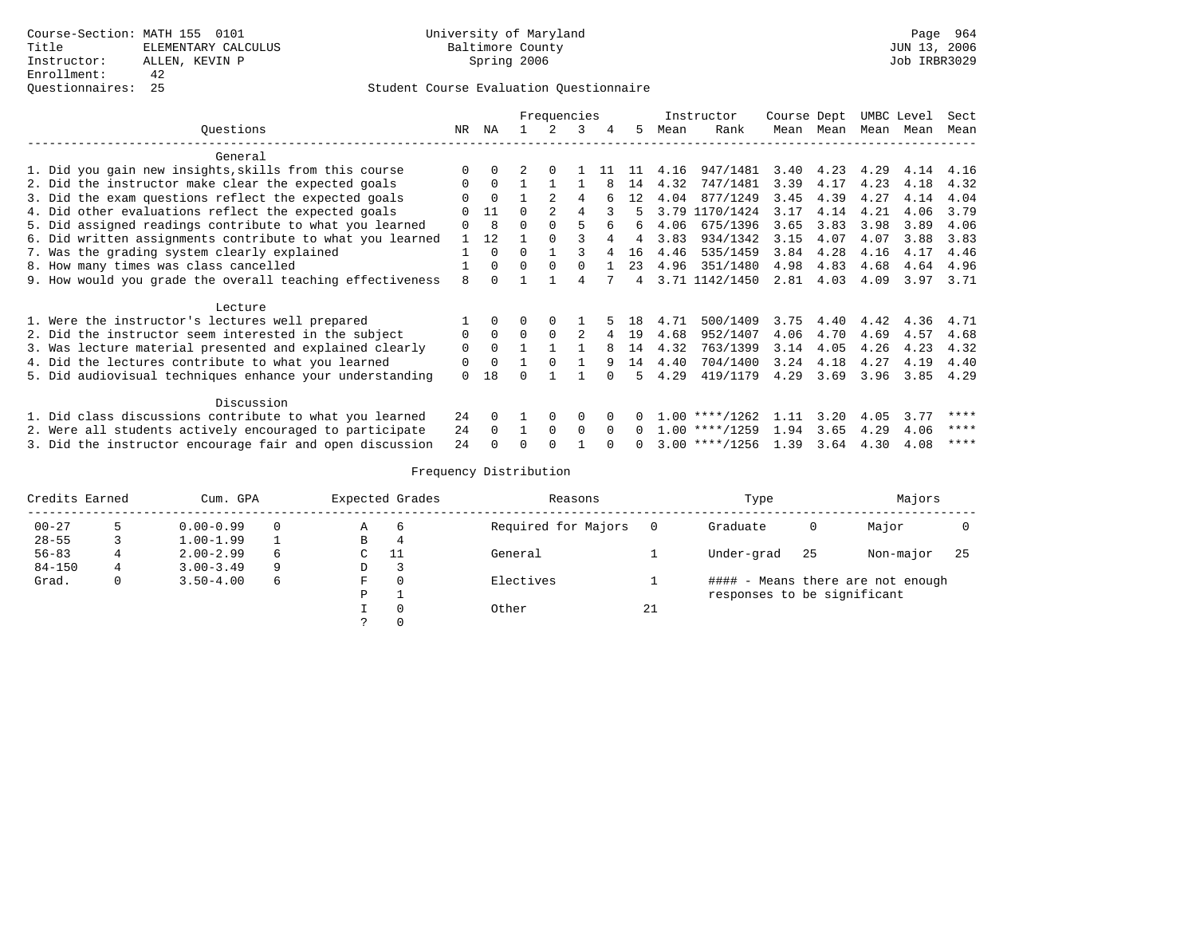|                                                           |          |          |              | Frequencies |          |              |              |      | Instructor       | Course Dept |           | UMBC Level |      | Sect |
|-----------------------------------------------------------|----------|----------|--------------|-------------|----------|--------------|--------------|------|------------------|-------------|-----------|------------|------|------|
| Ouestions                                                 | NR       | ΝA       |              |             | 3        | 4            | 5.           | Mean | Rank             |             | Mean Mean | Mean       | Mean | Mean |
| General                                                   |          |          |              |             |          |              |              |      |                  |             |           |            |      |      |
| 1. Did you gain new insights, skills from this course     | $\Omega$ |          |              | $\Omega$    |          | 11           | 11           | 4.16 | 947/1481         | 3.40        | 4.23      | 4.29       | 4.14 | 4.16 |
| 2. Did the instructor make clear the expected goals       | 0        | $\Omega$ |              |             |          | 8            | 14           | 4.32 | 747/1481         | 3.39        | 4.17      | 4.23       | 4.18 | 4.32 |
| 3. Did the exam questions reflect the expected goals      | O        | $\Omega$ |              |             | 4        |              | 12           | 4.04 | 877/1249         | 3.45        | 4.39      | 4.27       | 4.14 | 4.04 |
| 4. Did other evaluations reflect the expected goals       | $\Omega$ | 11       | $\Omega$     |             | 4        |              |              | 3.79 | 1170/1424        | 3.17        | 4.14      | 4.21       | 4.06 | 3.79 |
| 5. Did assigned readings contribute to what you learned   | $\Omega$ | 8        | $\Omega$     |             |          | 6            | 6            | 4.06 | 675/1396         | 3.65        | 3.83      | 3.98       | 3.89 | 4.06 |
| 6. Did written assignments contribute to what you learned | 1        | 12       |              | $\cap$      |          |              | 4            | 3.83 | 934/1342         | 3.15        | 4.07      | 4.07       | 3.88 | 3.83 |
| 7. Was the grading system clearly explained               |          | $\Omega$ | $\Omega$     |             |          | 4            | 16           | 4.46 | 535/1459         | 3.84        | 4.28      | 4.16       | 4.17 | 4.46 |
| 8. How many times was class cancelled                     |          | $\Omega$ | $\Omega$     | $\Omega$    | $\Omega$ |              | 23           | 4.96 | 351/1480         | 4.98        | 4.83      | 4.68       | 4.64 | 4.96 |
| 9. How would you grade the overall teaching effectiveness | 8        | $\cap$   |              |             | 4        |              | 4            |      | 3.71 1142/1450   | 2.81        | 4.03      | 4.09       | 3.97 | 3.71 |
| Lecture                                                   |          |          |              |             |          |              |              |      |                  |             |           |            |      |      |
| 1. Were the instructor's lectures well prepared           |          | $\Omega$ | 0            | $\Omega$    |          |              | 18           | 4.71 | 500/1409         | 3.75        | 4.40      | 4.42       | 4.36 | 4.71 |
| 2. Did the instructor seem interested in the subject      | $\Omega$ | $\Omega$ | $\Omega$     | $\Omega$    | 2        |              | 19           | 4.68 | 952/1407         | 4.06        | 4.70      | 4.69       | 4.57 | 4.68 |
| 3. Was lecture material presented and explained clearly   | $\Omega$ | $\Omega$ |              |             |          | 8            | 14           | 4.32 | 763/1399         | 3.14        | 4.05      | 4.26       | 4.23 | 4.32 |
| 4. Did the lectures contribute to what you learned        | 0        | $\Omega$ |              | $\Omega$    |          | 9            | 14           | 4.40 | 704/1400         | 3.24        | 4.18      | 4.27       | 4.19 | 4.40 |
| 5. Did audiovisual techniques enhance your understanding  | $\Omega$ | 18       |              |             |          | $\cap$       | 5            | 4.29 | 419/1179         | 4.29        | 3.69      | 3.96       | 3.85 | 4.29 |
| Discussion                                                |          |          |              |             |          |              |              |      |                  |             |           |            |      |      |
| 1. Did class discussions contribute to what you learned   | 2.4      | $\Omega$ |              | $\Omega$    | $\Omega$ | <sup>n</sup> |              |      | $1.00$ ****/1262 | 1.11        | 3.20      | 4.05       | 3.77 | **** |
| 2. Were all students actively encouraged to participate   | 24       | $\Omega$ | $\mathbf{1}$ | $\Omega$    | $\Omega$ | $\Omega$     | $\Omega$     |      | $1.00$ ****/1259 | 1.94        | 3.65      | 4.29       | 4.06 | **** |
| 3. Did the instructor encourage fair and open discussion  | 24       |          | U            | $\cap$      |          |              | <sup>n</sup> |      | $3.00$ ****/1256 | 1.39        | 3.64      | 4.30       | 4.08 | **** |

| Credits Earned |   | Cum. GPA      |          | Expected Grades |     | Reasons             |    | Type                        |    | Majors                            |    |
|----------------|---|---------------|----------|-----------------|-----|---------------------|----|-----------------------------|----|-----------------------------------|----|
| $00 - 27$      |   | $0.00 - 0.99$ | $\Omega$ | Α               | - 6 | Required for Majors |    | Graduate                    | 0  | Major                             |    |
| $28 - 55$      |   | $1.00 - 1.99$ |          | В               | 4   |                     |    |                             |    |                                   |    |
| $56 - 83$      |   | $2.00 - 2.99$ | 6        | C               | -11 | General             |    | Under-grad                  | 25 | Non-major                         | 25 |
| $84 - 150$     | 4 | $3.00 - 3.49$ | 9        | D               |     |                     |    |                             |    |                                   |    |
| Grad.          | 0 | $3.50 - 4.00$ | 6        | F               |     | Electives           |    |                             |    | #### - Means there are not enough |    |
|                |   |               |          | P               |     |                     |    | responses to be significant |    |                                   |    |
|                |   |               |          |                 |     | Other               | 21 |                             |    |                                   |    |
|                |   |               |          |                 |     |                     |    |                             |    |                                   |    |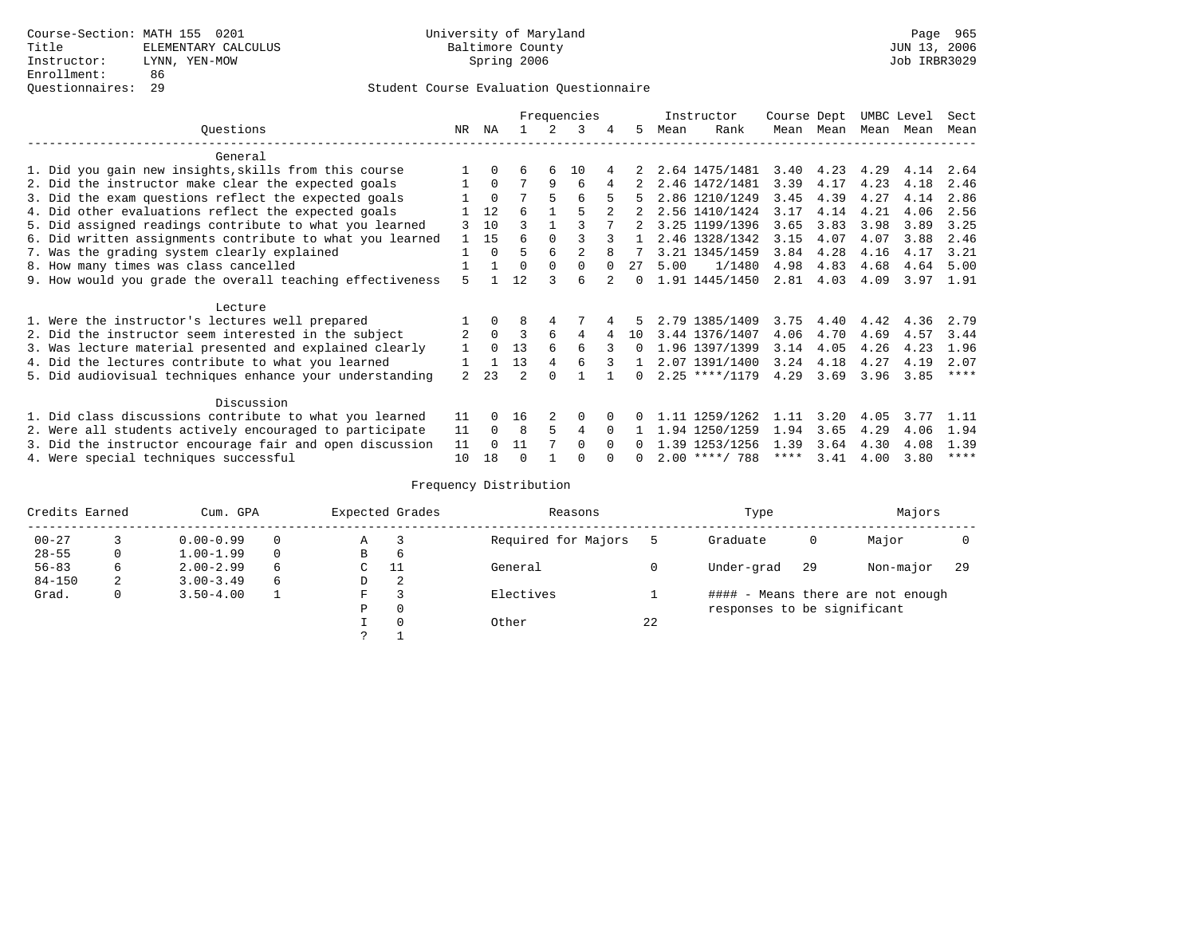|                                                           |                |              |          |          | Frequencies    |   |          |      | Instructor       | Course Dept |           |           | UMBC Level | Sect        |
|-----------------------------------------------------------|----------------|--------------|----------|----------|----------------|---|----------|------|------------------|-------------|-----------|-----------|------------|-------------|
| Ouestions                                                 | NR             | ΝA           |          |          | 3              | 4 | 5.       | Mean | Rank             |             | Mean Mean | Mean Mean |            | Mean        |
| General                                                   |                |              |          |          |                |   |          |      |                  |             |           |           |            |             |
| 1. Did you gain new insights, skills from this course     |                | $\Omega$     | 6        | 6        | 10             |   |          |      | 2.64 1475/1481   | 3.40        | 4.23      | 4.29      | 4.14       | 2.64        |
| 2. Did the instructor make clear the expected goals       |                | $\Omega$     |          | 9        | 6              |   |          |      | 2.46 1472/1481   | 3.39        | 4.17      | 4.23      | 4.18       | 2.46        |
| 3. Did the exam questions reflect the expected goals      |                | $\Omega$     |          | 5        | 6              | 5 | 5.       |      | 2.86 1210/1249   | 3.45        | 4.39      | 4.27      | 4.14       | 2.86        |
| 4. Did other evaluations reflect the expected goals       |                | 12           | б        |          | 5              |   |          |      | 2.56 1410/1424   | 3.17        | 4.14      | 4.21      | 4.06       | 2.56        |
| 5. Did assigned readings contribute to what you learned   |                | 10           | ς        |          |                |   |          |      | 3.25 1199/1396   | 3.65        | 3.83      | 3.98      | 3.89       | 3.25        |
| 6. Did written assignments contribute to what you learned |                | 15           | 6        | $\Omega$ |                |   |          |      | 2.46 1328/1342   | 3.15        | 4.07      | 4.07      | 3.88       | 2.46        |
| 7. Was the grading system clearly explained               |                | $\Omega$     | 5        | 6        | $\mathfrak{D}$ | 8 |          |      | 3.21 1345/1459   | 3.84        | 4.28      | 4.16      | 4.17       | 3.21        |
| 8. How many times was class cancelled                     |                |              | $\Omega$ | $\Omega$ |                |   | 27       | 5.00 | 1/1480           | 4.98        | 4.83      | 4.68      | 4.64       | 5.00        |
| 9. How would you grade the overall teaching effectiveness | 5              |              | 12       |          | б              |   |          |      | 1.91 1445/1450   | 2.81        | 4.03      | 4.09      | 3.97       | 1.91        |
| Lecture                                                   |                |              |          |          |                |   |          |      |                  |             |           |           |            |             |
| 1. Were the instructor's lectures well prepared           |                | $\Omega$     | 8        |          |                |   |          |      | 2.79 1385/1409   | 3.75        | 4.40      | 4.42      | 4.36       | 2.79        |
| 2. Did the instructor seem interested in the subject      | 2              | $\Omega$     | 3        | 6        | 4              | 4 | 10       |      | 3.44 1376/1407   | 4.06        | 4.70      | 4.69      | 4.57       | 3.44        |
| 3. Was lecture material presented and explained clearly   |                | $\Omega$     | 13       | 6        | 6              |   | $\Omega$ |      | 1.96 1397/1399   | 3.14        | 4.05      | 4.26      | 4.23       | 1.96        |
| 4. Did the lectures contribute to what you learned        |                |              | 13       | 4        |                |   | 1.       |      | 2.07 1391/1400   | 3.24        | 4.18      | 4.27      | 4.19       | 2.07        |
| 5. Did audiovisual techniques enhance your understanding  | $\mathfrak{D}$ | 23           |          |          |                |   |          |      | $2.25$ ****/1179 | 4.29        | 3.69      | 3.96      | 3.85       | $***$ * * * |
| Discussion                                                |                |              |          |          |                |   |          |      |                  |             |           |           |            |             |
| 1. Did class discussions contribute to what you learned   | 11             | <sup>n</sup> | 16       |          | $\Omega$       |   |          |      | 1.11 1259/1262   | 1.11        | 3.20      | 4.05      | 3.77       | 1.11        |
| 2. Were all students actively encouraged to participate   | 11             | $\Omega$     | 8        | 5        | 4              |   |          | 1.94 | 1250/1259        | 1.94        | 3.65      | 4.29      | 4.06       | 1.94        |
| 3. Did the instructor encourage fair and open discussion  | 11             |              | 11       |          | $\Omega$       |   |          |      | 1.39 1253/1256   | 1.39        | 3.64      | 4.30      | 4.08       | 1.39        |
| 4. Were special techniques successful                     | 10             | 18           | $\cap$   |          |                |   |          |      | $2.00$ ****/ 788 | ****        | 3.41      | 4.00      | 3.80       | ****        |

| Credits Earned |              | Cum. GPA      |          |   | Expected Grades | Reasons             |    | Type                        |     | Majors                            |     |
|----------------|--------------|---------------|----------|---|-----------------|---------------------|----|-----------------------------|-----|-----------------------------------|-----|
| $00 - 27$      |              | $0.00 - 0.99$ |          | Α |                 | Required for Majors |    | Graduate                    | 0   | Major                             |     |
| $28 - 55$      | 0            | $1.00 - 1.99$ | $\Omega$ | В | 6               |                     |    |                             |     |                                   |     |
| $56 - 83$      | 6            | $2.00 - 2.99$ | 6        |   | 11              | General             |    | Under-grad                  | -29 | Non-major                         | -29 |
| $84 - 150$     | 2            | $3.00 - 3.49$ | 6        | D | 2               |                     |    |                             |     |                                   |     |
| Grad.          | $\mathbf{0}$ | $3.50 - 4.00$ |          | F |                 | Electives           |    |                             |     | #### - Means there are not enough |     |
|                |              |               |          | Ρ | 0               |                     |    | responses to be significant |     |                                   |     |
|                |              |               |          |   | $\Omega$        | Other               | 22 |                             |     |                                   |     |
|                |              |               |          |   |                 |                     |    |                             |     |                                   |     |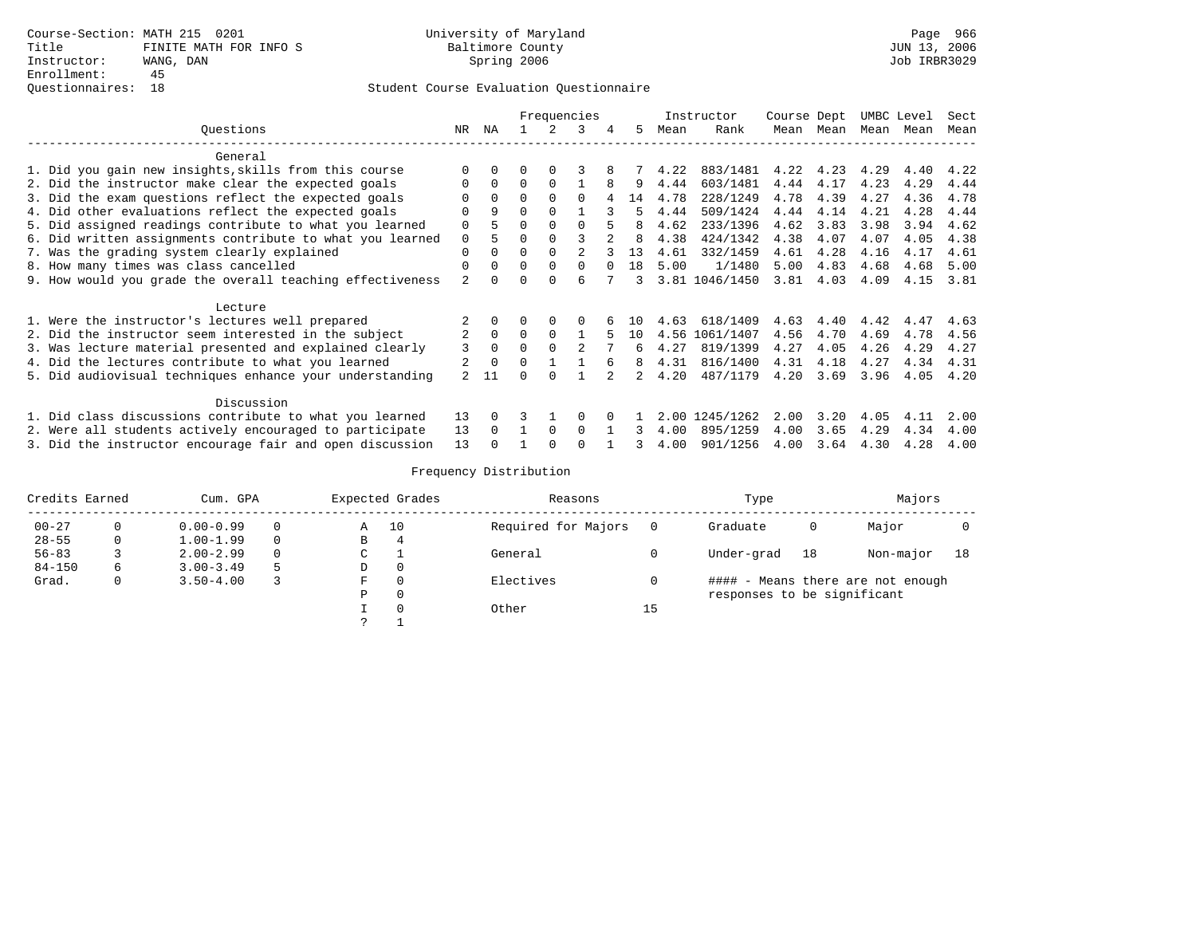|                                                           |             |          |          |              | Frequencies |     |      | Instructor     | Course Dept |      |      | UMBC Level | Sect |
|-----------------------------------------------------------|-------------|----------|----------|--------------|-------------|-----|------|----------------|-------------|------|------|------------|------|
| Ouestions                                                 | NR          | ΝA       |          |              | 3           | 5.  | Mean | Rank           | Mean        | Mean | Mean | Mean       | Mean |
| General                                                   |             |          |          |              |             |     |      |                |             |      |      |            |      |
| 1. Did you gain new insights, skills from this course     |             |          |          |              |             |     | 4.22 | 883/1481       | 4.22        | 4.23 | 4.29 | 4.40       | 4.22 |
| 2. Did the instructor make clear the expected goals       | O           | 0        | O        | 0            |             | 9   | 4.44 | 603/1481       | 4.44        | 4.17 | 4.23 | 4.29       | 4.44 |
| 3. Did the exam questions reflect the expected goals      |             |          | $\Omega$ |              |             | 14  | 4.78 | 228/1249       | 4.78        | 4.39 | 4.27 | 4.36       | 4.78 |
| 4. Did other evaluations reflect the expected goals       | $\Omega$    | 9        | $\Omega$ |              |             | 5   | 4.44 | 509/1424       | 4.44        | 4.14 | 4.21 | 4.28       | 4.44 |
| 5. Did assigned readings contribute to what you learned   | $\Omega$    |          | $\Omega$ |              |             | 8   | 4.62 | 233/1396       | 4.62        | 3.83 | 3.98 | 3.94       | 4.62 |
| 6. Did written assignments contribute to what you learned | $\mathbf 0$ |          | $\Omega$ |              |             | 8   | 4.38 | 424/1342       | 4.38        | 4.07 | 4.07 | 4.05       | 4.38 |
| 7. Was the grading system clearly explained               | $\Omega$    |          | 0        |              |             | 13  | 4.61 | 332/1459       | 4.61        | 4.28 | 4.16 | 4.17       | 4.61 |
| 8. How many times was class cancelled                     | $\Omega$    |          | $\Omega$ |              | $\Omega$    | 1 R | 5.00 | 1/1480         | 5.00        | 4.83 | 4.68 | 4.68       | 5.00 |
| 9. How would you grade the overall teaching effectiveness | 2           |          | O        |              |             | 3   |      | 3.81 1046/1450 | 3.81        | 4.03 | 4.09 | 4.15       | 3.81 |
| Lecture                                                   |             |          |          |              |             |     |      |                |             |      |      |            |      |
| 1. Were the instructor's lectures well prepared           |             |          |          |              | 0           | 1 N | 4.63 | 618/1409       | 4.63        | 4.40 | 4.42 | 4.47       | 4.63 |
| 2. Did the instructor seem interested in the subject      |             | $\Omega$ | $\Omega$ |              |             | 10  | 4.56 | 1061/1407      | 4.56        | 4.70 | 4.69 | 4.78       | 4.56 |
| 3. Was lecture material presented and explained clearly   | 3           | $\Omega$ | $\Omega$ |              |             | 6   | 4.27 | 819/1399       | 4.27        | 4.05 | 4.26 | 4.29       | 4.27 |
| 4. Did the lectures contribute to what you learned        |             | $\Omega$ | 0        |              |             | 8   | 4.31 | 816/1400       | 4.31        | 4.18 | 4.27 | 4.34       | 4.31 |
| 5. Did audiovisual techniques enhance your understanding  |             | 11       |          |              |             |     | 4.20 | 487/1179       | 4.20        | 3.69 | 3.96 | 4.05       | 4.20 |
| Discussion                                                |             |          |          |              |             |     |      |                |             |      |      |            |      |
| 1. Did class discussions contribute to what you learned   | 13          |          |          |              |             |     | 2.00 | 1245/1262      | 2.00        | 3.20 | 4.05 | 4.11       | 2.00 |
| 2. Were all students actively encouraged to participate   | 13          |          |          | <sup>n</sup> | $\cap$      |     | 4.00 | 895/1259       | 4.00        | 3.65 | 4.29 | 4.34       | 4.00 |
| 3. Did the instructor encourage fair and open discussion  | 13          |          |          |              |             | ર   | 4.00 | 901/1256       | 4.00        | 3.64 | 4.30 | 4.28       | 4.00 |

| Credits Earned |    | Cum. GPA      |          | Expected Grades |    | Reasons             |    | Type                        |    | Majors                            |    |
|----------------|----|---------------|----------|-----------------|----|---------------------|----|-----------------------------|----|-----------------------------------|----|
| $00 - 27$      |    | $0.00 - 0.99$ | $\Omega$ | Α               | 10 | Required for Majors |    | Graduate                    | 0  | Major                             |    |
| $28 - 55$      | 0  | $1.00 - 1.99$ | $\Omega$ | B               | 4  |                     |    |                             |    |                                   |    |
| $56 - 83$      |    | $2.00 - 2.99$ | $\Omega$ | C               |    | General             |    | Under-grad                  | 18 | Non-major                         | 18 |
| $84 - 150$     | 6. | $3.00 - 3.49$ | 5        | D               |    |                     |    |                             |    |                                   |    |
| Grad.          | 0  | $3.50 - 4.00$ |          | F               |    | Electives           |    |                             |    | #### - Means there are not enough |    |
|                |    |               |          | P               |    |                     |    | responses to be significant |    |                                   |    |
|                |    |               |          |                 |    | Other               | 15 |                             |    |                                   |    |
|                |    |               |          |                 |    |                     |    |                             |    |                                   |    |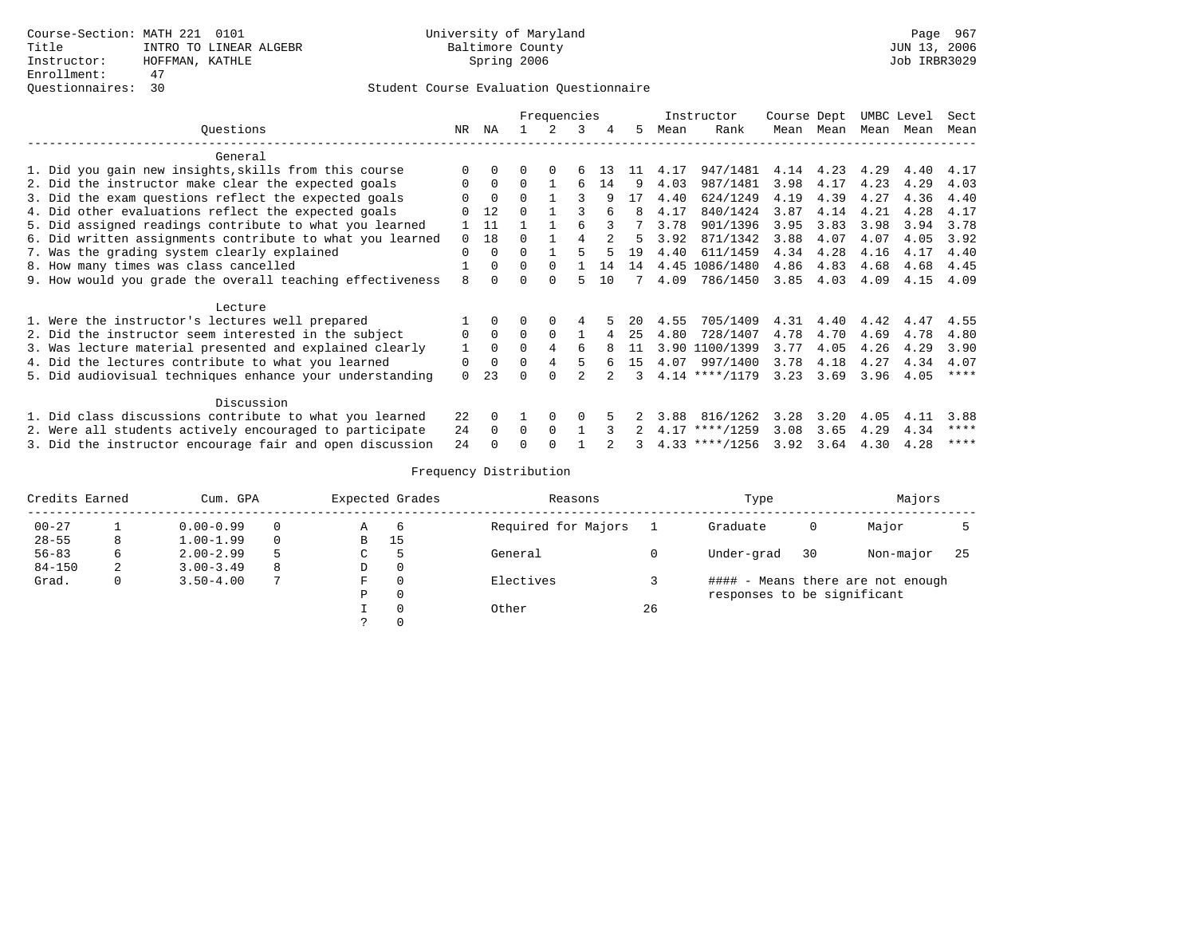|                                                           |          |          |          | Frequencies |   |    |    |      | Instructor       | Course Dept |           |      | UMBC Level | Sect        |
|-----------------------------------------------------------|----------|----------|----------|-------------|---|----|----|------|------------------|-------------|-----------|------|------------|-------------|
| Ouestions                                                 | NR       | ΝA       |          |             | 3 | 4  | 5. | Mean | Rank             |             | Mean Mean | Mean | Mean       | Mean        |
| General                                                   |          |          |          |             |   |    |    |      |                  |             |           |      |            |             |
| 1. Did you gain new insights, skills from this course     | ∩        |          |          |             |   |    |    | 4.17 | 947/1481         | 4.14        | 4.23      | 4.29 | 4.40       | 4.17        |
| 2. Did the instructor make clear the expected goals       | $\Omega$ | $\Omega$ | 0        |             | 6 | 14 | q  | 4.03 | 987/1481         | 3.98        | 4.17      | 4.23 | 4.29       | 4.03        |
| 3. Did the exam questions reflect the expected goals      |          | $\Omega$ | $\Omega$ |             |   |    | 17 | 4.40 | 624/1249         | 4.19        | 4.39      | 4.27 | 4.36       | 4.40        |
| 4. Did other evaluations reflect the expected goals       |          | 12       | $\Omega$ |             |   |    | 8  | 4.17 | 840/1424         | 3.87        | 4.14      | 4.21 | 4.28       | 4.17        |
| 5. Did assigned readings contribute to what you learned   |          | 11       |          |             |   |    |    | 3.78 | 901/1396         | 3.95        | 3.83      | 3.98 | 3.94       | 3.78        |
| 6. Did written assignments contribute to what you learned | $\Omega$ | 18       | U        |             |   |    |    | 3.92 | 871/1342         | 3.88        | 4.07      | 4.07 | 4.05       | 3.92        |
| 7. Was the grading system clearly explained               | $\Omega$ |          | $\Omega$ |             |   |    | 19 | 4.40 | 611/1459         | 4.34        | 4.28      | 4.16 | 4.17       | 4.40        |
| 8. How many times was class cancelled                     |          |          | $\Omega$ | 0           |   | 14 | 14 | 4.45 | 1086/1480        | 4.86        | 4.83      | 4.68 | 4.68       | 4.45        |
| 9. How would you grade the overall teaching effectiveness | 8        |          | $\Omega$ |             |   | 10 |    | 4.09 | 786/1450         | 3.85        | 4.03      | 4.09 | 4.15       | 4.09        |
| Lecture                                                   |          |          |          |             |   |    |    |      |                  |             |           |      |            |             |
| 1. Were the instructor's lectures well prepared           |          |          |          |             |   |    | 20 | 4.55 | 705/1409         | 4.31        | 4.40      | 4.42 | 4.47       | 4.55        |
| 2. Did the instructor seem interested in the subject      | 0        | $\Omega$ | $\Omega$ |             |   |    | 25 | 4.80 | 728/1407         | 4.78        | 4.70      | 4.69 | 4.78       | 4.80        |
| 3. Was lecture material presented and explained clearly   |          |          |          |             | 6 |    | 11 | 3.90 | 1100/1399        | 3.77        | 4.05      | 4.26 | 4.29       | 3.90        |
| 4. Did the lectures contribute to what you learned        | 0        | $\Omega$ | 0        |             |   |    | 15 | 4.07 | 997/1400         | 3.78        | 4.18      | 4.27 | 4.34       | 4.07        |
| 5. Did audiovisual techniques enhance your understanding  | $\Omega$ | 23       |          |             |   |    |    |      | $4.14$ ****/1179 | 3.23        | 3.69      | 3.96 | 4.05       | $***$ * * * |
| Discussion                                                |          |          |          |             |   |    |    |      |                  |             |           |      |            |             |
| 1. Did class discussions contribute to what you learned   | 22       |          |          |             | O |    |    | 3.88 | 816/1262         | 3.28        | 3.20      | 4.05 | 4.11       | 3.88        |
| 2. Were all students actively encouraged to participate   | 24       | 0        | 0        | 0           |   |    |    | 4.17 | $***/1259$       | 3.08        | 3.65      | 4.29 | 4.34       | ****        |
| 3. Did the instructor encourage fair and open discussion  | 2.4      |          |          |             |   |    |    |      | $4.33$ ****/1256 | 3.92        | 3.64      | 4.30 | 4.28       | ****        |

| Credits Earned |   | Cum. GPA      |   |    | Expected Grades | Reasons             |    | Type                        |    | Majors                            |     |
|----------------|---|---------------|---|----|-----------------|---------------------|----|-----------------------------|----|-----------------------------------|-----|
| $00 - 27$      |   | $0.00 - 0.99$ |   | A  | - 6             | Required for Majors |    | Graduate                    | 0  | Major                             |     |
| $28 - 55$      | 8 | $1.00 - 1.99$ |   | B  | 15              |                     |    |                             |    |                                   |     |
| $56 - 83$      | 6 | $2.00 - 2.99$ | 5 | C. |                 | General             |    | Under-grad                  | 30 | Non-major                         | -25 |
| $84 - 150$     | 2 | $3.00 - 3.49$ | 8 | D  | 0               |                     |    |                             |    |                                   |     |
| Grad.          | 0 | $3.50 - 4.00$ |   | F  | $\Omega$        | Electives           |    |                             |    | #### - Means there are not enough |     |
|                |   |               |   | Ρ  | 0               |                     |    | responses to be significant |    |                                   |     |
|                |   |               |   |    | $\Omega$        | Other               | 26 |                             |    |                                   |     |
|                |   |               |   |    |                 |                     |    |                             |    |                                   |     |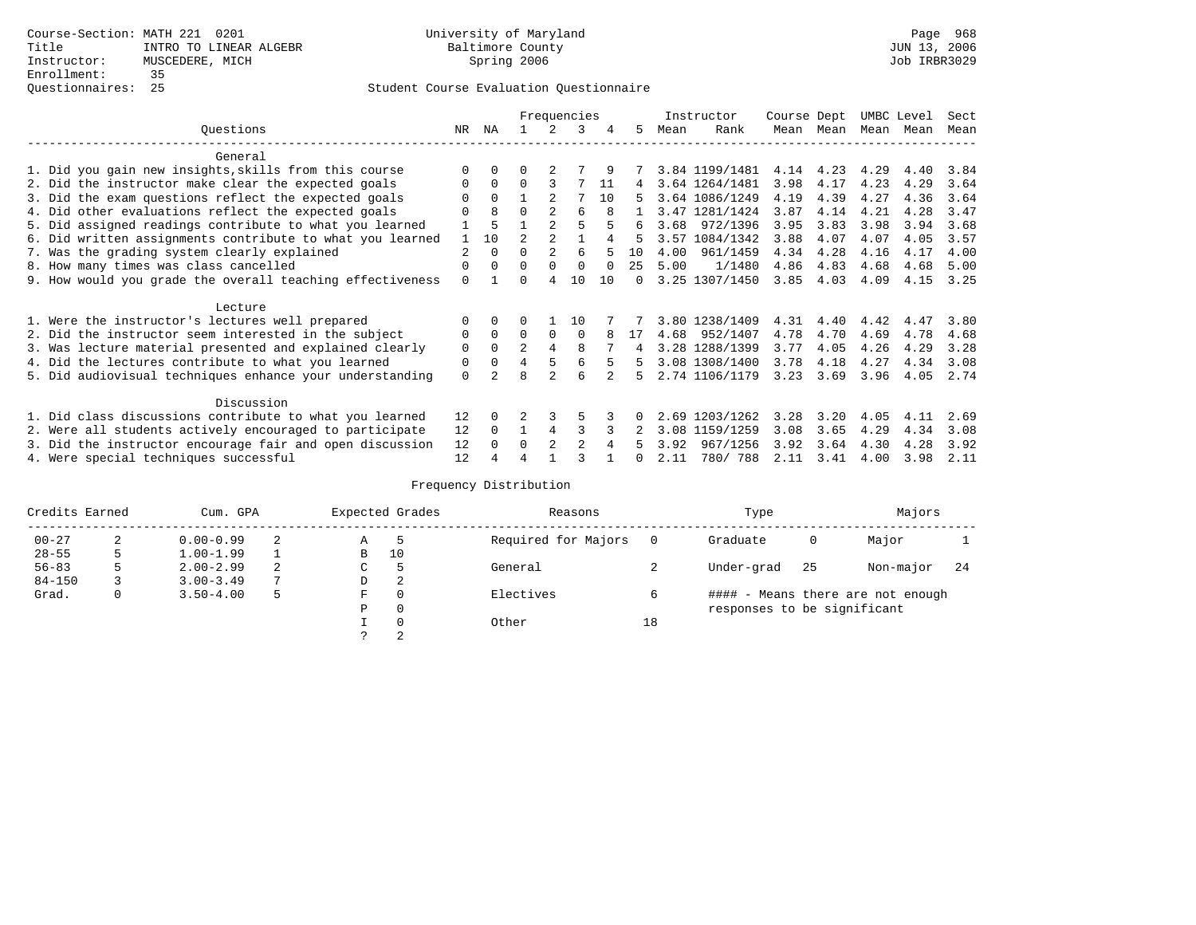|           |                                                           |          |             | Frequencies    |                |                |    |          |      | Instructor     |      | Course Dept |      | UMBC Level |      |
|-----------|-----------------------------------------------------------|----------|-------------|----------------|----------------|----------------|----|----------|------|----------------|------|-------------|------|------------|------|
| Ouestions |                                                           |          |             |                |                | 3              | 4  | 5.       | Mean | Rank           |      | Mean Mean   | Mean | Mean       | Mean |
|           | General                                                   |          |             |                |                |                |    |          |      |                |      |             |      |            |      |
|           | 1. Did you gain new insights, skills from this course     |          | $\Omega$    | 0              |                |                |    |          |      | 3.84 1199/1481 | 4.14 | 4.23        | 4.29 | 4.40       | 3.84 |
|           | 2. Did the instructor make clear the expected goals       | O        | $\Omega$    | $\Omega$       | 3              |                | 11 | 4        |      | 3.64 1264/1481 | 3.98 | 4.17        | 4.23 | 4.29       | 3.64 |
|           | 3. Did the exam questions reflect the expected goals      |          | $\Omega$    |                |                |                | 10 | 5.       |      | 3.64 1086/1249 | 4.19 | 4.39        | 4.27 | 4.36       | 3.64 |
|           | 4. Did other evaluations reflect the expected goals       |          | 8           | $\Omega$       | $\mathfrak{D}$ | 6              | 8  |          |      | 3.47 1281/1424 | 3.87 | 4.14        | 4.21 | 4.28       | 3.47 |
|           | 5. Did assigned readings contribute to what you learned   |          | 5           |                | $\mathfrak{D}$ |                |    | 6        | 3.68 | 972/1396       | 3.95 | 3.83        | 3.98 | 3.94       | 3.68 |
|           | 6. Did written assignments contribute to what you learned |          | 10          | $\mathfrak{D}$ | $\mathfrak{D}$ |                |    | 5        |      | 3.57 1084/1342 | 3.88 | 4.07        | 4.07 | 4.05       | 3.57 |
|           | 7. Was the grading system clearly explained               | 2        | $\Omega$    | 0              | $\overline{a}$ | 6              |    | 10       | 4.00 | 961/1459       | 4.34 | 4.28        | 4.16 | 4.17       | 4.00 |
|           | 8. How many times was class cancelled                     | 0        | $\Omega$    | $\Omega$       | $\Omega$       | $\Omega$       |    | 25       | 5.00 | 1/1480         | 4.86 | 4.83        | 4.68 | 4.68       | 5.00 |
|           | 9. How would you grade the overall teaching effectiveness | $\Omega$ |             |                | 4              | 10             | 10 | $\Omega$ |      | 3.25 1307/1450 | 3.85 | 4.03        | 4.09 | 4.15       | 3.25 |
|           | Lecture                                                   |          |             |                |                |                |    |          |      |                |      |             |      |            |      |
|           | 1. Were the instructor's lectures well prepared           | O        |             |                |                | 10             |    |          |      | 3.80 1238/1409 | 4.31 | 4.40        | 4.42 | 4.47       | 3.80 |
|           | 2. Did the instructor seem interested in the subject      | 0        | $\Omega$    | $\Omega$       | $\Omega$       | $\Omega$       | 8  | 17       | 4.68 | 952/1407       | 4.78 | 4.70        | 4.69 | 4.78       | 4.68 |
|           | 3. Was lecture material presented and explained clearly   | 0        | $\Omega$    | $\overline{a}$ | 4              | 8              |    |          |      | 3.28 1288/1399 | 3.77 | 4.05        | 4.26 | 4.29       | 3.28 |
|           | 4. Did the lectures contribute to what you learned        | 0        | $\mathbf 0$ | 4              |                | 6              |    | 5        |      | 3.08 1308/1400 | 3.78 | 4.18        | 4.27 | 4.34       | 3.08 |
|           | 5. Did audiovisual techniques enhance your understanding  | $\Omega$ |             |                | $\mathcal{D}$  | 6              |    | Б.       |      | 2.74 1106/1179 | 3.23 | 3.69        | 3.96 | 4.05       | 2.74 |
|           | Discussion                                                |          |             |                |                |                |    |          |      |                |      |             |      |            |      |
|           | 1. Did class discussions contribute to what you learned   | 12       | $\Omega$    |                |                |                |    |          |      | 2.69 1203/1262 | 3.28 | 3.20        | 4.05 | 4.11       | 2.69 |
|           | 2. Were all students actively encouraged to participate   | 12       | $\Omega$    |                | 4              | ς              |    |          | 3.08 | 1159/1259      | 3.08 | 3.65        | 4.29 | 4.34       | 3.08 |
|           | 3. Did the instructor encourage fair and open discussion  | 12       |             | 0              | 2              | $\mathfrak{D}$ |    |          | 3.92 | 967/1256       | 3.92 | 3.64        | 4.30 | 4.28       | 3.92 |
|           | 4. Were special techniques successful                     | 12       |             |                |                |                |    |          | 2.11 | 780/ 788       | 2.11 | 3.41        | 4.00 | 3.98       | 2.11 |

| Credits Earned |   | Cum. GPA      |                | Expected Grades |          | Reasons             |    | Type                        | Majors                            |           |     |
|----------------|---|---------------|----------------|-----------------|----------|---------------------|----|-----------------------------|-----------------------------------|-----------|-----|
| $00 - 27$      | 2 | $0.00 - 0.99$ | 2              | Α               | -5       | Required for Majors |    | Graduate                    | 0                                 | Major     |     |
| $28 - 55$      | 5 | $1.00 - 1.99$ |                | B               | 10       |                     |    |                             |                                   |           |     |
| $56 - 83$      | 5 | $2.00 - 2.99$ | 2              | ◡               | 5        | General             |    | Under-grad                  | 25                                | Non-major | -24 |
| $84 - 150$     |   | $3.00 - 3.49$ | $\overline{ }$ | D               | 2        |                     |    |                             |                                   |           |     |
| Grad.          | 0 | $3.50 - 4.00$ | 5              | F               | 0        | Electives           |    |                             | #### - Means there are not enough |           |     |
|                |   |               |                | Ρ               | 0        |                     |    | responses to be significant |                                   |           |     |
|                |   |               |                |                 | $\Omega$ | Other               | 18 |                             |                                   |           |     |
|                |   |               |                |                 | 2        |                     |    |                             |                                   |           |     |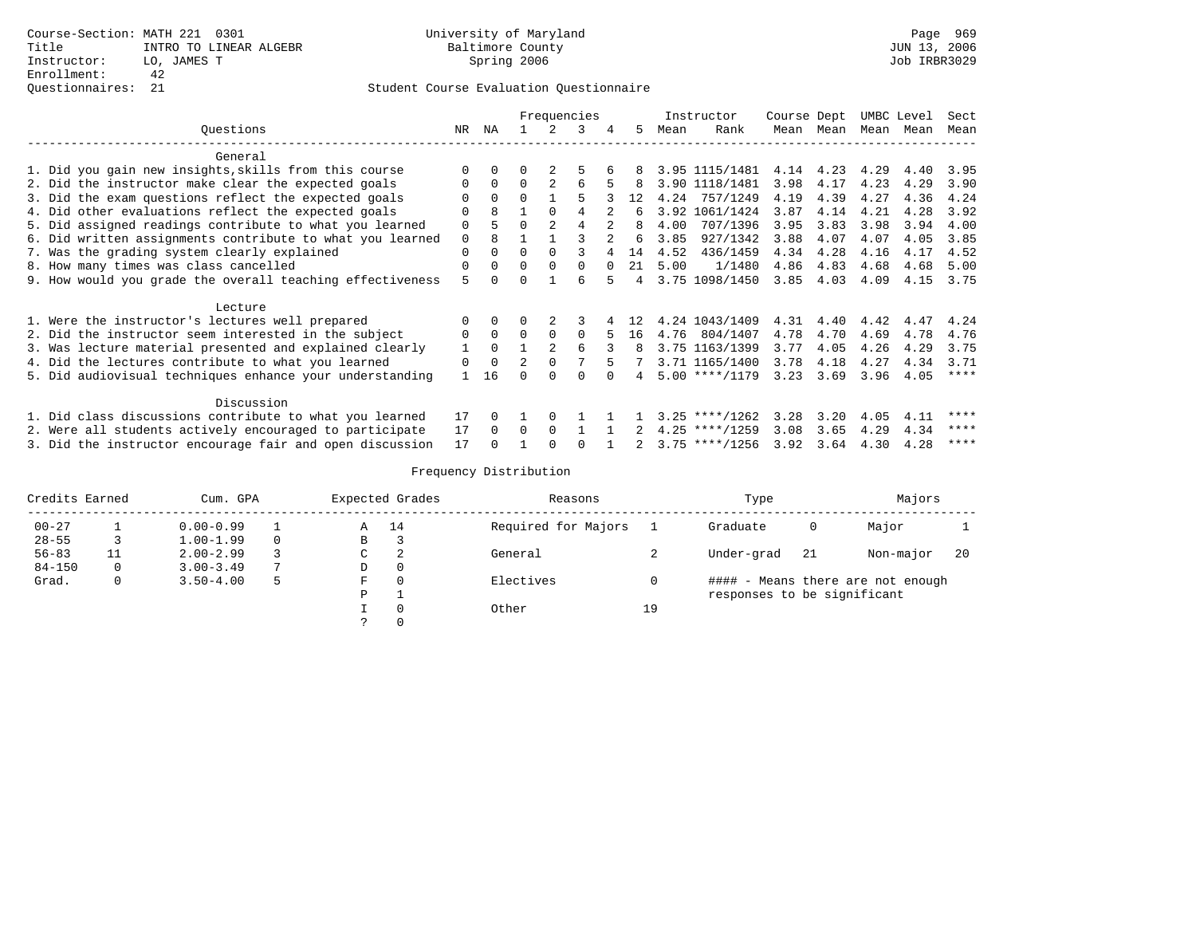|                                                           |              |          |                |               | Frequencies |          |                |      | Instructor               | Course Dept |           |           | UMBC Level | Sect        |
|-----------------------------------------------------------|--------------|----------|----------------|---------------|-------------|----------|----------------|------|--------------------------|-------------|-----------|-----------|------------|-------------|
| Ouestions                                                 | NR           | ΝA       |                |               | 3           | 4        | 5.             | Mean | Rank                     |             | Mean Mean | Mean Mean |            | Mean        |
| General                                                   |              |          |                |               |             |          |                |      |                          |             |           |           |            |             |
| 1. Did you gain new insights, skills from this course     | $\Omega$     | $\Omega$ |                |               |             |          |                |      | 3.95 1115/1481 4.14 4.23 |             |           | 4.29      | 4.40       | 3.95        |
| 2. Did the instructor make clear the expected goals       | 0            | $\Omega$ | $\Omega$       | $\mathcal{L}$ | 6           |          | 8              |      | 3.90 1118/1481           | 3.98        | 4.17      | 4.23      | 4.29       | 3.90        |
| 3. Did the exam questions reflect the expected goals      |              | $\Omega$ | $\Omega$       |               |             |          | 12             |      | 4.24 757/1249            | 4.19        | 4.39      | 4.27      | 4.36       | 4.24        |
| 4. Did other evaluations reflect the expected goals       | $\Omega$     | 8        |                |               |             |          | 6              |      | 3.92 1061/1424           | 3.87        | 4.14      | 4.21      | 4.28       | 3.92        |
| 5. Did assigned readings contribute to what you learned   | 0            |          | $\Omega$       |               |             |          | 8              | 4.00 | 707/1396                 | 3.95        | 3.83      | 3.98      | 3.94       | 4.00        |
| 6. Did written assignments contribute to what you learned | $\mathbf 0$  | 8        |                |               |             |          | 6              | 3.85 | 927/1342                 | 3.88        | 4.07      | 4.07      | 4.05       | 3.85        |
| 7. Was the grading system clearly explained               | 0            | $\Omega$ | $\Omega$       |               |             |          | 14             | 4.52 | 436/1459                 | 4.34        | 4.28      | 4.16      | 4.17       | 4.52        |
| 8. How many times was class cancelled                     | 0            | $\Omega$ | $\Omega$       |               | $\Omega$    | $\Omega$ | 21             | 5.00 | 1/1480                   | 4.86        | 4.83      | 4.68      | 4.68       | 5.00        |
| 9. How would you grade the overall teaching effectiveness | 5            |          | $\Omega$       |               |             |          | $\overline{4}$ |      | 3.75 1098/1450           | 3.85        | 4.03      | 4.09      | 4.15       | 3.75        |
| Lecture                                                   |              |          |                |               |             |          |                |      |                          |             |           |           |            |             |
| 1. Were the instructor's lectures well prepared           |              |          |                |               |             |          | 12             |      | 4.24 1043/1409           | 4.31        | 4.40      | 4.42      | 4.47       | 4.24        |
| 2. Did the instructor seem interested in the subject      | 0            | $\Omega$ | $\Omega$       |               | $\Omega$    |          | 16             | 4.76 | 804/1407                 | 4.78        | 4.70      | 4.69      | 4.78       | 4.76        |
| 3. Was lecture material presented and explained clearly   | $\mathbf{1}$ | $\Omega$ |                |               |             |          | 8              |      | 3.75 1163/1399           | 3.77        | 4.05      | 4.26      | 4.29       | 3.75        |
| 4. Did the lectures contribute to what you learned        | 0            | $\Omega$ | $\mathfrak{D}$ | $\Omega$      |             |          |                |      | 3.71 1165/1400           | 3.78        | 4.18      | 4.27      | 4.34       | 3.71        |
| 5. Did audiovisual techniques enhance your understanding  |              | 16       |                |               |             |          |                |      | $5.00$ ****/1179         | 3.23        | 3.69      | 3.96      | 4.05       | $***$ * * * |
| Discussion                                                |              |          |                |               |             |          |                |      |                          |             |           |           |            |             |
| 1. Did class discussions contribute to what you learned   | 17           |          |                |               |             |          |                |      | $3.25$ ****/1262         | 3.28        | 3.20      | 4.05      | 4.11       | ****        |
| 2. Were all students actively encouraged to participate   | 17           | $\Omega$ | $\Omega$       | $\Omega$      |             |          |                |      | $4.25$ ****/1259         | 3.08        | 3.65      | 4.29      | 4.34       | ****        |
| 3. Did the instructor encourage fair and open discussion  | 17           |          |                |               |             |          |                |      | $3.75$ ****/1256         | 3.92        | 3.64      | 4.30      | 4.28       | ****        |

| Credits Earned |    | Cum. GPA      |          |   | Expected Grades | Reasons             |                          | Type                        |    | Majors                            |    |
|----------------|----|---------------|----------|---|-----------------|---------------------|--------------------------|-----------------------------|----|-----------------------------------|----|
| $00 - 27$      |    | $0.00 - 0.99$ |          | Α | 14              | Required for Majors |                          | Graduate                    | 0  | Major                             |    |
| $28 - 55$      |    | $1.00 - 1.99$ | $\Omega$ | B |                 |                     |                          |                             |    |                                   |    |
| $56 - 83$      | 11 | $2.00 - 2.99$ |          | C | 2               | General             | $\overline{\phantom{a}}$ | Under-grad                  | 21 | Non-major                         | 20 |
| $84 - 150$     | 0  | $3.00 - 3.49$ |          | D |                 |                     |                          |                             |    |                                   |    |
| Grad.          | 0  | $3.50 - 4.00$ | 5        | F |                 | Electives           |                          |                             |    | #### - Means there are not enough |    |
|                |    |               |          | P |                 |                     |                          | responses to be significant |    |                                   |    |
|                |    |               |          |   |                 | Other               | 19                       |                             |    |                                   |    |
|                |    |               |          |   |                 |                     |                          |                             |    |                                   |    |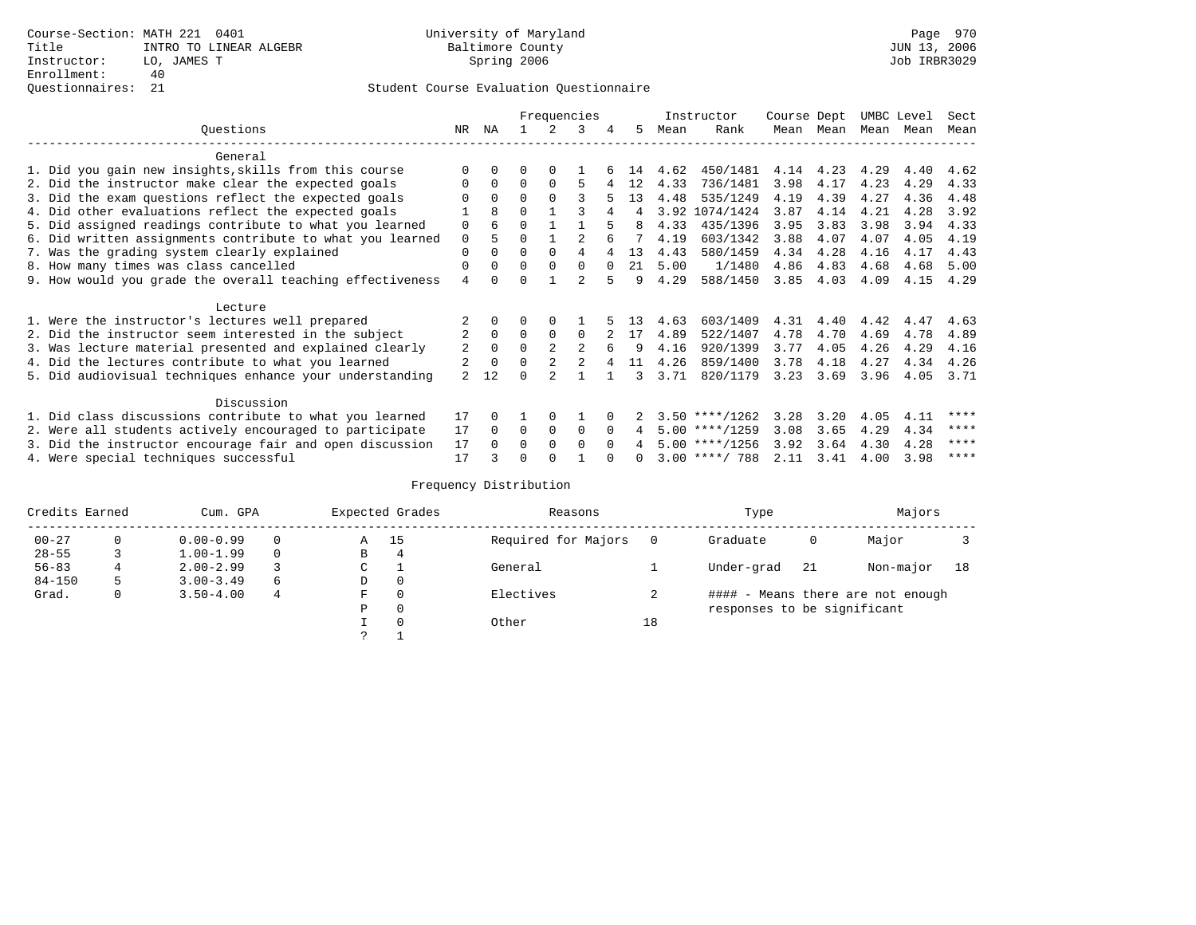|                                                           |                |              |          |          | Frequencies    |          |    |      | Instructor       | Course Dept |      | UMBC Level |      | Sect |
|-----------------------------------------------------------|----------------|--------------|----------|----------|----------------|----------|----|------|------------------|-------------|------|------------|------|------|
| Ouestions                                                 | NR             | ΝA           |          |          | 3              | 4        | 5  | Mean | Rank             | Mean        | Mean | Mean       | Mean | Mean |
| General                                                   |                |              |          |          |                |          |    |      |                  |             |      |            |      |      |
|                                                           |                |              |          |          |                |          |    |      |                  |             |      |            |      |      |
| 1. Did you gain new insights, skills from this course     |                | <sup>0</sup> |          | 0        |                |          | 14 | 4.62 | 450/1481         | 4.14        | 4.23 | 4.29       | 4.40 | 4.62 |
| 2. Did the instructor make clear the expected goals       |                | $\Omega$     | 0        | $\Omega$ | 5              |          | 12 | 4.33 | 736/1481         | 3.98        | 4.17 | 4.23       | 4.29 | 4.33 |
| 3. Did the exam questions reflect the expected goals      |                | $\Omega$     | $\Omega$ | $\Omega$ |                |          | 13 | 4.48 | 535/1249         | 4.19        | 4.39 | 4.27       | 4.36 | 4.48 |
| 4. Did other evaluations reflect the expected goals       |                | 8            | 0        |          |                |          | 4  |      | 3.92 1074/1424   | 3.87        | 4.14 | 4.21       | 4.28 | 3.92 |
| 5. Did assigned readings contribute to what you learned   | 0              | 6            | U        |          |                |          |    | 4.33 | 435/1396         | 3.95        | 3.83 | 3.98       | 3.94 | 4.33 |
| 6. Did written assignments contribute to what you learned | $\mathbf 0$    | 5            | U        |          |                |          |    | 4.19 | 603/1342         | 3.88        | 4.07 | 4.07       | 4.05 | 4.19 |
| 7. Was the grading system clearly explained               | 0              | $\Omega$     | 0        | $\Omega$ |                |          | 13 | 4.43 | 580/1459         | 4.34        | 4.28 | 4.16       | 4.17 | 4.43 |
| 8. How many times was class cancelled                     | 0              | 0            | 0        | $\Omega$ | $\Omega$       | $\Omega$ | 21 | 5.00 | 1/1480           | 4.86        | 4.83 | 4.68       | 4.68 | 5.00 |
| 9. How would you grade the overall teaching effectiveness | 4              |              |          |          | $\mathfrak{D}$ | 5        | 9  | 4.29 | 588/1450         | 3.85        | 4.03 | 4.09       | 4.15 | 4.29 |
|                                                           |                |              |          |          |                |          |    |      |                  |             |      |            |      |      |
| Lecture                                                   |                |              |          |          |                |          |    |      |                  |             |      |            |      |      |
| 1. Were the instructor's lectures well prepared           |                |              |          |          |                |          | 13 | 4.63 | 603/1409         | 4.31        | 4.40 | 4.42       | 4.47 | 4.63 |
| 2. Did the instructor seem interested in the subject      | 2              | $\Omega$     | $\Omega$ | $\Omega$ | $\Omega$       |          | 17 | 4.89 | 522/1407         | 4.78        | 4.70 | 4.69       | 4.78 | 4.89 |
| 3. Was lecture material presented and explained clearly   | 2              | 0            | 0        |          | 2              | 6        | 9  | 4.16 | 920/1399         | 3.77        | 4.05 | 4.26       | 4.29 | 4.16 |
| 4. Did the lectures contribute to what you learned        |                | $\Omega$     | $\Omega$ | 2        |                |          | 11 | 4.26 | 859/1400         | 3.78        | 4.18 | 4.27       | 4.34 | 4.26 |
| 5. Did audiovisual techniques enhance your understanding  | $\mathfrak{D}$ | 12           |          |          |                |          |    | 3.71 | 820/1179         | 3.23        | 3.69 | 3.96       | 4.05 | 3.71 |
| Discussion                                                |                |              |          |          |                |          |    |      |                  |             |      |            |      |      |
| 1. Did class discussions contribute to what you learned   | 17             |              |          |          |                |          |    |      | $3.50$ ****/1262 | 3.28        | 3.20 | 4.05       | 4.11 | **** |
|                                                           | 17             | $\Omega$     | $\Omega$ | $\Omega$ | $\Omega$       | $\Omega$ |    |      | $5.00$ ****/1259 | 3.08        | 3.65 | 4.29       |      | **** |
| 2. Were all students actively encouraged to participate   |                |              |          | $\Omega$ |                |          | 4  |      |                  |             |      |            | 4.34 | **** |
| 3. Did the instructor encourage fair and open discussion  | 17             |              | U        |          | 0              |          |    |      | $5.00$ ****/1256 | 3.92        | 3.64 | 4.30       | 4.28 |      |
| 4. Were special techniques successful                     | 17             |              |          |          |                |          |    |      | $3.00$ ****/ 788 | 2.11        | 3.41 | 4.00       | 3.98 | **** |

| Credits Earned |          | Cum. GPA      |   |             | Expected Grades | Reasons             |          | Type                        |     | Majors                            |    |
|----------------|----------|---------------|---|-------------|-----------------|---------------------|----------|-----------------------------|-----|-----------------------------------|----|
| $00 - 27$      | $\Omega$ | $0.00 - 0.99$ |   | Α           | 15              | Required for Majors | $\Omega$ | Graduate                    | 0   | Major                             |    |
| $28 - 55$      | 3        | $1.00 - 1.99$ |   | В           | 4               |                     |          |                             |     |                                   |    |
| $56 - 83$      |          | $2.00 - 2.99$ |   | $\sim$<br>◡ |                 | General             |          | Under-grad                  | -21 | Non-major                         | 18 |
| $84 - 150$     | 5        | $3.00 - 3.49$ | 6 | D           | 0               |                     |          |                             |     |                                   |    |
| Grad.          | 0        | $3.50 - 4.00$ | 4 | F           | 0               | Electives           |          |                             |     | #### - Means there are not enough |    |
|                |          |               |   | Ρ           | 0               |                     |          | responses to be significant |     |                                   |    |
|                |          |               |   |             | $\Omega$        | Other               | 18       |                             |     |                                   |    |
|                |          |               |   | C           |                 |                     |          |                             |     |                                   |    |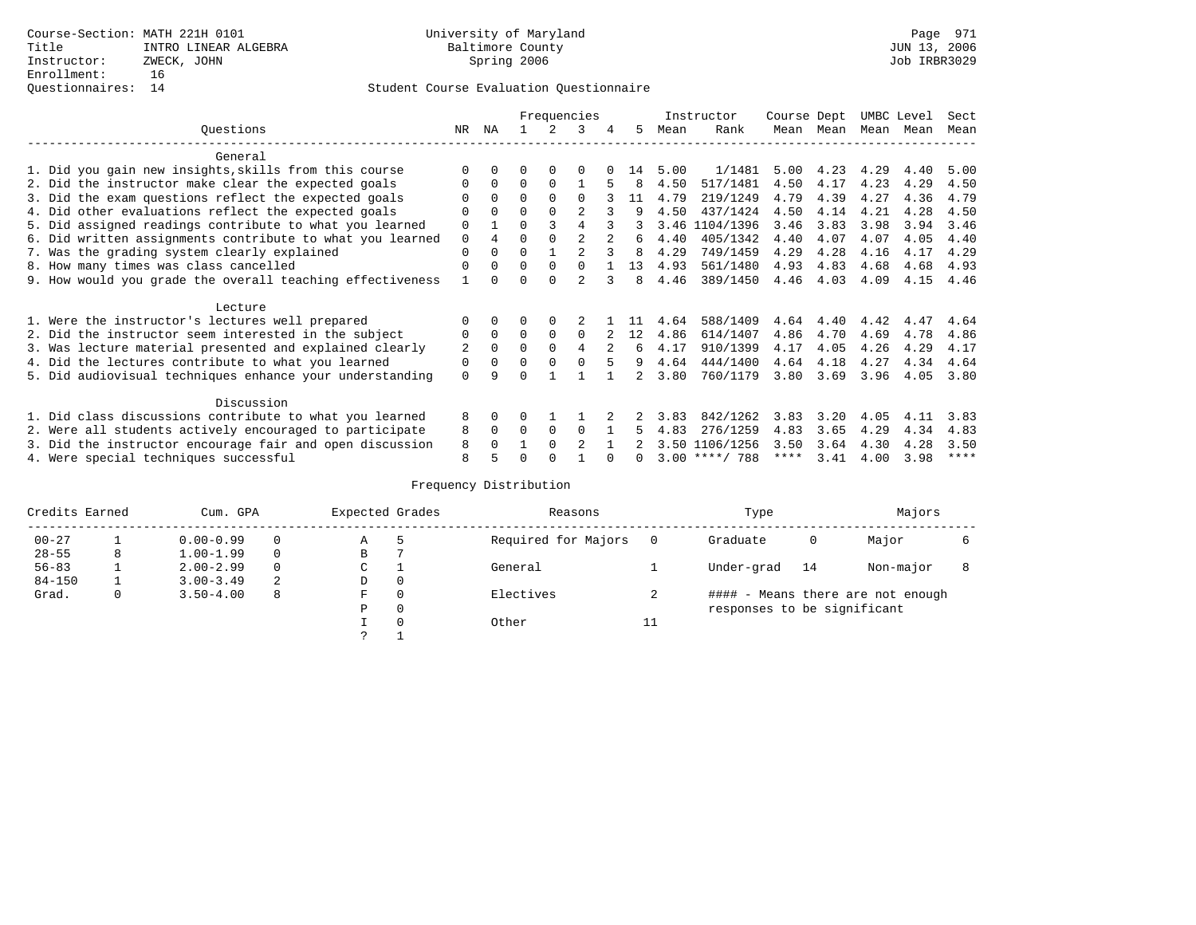|                                                           |    |             |          |          | Frequencies    |   |    |      | Instructor       | Course Dept |      | UMBC Level |      | Sect        |
|-----------------------------------------------------------|----|-------------|----------|----------|----------------|---|----|------|------------------|-------------|------|------------|------|-------------|
| Ouestions                                                 | NR | ΝA          |          |          | २              | 4 | 5  | Mean | Rank             | Mean        | Mean | Mean Mean  |      | Mean        |
| General                                                   |    |             |          |          |                |   |    |      |                  |             |      |            |      |             |
| 1. Did you gain new insights, skills from this course     |    |             |          | $\Omega$ |                |   | 14 | 5.00 | 1/1481           | 5.00        | 4.23 | 4.29       | 4.40 | 5.00        |
| 2. Did the instructor make clear the expected goals       |    | $\Omega$    | 0        | $\Omega$ |                |   | 8  | 4.50 | 517/1481         | 4.50        | 4.17 | 4.23       | 4.29 | 4.50        |
| 3. Did the exam questions reflect the expected goals      |    | $\Omega$    | $\Omega$ | $\Omega$ | 0              |   | 11 | 4.79 | 219/1249         | 4.79        | 4.39 | 4.27       | 4.36 | 4.79        |
| 4. Did other evaluations reflect the expected goals       | 0  | $\Omega$    | 0        | $\Omega$ | $\overline{a}$ |   | 9  | 4.50 | 437/1424         | 4.50        | 4.14 | 4.21       | 4.28 | 4.50        |
| 5. Did assigned readings contribute to what you learned   | 0  |             | U        |          |                |   |    | 3.46 | 1104/1396        | 3.46        | 3.83 | 3.98       | 3.94 | 3.46        |
| 6. Did written assignments contribute to what you learned | 0  | 4           |          |          |                |   | 6  | 4.40 | 405/1342         | 4.40        | 4.07 | 4.07       | 4.05 | 4.40        |
| 7. Was the grading system clearly explained               | 0  | 0           |          |          |                |   | 8  | 4.29 | 749/1459         | 4.29        | 4.28 | 4.16       | 4.17 | 4.29        |
| 8. How many times was class cancelled                     | 0  | 0           | $\Omega$ | $\Omega$ | <sup>n</sup>   |   | 13 | 4.93 | 561/1480         | 4.93        | 4.83 | 4.68       | 4.68 | 4.93        |
| 9. How would you grade the overall teaching effectiveness |    |             |          |          | $\mathfrak{D}$ |   | 8  | 4.46 | 389/1450         | 4.46        | 4.03 | 4.09       | 4.15 | 4.46        |
| Lecture                                                   |    |             |          |          |                |   |    |      |                  |             |      |            |      |             |
| 1. Were the instructor's lectures well prepared           |    |             |          |          |                |   |    | 4.64 | 588/1409         | 4.64        | 4.40 | 4.42       | 4.47 | 4.64        |
| 2. Did the instructor seem interested in the subject      | 0  | $\mathbf 0$ | 0        | 0        | $\Omega$       |   | 12 | 4.86 | 614/1407         | 4.86        | 4.70 | 4.69       | 4.78 | 4.86        |
| 3. Was lecture material presented and explained clearly   | 2  | $\Omega$    | U        | $\Omega$ | 4              |   | 6  | 4.17 | 910/1399         | 4.17        | 4.05 | 4.26       | 4.29 | 4.17        |
| 4. Did the lectures contribute to what you learned        | 0  | $\Omega$    | U        | $\Omega$ |                |   | 9  | 4.64 | 444/1400         | 4.64        | 4.18 | 4.27       | 4.34 | 4.64        |
| 5. Did audiovisual techniques enhance your understanding  | 0  | q           |          |          |                |   |    | 3.80 | 760/1179         | 3.80        | 3.69 | 3.96       | 4.05 | 3.80        |
| Discussion                                                |    |             |          |          |                |   |    |      |                  |             |      |            |      |             |
| 1. Did class discussions contribute to what you learned   | 8  | 0           |          |          |                |   |    | 3.83 | 842/1262         | 3.83        | 3.20 | 4.05       | 4.11 | 3.83        |
| 2. Were all students actively encouraged to participate   | 8  | $\Omega$    | 0        | 0        | $\Omega$       |   |    | 4.83 | 276/1259         | 4.83        | 3.65 | 4.29       | 4.34 | 4.83        |
| 3. Did the instructor encourage fair and open discussion  | 8  |             |          | $\Omega$ | $\mathfrak{D}$ |   |    |      | 3.50 1106/1256   | 3.50        | 3.64 | 4.30       | 4.28 | 3.50        |
| 4. Were special techniques successful                     | 8  |             |          |          |                |   |    |      | $3.00$ ****/ 788 | ****        | 3.41 | 4.00       | 3.98 | $***$ * * * |

| Credits Earned |   | Cum. GPA      |   | Expected Grades |          | Reasons             |    | Type                        |    | Majors                            |  |
|----------------|---|---------------|---|-----------------|----------|---------------------|----|-----------------------------|----|-----------------------------------|--|
| $00 - 27$      |   | $0.00 - 0.99$ |   | Α               |          | Required for Majors |    | Graduate                    | 0  | Major                             |  |
| $28 - 55$      | 8 | $1.00 - 1.99$ |   | B               |          |                     |    |                             |    |                                   |  |
| $56 - 83$      |   | $2.00 - 2.99$ |   | ◡               |          | General             |    | Under-grad                  | 14 | Non-major                         |  |
| $84 - 150$     |   | $3.00 - 3.49$ | 2 | D               | 0        |                     |    |                             |    |                                   |  |
| Grad.          | 0 | $3.50 - 4.00$ | 8 | F               | 0        | Electives           |    |                             |    | #### - Means there are not enough |  |
|                |   |               |   | Ρ               | 0        |                     |    | responses to be significant |    |                                   |  |
|                |   |               |   |                 | $\Omega$ | Other               | ᆂᆂ |                             |    |                                   |  |
|                |   |               |   | っ               |          |                     |    |                             |    |                                   |  |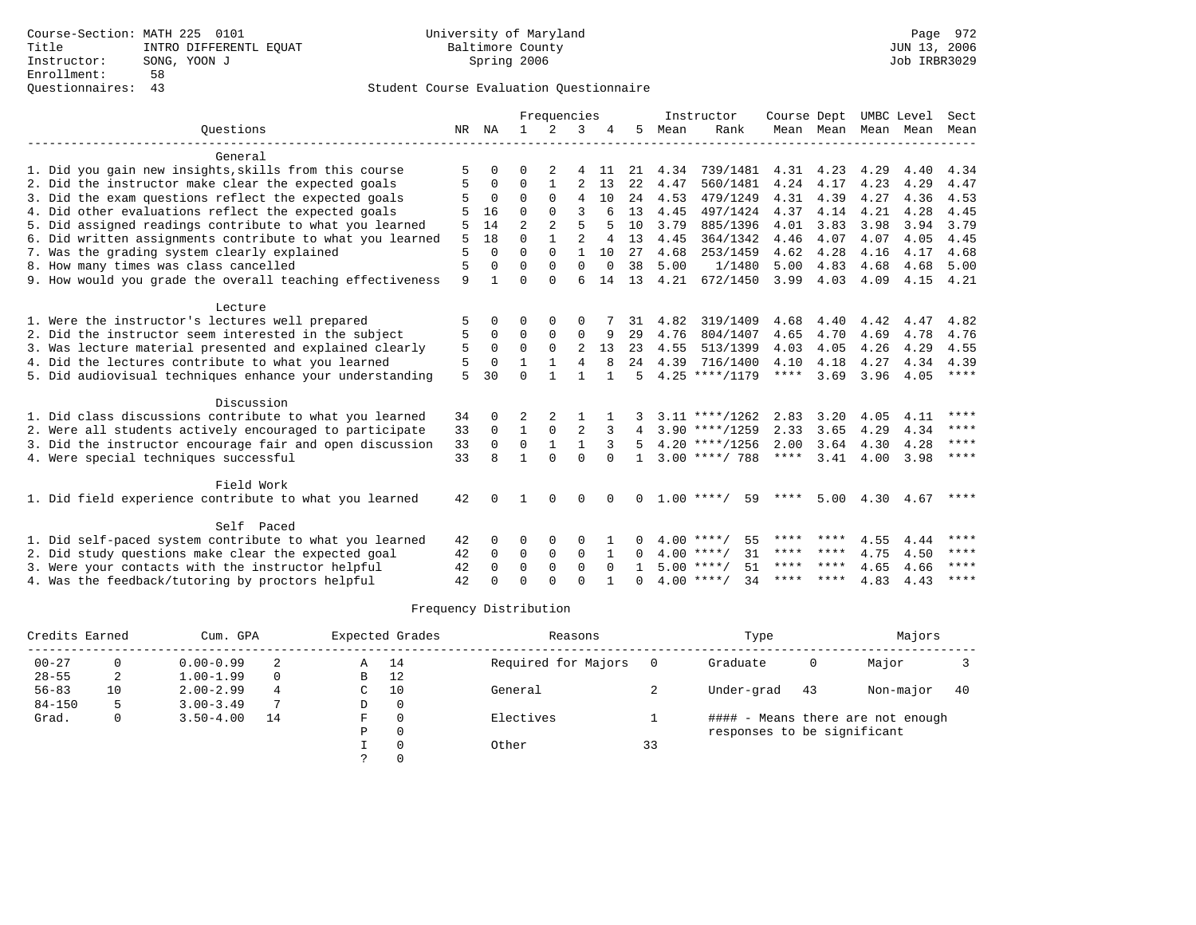|                                                           |    |                |                | Frequencies  |                |              |              |      | Instructor         | Course Dept |           |                     | UMBC Level | Sect        |
|-----------------------------------------------------------|----|----------------|----------------|--------------|----------------|--------------|--------------|------|--------------------|-------------|-----------|---------------------|------------|-------------|
| Ouestions                                                 | NR | NA             | $\mathbf{1}$   | 2            | 3              |              | 5            | Mean | Rank               |             |           | Mean Mean Mean Mean |            | Mean        |
| General                                                   |    |                |                |              |                |              |              |      |                    |             |           |                     |            |             |
| 1. Did you gain new insights, skills from this course     | 5  | $\Omega$       | U              | 2            | 4              | -11          | 21           | 4.34 | 739/1481           |             | 4.31 4.23 | 4.29                | 4.40       | 4.34        |
| 2. Did the instructor make clear the expected goals       |    | 0              | $\Omega$       | $\mathbf{1}$ | $\overline{a}$ | 13           | 2.2          | 4.47 | 560/1481           | 4.24        | 4.17      | 4.23                | 4.29       | 4.47        |
| 3. Did the exam questions reflect the expected goals      | 5  | $\overline{0}$ | $\Omega$       | $\Omega$     | 4              | 10           | 24           | 4.53 | 479/1249           | 4.31        | 4.39      | 4.27                | 4.36       | 4.53        |
| 4. Did other evaluations reflect the expected goals       |    | 16             | $\Omega$       | $\Omega$     | 3              | 6            | 13           | 4.45 | 497/1424           | 4.37        | 4.14      | 4.21                | 4.28       | 4.45        |
| 5. Did assigned readings contribute to what you learned   | 5  | 14             | $\overline{a}$ | 2            | 5              |              | 10           | 3.79 | 885/1396           | 4.01        | 3.83      | 3.98                | 3.94       | 3.79        |
| 6. Did written assignments contribute to what you learned | 5  | 18             | $\Omega$       | $\mathbf{1}$ | $\overline{2}$ | 4            | 13           | 4.45 | 364/1342           | 4.46        | 4.07      | 4.07                | 4.05       | 4.45        |
| 7. Was the grading system clearly explained               | 5  | $\Omega$       | $\Omega$       | $\Omega$     | $\mathbf{1}$   | 10           | 27           | 4.68 | 253/1459           | 4.62        | 4.28      | 4.16                | 4.17       | 4.68        |
| 8. How many times was class cancelled                     | 5  | $\Omega$       | 0              | $\Omega$     | $\Omega$       | $\Omega$     | 38           | 5.00 | 1/1480             | 5.00        | 4.83      | 4.68                | 4.68       | 5.00        |
| 9. How would you grade the overall teaching effectiveness | 9  | $\mathbf{1}$   | $\Omega$       | $\Omega$     | 6              | 14           | 13           | 4.21 | 672/1450           | 3.99        | 4.03      | 4.09                | 4.15       | 4.21        |
| Lecture                                                   |    |                |                |              |                |              |              |      |                    |             |           |                     |            |             |
| 1. Were the instructor's lectures well prepared           | 5  | $\Omega$       | $\Omega$       | $\Omega$     | 0              |              | 31           | 4.82 | 319/1409           | 4.68        | 4.40      | 4.42                | 4.47       | 4.82        |
| 2. Did the instructor seem interested in the subject      | 5  | $\Omega$       | $\Omega$       | $\Omega$     | $\Omega$       | 9            | 29           | 4.76 | 804/1407           | 4.65        | 4.70      | 4.69                | 4.78       | 4.76        |
| 3. Was lecture material presented and explained clearly   | 5  | $\mathbf 0$    | $\Omega$       | $\mathbf 0$  | $\overline{2}$ | 13           | 23           | 4.55 | 513/1399           | 4.03        | 4.05      | 4.26                | 4.29       | 4.55        |
| 4. Did the lectures contribute to what you learned        | 5  | $\Omega$       | $\mathbf{1}$   | $\mathbf{1}$ | $\overline{4}$ | 8            | 24           | 4.39 | 716/1400           | 4.10        | 4.18      | 4.27                | 4.34       | 4.39        |
| 5. Did audiovisual techniques enhance your understanding  | 5  | 30             | $\Omega$       | $\mathbf{1}$ |                | $\mathbf{1}$ | 5            |      | $4.25$ ****/1179   | ****        | 3.69      | 3.96                | 4.05       | $***$ * * * |
| Discussion                                                |    |                |                |              |                |              |              |      |                    |             |           |                     |            |             |
| 1. Did class discussions contribute to what you learned   | 34 | $\Omega$       | 2              | 2            |                |              |              |      | $3.11$ ****/1262   | 2.83        | 3.20      | 4.05                | 4.11       | ****        |
| 2. Were all students actively encouraged to participate   | 33 | $\mathbf 0$    | $\mathbf{1}$   | $\mathbf 0$  | 2              |              | 4            |      | $3.90$ ****/1259   | 2.33        | 3.65      | 4.29                | 4.34       | $***$ * * * |
| 3. Did the instructor encourage fair and open discussion  | 33 | $\Omega$       | $\Omega$       | $\mathbf{1}$ | $\mathbf{1}$   | 3            | 5            |      | $4.20$ ****/1256   | 2.00        | 3.64      | 4.30                | 4.28       | $* * * *$   |
| 4. Were special techniques successful                     | 33 | 8              | 1              | $\Omega$     | $\Omega$       | $\cap$       | $\mathbf{1}$ |      | $3.00$ ****/ 788   | ****        | 3.41      | 4.00                | 3.98       | $***$ * * * |
| Field Work                                                |    |                |                |              |                |              |              |      |                    |             |           |                     |            |             |
| 1. Did field experience contribute to what you learned    | 42 |                |                | $\Omega$     | <sup>0</sup>   |              | 0            |      | $1.00$ ****/<br>59 | ****        | 5.00      | 4.30                | 4.67       | ****        |
| Self Paced                                                |    |                |                |              |                |              |              |      |                    |             |           |                     |            |             |
| 1. Did self-paced system contribute to what you learned   | 42 | $\Omega$       | 0              | 0            | 0              |              |              |      | 55<br>$4.00$ ****/ |             | **** **** | 4.55                | 4.44       | ****        |
| 2. Did study questions make clear the expected goal       | 42 | 0              | 0              | $\mathbf 0$  | 0              | 1            | $\Omega$     |      | $4.00$ ****/<br>31 |             | **** **** | 4.75                | 4.50       | $* * * * *$ |
| 3. Were your contacts with the instructor helpful         | 42 | $\Omega$       | $\Omega$       | $\Omega$     | $\Omega$       | $\Omega$     | $\mathbf{1}$ |      | $5.00$ ****/<br>51 |             | **** **** | 4.65                | 4.66       | ****        |
| 4. Was the feedback/tutoring by proctors helpful          | 42 | $\cap$         | U              | U            | $\cap$         |              |              |      | $4.00$ ****/<br>34 |             | **** **** | 4.83                | 4.43       | $***$ * * * |

| Credits Earned |              | Cum. GPA      |          |   | Expected Grades | Reasons             |    | Type                        |    | Majors                            |    |
|----------------|--------------|---------------|----------|---|-----------------|---------------------|----|-----------------------------|----|-----------------------------------|----|
| $00 - 27$      |              | $0.00 - 0.99$ |          | A | 14              | Required for Majors |    | Graduate                    | 0  | Major                             |    |
| $28 - 55$      | 2            | $1.00 - 1.99$ | $\Omega$ | B | 12              |                     |    |                             |    |                                   |    |
| $56 - 83$      | 10           | $2.00 - 2.99$ | 4        | С | 10              | General             |    | Under-grad                  | 43 | Non-major                         | 40 |
| $84 - 150$     |              | $3.00 - 3.49$ | ⇁        | D | 0               |                     |    |                             |    |                                   |    |
| Grad.          | $\mathbf{0}$ | $3.50 - 4.00$ | 14       | F | $\Omega$        | Electives           |    |                             |    | #### - Means there are not enough |    |
|                |              |               |          | P | 0               |                     |    | responses to be significant |    |                                   |    |
|                |              |               |          |   | $\Omega$        | Other               | 33 |                             |    |                                   |    |
|                |              |               |          |   |                 |                     |    |                             |    |                                   |    |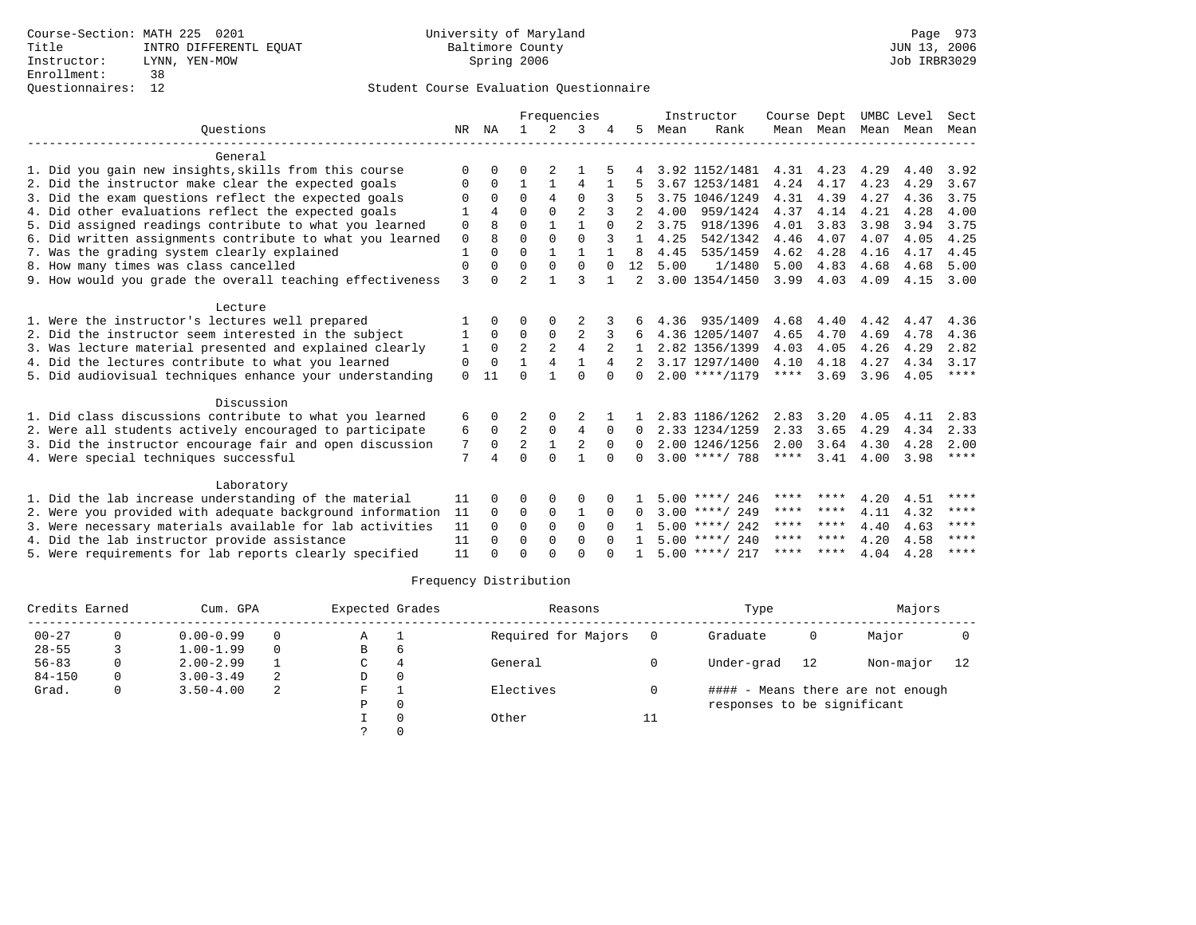|                                                           |              |              |                |                | Frequencies    |          |              |      | Instructor       | Course Dept |           | UMBC Level |      | Sect        |
|-----------------------------------------------------------|--------------|--------------|----------------|----------------|----------------|----------|--------------|------|------------------|-------------|-----------|------------|------|-------------|
| Ouestions                                                 | NR           | ΝA           | $\mathbf{1}$   | $\mathcal{L}$  | 3              |          | 5.           | Mean | Rank             |             | Mean Mean | Mean       | Mean | Mean        |
| General                                                   |              |              |                |                |                |          |              |      |                  |             |           |            |      |             |
| 1. Did you gain new insights, skills from this course     | $\Omega$     | $\Omega$     | 0              | 2              |                |          |              |      | 3.92 1152/1481   | 4.31        | 4.23      | 4.29       | 4.40 | 3.92        |
| 2. Did the instructor make clear the expected goals       | $\Omega$     | $\Omega$     | $\mathbf{1}$   | $\mathbf{1}$   | 4              | 1        |              |      | 3.67 1253/1481   | 4.24        | 4.17      | 4.23       | 4.29 | 3.67        |
| 3. Did the exam questions reflect the expected goals      | O            | $\Omega$     | $\Omega$       | $\overline{4}$ | $\Omega$       |          | 5            |      | 3.75 1046/1249   | 4.31        | 4.39      | 4.27       | 4.36 | 3.75        |
| 4. Did other evaluations reflect the expected goals       |              | 4            | 0              | $\Omega$       | $\mathfrak{D}$ |          |              | 4.00 | 959/1424         | 4.37        | 4.14      | 4.21       | 4.28 | 4.00        |
| 5. Did assigned readings contribute to what you learned   | $\mathbf 0$  | 8            | $\Omega$       | $\mathbf{1}$   | $\mathbf{1}$   | $\Omega$ |              | 3.75 | 918/1396         | 4.01        | 3.83      | 3.98       | 3.94 | 3.75        |
| 6. Did written assignments contribute to what you learned | $\mathbf 0$  | <sub>8</sub> | $\Omega$       | $\Omega$       | $\Omega$       | 3        | $\mathbf{1}$ | 4.25 | 542/1342         | 4.46        | 4.07      | 4.07       | 4.05 | 4.25        |
| 7. Was the grading system clearly explained               | $\mathbf{1}$ | $\Omega$     | $\Omega$       | 1              |                |          | 8            | 4.45 | 535/1459         | 4.62        | 4.28      | 4.16       | 4.17 | 4.45        |
| 8. How many times was class cancelled                     | 0            | $\Omega$     | $\Omega$       | $\Omega$       | $\Omega$       | $\Omega$ | 12           | 5.00 | 1/1480           | 5.00        | 4.83      | 4.68       | 4.68 | 5.00        |
| 9. How would you grade the overall teaching effectiveness | 3            | U            | $\overline{2}$ |                | ς              |          |              |      | 3.00 1354/1450   | 3.99        | 4.03      | 4.09       | 4.15 | 3.00        |
| Lecture                                                   |              |              |                |                |                |          |              |      |                  |             |           |            |      |             |
| 1. Were the instructor's lectures well prepared           |              | $\Omega$     | O              | $\Omega$       |                |          |              | 4.36 | 935/1409         | 4.68        | 4.40      | 4.42       | 4.47 | 4.36        |
| 2. Did the instructor seem interested in the subject      | 1            | $\Omega$     | $\Omega$       | $\mathbf 0$    | 2              | 3        | 6            |      | 4.36 1205/1407   | 4.65        | 4.70      | 4.69       | 4.78 | 4.36        |
| 3. Was lecture material presented and explained clearly   | 1            | $\Omega$     | $\overline{a}$ | $\overline{2}$ | $\overline{4}$ |          |              |      | 2.82 1356/1399   | 4.03        | 4.05      | 4.26       | 4.29 | 2.82        |
| 4. Did the lectures contribute to what you learned        | 0            | $\Omega$     | 1              | 4              | $\mathbf{1}$   | 4        |              |      | 3.17 1297/1400   | 4.10        | 4.18      | 4.27       | 4.34 | 3.17        |
| 5. Did audiovisual techniques enhance your understanding  | $\Omega$     | 11           | $\cap$         | 1              | $\cap$         | $\cap$   | $\Omega$     |      | $2.00$ ****/1179 | $***$ * * * | 3.69      | 3.96       | 4.05 | $***$ * * * |
| Discussion                                                |              |              |                |                |                |          |              |      |                  |             |           |            |      |             |
| 1. Did class discussions contribute to what you learned   | 6            | 0            | 2              | 0              |                |          |              |      | 2.83 1186/1262   | 2.83        | 3.20      | 4.05       | 4.11 | 2.83        |
| 2. Were all students actively encouraged to participate   | 6            | $\mathbf 0$  | $\overline{a}$ | $\mathbf 0$    | 4              | $\Omega$ | $\Omega$     |      | 2.33 1234/1259   | 2.33        | 3.65      | 4.29       | 4.34 | 2.33        |
| 3. Did the instructor encourage fair and open discussion  | 7            | $\Omega$     | 2              | $\mathbf{1}$   | $\overline{2}$ | $\Omega$ | $\Omega$     |      | 2.00 1246/1256   | 2.00        | 3.64      | 4.30       | 4.28 | 2.00        |
| 4. Were special techniques successful                     | 7            |              | $\cap$         | $\cap$         | $\mathbf{1}$   | $\cap$   | <sup>n</sup> |      | $3.00$ ****/ 788 | ****        | 3.41      | 4.00       | 3.98 | $***$ * * * |
| Laboratory                                                |              |              |                |                |                |          |              |      |                  |             |           |            |      |             |
| 1. Did the lab increase understanding of the material     | 11           | $\Omega$     | 0              | $\Omega$       | $\Omega$       |          |              |      | $5.00$ ****/ 246 | **** ****   |           | 4.20       | 4.51 | ****        |
| 2. Were you provided with adequate background information | 11           | $\Omega$     | $\Omega$       | $\mathbf 0$    | 1              | $\Omega$ | $\Omega$     |      | $3.00$ ****/ 249 | ****        | ****      | 4.11       | 4.32 | $***$ * * * |
| 3. Were necessary materials available for lab activities  | 11           | $\Omega$     | $\Omega$       | $\Omega$       | $\Omega$       | $\Omega$ |              |      | $5.00$ ****/ 242 | **** ****   |           | 4.40       | 4.63 | $***$ * * * |
| 4. Did the lab instructor provide assistance              | 11           | $\Omega$     | $\Omega$       | $\Omega$       | $\Omega$       | $\Omega$ |              |      | $5.00$ ****/ 240 | ****        | ****      | 4.20       | 4.58 | $***$ * * * |
| 5. Were requirements for lab reports clearly specified    | 11           | $\Omega$     | $\Omega$       | $\cap$         | $\cap$         |          |              |      | $5.00$ ****/ 217 | **** ****   |           | 4.04       | 4.28 | ****        |

| Credits Earned |   | Cum. GPA      |          | Expected Grades |   | Reasons             |    | Type                        |    | Majors                            |    |
|----------------|---|---------------|----------|-----------------|---|---------------------|----|-----------------------------|----|-----------------------------------|----|
| $00 - 27$      |   | $0.00 - 0.99$ | $\Omega$ | Α               |   | Required for Majors |    | Graduate                    | 0  | Major                             |    |
| $28 - 55$      |   | $1.00 - 1.99$ | $\Omega$ | в               | 6 |                     |    |                             |    |                                   |    |
| $56 - 83$      |   | $2.00 - 2.99$ |          | C               |   | General             |    | Under-grad                  | 12 | Non-major                         | 12 |
| $84 - 150$     | 0 | $3.00 - 3.49$ | -2       | D               |   |                     |    |                             |    |                                   |    |
| Grad.          | 0 | $3.50 - 4.00$ | 2        | F               |   | Electives           |    |                             |    | #### - Means there are not enough |    |
|                |   |               |          | P               |   |                     |    | responses to be significant |    |                                   |    |
|                |   |               |          |                 |   | Other               | ŦΤ |                             |    |                                   |    |
|                |   |               |          |                 |   |                     |    |                             |    |                                   |    |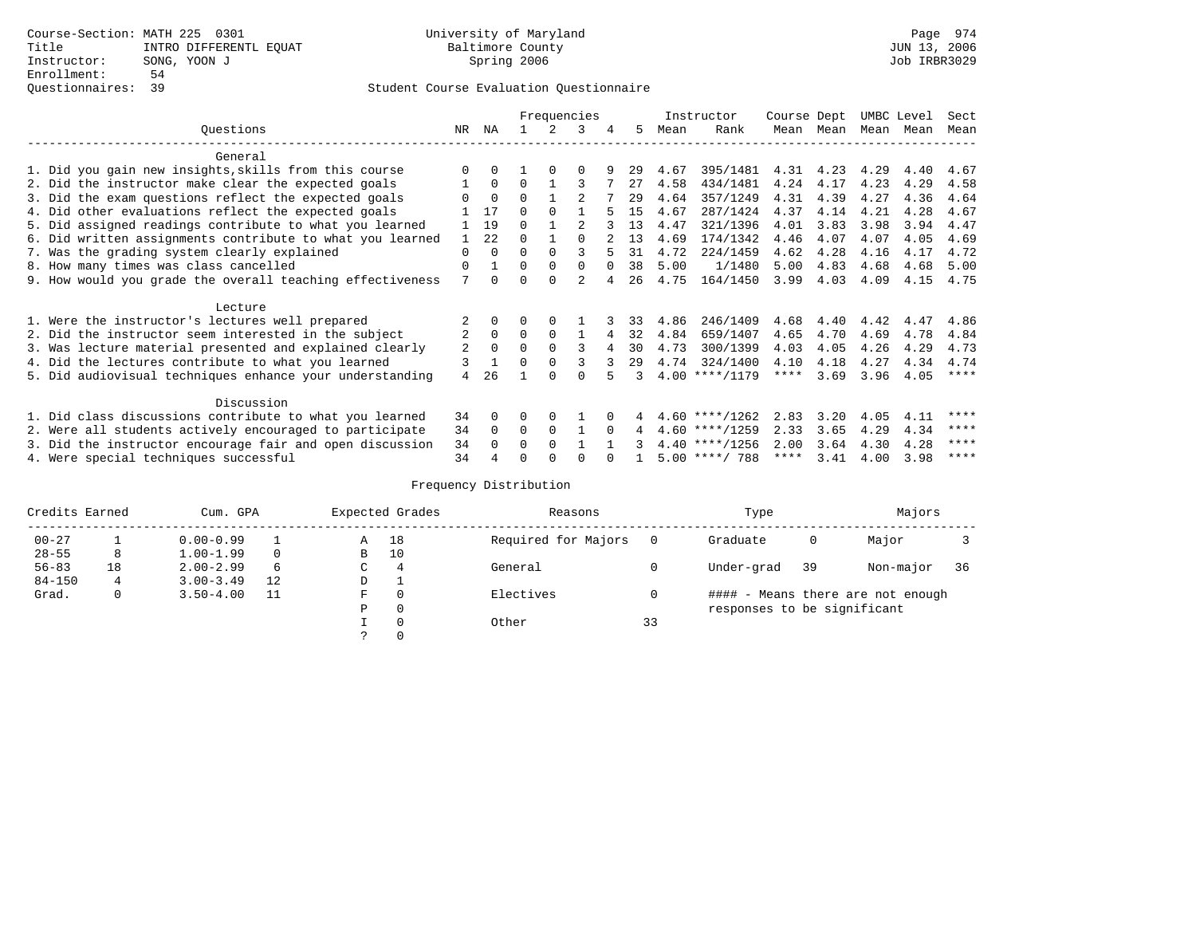|                                                           |          |          |          |          | Frequencies    |          |    |      | Instructor       | Course Dept |      | UMBC Level |      | Sect        |
|-----------------------------------------------------------|----------|----------|----------|----------|----------------|----------|----|------|------------------|-------------|------|------------|------|-------------|
| Questions                                                 | NR       | ΝA       |          |          | २              | 4        | 5. | Mean | Rank             | Mean        | Mean | Mean Mean  |      | Mean        |
| General                                                   |          |          |          |          |                |          |    |      |                  |             |      |            |      |             |
| 1. Did you gain new insights, skills from this course     |          |          |          |          |                |          | 29 | 4.67 | 395/1481         | 4.31        | 4.23 | 4.29       | 4.40 | 4.67        |
| 2. Did the instructor make clear the expected goals       |          | $\Omega$ | $\Omega$ |          |                |          | 27 | 4.58 | 434/1481         | 4.24        | 4.17 | 4.23       | 4.29 | 4.58        |
| 3. Did the exam questions reflect the expected goals      |          | $\Omega$ | 0        |          |                |          | 29 | 4.64 | 357/1249         | 4.31        | 4.39 | 4.27       | 4.36 | 4.64        |
| 4. Did other evaluations reflect the expected goals       |          | 17       | $\Omega$ | $\Omega$ |                |          | 15 | 4.67 | 287/1424         | 4.37        | 4.14 | 4.21       | 4.28 | 4.67        |
| 5. Did assigned readings contribute to what you learned   |          | 19       | $\Omega$ |          |                |          | 13 | 4.47 | 321/1396         | 4.01        | 3.83 | 3.98       | 3.94 | 4.47        |
| 6. Did written assignments contribute to what you learned |          | 22       | $\Omega$ |          |                |          | 13 | 4.69 | 174/1342         | 4.46        | 4.07 | 4.07       | 4.05 | 4.69        |
| 7. Was the grading system clearly explained               | $\Omega$ | $\Omega$ | $\Omega$ | $\Omega$ |                |          | 31 | 4.72 | 224/1459         | 4.62        | 4.28 | 4.16       | 4.17 | 4.72        |
| 8. How many times was class cancelled                     | $\Omega$ |          | 0        | $\Omega$ | $\Omega$       | $\Omega$ | 38 | 5.00 | 1/1480           | 5.00        | 4.83 | 4.68       | 4.68 | 5.00        |
| 9. How would you grade the overall teaching effectiveness | 7        | $\cap$   | ∩        |          | $\mathfrak{D}$ |          | 26 | 4.75 | 164/1450         | 3.99        | 4.03 | 4.09       | 4.15 | 4.75        |
| Lecture                                                   |          |          |          |          |                |          |    |      |                  |             |      |            |      |             |
| 1. Were the instructor's lectures well prepared           |          |          |          |          |                |          | 33 | 4.86 | 246/1409         | 4.68        | 4.40 | 4.42       | 4.47 | 4.86        |
| 2. Did the instructor seem interested in the subject      | 2        | $\Omega$ | $\Omega$ | $\Omega$ |                |          | 32 | 4.84 | 659/1407         | 4.65        | 4.70 | 4.69       | 4.78 | 4.84        |
| 3. Was lecture material presented and explained clearly   | 2        | $\Omega$ |          |          | κ              |          | 30 | 4.73 | 300/1399         | 4.03        | 4.05 | 4.26       | 4.29 | 4.73        |
| 4. Did the lectures contribute to what you learned        |          |          | $\Omega$ |          |                |          | 29 | 4.74 | 324/1400         | 4.10        | 4.18 | 4.27       | 4.34 | 4.74        |
| 5. Did audiovisual techniques enhance your understanding  | 4        | 26       |          |          |                |          |    |      | $4.00$ ****/1179 | $***$ * * * | 3.69 | 3.96       | 4.05 | $***$ * * * |
| Discussion                                                |          |          |          |          |                |          |    |      |                  |             |      |            |      |             |
| 1. Did class discussions contribute to what you learned   | 34       | $\Omega$ | O        | $\Omega$ |                |          |    |      | $4.60$ ****/1262 | 2.83        | 3.20 | 4.05       | 4.11 | ****        |
| 2. Were all students actively encouraged to participate   | 34       | $\Omega$ | $\Omega$ | $\Omega$ |                | $\Omega$ | 4  |      | $4.60$ ****/1259 | 2.33        | 3.65 | 4.29       | 4.34 | ****        |
| 3. Did the instructor encourage fair and open discussion  | 34       | $\Omega$ | 0        | $\Omega$ |                |          |    |      | $4.40$ ****/1256 | 2.00        | 3.64 | 4.30       | 4.28 | ****        |
| 4. Were special techniques successful                     | 34       |          |          |          |                |          |    |      | $5.00$ ****/ 788 | ****        | 3.41 | 4.00       | 3.98 | ****        |

| Credits Earned |    | Cum. GPA      |    |               | Expected Grades | Reasons             |    | Type                        |    | Majors                            |    |
|----------------|----|---------------|----|---------------|-----------------|---------------------|----|-----------------------------|----|-----------------------------------|----|
| $00 - 27$      |    | $0.00 - 0.99$ |    | Α             | 18              | Required for Majors |    | Graduate                    | 0  | Major                             |    |
| $28 - 55$      | 8  | $1.00 - 1.99$ |    | B             | 10              |                     |    |                             |    |                                   |    |
| $56 - 83$      | 18 | $2.00 - 2.99$ | 6  | $\sim$<br>◡   | 4               | General             |    | Under-grad                  | 39 | Non-major                         | 36 |
| $84 - 150$     | 4  | $3.00 - 3.49$ | 12 | D             |                 |                     |    |                             |    |                                   |    |
| Grad.          | 0  | $3.50 - 4.00$ | 11 | F             | 0               | Electives           |    |                             |    | #### - Means there are not enough |    |
|                |    |               |    | Ρ             | 0               |                     |    | responses to be significant |    |                                   |    |
|                |    |               |    |               | 0               | Other               | 33 |                             |    |                                   |    |
|                |    |               |    | $\mathcal{L}$ |                 |                     |    |                             |    |                                   |    |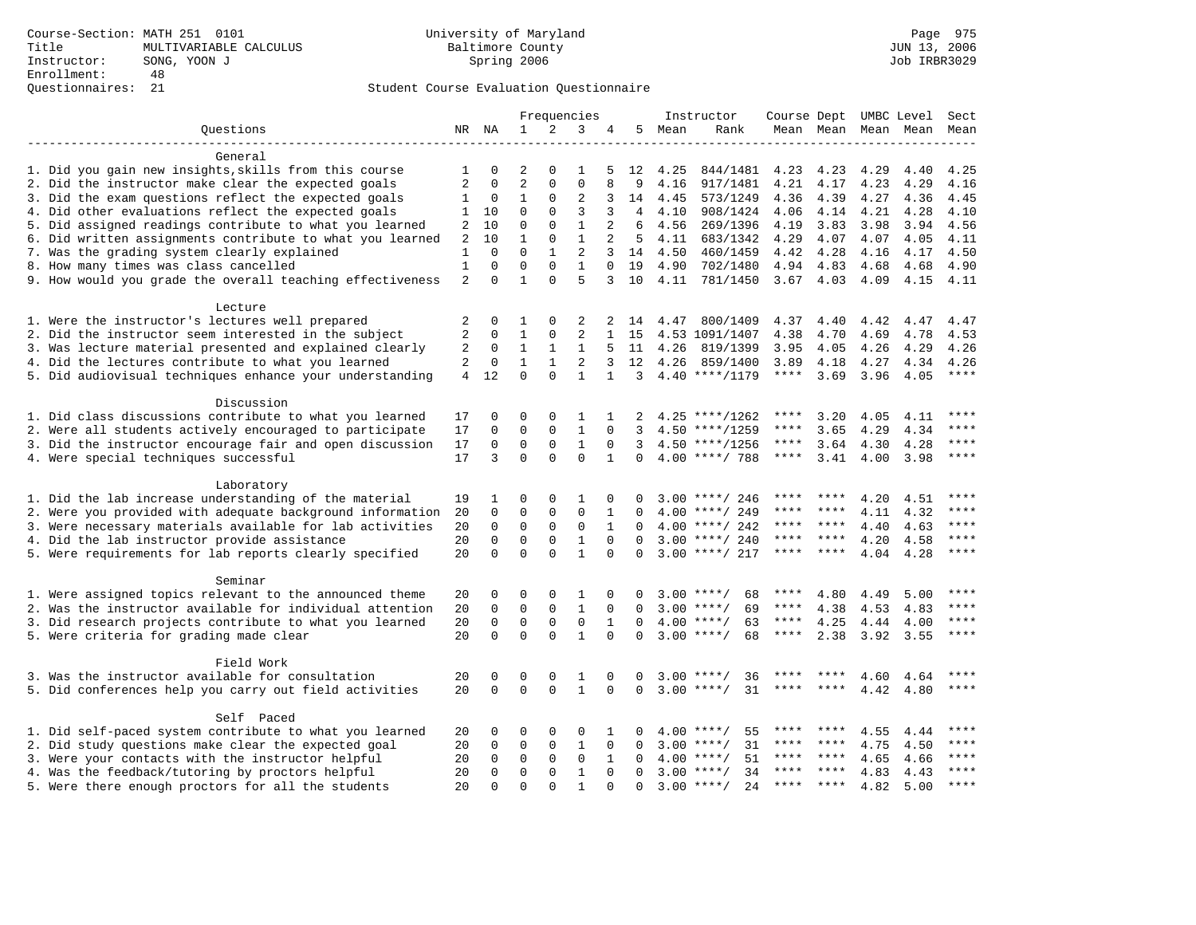|                                                           |        | Frequencies<br>Instructor<br>Course Dept UMBC Level |                     |                         |                |              |             | Sect   |                    |              |             |                     |      |             |
|-----------------------------------------------------------|--------|-----------------------------------------------------|---------------------|-------------------------|----------------|--------------|-------------|--------|--------------------|--------------|-------------|---------------------|------|-------------|
| Questions                                                 |        | NR NA                                               | $\mathbf{1}$        | 2                       | 3              | 4            |             | 5 Mean | Rank               |              |             | Mean Mean Mean Mean |      | Mean        |
|                                                           |        |                                                     |                     |                         |                |              |             |        |                    |              |             |                     |      |             |
| General                                                   |        |                                                     |                     |                         |                |              |             |        |                    |              |             |                     |      |             |
| 1. Did you gain new insights, skills from this course     | 1      | 0<br>$\mathbf 0$                                    | 2<br>$\overline{2}$ | $\mathbf 0$<br>$\Omega$ | 1<br>$\Omega$  | 5<br>8       | 12<br>9     | 4.25   | 844/1481           | 4.23<br>4.21 | 4.23        | 4.29<br>4.23        | 4.40 | 4.25        |
| 2. Did the instructor make clear the expected goals       | 2      |                                                     |                     | $\Omega$                |                |              |             | 4.16   | 917/1481           |              | 4.17        |                     | 4.29 | 4.16        |
| 3. Did the exam questions reflect the expected goals      | 1      | 0                                                   | $\mathbf{1}$        |                         | $\overline{2}$ | 3            | 14          | 4.45   | 573/1249           | 4.36         | 4.39        | 4.27                | 4.36 | 4.45        |
| 4. Did other evaluations reflect the expected goals       | 1      | 10                                                  | $\mathsf 0$         | $\mathbf 0$             | 3              | 3            | 4           | 4.10   | 908/1424           | 4.06         | 4.14        | 4.21                | 4.28 | 4.10        |
| 5. Did assigned readings contribute to what you learned   | 2      | 10                                                  | $\mathsf 0$         | $\mathbf{0}$            | $\mathbf{1}$   | 2            | 6           | 4.56   | 269/1396           | 4.19         | 3.83        | 3.98                | 3.94 | 4.56        |
| 6. Did written assignments contribute to what you learned | 2      | 10                                                  | $\mathbf{1}$        | $\mathbf 0$             | $\mathbf{1}$   | 2            | -5          | 4.11   | 683/1342           | 4.29         | 4.07        | 4.07                | 4.05 | 4.11        |
| 7. Was the grading system clearly explained               | 1      | $\Omega$                                            | $\Omega$            | $\mathbf{1}$            | 2              | 3            | 14          | 4.50   | 460/1459           | 4.42         | 4.28        | 4.16                | 4.17 | 4.50        |
| 8. How many times was class cancelled                     | 1      | $\Omega$                                            | $\Omega$            | $\Omega$                | $\mathbf{1}$   | $\Omega$     | 19          | 4.90   | 702/1480           | 4.94         | 4.83        | 4.68                | 4.68 | 4.90        |
| 9. How would you grade the overall teaching effectiveness | 2      | $\Omega$                                            | $\mathbf{1}$        | $\Omega$                | 5              | 3            | 10          | 4.11   | 781/1450           | $3.67$ 4.03  |             | 4.09                | 4.15 | 4.11        |
| Lecture                                                   |        |                                                     |                     |                         |                |              |             |        |                    |              |             |                     |      |             |
| 1. Were the instructor's lectures well prepared           |        |                                                     | 1                   | $\Omega$                | 2              | 2            | 14          | 4.47   | 800/1409           | 4.37         | 4.40        | 4.42                | 4.47 | 4.47        |
| 2. Did the instructor seem interested in the subject      | 2<br>2 | 0<br>0                                              | 1                   | $\mathbf 0$             | 2              | $\mathbf{1}$ | 15          |        | 4.53 1091/1407     | 4.38         | 4.70        | 4.69                | 4.78 | 4.53        |
| 3. Was lecture material presented and explained clearly   | 2      | 0                                                   | 1                   | 1                       | 1              | 5            | 11          | 4.26   | 819/1399           | 3.95         | 4.05        | 4.26                | 4.29 | 4.26        |
| 4. Did the lectures contribute to what you learned        | 2      | 0                                                   | $\mathbf{1}$        | $\mathbf{1}$            | 2              | 3            | 12          | 4.26   | 859/1400           | 3.89         | 4.18        | 4.27                | 4.34 | 4.26        |
| 5. Did audiovisual techniques enhance your understanding  | 4      | 12                                                  | $\Omega$            | $\Omega$                | $\mathbf{1}$   | $\mathbf{1}$ | 3           |        | $4.40$ ****/1179   | $***$ * * *  | 3.69        | 3.96                | 4.05 | ****        |
|                                                           |        |                                                     |                     |                         |                |              |             |        |                    |              |             |                     |      |             |
| Discussion                                                |        |                                                     |                     |                         |                |              |             |        |                    |              |             |                     |      |             |
| 1. Did class discussions contribute to what you learned   | 17     | 0                                                   | 0                   | 0                       | 1              |              | 2           |        | $4.25$ ****/1262   | ****         | 3.20        | 4.05                | 4.11 | ****        |
| 2. Were all students actively encouraged to participate   | 17     | 0                                                   | $\mathbf 0$         | $\mathbf{0}$            | $\mathbf{1}$   | 0            | 3           |        | $4.50$ ****/1259   | ****         | 3.65        | 4.29                | 4.34 | ****        |
| 3. Did the instructor encourage fair and open discussion  | 17     | $\mathbf 0$                                         | $\mathbf 0$         | $\mathbf 0$             | $\mathbf{1}$   | $\mathbf 0$  | 3           |        | $4.50$ ****/1256   | $***$ * * *  | 3.64        | 4.30                | 4.28 | $***$       |
| 4. Were special techniques successful                     | 17     | 3                                                   | $\Omega$            | $\Omega$                | $\Omega$       | $\mathbf{1}$ | $\Omega$    |        | $4.00$ ****/ 788   | $***$ * * *  | 3.41        | 4.00                | 3.98 | $***$       |
|                                                           |        |                                                     |                     |                         |                |              |             |        |                    |              |             |                     |      |             |
| Laboratory                                                |        |                                                     |                     |                         |                |              |             |        |                    |              |             |                     |      |             |
| 1. Did the lab increase understanding of the material     | 19     | 1                                                   | 0                   | $\mathsf 0$             | 1              | 0            | 0           |        | $3.00$ ****/ 246   | ****         | ****        | 4.20                | 4.51 | $***$ * * * |
| 2. Were you provided with adequate background information | 20     | 0                                                   | $\mathbf 0$         | 0                       | $\mathbf 0$    | 1            | $\Omega$    |        | $4.00$ ****/ 249   | ****         | ****        | 4.11                | 4.32 | ****        |
| 3. Were necessary materials available for lab activities  | 20     | $\mathbf 0$                                         | $\mathbf 0$         | 0                       | $\mathbf 0$    | 1            | $\Omega$    |        | $4.00$ ****/ 242   | ****         | ****        | 4.40                | 4.63 | ****        |
| 4. Did the lab instructor provide assistance              | 20     | $\mathbf 0$                                         | $\mathbf 0$         | $\mathbf{0}$            | $\mathbf{1}$   | $\Omega$     | $\Omega$    |        | $3.00$ ****/ 240   | ****         | ****        | 4.20                | 4.58 | ****        |
| 5. Were requirements for lab reports clearly specified    | 20     | $\Omega$                                            | $\Omega$            | $\Omega$                | $\mathbf{1}$   | $\Omega$     | $\Omega$    |        | $3.00$ ****/ 217   | ****         | $* * * * *$ | 4.04                | 4.28 | ****        |
|                                                           |        |                                                     |                     |                         |                |              |             |        |                    |              |             |                     |      |             |
| Seminar                                                   |        |                                                     |                     |                         |                |              |             |        |                    | ****         |             |                     |      | ****        |
| 1. Were assigned topics relevant to the announced theme   | 20     | 0                                                   | 0                   | 0                       | 1              | 0            | 0           |        | $3.00$ ****/<br>68 |              | 4.80        | 4.49                | 5.00 | ****        |
| 2. Was the instructor available for individual attention  | 20     | 0                                                   | $\mathbf 0$         | 0                       | $\mathbf{1}$   | $\mathbf 0$  | 0           |        | $3.00$ ****/<br>69 | ****         | 4.38        | 4.53                | 4.83 |             |
| 3. Did research projects contribute to what you learned   | 20     | $\mathbf 0$                                         | $\mathbf 0$         | 0                       | $\mathbf 0$    | 1            | $\Omega$    |        | $4.00$ ****/<br>63 | $***$ * * *  | 4.25        | 4.44                | 4.00 | ****        |
| 5. Were criteria for grading made clear                   | 20     | $\mathbf 0$                                         | $\mathbf 0$         | $\Omega$                | $\mathbf{1}$   | $\Omega$     | $\Omega$    |        | $3.00$ ****/<br>68 | $***$ * * *  | 2.38        | 3.92                | 3.55 | ****        |
| Field Work                                                |        |                                                     |                     |                         |                |              |             |        |                    |              |             |                     |      |             |
| 3. Was the instructor available for consultation          | 20     | 0                                                   | $\Omega$            | $\Omega$                | 1              | $\Omega$     | $\Omega$    |        | $3.00$ ****/<br>36 |              |             | 4.60                | 4.64 | $***$ * * * |
| 5. Did conferences help you carry out field activities    | 20     | $\Omega$                                            | $\Omega$            | $\Omega$                | $\mathbf{1}$   | $\Omega$     | $\mathbf 0$ |        | $3.00$ ****/<br>31 | ****         | $* * * * *$ | 4.42                | 4.80 | ****        |
|                                                           |        |                                                     |                     |                         |                |              |             |        |                    |              |             |                     |      |             |
| Self Paced                                                |        |                                                     |                     |                         |                |              |             |        |                    |              |             |                     |      |             |
| 1. Did self-paced system contribute to what you learned   | 20     | 0                                                   | $\Omega$            | 0                       | $\Omega$       | 1            | $\Omega$    |        | $4.00$ ****/<br>55 | ****         | ****        | 4.55                | 4.44 | $***$ * * * |
| 2. Did study questions make clear the expected goal       | 20     | 0                                                   | $\mathbf 0$         | 0                       | $\mathbf{1}$   | $\mathbf 0$  | $\Omega$    | 3.00   | 31<br>$* * * * /$  | ****         | ****        | 4.75                | 4.50 | ****        |
| 3. Were your contacts with the instructor helpful         | 20     | 0                                                   | $\mathbf 0$         | 0                       | 0              | 1            | $\Omega$    | 4.00   | 51<br>$***/$       | ****         | $* * * * *$ | 4.65                | 4.66 | $***$ * * * |
| 4. Was the feedback/tutoring by proctors helpful          | 20     | $\Omega$                                            | $\Omega$            | $\Omega$                | $\mathbf{1}$   | $\Omega$     | $\Omega$    | 3.00   | $***$ /<br>34      | ****         | $***$ *     | 4.83                | 4.43 | ****        |
| 5. Were there enough proctors for all the students        | 2.0    | $\Omega$                                            | $\Omega$            | $\Omega$                | 1              | $\Omega$     | $\Omega$    | 3.00   | $* * * * /$<br>2.4 | ****         | $***$ *     | 4.82                | 5.00 | ****        |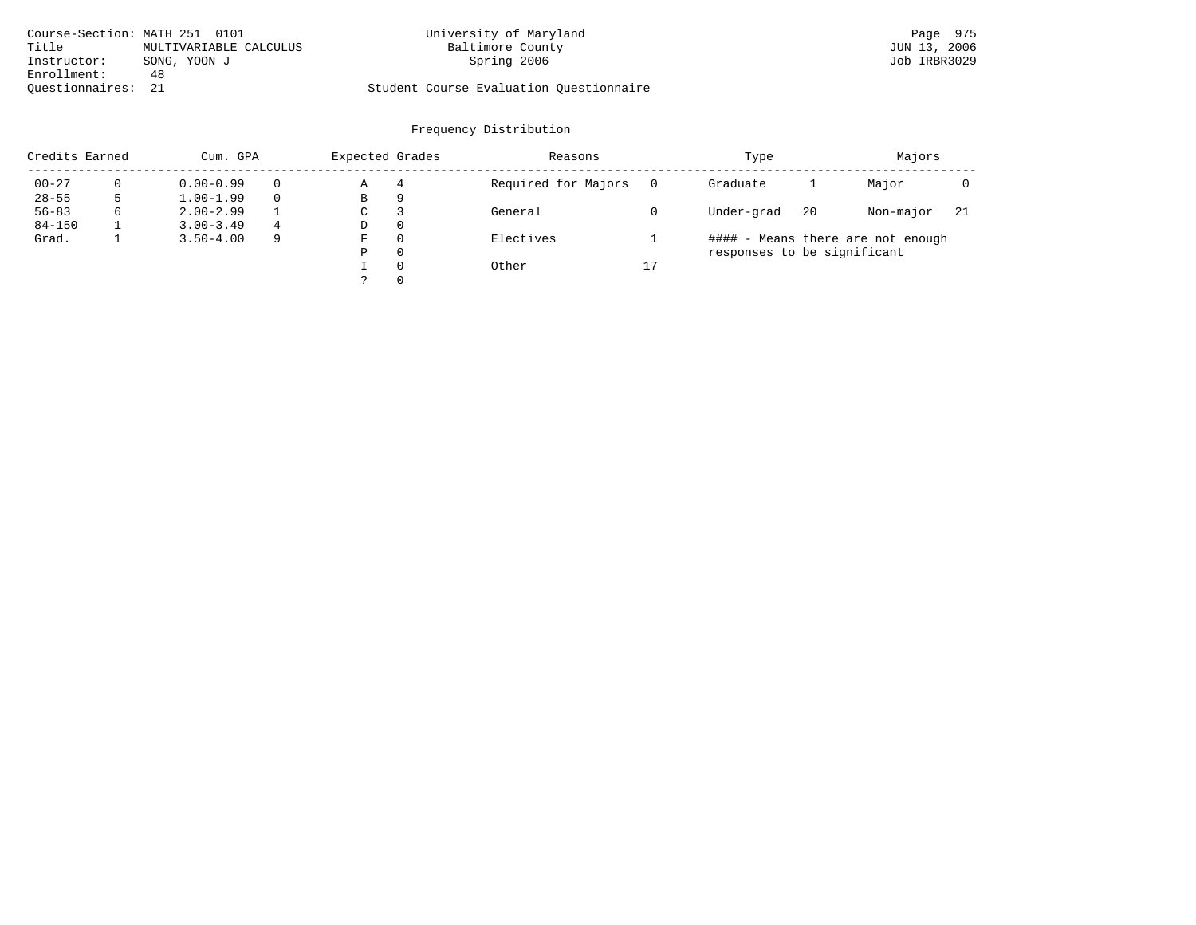| Course-Section: MATH 251 0101 |                        | University of Maryland                  | Page 975     |
|-------------------------------|------------------------|-----------------------------------------|--------------|
| Title                         | MULTIVARIABLE CALCULUS | Baltimore County                        | JUN 13, 2006 |
| Instructor:                   | SONG, YOON J           | Spring 2006                             | Job IRBR3029 |
| Enrollment:                   | 48                     |                                         |              |
| Ouestionnaires: 21            |                        | Student Course Evaluation Questionnaire |              |

| Credits Earned |   | Cum. GPA      |   |   | Expected Grades | Reasons             |    | Type                        | Majors |                                   |     |
|----------------|---|---------------|---|---|-----------------|---------------------|----|-----------------------------|--------|-----------------------------------|-----|
| $00 - 27$      |   | $0.00 - 0.99$ |   | Α | 4               | Required for Majors |    | Graduate                    |        | Major                             |     |
| $28 - 55$      |   | $1.00 - 1.99$ |   | В | 9               |                     |    |                             |        |                                   |     |
| $56 - 83$      | 6 | $2.00 - 2.99$ |   | C |                 | General             |    | Under-grad                  | 20     | Non-major                         | -21 |
| $84 - 150$     |   | $3.00 - 3.49$ | 4 | D | $\Omega$        |                     |    |                             |        |                                   |     |
| Grad.          |   | $3.50 - 4.00$ | 9 | F | $\Omega$        | Electives           |    |                             |        | #### - Means there are not enough |     |
|                |   |               |   | Ρ | $\Omega$        |                     |    | responses to be significant |        |                                   |     |
|                |   |               |   |   | $\Omega$        | Other               | 17 |                             |        |                                   |     |
|                |   |               |   |   | $\Omega$        |                     |    |                             |        |                                   |     |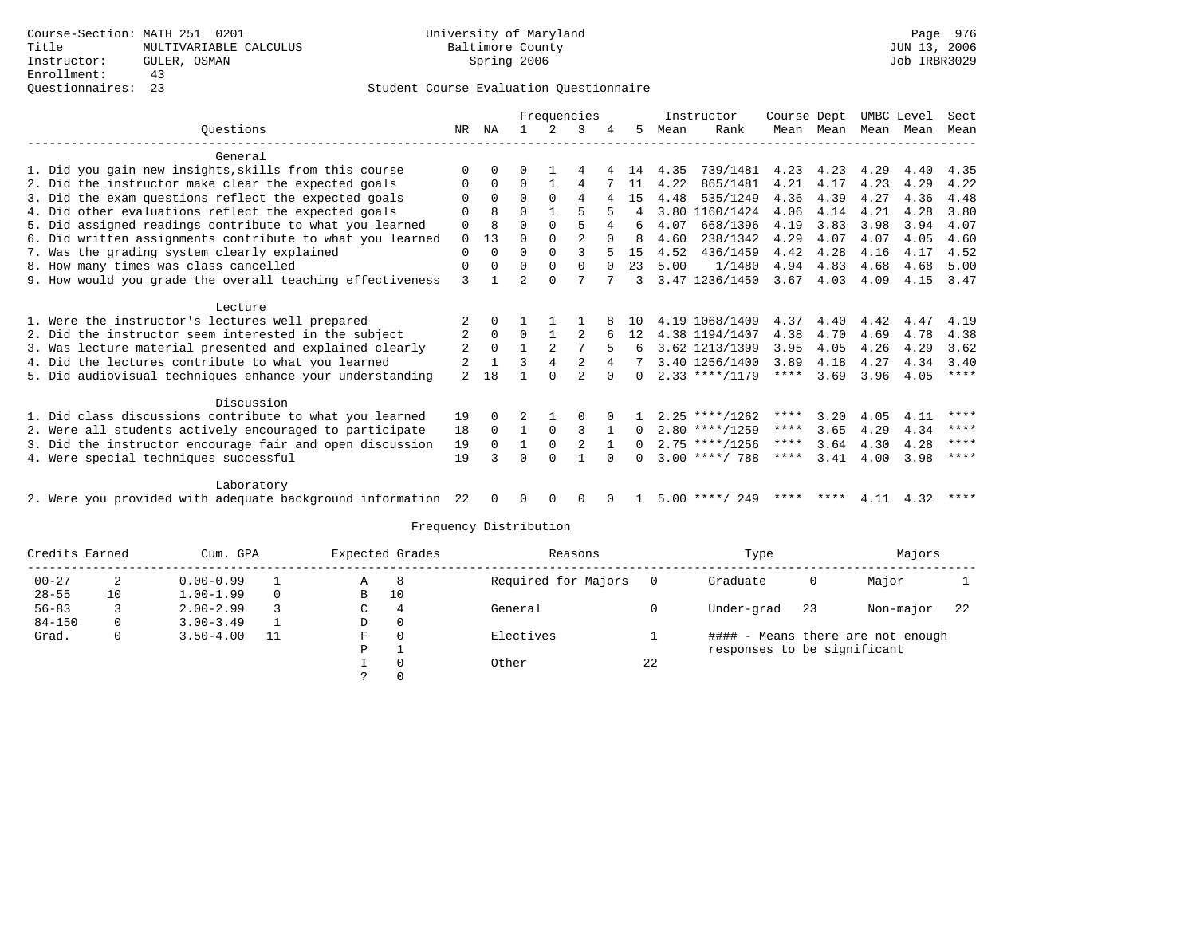|                                                              |                |          |                | Frequencies  |                |          |                |      | Instructor       | Course Dept |           |      | UMBC Level | Sect      |
|--------------------------------------------------------------|----------------|----------|----------------|--------------|----------------|----------|----------------|------|------------------|-------------|-----------|------|------------|-----------|
| Ouestions                                                    | NR             | ΝA       |                | 2            | 3              |          | 5.             | Mean | Rank             |             | Mean Mean |      | Mean Mean  | Mean      |
| General                                                      |                |          |                |              |                |          |                |      |                  |             |           |      |            |           |
| 1. Did you gain new insights, skills from this course        | $\Omega$       | $\Omega$ | O              |              | 4              |          | 14             | 4.35 | 739/1481         | 4.23        | 4.23      | 4.29 | 4.40       | 4.35      |
| 2. Did the instructor make clear the expected goals          | $\Omega$       | $\Omega$ | $\Omega$       |              | 4              |          | 11             | 4.22 | 865/1481         | 4.21        | 4.17      | 4.23 | 4.29       | 4.22      |
| 3. Did the exam questions reflect the expected goals         |                | $\Omega$ | $\Omega$       | $\Omega$     | 4              | 4        | 15             | 4.48 | 535/1249         | 4.36        | 4.39      | 4.27 | 4.36       | 4.48      |
| 4. Did other evaluations reflect the expected goals          | $\Omega$       | 8        | 0              | $\mathbf{1}$ | 5              |          | $\overline{4}$ |      | 3.80 1160/1424   | 4.06        | 4.14      | 4.21 | 4.28       | 3.80      |
| 5. Did assigned readings contribute to what you learned      | $\mathbf 0$    | 8        | 0              | $\Omega$     | 5              |          | 6              | 4.07 | 668/1396         | 4.19        | 3.83      | 3.98 | 3.94       | 4.07      |
| 6. Did written assignments contribute to what you learned    | 0              | 13       | $\Omega$       | $\Omega$     | $\mathfrak{D}$ | $\Omega$ | <sup>8</sup>   | 4.60 | 238/1342         | 4.29        | 4.07      | 4.07 | 4.05       | 4.60      |
| 7. Was the grading system clearly explained                  | $\mathbf 0$    | $\Omega$ | $\Omega$       | $\Omega$     | ζ              |          | 15             | 4.52 | 436/1459         | 4.42        | 4.28      | 4.16 | 4.17       | 4.52      |
| 8. How many times was class cancelled                        | $\mathbf 0$    | $\Omega$ | $\Omega$       | $\Omega$     | $\Omega$       | $\Omega$ | 23             | 5.00 | 1/1480           | 4.94        | 4.83      | 4.68 | 4.68       | 5.00      |
| 9. How would you grade the overall teaching effectiveness    | 3              |          | $\overline{2}$ | $\Omega$     | 7              |          | 3              |      | 3.47 1236/1450   | 3.67        | 4.03      | 4.09 | 4.15       | 3.47      |
| Lecture                                                      |                |          |                |              |                |          |                |      |                  |             |           |      |            |           |
| 1. Were the instructor's lectures well prepared              |                | $\Omega$ |                |              |                |          | 10             |      | 4.19 1068/1409   | 4.37        | 4.40      | 4.42 | 4.47       | 4.19      |
| 2. Did the instructor seem interested in the subject         | $\overline{2}$ | $\Omega$ | $\Omega$       |              |                |          | 12             |      | 4.38 1194/1407   | 4.38        | 4,70      | 4.69 | 4.78       | 4.38      |
| 3. Was lecture material presented and explained clearly      | 2              | $\Omega$ |                |              |                |          | 6              |      | 3.62 1213/1399   | 3.95        | 4.05      | 4.26 | 4.29       | 3.62      |
| 4. Did the lectures contribute to what you learned           | 2              |          | ζ              | 4            | $\overline{a}$ | 4        |                |      | 3.40 1256/1400   | 3.89        | 4.18      | 4.27 | 4.34       | 3.40      |
| 5. Did audiovisual techniques enhance your understanding     | $\mathfrak{D}$ | 18       |                | $\cap$       | $\mathcal{D}$  | $\cap$   | <sup>n</sup>   |      | $2.33$ ****/1179 | $***$ * * * | 3.69      | 3.96 | 4.05       | ****      |
| Discussion                                                   |                |          |                |              |                |          |                |      |                  |             |           |      |            |           |
| 1. Did class discussions contribute to what you learned      | 19             | $\Omega$ |                |              | O              |          |                |      | $2.25$ ****/1262 | ****        | 3.20      | 4.05 | 4.11       | ****      |
| 2. Were all students actively encouraged to participate      | 18             | $\Omega$ | $\mathbf{1}$   | $\Omega$     | 3              |          | $\Omega$       |      | $2.80$ ****/1259 | $***$ * * * | 3.65      | 4.29 | 4.34       | $* * * *$ |
| 3. Did the instructor encourage fair and open discussion     | 19             | $\Omega$ | $\mathbf{1}$   | $\Omega$     |                |          | $\Omega$       |      | $2.75$ ****/1256 | $***$ * *   | 3.64      | 4.30 | 4.28       | $***$ *   |
| 4. Were special techniques successful                        |                |          | $\Omega$       | $\Omega$     |                | $\Omega$ | <sup>n</sup>   |      | $3.00$ ****/ 788 | ****        | 3.41      | 4.00 | 3.98       | ****      |
|                                                              |                |          |                |              |                |          |                |      |                  |             |           |      |            |           |
| Laboratory                                                   |                |          |                |              |                |          |                |      |                  |             |           |      |            |           |
| 2. Were you provided with adequate background information 22 |                | $\Omega$ | $\Omega$       | $\Omega$     | $\Omega$       | $\Omega$ |                |      | $5.00$ ****/ 249 | ****        | ****      | 4.11 | 4.32       | ****      |

| Credits Earned |    | Cum. GPA      |          |   | Expected Grades | Reasons             |    | Type                        |    | Majors                            |     |
|----------------|----|---------------|----------|---|-----------------|---------------------|----|-----------------------------|----|-----------------------------------|-----|
| $00 - 27$      |    | $0.00 - 0.99$ |          | Α | - 8             | Required for Majors |    | Graduate                    | 0  | Major                             |     |
| $28 - 55$      | 10 | $1.00 - 1.99$ | $\Omega$ | В | 10              |                     |    |                             |    |                                   |     |
| $56 - 83$      |    | $2.00 - 2.99$ |          | C | 4               | General             |    | Under-grad                  | 23 | Non-major                         | -22 |
| $84 - 150$     | 0  | $3.00 - 3.49$ |          | D | $\mathbf{0}$    |                     |    |                             |    |                                   |     |
| Grad.          | 0  | $3.50 - 4.00$ | 11       | F | 0               | Electives           |    |                             |    | #### - Means there are not enough |     |
|                |    |               |          | Ρ |                 |                     |    | responses to be significant |    |                                   |     |
|                |    |               |          |   | $\Omega$        | Other               | 22 |                             |    |                                   |     |
|                |    |               |          |   |                 |                     |    |                             |    |                                   |     |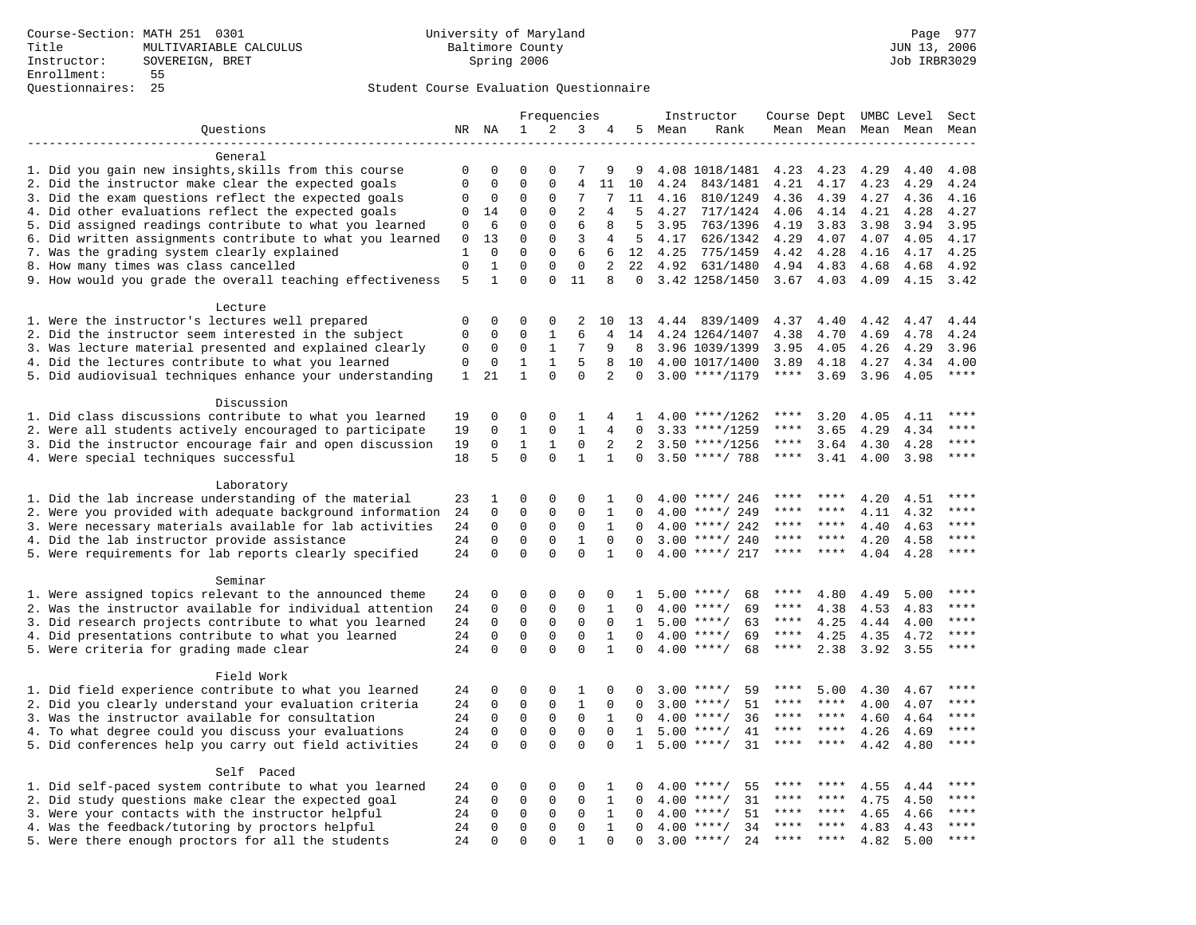|                                                                                                          |              |                         |                         |                         | Frequencies             |                         |              | Instructor      |                              | Course Dept UMBC Level         |                     |              |              | Sect          |
|----------------------------------------------------------------------------------------------------------|--------------|-------------------------|-------------------------|-------------------------|-------------------------|-------------------------|--------------|-----------------|------------------------------|--------------------------------|---------------------|--------------|--------------|---------------|
| Ouestions                                                                                                |              | NR NA                   | 1                       | 2                       | 3                       | 4                       |              | 5 Mean          | Rank                         |                                | Mean Mean Mean Mean |              |              | Mean          |
|                                                                                                          |              |                         |                         |                         |                         |                         |              |                 |                              |                                |                     |              |              |               |
| General                                                                                                  |              |                         |                         |                         |                         |                         |              |                 |                              |                                |                     |              |              |               |
| 1. Did you gain new insights, skills from this course                                                    | $\mathbf 0$  | $\mathbf 0$             | $\Omega$                | $\Omega$                | 7                       | 9                       | 9            |                 | 4.08 1018/1481               | 4.23                           | 4.23                | 4.29         | 4.40         | 4.08          |
| 2. Did the instructor make clear the expected goals                                                      | $\mathbf{0}$ | $\Omega$                | $\mathbf 0$             | $\Omega$                | $\overline{4}$          | 11                      | 10           | 4.24            | 843/1481                     | 4.21                           | 4.17                | 4.23         | 4.29         | 4.24          |
| 3. Did the exam questions reflect the expected goals                                                     | 0            | $\mathbf 0$             | 0                       | $\mathbf 0$             | 7                       | 7                       | 11           | 4.16            | 810/1249                     | 4.36                           | 4.39                | 4.27         | 4.36         | 4.16          |
| 4. Did other evaluations reflect the expected goals                                                      | 0            | 14                      | 0                       | $\mathbf 0$             | $\overline{2}$          | 4                       | .5           | 4.27            | 717/1424                     | 4.06                           | 4.14                | 4.21         | 4.28         | 4.27          |
| 5. Did assigned readings contribute to what you learned                                                  | 0            | 6                       | $\mathbf 0$             | $\mathbf 0$             | 6                       | 8                       | 5            | 3.95            | 763/1396                     | 4.19                           | 3.83                | 3.98         | 3.94         | 3.95          |
| 6. Did written assignments contribute to what you learned<br>7. Was the grading system clearly explained | 0<br>1       | 13<br>$\Omega$          | $\mathbf 0$<br>$\Omega$ | $\mathbf 0$<br>$\Omega$ | 3<br>6                  | 4<br>6                  | 5            | 4.17<br>12 4.25 | 626/1342<br>775/1459         | 4.29<br>4.42                   | 4.07<br>4.28        | 4.07<br>4.16 | 4.05<br>4.17 | 4.17<br>4.25  |
| 8. How many times was class cancelled                                                                    | $\Omega$     | $\mathbf 1$             | $\Omega$                | $\Omega$                | $\Omega$                | $\overline{2}$          | 2.2          | 4.92            | 631/1480                     | 4.94                           | 4.83                | 4.68         | 4.68         | 4.92          |
| 9. How would you grade the overall teaching effectiveness                                                | 5            | $\mathbf{1}$            | $\Omega$                | $\Omega$                | 11                      | 8                       | $\mathbf 0$  |                 | 3.42 1258/1450               |                                | $3.67$ 4.03         | 4.09         | 4.15         | 3.42          |
|                                                                                                          |              |                         |                         |                         |                         |                         |              |                 |                              |                                |                     |              |              |               |
| Lecture                                                                                                  |              |                         |                         |                         |                         |                         |              |                 |                              |                                |                     |              |              |               |
| 1. Were the instructor's lectures well prepared                                                          | $\Omega$     | $\Omega$                | $\Omega$                | $\Omega$                | 2                       | 10                      | 13           |                 | 4.44 839/1409                | 4.37                           | 4.40                | 4.42         | 4.47         | 4.44          |
| 2. Did the instructor seem interested in the subject                                                     | $\mathbf{0}$ | $\mathbf 0$             | $\Omega$                | 1                       | 6                       | 4                       | 14           |                 | 4.24 1264/1407               | 4.38                           | 4.70                | 4.69         | 4.78         | 4.24          |
| 3. Was lecture material presented and explained clearly                                                  | 0            | 0                       | 0                       | $\mathbf{1}$            | 7                       | 9                       | 8            |                 | 3.96 1039/1399               | 3.95                           | 4.05                | 4.26         | 4.29         | 3.96          |
| 4. Did the lectures contribute to what you learned                                                       | $\mathbf{0}$ | $\mathbf{0}$            | $\mathbf{1}$            | $\mathbf{1}$            | 5                       | 8                       | 10           |                 | 4.00 1017/1400               | 3.89                           | 4.18                | 4.27         | 4.34         | 4.00          |
| 5. Did audiovisual techniques enhance your understanding                                                 | $\mathbf{1}$ | 21                      | $\mathbf{1}$            | $\Omega$                | $\Omega$                | 2                       | $\Omega$     |                 | $3.00$ ****/1179             | ****                           | 3.69                | 3.96         | 4.05         | $***$         |
|                                                                                                          |              |                         |                         |                         |                         |                         |              |                 |                              |                                |                     |              |              |               |
| Discussion                                                                                               |              |                         |                         |                         |                         |                         |              |                 |                              |                                |                     |              |              |               |
| 1. Did class discussions contribute to what you learned                                                  | 19           | $\Omega$                | $\Omega$                | $\Omega$                | $\mathbf{1}$            | 4                       | -1.          |                 | $4.00$ ****/1262             | ****                           | 3.20                | 4.05         | 4.11         | $* * * *$     |
| 2. Were all students actively encouraged to participate                                                  | 19           | $\mathbf 0$             | $\mathbf{1}$            | $\mathbf 0$             | $\mathbf{1}$            | 4                       | $\Omega$     |                 | $3.33$ ****/1259             | ****                           | 3.65                | 4.29         | 4.34         | ****          |
| 3. Did the instructor encourage fair and open discussion                                                 | 19           | 0                       | 1                       | 1                       | $\mathbf 0$             | 2                       | 2            |                 | $3.50$ ****/1256             | ****                           | 3.64                | 4.30         | 4.28         | ****          |
| 4. Were special techniques successful                                                                    | 18           | 5                       | $\Omega$                | $\Omega$                | $\mathbf{1}$            | $\mathbf{1}$            | $\Omega$     |                 | $3.50$ ****/ 788             | $***$ * * *                    | 3.41                | 4.00         | 3.98         | $***$         |
|                                                                                                          |              |                         |                         |                         |                         |                         |              |                 |                              |                                |                     |              |              |               |
| Laboratory<br>1. Did the lab increase understanding of the material                                      | 23           | 1                       | $\mathbf 0$             | 0                       | 0                       | $\mathbf{1}$            | 0            |                 | $4.00$ ****/ 246             |                                |                     | 4.20         |              |               |
| 2. Were you provided with adequate background information                                                | 24           | $\mathbf 0$             | $\mathbf 0$             | $\mathbf{0}$            | $\mathbf 0$             | 1                       | $\Omega$     | 4.00            | ****/ 249                    | ****                           | ****                | 4.11         | 4.51<br>4.32 | ****          |
| 3. Were necessary materials available for lab activities                                                 | 24           | $\mathbf 0$             | $\mathbf 0$             | $\mathbf 0$             | 0                       | $\mathbf{1}$            | $\Omega$     |                 | $4.00$ ****/ 242             | ****                           | ****                | 4.40         | 4.63         | ****          |
| 4. Did the lab instructor provide assistance                                                             | 24           | $\Omega$                | $\Omega$                | $\mathbf{0}$            | $\mathbf{1}$            | $\Omega$                | $\Omega$     |                 | $3.00$ ****/ 240             | ****                           | ****                | 4.20         | 4.58         | $***$         |
| 5. Were requirements for lab reports clearly specified                                                   | 24           | $\Omega$                | $\Omega$                | $\Omega$                | $\Omega$                | $\mathbf{1}$            | $\Omega$     |                 | $4.00$ ****/ 217             | ****                           | ****                | 4.04         | 4.28         | ****          |
|                                                                                                          |              |                         |                         |                         |                         |                         |              |                 |                              |                                |                     |              |              |               |
| Seminar                                                                                                  |              |                         |                         |                         |                         |                         |              |                 |                              |                                |                     |              |              |               |
| 1. Were assigned topics relevant to the announced theme                                                  | 24           | 0                       | 0                       | 0                       | $\Omega$                | 0                       | 1            |                 | $5.00$ ****/<br>68           | ****                           | 4.80                | 4.49         | 5.00         | $***$         |
| 2. Was the instructor available for individual attention                                                 | 24           | $\mathbf 0$             | 0                       | $\mathbf 0$             | 0                       | $\mathbf{1}$            | 0            |                 | $4.00$ ****/<br>69           | ****                           | 4.38                | 4.53         | 4.83         | ****          |
| 3. Did research projects contribute to what you learned                                                  | 24           | $\mathbf 0$             | $\mathbf 0$             | $\mathbf{0}$            | $\mathbf 0$             | $\Omega$                | 1            |                 | $5.00$ ****/<br>63           | ****                           | 4.25                | 4.44         | 4.00         | $***$         |
| 4. Did presentations contribute to what you learned                                                      | 24           | $\Omega$                | $\mathbf 0$             | $\mathbf 0$             | $\mathbf 0$             | $\mathbf{1}$            | $\Omega$     |                 | $4.00$ ****/<br>69           | $***$ * *                      | 4.25                | 4.35         | 4.72         | $***$         |
| 5. Were criteria for grading made clear                                                                  | 24           | $\mathbf 0$             | $\mathbf 0$             | $\Omega$                | $\Omega$                | $\mathbf{1}$            | $\Omega$     |                 | $4.00$ ****/<br>68           | $***$ * * *                    | 2.38                | 3.92         | 3.55         | ****          |
|                                                                                                          |              |                         |                         |                         |                         |                         |              |                 |                              |                                |                     |              |              |               |
| Field Work                                                                                               |              |                         |                         |                         |                         |                         |              |                 |                              |                                |                     |              |              |               |
| 1. Did field experience contribute to what you learned                                                   | 24           | $\mathbf 0$             | 0                       | 0                       | 1                       | $\Omega$                | <sup>0</sup> |                 | $3.00$ ****/<br>59           | ****                           | 5.00                | 4.30         | 4.67         | ****          |
| 2. Did you clearly understand your evaluation criteria                                                   | 24           | $\Omega$                | $\mathbf 0$             | $\Omega$                | $\mathbf{1}$            | $\Omega$                | $\Omega$     | 3.00            | 51<br>$***/$                 | ****                           | ****                | 4.00         | 4.07         | $***$<br>**** |
| 3. Was the instructor available for consultation                                                         | 24           | $\mathbf 0$             | 0                       | $\mathsf 0$             | $\mathbf 0$             | $\mathbf{1}$            | $\Omega$     | 4.00            | $***/$<br>36                 | ****<br>$\star\star\star\star$ | $***$ *<br>$***$    | 4.60         | 4.64         | $***$         |
| 4. To what degree could you discuss your evaluations                                                     | 24<br>24     | $\mathbf 0$<br>$\Omega$ | $\mathbf 0$<br>$\Omega$ | $\mathbf 0$<br>$\Omega$ | $\mathbf 0$<br>$\Omega$ | $\mathbf 0$<br>$\Omega$ | 1            | 5.00            | $***/$<br>41<br>31<br>$***/$ | ****                           | ****                | 4.26         | 4.69         | $***$         |
| 5. Did conferences help you carry out field activities                                                   |              |                         |                         |                         |                         |                         | $\mathbf{1}$ | 5.00            |                              |                                |                     | 4.42         | 4.80         |               |
| Self Paced                                                                                               |              |                         |                         |                         |                         |                         |              |                 |                              |                                |                     |              |              |               |
| 1. Did self-paced system contribute to what you learned                                                  | 24           | $\mathbf 0$             | 0                       | 0                       | $\Omega$                | 1                       | $\Omega$     |                 | 55<br>$4.00$ ****/           | ****                           |                     | 4.55         | 4.44         | ****          |
| 2. Did study questions make clear the expected goal                                                      | 24           | $\mathbf 0$             | 0                       | $\mathbf 0$             | $\mathbf 0$             | $\mathbf{1}$            | $\mathbf 0$  | 4.00            | $***$ /<br>31                | ****                           | $* * * * *$         | 4.75         | 4.50         | ****          |
| 3. Were your contacts with the instructor helpful                                                        | 24           | $\mathbf 0$             | $\mathbf 0$             | $\mathbf 0$             | $\mathbf 0$             | $\mathbf{1}$            | $\Omega$     | 4.00            | 51<br>$***$ /                | ****                           | ****                | 4.65         | 4.66         | ****          |
| 4. Was the feedback/tutoring by proctors helpful                                                         | 24           | $\mathbf 0$             | $\mathbf 0$             | $\mathbf 0$             | $\mathbf 0$             | $\mathbf{1}$            | $\Omega$     | 4.00            | $***/$<br>34                 |                                |                     | 4.83         | 4.43         | * * * *       |
| 5. Were there enough proctors for all the students                                                       | 24           | $\mathbf 0$             | $\Omega$                | $\Omega$                | $\mathbf{1}$            | $\Omega$                | $\Omega$     |                 | $3.00$ ****/<br>24           | $***$ * * *                    | $***$               | 4.82         | 5.00         | ****          |
|                                                                                                          |              |                         |                         |                         |                         |                         |              |                 |                              |                                |                     |              |              |               |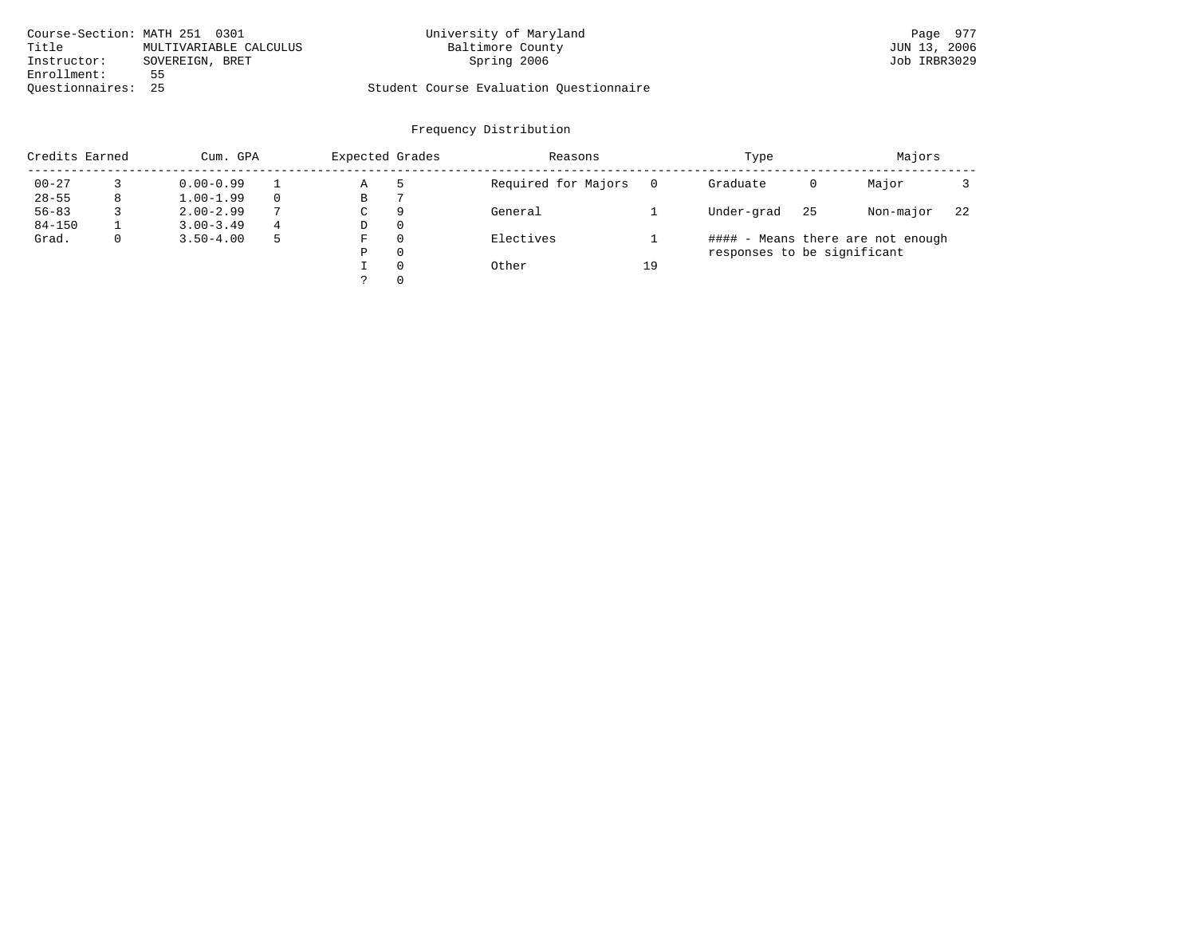| Course-Section: MATH 251 0301 |                        | University of Maryland                  | Page 977     |
|-------------------------------|------------------------|-----------------------------------------|--------------|
| Title                         | MULTIVARIABLE CALCULUS | Baltimore County                        | JUN 13, 2006 |
| Instructor:                   | SOVEREIGN, BRET        | Spring 2006                             | Job IRBR3029 |
| Enrollment:                   | 55                     |                                         |              |
| Ouestionnaires: 25            |                        | Student Course Evaluation Questionnaire |              |

| Credits Earned |             | Cum. GPA      |               |   | Expected Grades | Reasons             |    | Type                        | Majors |                                   |    |
|----------------|-------------|---------------|---------------|---|-----------------|---------------------|----|-----------------------------|--------|-----------------------------------|----|
| $00 - 27$      |             | $0.00 - 0.99$ |               | Α |                 | Required for Majors |    | Graduate                    | 0      | Major                             |    |
| $28 - 55$      | 8           | $1.00 - 1.99$ |               | В |                 |                     |    |                             |        |                                   |    |
| $56 - 83$      |             | $2.00 - 2.99$ | $\mathcal{L}$ | C | 9               | General             |    | Under-grad                  | 25     | Non-major                         | 22 |
| $84 - 150$     |             | $3.00 - 3.49$ | 4             | D | $\Omega$        |                     |    |                             |        |                                   |    |
| Grad.          | $\mathbf 0$ | $3.50 - 4.00$ |               | F | $\Omega$        | Electives           |    |                             |        | #### - Means there are not enough |    |
|                |             |               |               | Ρ | $\Omega$        |                     |    | responses to be significant |        |                                   |    |
|                |             |               |               |   | $\Omega$        | Other               | 19 |                             |        |                                   |    |
|                |             |               |               |   | $\Omega$        |                     |    |                             |        |                                   |    |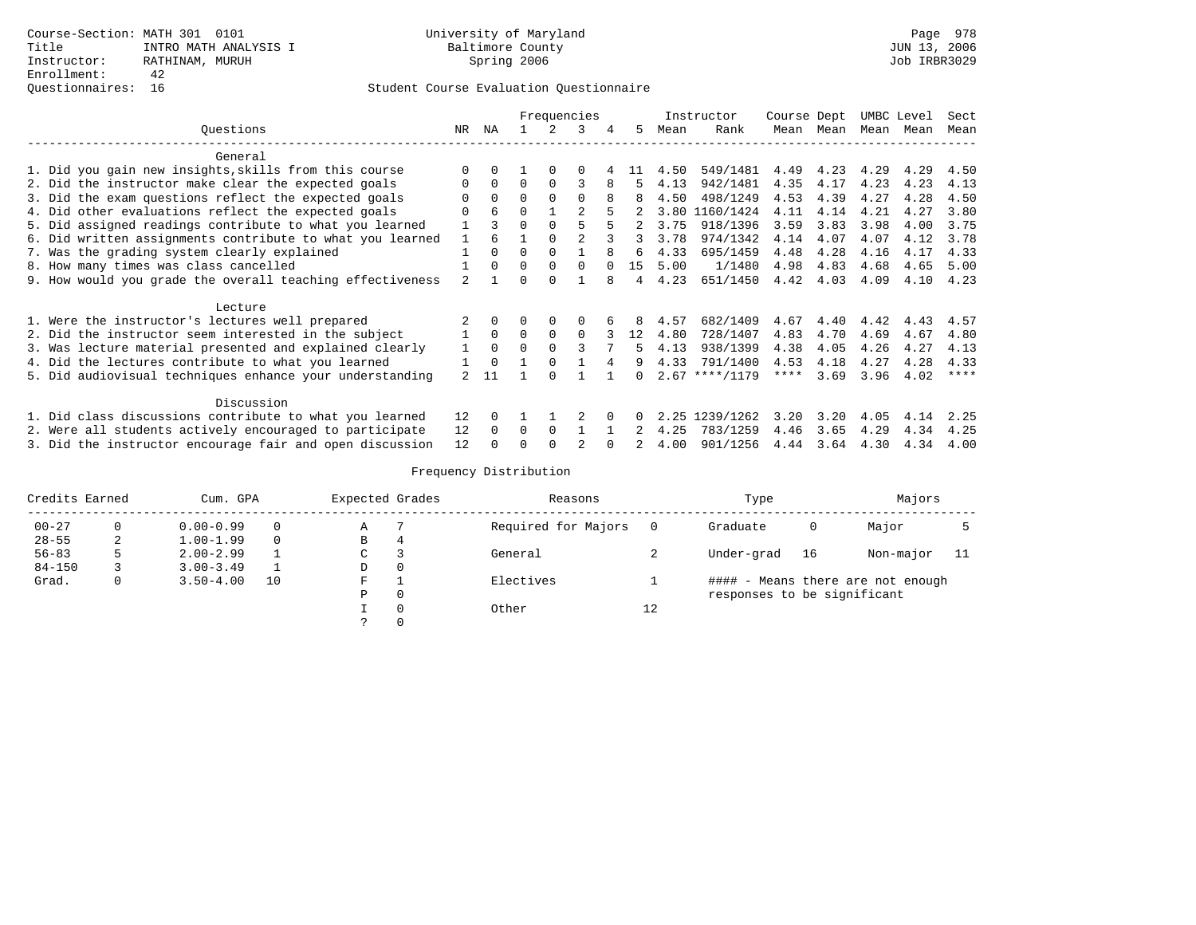## Questionnaires: 16 Student Course Evaluation Questionnaire

|                                                           |          |          |          | Frequencies |          |   |    |      | Instructor       | Course Dept |           | UMBC Level |      | Sect |
|-----------------------------------------------------------|----------|----------|----------|-------------|----------|---|----|------|------------------|-------------|-----------|------------|------|------|
| Ouestions                                                 | NR.      | ΝA       |          |             | 3        |   | 5. | Mean | Rank             |             | Mean Mean | Mean       | Mean | Mean |
| General                                                   |          |          |          |             |          |   |    |      |                  |             |           |            |      |      |
| 1. Did you gain new insights, skills from this course     | $\Omega$ |          |          |             |          |   | 11 | 4.50 | 549/1481         | 4.49        | 4.23      | 4.29       | 4.29 | 4.50 |
| 2. Did the instructor make clear the expected goals       | $\Omega$ | $\Omega$ | $\Omega$ | $\Omega$    |          |   | 5  | 4.13 | 942/1481         | 4.35        | 4.17      | 4.23       | 4.23 | 4.13 |
| 3. Did the exam questions reflect the expected goals      |          | $\Omega$ | $\Omega$ |             | $\Omega$ |   | 8  | 4.50 | 498/1249         | 4.53        | 4.39      | 4.27       | 4.28 | 4.50 |
| 4. Did other evaluations reflect the expected goals       | $\Omega$ | 6        | $\Omega$ |             |          |   |    | 3.80 | 1160/1424        | 4.11        | 4.14      | 4.21       | 4.27 | 3.80 |
| 5. Did assigned readings contribute to what you learned   |          |          | $\Omega$ |             |          |   |    | 3.75 | 918/1396         | 3.59        | 3.83      | 3.98       | 4.00 | 3.75 |
| 6. Did written assignments contribute to what you learned |          |          |          |             |          |   | 3  | 3.78 | 974/1342         | 4.14        | 4.07      | 4.07       | 4.12 | 3.78 |
| 7. Was the grading system clearly explained               |          | $\Omega$ | $\Omega$ |             |          | 8 | б. | 4.33 | 695/1459         | 4.48        | 4.28      | 4.16       | 4.17 | 4.33 |
| 8. How many times was class cancelled                     |          | $\Omega$ | $\Omega$ | $\Omega$    | $\Omega$ |   | 15 | 5.00 | 1/1480           | 4.98        | 4.83      | 4.68       | 4.65 | 5.00 |
| 9. How would you grade the overall teaching effectiveness |          |          | $\Omega$ |             |          |   | 4  | 4.23 | 651/1450         | 4.42        | 4.03      | 4.09       | 4.10 | 4.23 |
| Lecture                                                   |          |          |          |             |          |   |    |      |                  |             |           |            |      |      |
| 1. Were the instructor's lectures well prepared           |          |          |          | 0           | 0        |   | 8  | 4.57 | 682/1409         | 4.67        | 4.40      | 4.42       | 4.43 | 4.57 |
| 2. Did the instructor seem interested in the subject      |          | $\Omega$ | $\Omega$ | $\Omega$    | $\Omega$ |   | 12 | 4.80 | 728/1407         | 4.83        | 4.70      | 4.69       | 4.67 | 4.80 |
| 3. Was lecture material presented and explained clearly   |          | $\Omega$ | $\Omega$ |             |          |   |    | 4.13 | 938/1399         | 4.38        | 4.05      | 4.26       | 4.27 | 4.13 |
| 4. Did the lectures contribute to what you learned        |          | $\Omega$ |          |             |          |   | 9  | 4.33 | 791/1400         | 4.53        | 4.18      | 4.27       | 4.28 | 4.33 |
| 5. Did audiovisual techniques enhance your understanding  |          | 11       |          |             |          |   |    |      | $2.67$ ****/1179 | ****        | 3.69      | 3.96       | 4.02 | **** |
| Discussion                                                |          |          |          |             |          |   |    |      |                  |             |           |            |      |      |
| 1. Did class discussions contribute to what you learned   |          |          |          |             |          |   |    | 2.25 | 1239/1262        | 3.20        | 3.20      | 4.05       | 4.14 | 2.25 |
| 2. Were all students actively encouraged to participate   |          |          | 0        | $\Omega$    |          |   |    | 4.25 | 783/1259         | 4.46        | 3.65      | 4.29       | 4.34 | 4.25 |
| 3. Did the instructor encourage fair and open discussion  | 12       |          |          |             |          |   |    | 4.00 | 901/1256         | 4.44        | 3.64      | 4.30       | 4.34 | 4.00 |

| Credits Earned |   | Cum. GPA      |    | Expected Grades |          | Reasons             |    | Type                        |    | Majors                            |     |
|----------------|---|---------------|----|-----------------|----------|---------------------|----|-----------------------------|----|-----------------------------------|-----|
| $00 - 27$      |   | $0.00 - 0.99$ |    | Α               |          | Required for Majors |    | Graduate                    | 0  | Major                             |     |
| $28 - 55$      | 2 | $1.00 - 1.99$ | 0  | В               | 4        |                     |    |                             |    |                                   |     |
| $56 - 83$      |   | $2.00 - 2.99$ |    | C               |          | General             |    | Under-grad                  | 16 | Non-major                         | -11 |
| $84 - 150$     |   | $3.00 - 3.49$ |    | D               | 0        |                     |    |                             |    |                                   |     |
| Grad.          |   | $3.50 - 4.00$ | 10 | F               |          | Electives           |    |                             |    | #### - Means there are not enough |     |
|                |   |               |    | Ρ               | 0        |                     |    | responses to be significant |    |                                   |     |
|                |   |               |    |                 | $\Omega$ | Other               | 12 |                             |    |                                   |     |
|                |   |               |    |                 |          |                     |    |                             |    |                                   |     |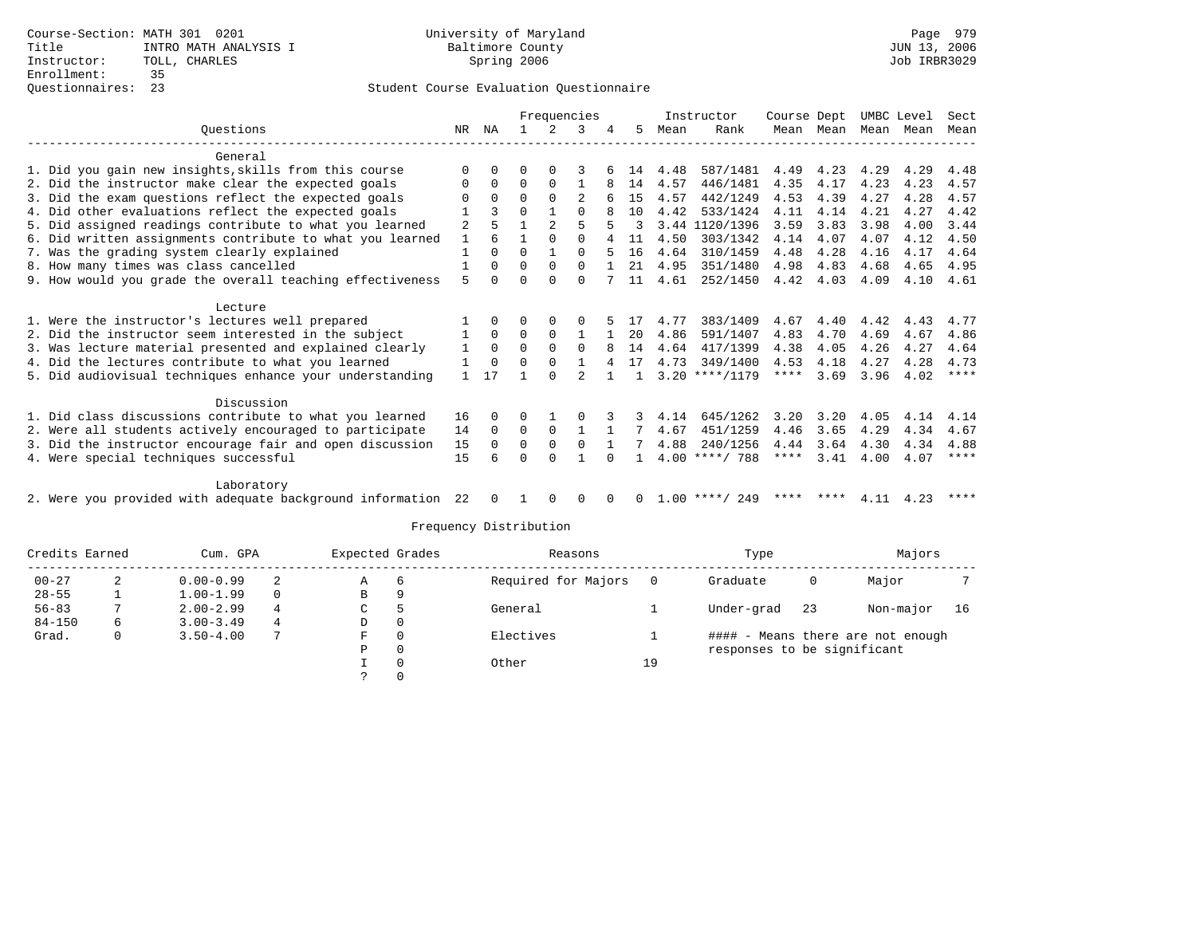### Questionnaires: 23 Student Course Evaluation Questionnaire

|                                                           |              |          |          |              | Frequencies  |              |          |      | Instructor       | Course Dept |           |      | UMBC Level | Sect        |
|-----------------------------------------------------------|--------------|----------|----------|--------------|--------------|--------------|----------|------|------------------|-------------|-----------|------|------------|-------------|
| Ouestions                                                 | NR           | ΝA       |          | 2            | 3            |              | 5.       | Mean | Rank             |             | Mean Mean |      | Mean Mean  | Mean        |
| General                                                   |              |          |          |              |              |              |          |      |                  |             |           |      |            |             |
| 1. Did you gain new insights, skills from this course     | $\Omega$     | $\Omega$ | O        |              |              |              | 14       | 4.48 | 587/1481         | 4.49        | 4.23      | 4.29 | 4.29       | 4.48        |
| 2. Did the instructor make clear the expected goals       | $\Omega$     | $\Omega$ | $\Omega$ | $\Omega$     |              |              | 14       | 4.57 | 446/1481         | 4.35        | 4.17      | 4.23 | 4.23       | 4.57        |
| 3. Did the exam questions reflect the expected goals      |              | $\Omega$ | $\Omega$ | $\Omega$     |              |              | 15       | 4.57 | 442/1249         | 4.53        | 4.39      | 4.27 | 4.28       | 4.57        |
| 4. Did other evaluations reflect the expected goals       |              |          | $\Omega$ |              | $\Omega$     |              | 10       | 4.42 | 533/1424         | 4.11        | 4.14      | 4.21 | 4.27       | 4.42        |
| 5. Did assigned readings contribute to what you learned   | 2            |          |          |              | 5            |              | २        |      | 3.44 1120/1396   | 3.59        | 3.83      | 3.98 | 4.00       | 3.44        |
| 6. Did written assignments contribute to what you learned | 1            | 6        |          | $\Omega$     | $\Omega$     |              | 11       | 4.50 | 303/1342         | 4.14        | 4.07      | 4.07 | 4.12       | 4.50        |
| 7. Was the grading system clearly explained               | $\mathbf{1}$ | $\Omega$ | $\Omega$ | $\mathbf{1}$ | $\Omega$     |              | 16       | 4.64 | 310/1459         | 4.48        | 4.28      | 4.16 | 4.17       | 4.64        |
| 8. How many times was class cancelled                     |              | $\Omega$ | 0        | $\mathbf 0$  | $\Omega$     |              | 21       | 4.95 | 351/1480         | 4.98        | 4.83      | 4.68 | 4.65       | 4.95        |
| 9. How would you grade the overall teaching effectiveness |              |          | O        | $\Omega$     | $\Omega$     |              | 11       | 4.61 | 252/1450         | 4.42        | 4.03      | 4.09 | 4.10       | 4.61        |
| Lecture                                                   |              |          |          |              |              |              |          |      |                  |             |           |      |            |             |
| 1. Were the instructor's lectures well prepared           |              | $\Omega$ | 0        | $\Omega$     | 0            |              | 17       | 4.77 | 383/1409         | 4.67        | 4.40      | 4.42 | 4.43       | 4.77        |
| 2. Did the instructor seem interested in the subject      | 1            | $\Omega$ | $\Omega$ | $\Omega$     | $\mathbf{1}$ |              | 20       | 4.86 | 591/1407         | 4.83        | 4.70      | 4.69 | 4.67       | 4.86        |
| 3. Was lecture material presented and explained clearly   | 1            | $\Omega$ | $\Omega$ | $\Omega$     | $\Omega$     | 8            | 14       | 4.64 | 417/1399         | 4.38        | 4.05      | 4.26 | 4.27       | 4.64        |
| 4. Did the lectures contribute to what you learned        | 1            | $\Omega$ | 0        | $\Omega$     |              | 4            | 17       | 4.73 | 349/1400         | 4.53        | 4.18      | 4.27 | 4.28       | 4.73        |
| 5. Did audiovisual techniques enhance your understanding  | $\mathbf{1}$ | 17       |          | ∩            |              |              |          |      | $3.20$ ****/1179 | ****        | 3.69      | 3.96 | 4.02       | $***$ * * * |
| Discussion                                                |              |          |          |              |              |              |          |      |                  |             |           |      |            |             |
| 1. Did class discussions contribute to what you learned   | 16           | $\Omega$ | 0        |              | O            |              | 3        | 4.14 | 645/1262         | 3.20        | 3.20      | 4.05 | 4.14       | 4.14        |
| 2. Were all students actively encouraged to participate   | 14           | 0        | $\Omega$ | $\mathbf 0$  | $\mathbf{1}$ | $\mathbf{1}$ | 7        | 4.67 | 451/1259         | 4.46        | 3.65      | 4.29 | 4.34       | 4.67        |
| 3. Did the instructor encourage fair and open discussion  | 15           | $\Omega$ | $\Omega$ | $\Omega$     | $\Omega$     |              |          | 4.88 | 240/1256         | 4.44        | 3.64      | 4.30 | 4.34       | 4.88        |
| 4. Were special techniques successful                     | 15           |          | $\Omega$ | $\cap$       |              | $\cap$       |          |      | $4.00$ ****/ 788 | ****        | 3.41      | 4.00 | 4.07       | $* * * * *$ |
|                                                           |              |          |          |              |              |              |          |      |                  |             |           |      |            |             |
| Laboratory                                                |              |          |          |              |              |              |          |      |                  |             |           |      |            |             |
| 2. Were you provided with adequate background information | -22          | $\Omega$ | 1        | $\Omega$     | $\Omega$     | $\Omega$     | $\Omega$ |      | $1.00$ ****/ 249 |             | **** **** | 4.11 | 4.23       | ****        |

| Credits Earned |   | Cum. GPA      |   | Expected Grades |          | Reasons             |    | Type                        |    | Majors                            |    |
|----------------|---|---------------|---|-----------------|----------|---------------------|----|-----------------------------|----|-----------------------------------|----|
| $00 - 27$      |   | $0.00 - 0.99$ |   | Α               | 6        | Required for Majors |    | Graduate                    | 0  | Major                             |    |
| $28 - 55$      |   | $1.00 - 1.99$ |   | В               | Q        |                     |    |                             |    |                                   |    |
| $56 - 83$      |   | $2.00 - 2.99$ | 4 | C.              |          | General             |    | Under-grad                  | 23 | Non-major                         | 16 |
| $84 - 150$     | 6 | $3.00 - 3.49$ | 4 | D               | 0        |                     |    |                             |    |                                   |    |
| Grad.          | 0 | $3.50 - 4.00$ |   | F               | $\Omega$ | Electives           |    |                             |    | #### - Means there are not enough |    |
|                |   |               |   | Ρ               | 0        |                     |    | responses to be significant |    |                                   |    |
|                |   |               |   |                 | $\Omega$ | Other               | 19 |                             |    |                                   |    |
|                |   |               |   |                 |          |                     |    |                             |    |                                   |    |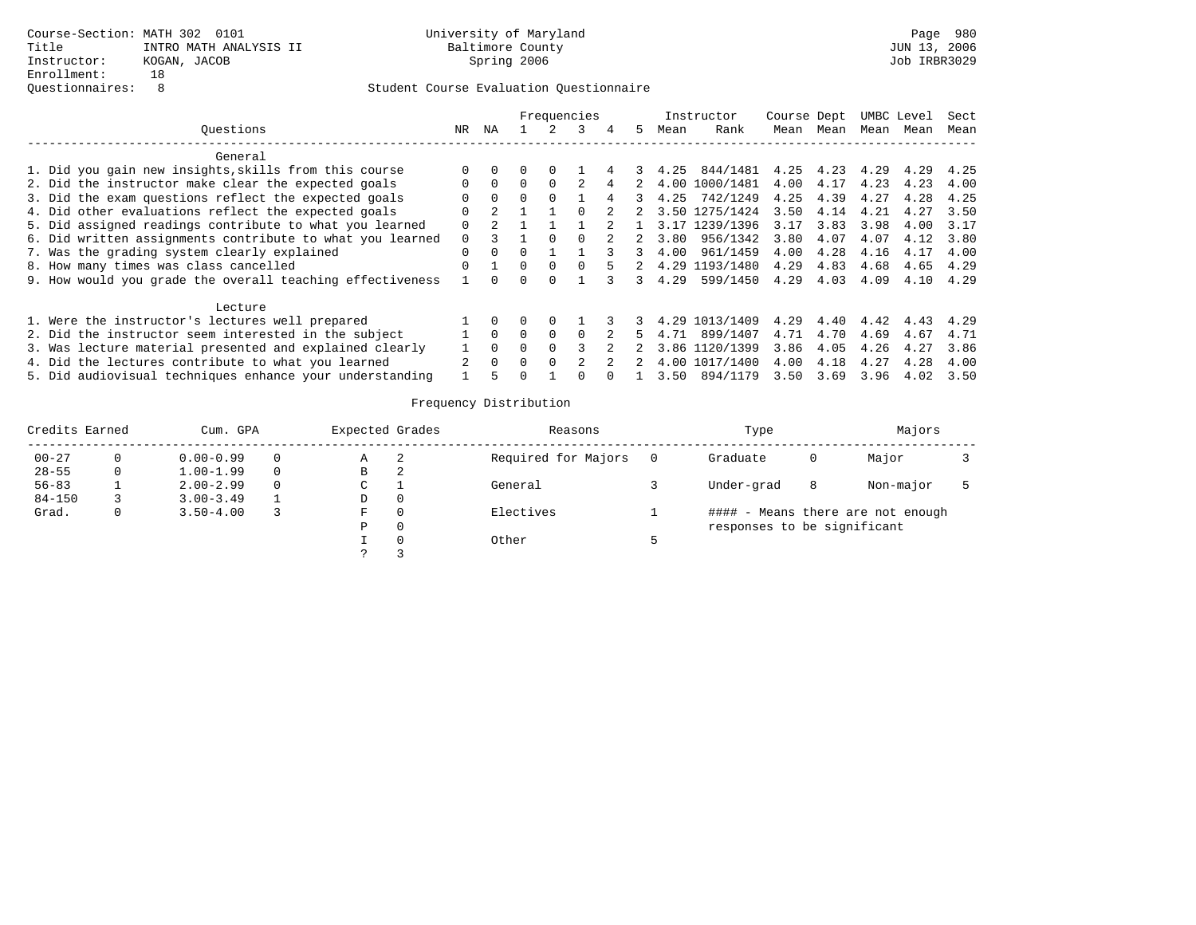|                                                           |              |          |   |          | Frequencies |   |   |      | Instructor     | Course Dept |      |      | UMBC Level | Sect |
|-----------------------------------------------------------|--------------|----------|---|----------|-------------|---|---|------|----------------|-------------|------|------|------------|------|
| Ouestions                                                 | NR.          | ΝA       |   |          |             | 4 | 5 | Mean | Rank           | Mean        | Mean | Mean | Mean       | Mean |
| General                                                   |              |          |   |          |             |   |   |      |                |             |      |      |            |      |
| 1. Did you gain new insights, skills from this course     |              |          |   | 0        |             |   |   | 4.25 | 844/1481       | 4.25        | 4.23 | 4.29 | 4.29       | 4.25 |
| 2. Did the instructor make clear the expected goals       |              | $\Omega$ |   |          |             |   |   | 4.00 | 1000/1481      | 4.00        | 4.17 | 4.23 | 4.23       | 4.00 |
| 3. Did the exam questions reflect the expected goals      |              | $\Omega$ |   |          |             |   |   | 4.25 | 742/1249       | 4.25        | 4.39 | 4.27 | 4.28       | 4.25 |
| 4. Did other evaluations reflect the expected goals       | <sup>0</sup> |          |   |          |             |   |   |      | 3.50 1275/1424 | 3.50        | 4.14 | 4.21 | 4.27       | 3.50 |
| 5. Did assigned readings contribute to what you learned   | O            |          |   |          |             |   |   |      | 3.17 1239/1396 | 3.17        | 3.83 | 3.98 | 4.00       | 3.17 |
| 6. Did written assignments contribute to what you learned | $\Omega$     |          |   |          |             |   |   | 3.80 | 956/1342       | 3.80        | 4.07 | 4.07 | 4.12       | 3.80 |
| 7. Was the grading system clearly explained               |              | $\Omega$ |   |          |             |   |   | 4.00 | 961/1459       | 4.00        | 4.28 | 4.16 | 4.17       | 4.00 |
| 8. How many times was class cancelled                     |              |          | 0 | $\Omega$ |             |   |   | 4.29 | 1193/1480      | 4.29        | 4.83 | 4.68 | 4.65       | 4.29 |
| 9. How would you grade the overall teaching effectiveness |              |          |   |          |             |   |   | 4.29 | 599/1450       | 4.29        | 4.03 | 4.09 | 4.10       | 4.29 |
| Lecture                                                   |              |          |   |          |             |   |   |      |                |             |      |      |            |      |
| 1. Were the instructor's lectures well prepared           |              | $\Omega$ |   | $\Omega$ |             |   |   |      | 4.29 1013/1409 | 4.29        | 4.40 | 4.42 | 4.43       | 4.29 |
| 2. Did the instructor seem interested in the subject      |              | $\Omega$ | 0 | $\Omega$ |             |   |   | 4.71 | 899/1407       | 4.71        | 4.70 | 4.69 | 4.67       | 4.71 |
| 3. Was lecture material presented and explained clearly   |              | $\Omega$ |   |          |             |   |   |      | 3.86 1120/1399 | 3.86        | 4.05 | 4.26 | 4.27       | 3.86 |
| 4. Did the lectures contribute to what you learned        | 2            | $\Omega$ | n | $\Omega$ |             |   |   |      | 4.00 1017/1400 | 4.00        | 4.18 | 4.27 | 4.28       | 4.00 |
| 5. Did audiovisual techniques enhance your understanding  |              |          |   |          |             |   |   | 3.50 | 894/1179       | 3.50        | 3.69 | 3.96 | 4.02       | 3.50 |

| Credits Earned |   | Cum. GPA      |          | Expected Grades |   | Reasons             | Type                        |   | Majors                            |  |
|----------------|---|---------------|----------|-----------------|---|---------------------|-----------------------------|---|-----------------------------------|--|
| $00 - 27$      |   | $0.00 - 0.99$ | 0        | Α               |   | Required for Majors | Graduate                    | 0 | Major                             |  |
| $28 - 55$      |   | $1.00 - 1.99$ | $\Omega$ | в               | 2 |                     |                             |   |                                   |  |
| $56 - 83$      |   | $2.00 - 2.99$ | $\Omega$ | C               |   | General             | Under-grad                  | 8 | Non-major                         |  |
| $84 - 150$     |   | $3.00 - 3.49$ |          | D               |   |                     |                             |   |                                   |  |
| Grad.          | 0 | $3.50 - 4.00$ |          | F.              |   | Electives           |                             |   | #### - Means there are not enough |  |
|                |   |               |          | Ρ               |   |                     | responses to be significant |   |                                   |  |
|                |   |               |          |                 |   | Other               |                             |   |                                   |  |
|                |   |               |          |                 |   |                     |                             |   |                                   |  |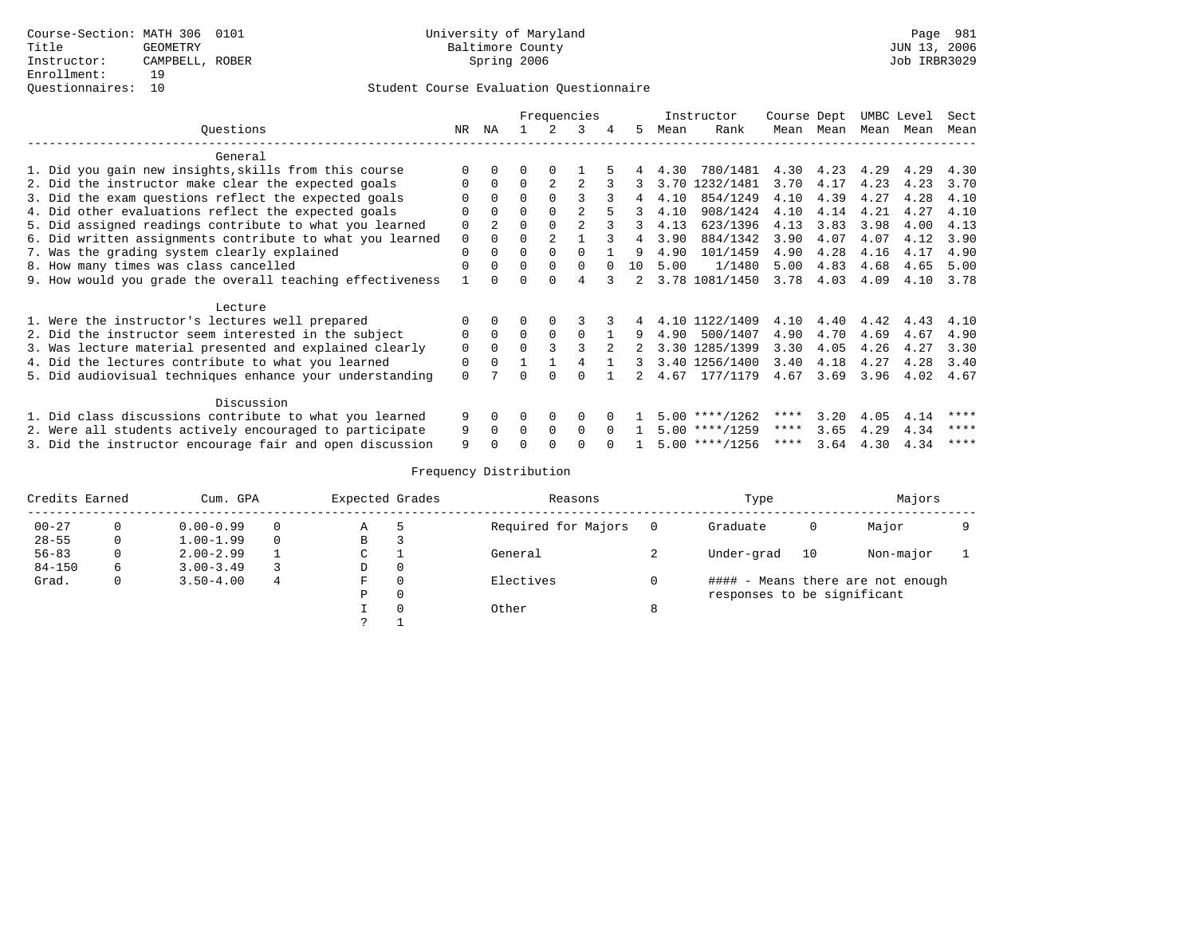|                                                           |             |              |              | Frequencies    |          |              |                |      | Instructor       | Course Dept |           |      | UMBC Level | Sect |
|-----------------------------------------------------------|-------------|--------------|--------------|----------------|----------|--------------|----------------|------|------------------|-------------|-----------|------|------------|------|
| Ouestions                                                 | NR.         | NA           |              |                | 3        |              | .5             | Mean | Rank             |             | Mean Mean | Mean | Mean       | Mean |
| General                                                   |             |              |              |                |          |              |                |      |                  |             |           |      |            |      |
| 1. Did you gain new insights, skills from this course     | $\Omega$    |              |              |                |          |              |                | 4.30 | 780/1481         | 4.30        | 4.23      | 4.29 | 4.29       | 4.30 |
| 2. Did the instructor make clear the expected goals       | $\Omega$    | $\Omega$     | $\Omega$     | $\mathfrak{D}$ |          |              | 3              | 3.70 | 1232/1481        | 3.70        | 4.17      | 4.23 | 4.23       | 3.70 |
| 3. Did the exam questions reflect the expected goals      |             | $\Omega$     | $\Omega$     |                |          |              |                | 4.10 | 854/1249         | 4.10        | 4.39      | 4.27 | 4.28       | 4.10 |
| 4. Did other evaluations reflect the expected goals       | $\Omega$    | 0            | $\Omega$     |                |          |              |                | 4.10 | 908/1424         | 4.10        | 4.14      | 4.21 | 4.27       | 4.10 |
| 5. Did assigned readings contribute to what you learned   | 0           |              |              |                |          |              | 3              | 4.13 | 623/1396         | 4.13        | 3.83      | 3.98 | 4.00       | 4.13 |
| 6. Did written assignments contribute to what you learned | $\mathbf 0$ |              | $\Omega$     |                |          |              |                | 3.90 | 884/1342         | 3.90        | 4.07      | 4.07 | 4.12       | 3.90 |
| 7. Was the grading system clearly explained               | $\Omega$    |              | $\Omega$     |                |          |              | 9              | 4.90 | 101/1459         | 4.90        | 4.28      | 4.16 | 4.17       | 4.90 |
| 8. How many times was class cancelled                     | $\Omega$    |              | $\Omega$     |                | $\Omega$ |              | 10             | 5.00 | 1/1480           | 5.00        | 4.83      | 4.68 | 4.65       | 5.00 |
| 9. How would you grade the overall teaching effectiveness |             |              | $\Omega$     |                |          |              | $\overline{a}$ |      | 3.78 1081/1450   | 3.78        | 4.03      | 4.09 | 4.10       | 3.78 |
| Lecture                                                   |             |              |              |                |          |              |                |      |                  |             |           |      |            |      |
| 1. Were the instructor's lectures well prepared           |             |              |              |                |          |              |                |      | 4.10 1122/1409   | 4.10        | 4.40      | 4.42 | 4.43       | 4.10 |
| 2. Did the instructor seem interested in the subject      | $\Omega$    | $\Omega$     | $\Omega$     | $\Omega$       | $\Omega$ |              | 9              | 4.90 | 500/1407         | 4.90        | 4.70      | 4.69 | 4.67       | 4.90 |
| 3. Was lecture material presented and explained clearly   | $\mathbf 0$ | $\Omega$     | $\Omega$     |                |          |              |                |      | 3.30 1285/1399   | 3.30        | 4.05      | 4.26 | 4.27       | 3.30 |
| 4. Did the lectures contribute to what you learned        | 0           | <sup>0</sup> |              |                |          |              | 3.             |      | 3.40 1256/1400   | 3.40        | 4.18      | 4.27 | 4.28       | 3.40 |
| 5. Did audiovisual techniques enhance your understanding  | $\Omega$    |              | U            |                | $\cap$   |              |                | 4.67 | 177/1179         | 4.67        | 3.69      | 3.96 | 4.02       | 4.67 |
| Discussion                                                |             |              |              |                |          |              |                |      |                  |             |           |      |            |      |
| 1. Did class discussions contribute to what you learned   | 9           | $\Omega$     | 0            | $\Omega$       | $\Omega$ |              |                |      | $5.00$ ****/1262 | ****        | 3.20      | 4.05 | 4.14       | **** |
| 2. Were all students actively encouraged to participate   | 9           | <sup>0</sup> | <sup>0</sup> | $\Omega$       | $\Omega$ | <sup>n</sup> |                |      | $5.00$ ****/1259 | ****        | 3.65      | 4.29 | 4.34       | **** |
| 3. Did the instructor encourage fair and open discussion  | 9           |              |              |                |          |              |                |      | $5.00$ ****/1256 | ****        | 3.64      | 4.30 | 4.34       | **** |

| Credits Earned |   | Cum. GPA      |          | Expected Grades |          | Reasons             |         | Type                        |    | Majors                            |  |
|----------------|---|---------------|----------|-----------------|----------|---------------------|---------|-----------------------------|----|-----------------------------------|--|
| $00 - 27$      |   | $0.00 - 0.99$ | 0        | Α               |          | Required for Majors |         | Graduate                    | 0  | Major                             |  |
| $28 - 55$      | 0 | $1.00 - 1.99$ | $\Omega$ | B               |          |                     |         |                             |    |                                   |  |
| $56 - 83$      |   | $2.00 - 2.99$ |          | C               |          | General             |         | Under-grad                  | 10 | Non-major                         |  |
| $84 - 150$     | 6 | $3.00 - 3.49$ |          | D               | $\Omega$ |                     |         |                             |    |                                   |  |
| Grad.          | 0 | $3.50 - 4.00$ | 4        | F               |          | Electives           |         |                             |    | #### - Means there are not enough |  |
|                |   |               |          | Ρ               |          |                     |         | responses to be significant |    |                                   |  |
|                |   |               |          |                 |          | Other               | $\circ$ |                             |    |                                   |  |
|                |   |               |          |                 |          |                     |         |                             |    |                                   |  |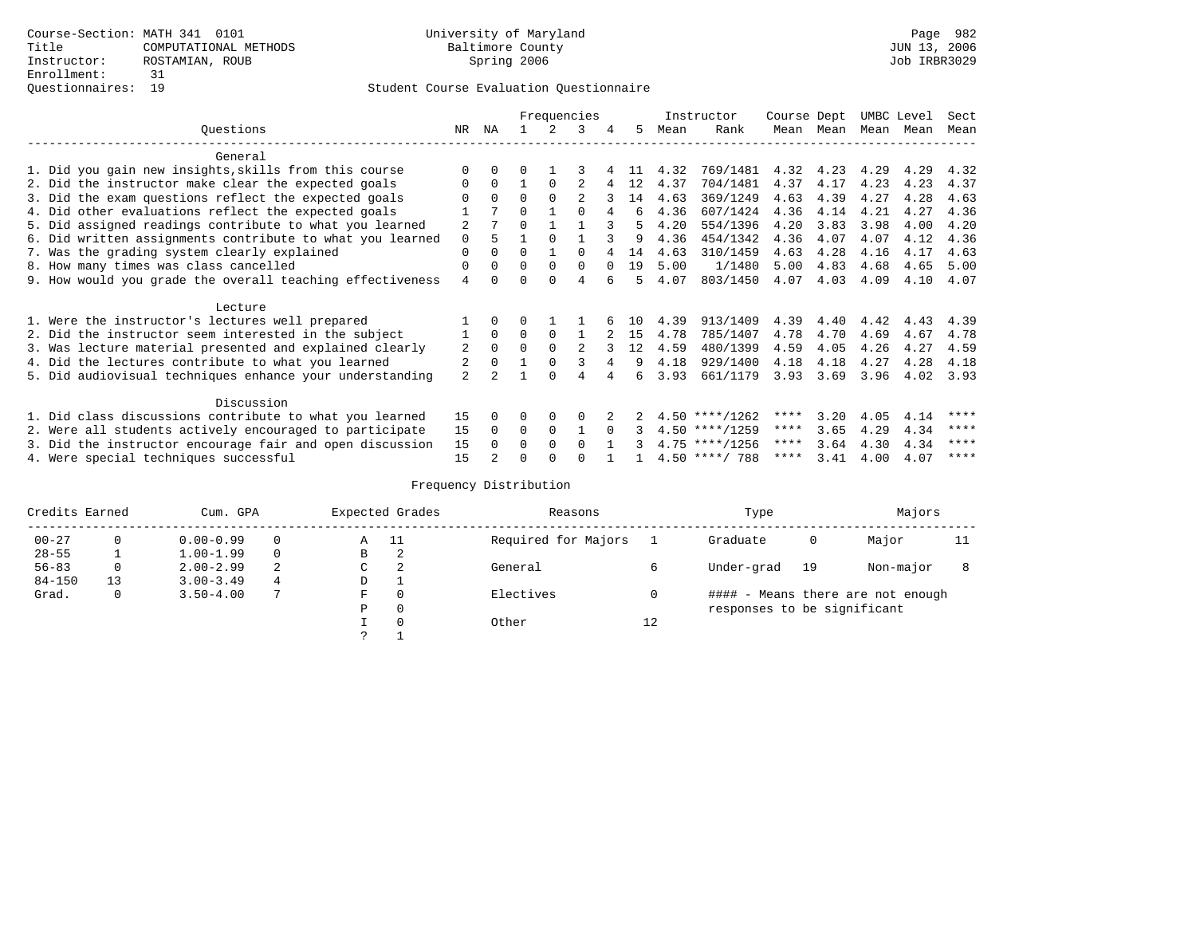|                                                           |                |              |          |             | Frequencies    |          |     |      | Instructor       | Course Dept |      | UMBC Level |      | Sect |
|-----------------------------------------------------------|----------------|--------------|----------|-------------|----------------|----------|-----|------|------------------|-------------|------|------------|------|------|
| Questions                                                 | NR             | ΝA           |          |             | 3              | 4        | 5   | Mean | Rank             | Mean        | Mean | Mean       | Mean | Mean |
| General                                                   |                |              |          |             |                |          |     |      |                  |             |      |            |      |      |
| 1. Did you gain new insights, skills from this course     |                | $\Omega$     | U        |             |                |          |     | 4.32 | 769/1481         | 4.32        | 4.23 | 4.29       | 4.29 | 4.32 |
| 2. Did the instructor make clear the expected goals       |                | $\Omega$     |          | $\Omega$    |                |          | 12  | 4.37 | 704/1481         | 4.37        | 4.17 | 4.23       | 4.23 | 4.37 |
| 3. Did the exam questions reflect the expected goals      |                | $\Omega$     | $\Omega$ | $\Omega$    | $\mathfrak{D}$ |          | 14  | 4.63 | 369/1249         | 4.63        | 4.39 | 4.27       | 4.28 | 4.63 |
| 4. Did other evaluations reflect the expected goals       |                |              | 0        |             | $\cap$         | 4        | 6   | 4.36 | 607/1424         | 4.36        | 4.14 | 4.21       | 4.27 | 4.36 |
| 5. Did assigned readings contribute to what you learned   | $\overline{2}$ |              | 0        |             |                |          |     | 4.20 | 554/1396         | 4.20        | 3.83 | 3.98       | 4.00 | 4.20 |
| 6. Did written assignments contribute to what you learned | 0              | 5            |          | $\Omega$    |                |          | 9   | 4.36 | 454/1342         | 4.36        | 4.07 | 4.07       | 4.12 | 4.36 |
| 7. Was the grading system clearly explained               | 0              | $\Omega$     | U        |             |                |          | 14  | 4.63 | 310/1459         | 4.63        | 4.28 | 4.16       | 4.17 | 4.63 |
| 8. How many times was class cancelled                     | 0              | $\Omega$     | $\Omega$ | $\Omega$    | $\Omega$       | $\Omega$ | 19  | 5.00 | 1/1480           | 5.00        | 4.83 | 4.68       | 4.65 | 5.00 |
| 9. How would you grade the overall teaching effectiveness | 4              | <sup>n</sup> |          | $\cap$      | 4              |          |     | 4.07 | 803/1450         | 4.07        | 4.03 | 4.09       | 4.10 | 4.07 |
| Lecture                                                   |                |              |          |             |                |          |     |      |                  |             |      |            |      |      |
| 1. Were the instructor's lectures well prepared           |                |              |          |             |                |          | 1 N | 4.39 | 913/1409         | 4.39        | 4.40 | 4.42       | 4.43 | 4.39 |
| 2. Did the instructor seem interested in the subject      |                | $\Omega$     | $\Omega$ | $\Omega$    |                |          | 15  | 4.78 | 785/1407         | 4.78        | 4.70 | 4.69       | 4.67 | 4.78 |
| 3. Was lecture material presented and explained clearly   | 2              | $\Omega$     | $\Omega$ | $\Omega$    | $\mathfrak{D}$ |          | 12  | 4.59 | 480/1399         | 4.59        | 4.05 | 4.26       | 4.27 | 4.59 |
| 4. Did the lectures contribute to what you learned        | 2              | $\Omega$     |          | $\Omega$    |                | 4        | 9   | 4.18 | 929/1400         | 4.18        | 4.18 | 4.27       | 4.28 | 4.18 |
| 5. Did audiovisual techniques enhance your understanding  | $\overline{a}$ |              |          | $\cap$      |                |          | б.  | 3.93 | 661/1179         | 3.93        | 3.69 | 3.96       | 4.02 | 3.93 |
| Discussion                                                |                |              |          |             |                |          |     |      |                  |             |      |            |      |      |
| 1. Did class discussions contribute to what you learned   | 15             | $\Omega$     | 0        | $\Omega$    | O              |          |     |      | $4.50$ ****/1262 | ****        | 3.20 | 4.05       | 4.14 | **** |
| 2. Were all students actively encouraged to participate   | 15             | $\Omega$     | $\Omega$ | $\mathbf 0$ |                |          |     |      | $4.50$ ****/1259 | $***$ * *   | 3.65 | 4.29       | 4.34 | **** |
| 3. Did the instructor encourage fair and open discussion  | 15             | $\Omega$     | 0        | $\Omega$    | <sup>0</sup>   |          |     |      | $4.75$ ****/1256 | ****        | 3.64 | 4.30       | 4.34 | **** |
| 4. Were special techniques successful                     | 15             |              | U        |             |                |          |     |      | $4.50$ ****/ 788 | ****        | 3.41 | 4.00       | 4.07 | **** |

| Credits Earned |          | Cum. GPA      |   |   | Expected Grades | Reasons             |    | Type                        |    | Majors                            |    |
|----------------|----------|---------------|---|---|-----------------|---------------------|----|-----------------------------|----|-----------------------------------|----|
| $00 - 27$      | $\Omega$ | $0.00 - 0.99$ |   | Α | - 11            | Required for Majors |    | Graduate                    | 0  | Major                             | 11 |
| $28 - 55$      | ᅩ        | $1.00 - 1.99$ |   | В | 2               |                     |    |                             |    |                                   |    |
| $56 - 83$      | $\circ$  | $2.00 - 2.99$ | 2 | C | 2               | General             |    | Under-grad                  | 19 | Non-major                         |    |
| $84 - 150$     | 13       | $3.00 - 3.49$ | 4 | D | <b>.</b>        |                     |    |                             |    |                                   |    |
| Grad.          | 0        | $3.50 - 4.00$ |   | F | 0               | Electives           | 0  |                             |    | #### - Means there are not enough |    |
|                |          |               |   | Ρ | 0               |                     |    | responses to be significant |    |                                   |    |
|                |          |               |   |   | $\Omega$        | Other               | 12 |                             |    |                                   |    |
|                |          |               |   | C |                 |                     |    |                             |    |                                   |    |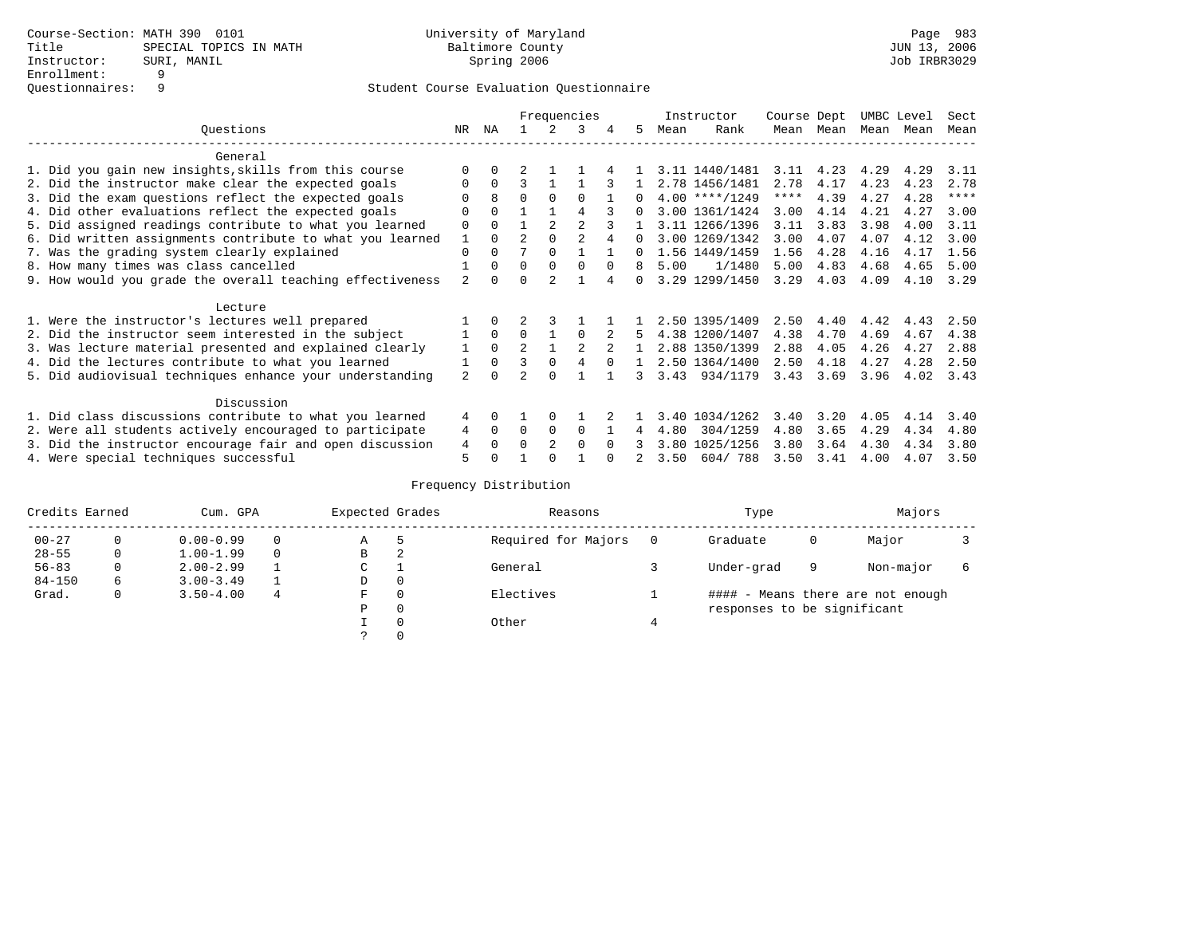|                                                           |                |          |                |                | Frequencies    |          |          |      | Instructor       | Course Dept |           | UMBC Level |      | Sect        |
|-----------------------------------------------------------|----------------|----------|----------------|----------------|----------------|----------|----------|------|------------------|-------------|-----------|------------|------|-------------|
| Ouestions                                                 | NR             | ΝA       |                |                | 3              | 4        | 5.       | Mean | Rank             |             | Mean Mean | Mean       | Mean | Mean        |
| General                                                   |                |          |                |                |                |          |          |      |                  |             |           |            |      |             |
| 1. Did you gain new insights, skills from this course     |                | $\Omega$ |                |                |                |          |          |      | 3.11 1440/1481   | 3.11        | 4.23      | 4.29       | 4.29 | 3.11        |
| 2. Did the instructor make clear the expected goals       | O              | $\Omega$ | ς              |                |                |          |          |      | 2.78 1456/1481   | 2.78        | 4.17      | 4.23       | 4.23 | 2.78        |
| 3. Did the exam questions reflect the expected goals      |                | 8        | U              | $\Omega$       | $\Omega$       |          |          |      | $4.00$ ****/1249 | ****        | 4.39      | 4.27       | 4.28 | $***$ * * * |
| 4. Did other evaluations reflect the expected goals       | O              | $\Omega$ |                |                | 4              |          | $\cap$   |      | 3.00 1361/1424   | 3.00        | 4.14      | 4.21       | 4.27 | 3.00        |
| 5. Did assigned readings contribute to what you learned   | $\Omega$       | $\Omega$ |                | $\mathfrak{D}$ | $\overline{a}$ |          |          |      | 3.11 1266/1396   | 3.11        | 3.83      | 3.98       | 4.00 | 3.11        |
| 6. Did written assignments contribute to what you learned |                | $\Omega$ | $\mathfrak{D}$ |                |                |          | $\Omega$ |      | 3.00 1269/1342   | 3.00        | 4.07      | 4.07       | 4.12 | 3.00        |
| 7. Was the grading system clearly explained               | $\Omega$       | $\Omega$ |                | $\Omega$       |                |          |          |      | 1.56 1449/1459   | 1.56        | 4.28      | 4.16       | 4.17 | 1.56        |
| 8. How many times was class cancelled                     |                | $\Omega$ | $\Omega$       | $\Omega$       | <sup>0</sup>   | $\Omega$ | 8        | 5.00 | 1/1480           | 5.00        | 4.83      | 4.68       | 4.65 | 5.00        |
| 9. How would you grade the overall teaching effectiveness | 2              | $\cap$   | U              |                |                |          |          |      | 3.29 1299/1450   | 3.29        | 4.03      | 4.09       | 4.10 | 3.29        |
| Lecture                                                   |                |          |                |                |                |          |          |      |                  |             |           |            |      |             |
| 1. Were the instructor's lectures well prepared           |                |          |                |                |                |          |          |      | 2.50 1395/1409   | 2.50        | 4.40      | 4.42       | 4.43 | 2.50        |
| 2. Did the instructor seem interested in the subject      |                | $\Omega$ | $\Omega$       |                | $\Omega$       |          |          |      | 4.38 1200/1407   | 4.38        | 4.70      | 4.69       | 4.67 | 4.38        |
| 3. Was lecture material presented and explained clearly   |                | $\Omega$ | $\overline{a}$ |                |                |          |          |      | 2.88 1350/1399   | 2.88        | 4.05      | 4.26       | 4.27 | 2.88        |
| 4. Did the lectures contribute to what you learned        |                | $\Omega$ | 3              | $\Omega$       | 4              | $\Omega$ |          |      | 2.50 1364/1400   | 2.50        | 4.18      | 4.27       | 4.28 | 2.50        |
| 5. Did audiovisual techniques enhance your understanding  | $\overline{2}$ | $\cap$   |                | $\cap$         |                |          |          | 3.43 | 934/1179         | 3.43        | 3.69      | 3.96       | 4.02 | 3.43        |
| Discussion                                                |                |          |                |                |                |          |          |      |                  |             |           |            |      |             |
| 1. Did class discussions contribute to what you learned   | 4              | $\Omega$ |                | $\Omega$       |                |          |          | 3.40 | 1034/1262        | 3.40        | 3.20      | 4.05       | 4.14 | 3.40        |
| 2. Were all students actively encouraged to participate   | 4              | $\Omega$ | $\Omega$       | $\Omega$       | $\Omega$       |          | 4        | 4.80 | 304/1259         | 4.80        | 3.65      | 4.29       | 4.34 | 4.80        |
| 3. Did the instructor encourage fair and open discussion  | 4              |          | U              | 2              | $\Omega$       | $\Omega$ |          | 3.80 | 1025/1256        | 3.80        | 3.64      | 4.30       | 4.34 | 3.80        |
| 4. Were special techniques successful                     | 5              |          |                |                |                |          |          | 3.50 | 604/788          | 3.50        | 3.41      | 4.00       | 4.07 | 3.50        |

| Credits Earned |   | Cum. GPA      |   | Expected Grades |   | Reasons             | Type                        |   | Majors                            |   |
|----------------|---|---------------|---|-----------------|---|---------------------|-----------------------------|---|-----------------------------------|---|
| $00 - 27$      | 0 | $0.00 - 0.99$ |   | Α               | 5 | Required for Majors | Graduate                    | 0 | Major                             |   |
| $28 - 55$      | 0 | $1.00 - 1.99$ |   | В               | 2 |                     |                             |   |                                   |   |
| $56 - 83$      | 0 | $2.00 - 2.99$ |   | $\sim$<br>◡     |   | General             | Under-grad                  | 9 | Non-major                         | 6 |
| $84 - 150$     | 6 | $3.00 - 3.49$ |   | D               | 0 |                     |                             |   |                                   |   |
| Grad.          | 0 | $3.50 - 4.00$ | 4 | F               | 0 | Electives           |                             |   | #### - Means there are not enough |   |
|                |   |               |   | Ρ               | 0 |                     | responses to be significant |   |                                   |   |
|                |   |               |   |                 | 0 | Other               |                             |   |                                   |   |
|                |   |               |   | C.              |   |                     |                             |   |                                   |   |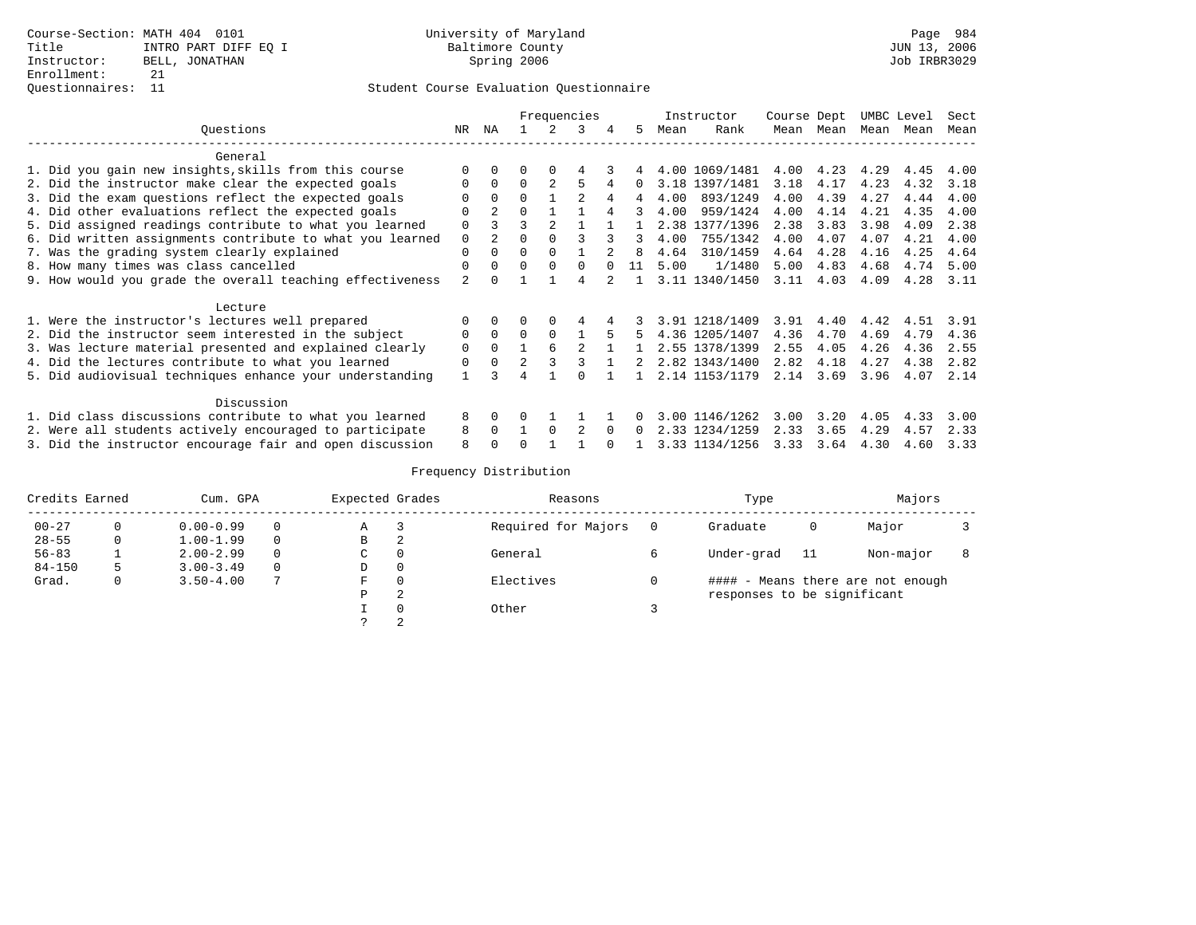### Questionnaires: 11 Student Course Evaluation Questionnaire

|                                                           |                |                |                |          | Frequencies |              |    |      | Instructor     | Course Dept |      | UMBC Level |      | Sect |
|-----------------------------------------------------------|----------------|----------------|----------------|----------|-------------|--------------|----|------|----------------|-------------|------|------------|------|------|
| Questions                                                 | NR             | ΝA             |                |          | 3           | 4            | 5. | Mean | Rank           | Mean        | Mean | Mean Mean  |      | Mean |
| General                                                   |                |                |                |          |             |              |    |      |                |             |      |            |      |      |
| 1. Did you gain new insights, skills from this course     |                |                |                |          |             |              |    |      | 4.00 1069/1481 | 4.00        | 4.23 | 4.29       | 4.45 | 4.00 |
| 2. Did the instructor make clear the expected goals       | $\Omega$       | $\Omega$       | $\Omega$       |          |             |              |    |      | 3.18 1397/1481 | 3.18        | 4.17 | 4.23       | 4.32 | 3.18 |
| 3. Did the exam questions reflect the expected goals      |                | $\Omega$       | $\Omega$       |          |             |              | 4  | 4.00 | 893/1249       | 4.00        | 4.39 | 4.27       | 4.44 | 4.00 |
| 4. Did other evaluations reflect the expected goals       | O              | $\overline{2}$ | $\Omega$       |          |             |              |    | 4.00 | 959/1424       | 4.00        | 4.14 | 4.21       | 4.35 | 4.00 |
| 5. Did assigned readings contribute to what you learned   | $\Omega$       | 3              | ર              |          |             |              |    |      | 2.38 1377/1396 | 2.38        | 3.83 | 3.98       | 4.09 | 2.38 |
| 6. Did written assignments contribute to what you learned | $\mathbf 0$    |                |                |          |             |              |    | 4.00 | 755/1342       | 4.00        | 4.07 | 4.07       | 4.21 | 4.00 |
| 7. Was the grading system clearly explained               | $\Omega$       | $\Omega$       | $\Omega$       |          |             |              | R  | 4.64 | 310/1459       | 4.64        | 4.28 | 4.16       | 4.25 | 4.64 |
| 8. How many times was class cancelled                     | $\Omega$       |                | U              | $\Omega$ | $\Omega$    |              | 11 | 5.00 | 1/1480         | 5.00        | 4.83 | 4.68       | 4.74 | 5.00 |
| 9. How would you grade the overall teaching effectiveness | $\mathfrak{D}$ |                |                |          |             |              |    |      | 3.11 1340/1450 | 3.11        | 4.03 | 4.09       | 4.28 | 3.11 |
| Lecture                                                   |                |                |                |          |             |              |    |      |                |             |      |            |      |      |
| 1. Were the instructor's lectures well prepared           |                |                |                | $\Omega$ | 4           |              |    |      | 3.91 1218/1409 | 3.91        | 4.40 | 4.42       | 4.51 | 3.91 |
| 2. Did the instructor seem interested in the subject      | 0              | $\Omega$       | $\Omega$       | $\Omega$ |             |              |    |      | 4.36 1205/1407 | 4.36        | 4.70 | 4.69       | 4.79 | 4.36 |
| 3. Was lecture material presented and explained clearly   | $\mathbf 0$    | $\Omega$       |                |          |             |              |    |      | 2.55 1378/1399 | 2.55        | 4.05 | 4.26       | 4.36 | 2.55 |
| 4. Did the lectures contribute to what you learned        | 0              | $\Omega$       | $\overline{2}$ | 3        |             |              |    |      | 2.82 1343/1400 | 2.82        | 4.18 | 4.27       | 4.38 | 2.82 |
| 5. Did audiovisual techniques enhance your understanding  |                |                |                |          |             |              |    |      | 2.14 1153/1179 | 2.14        | 3.69 | 3.96       | 4.07 | 2.14 |
| Discussion                                                |                |                |                |          |             |              |    |      |                |             |      |            |      |      |
| 1. Did class discussions contribute to what you learned   | 8              | $\Omega$       | $\Omega$       |          |             |              |    |      | 3.00 1146/1262 | 3.00        | 3.20 | 4.05       | 433  | 3.00 |
| 2. Were all students actively encouraged to participate   | 8              | $\Omega$       |                | $\Omega$ |             | <sup>n</sup> |    |      | 2.33 1234/1259 | 2.33        | 3.65 | 4.29       | 4.57 | 2.33 |
| 3. Did the instructor encourage fair and open discussion  | 8              |                |                |          |             |              |    |      | 3.33 1134/1256 | 3.33        | 3.64 | 4.30       | 4.60 | 3.33 |

| Credits Earned |    | Cum. GPA      |          | Expected Grades |   | Reasons             | Type                        |    | Majors                            |  |
|----------------|----|---------------|----------|-----------------|---|---------------------|-----------------------------|----|-----------------------------------|--|
| $00 - 27$      |    | $0.00 - 0.99$ | $\Omega$ | Α               |   | Required for Majors | Graduate                    | 0  | Major                             |  |
| $28 - 55$      | 0  | $1.00 - 1.99$ | $\Omega$ | B               | 2 |                     |                             |    |                                   |  |
| $56 - 83$      |    | $2.00 - 2.99$ | $\Omega$ | C               |   | General             | Under-grad                  | 11 | Non-major                         |  |
| $84 - 150$     | 5. | $3.00 - 3.49$ | $\Omega$ | D               | 0 |                     |                             |    |                                   |  |
| Grad.          |    | $3.50 - 4.00$ | 7        | F               |   | Electives           |                             |    | #### - Means there are not enough |  |
|                |    |               |          | Ρ               | 2 |                     | responses to be significant |    |                                   |  |
|                |    |               |          |                 |   | Other               |                             |    |                                   |  |
|                |    |               |          |                 |   |                     |                             |    |                                   |  |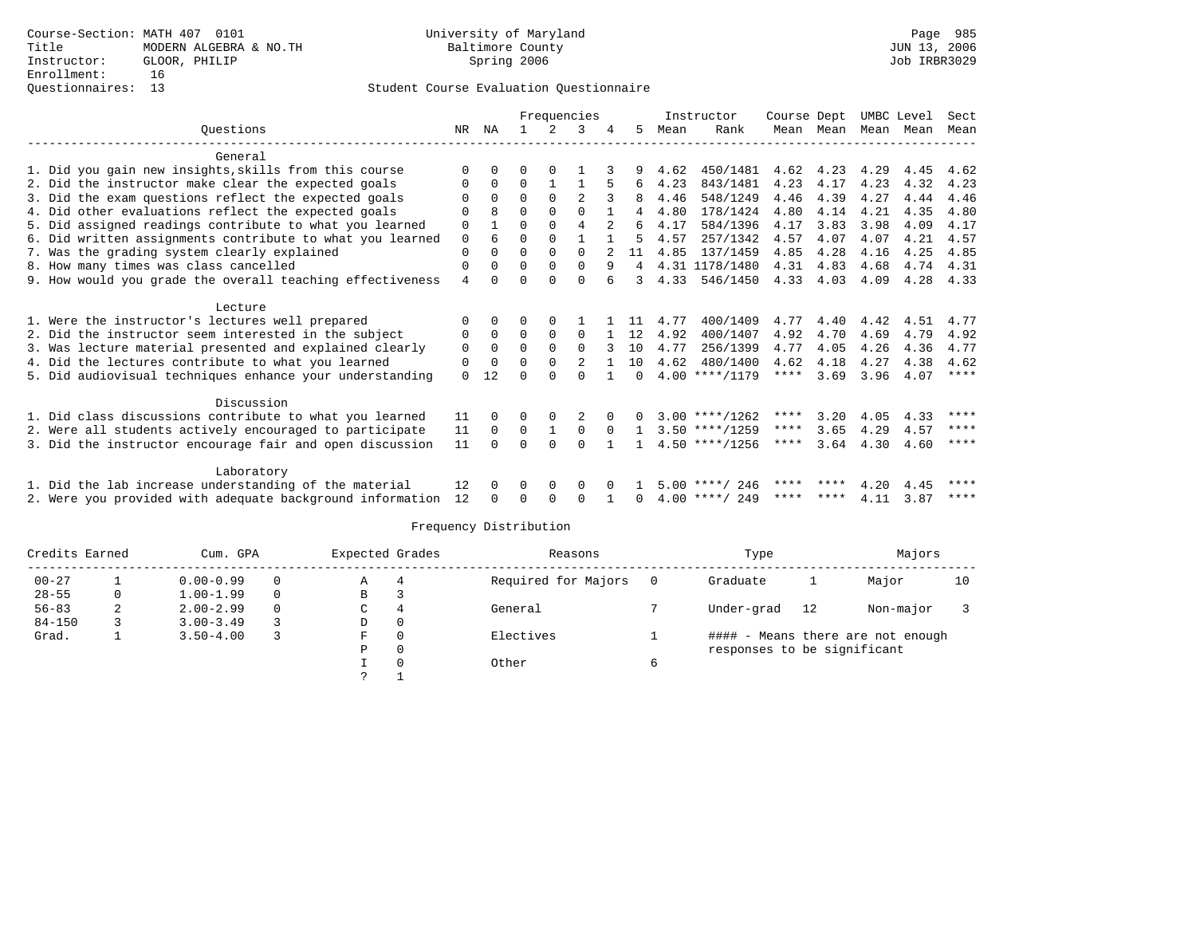## Questionnaires: 13 Student Course Evaluation Questionnaire

|                                                           |                |          |          | Frequencies |          |              |        |      | Instructor       | Course Dept |           |      | UMBC Level | Sect        |
|-----------------------------------------------------------|----------------|----------|----------|-------------|----------|--------------|--------|------|------------------|-------------|-----------|------|------------|-------------|
| Ouestions                                                 | NR.            | ΝA       |          | 2           | 3        | 4            | 5.     | Mean | Rank             |             | Mean Mean | Mean | Mean       | Mean        |
| General                                                   |                |          |          |             |          |              |        |      |                  |             |           |      |            |             |
| 1. Did you gain new insights, skills from this course     | $\Omega$       |          |          |             |          |              |        | 4.62 | 450/1481         | 4.62        | 4.23      | 4.29 | 4.45       | 4.62        |
| 2. Did the instructor make clear the expected goals       | 0              | $\Omega$ | $\Omega$ |             |          |              | 6      | 4.23 | 843/1481         | 4.23        | 4.17      | 4.23 | 4.32       | 4.23        |
| 3. Did the exam questions reflect the expected goals      |                | $\Omega$ | $\Omega$ | $\Omega$    | 2        |              | 8      | 4.46 | 548/1249         | 4.46        | 4.39      | 4.27 | 4.44       | 4.46        |
| 4. Did other evaluations reflect the expected goals       | $\Omega$       | R        | $\Omega$ | $\Omega$    | $\Omega$ | $\mathbf{1}$ | 4      | 4.80 | 178/1424         | 4.80        | 4.14      | 4.21 | 4.35       | 4.80        |
| 5. Did assigned readings contribute to what you learned   | $\mathbf 0$    |          | 0        | $\Omega$    | 4        |              | 6      | 4.17 | 584/1396         | 4.17        | 3.83      | 3.98 | 4.09       | 4.17        |
| 6. Did written assignments contribute to what you learned | 0              | 6        | 0        | $\Omega$    |          |              | 5.     | 4.57 | 257/1342         | 4.57        | 4.07      | 4.07 | 4.21       | 4.57        |
| 7. Was the grading system clearly explained               | 0              | 0        | 0        | $\mathbf 0$ | $\Omega$ |              | 11     | 4.85 | 137/1459         | 4.85        | 4.28      | 4.16 | 4.25       | 4.85        |
| 8. How many times was class cancelled                     | 0              | $\Omega$ | $\Omega$ | $\Omega$    | $\Omega$ | 9            | 4      |      | 4.31 1178/1480   | 4.31        | 4.83      | 4.68 | 4.74       | 4.31        |
| 9. How would you grade the overall teaching effectiveness | $\overline{4}$ | U        | U        | ∩           | $\Omega$ |              | 3      | 4.33 | 546/1450         | 4.33        | 4.03      | 4.09 | 4.28       | 4.33        |
| Lecture                                                   |                |          |          |             |          |              |        |      |                  |             |           |      |            |             |
| 1. Were the instructor's lectures well prepared           | 0              | $\Omega$ | O        | $\Omega$    |          |              |        | 4.77 | 400/1409         | 4.77        | 4.40      | 4.42 | 4.51       | 4.77        |
| 2. Did the instructor seem interested in the subject      | 0              | $\Omega$ | $\Omega$ | $\Omega$    | $\Omega$ |              | 12     | 4.92 | 400/1407         | 4.92        | 4.70      | 4.69 | 4.79       | 4.92        |
| 3. Was lecture material presented and explained clearly   | 0              | 0        | $\Omega$ | $\Omega$    | $\Omega$ |              | 10     | 4.77 | 256/1399         | 4.77        | 4.05      | 4.26 | 4.36       | 4.77        |
| 4. Did the lectures contribute to what you learned        | 0              | $\Omega$ | 0        | $\Omega$    |          |              | 10     | 4.62 | 480/1400         | 4.62        | 4.18      | 4.27 | 4.38       | 4.62        |
| 5. Did audiovisual techniques enhance your understanding  | $\Omega$       | 12       |          |             | $\Omega$ |              | $\cap$ |      | $4.00$ ****/1179 | $***$ * * * | 3.69      | 3.96 | 4.07       | $* * * * *$ |
| Discussion                                                |                |          |          |             |          |              |        |      |                  |             |           |      |            |             |
| 1. Did class discussions contribute to what you learned   | 11             |          |          |             |          |              |        |      | $3.00$ ****/1262 | ****        | 3.20      | 4.05 | 4.33       | ****        |
| 2. Were all students actively encouraged to participate   | 11             | $\Omega$ | $\Omega$ | 1           | $\Omega$ | $\Omega$     |        |      | $3.50$ ****/1259 | $***$ * *   | 3.65      | 4.29 | 4.57       | $***$ * * * |
| 3. Did the instructor encourage fair and open discussion  | 11             | $\cap$   | 0        | $\cap$      | $\Omega$ |              |        |      | $4.50$ ****/1256 | ****        | 3.64      | 4.30 | 4.60       | ****        |
|                                                           |                |          |          |             |          |              |        |      |                  |             |           |      |            |             |
| Laboratory                                                |                |          |          |             |          |              |        |      |                  |             |           |      |            |             |
| 1. Did the lab increase understanding of the material     | 12             |          | O        | $\Omega$    | $\Omega$ |              |        |      | $5.00$ ****/ 246 | **** ****   |           | 4.20 | 4.45       | ****        |
| 2. Were you provided with adequate background information | 12             | 0        | U        | $\Omega$    | $\Omega$ |              | 0      |      | $4.00$ ****/ 249 |             | **** **** | 4.11 | 3.87       | ****        |

| Credits Earned |    | Cum. GPA      |          | Expected Grades |   | Reasons             | Type                        |    | Majors                            |    |
|----------------|----|---------------|----------|-----------------|---|---------------------|-----------------------------|----|-----------------------------------|----|
| $00 - 27$      |    | $0.00 - 0.99$ |          | Α               | 4 | Required for Majors | Graduate                    |    | Major                             | 10 |
| $28 - 55$      |    | $1.00 - 1.99$ |          | В               |   |                     |                             |    |                                   |    |
| $56 - 83$      | z. | $2.00 - 2.99$ | $\Omega$ | C               | 4 | General             | Under-grad                  | 12 | Non-major                         |    |
| $84 - 150$     |    | $3.00 - 3.49$ |          | D               | 0 |                     |                             |    |                                   |    |
| Grad.          |    | $3.50 - 4.00$ |          | F               | 0 | Electives           |                             |    | #### - Means there are not enough |    |
|                |    |               |          | Р               | 0 |                     | responses to be significant |    |                                   |    |
|                |    |               |          |                 | 0 | Other               |                             |    |                                   |    |
|                |    |               |          |                 |   |                     |                             |    |                                   |    |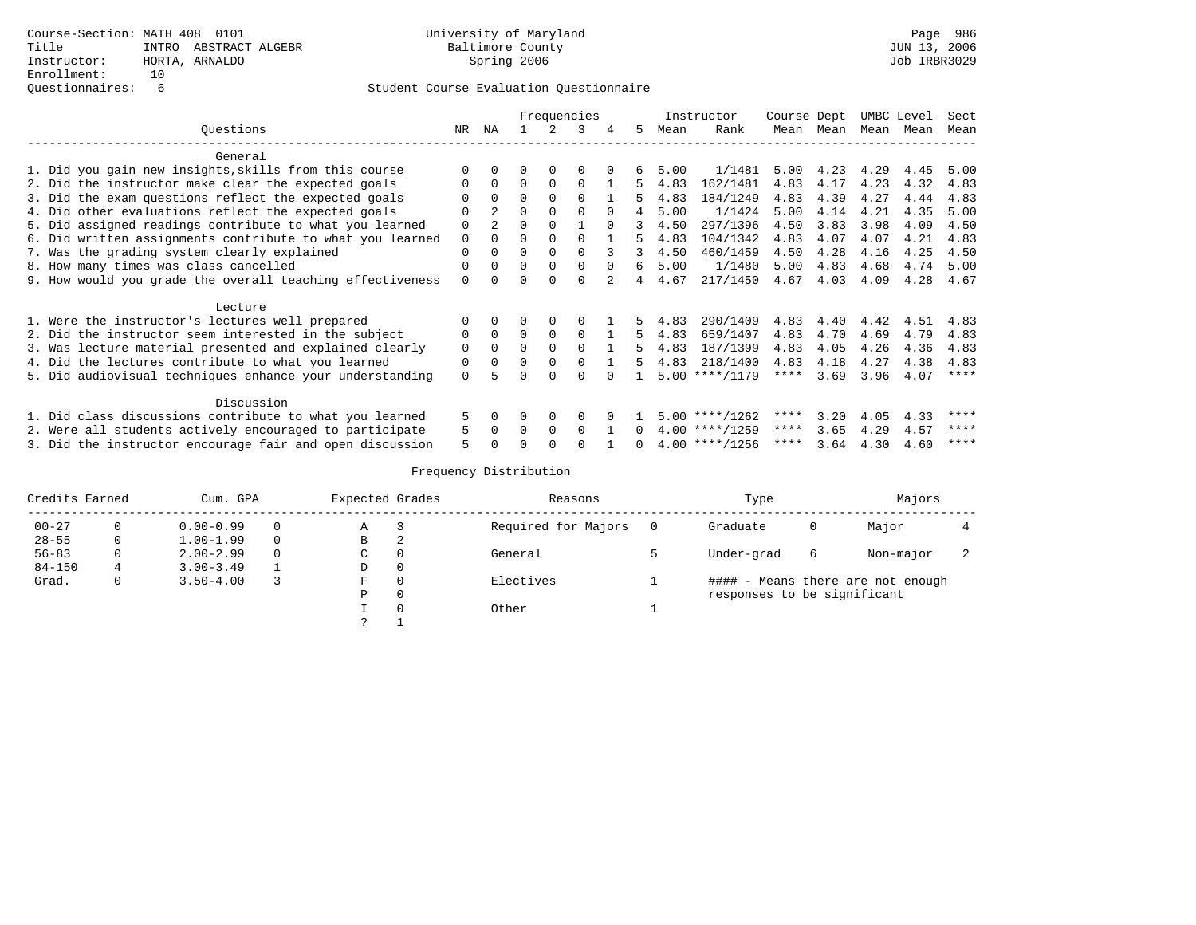|                                                           |             |              |              |          | Frequencies |              |                |      | Instructor       | Course Dept |      |      | UMBC Level | Sect        |
|-----------------------------------------------------------|-------------|--------------|--------------|----------|-------------|--------------|----------------|------|------------------|-------------|------|------|------------|-------------|
| Ouestions                                                 | NR          | ΝA           |              | 2        | 3           | 4            | 5.             | Mean | Rank             | Mean        | Mean | Mean | Mean       | Mean        |
| General                                                   |             |              |              |          |             |              |                |      |                  |             |      |      |            |             |
| 1. Did you gain new insights, skills from this course     |             |              |              |          |             |              |                | 5.00 | 1/1481           | 5.00        | 4.23 | 4.29 | 4.45       | 5.00        |
| 2. Did the instructor make clear the expected goals       |             | 0            | $\Omega$     | $\Omega$ | $\Omega$    |              |                | 4.83 | 162/1481         | 4.83        | 4.17 | 4.23 | 4.32       | 4.83        |
| 3. Did the exam questions reflect the expected goals      |             |              | $\Omega$     |          |             |              | 5.             | 4.83 | 184/1249         | 4.83        | 4.39 | 4.27 | 4.44       | 4.83        |
| 4. Did other evaluations reflect the expected goals       |             | 2.           | $\Omega$     |          | $\Omega$    | <sup>n</sup> |                | 5.00 | 1/1424           | 5.00        | 4.14 | 4.21 | 4.35       | 5.00        |
| 5. Did assigned readings contribute to what you learned   | $\Omega$    | $2^{\circ}$  | $\Omega$     |          |             | $\cap$       | 3              | 4.50 | 297/1396         | 4.50        | 3.83 | 3.98 | 4.09       | 4.50        |
| 6. Did written assignments contribute to what you learned | $\mathbf 0$ |              | $\Omega$     |          |             |              |                | 4.83 | 104/1342         | 4.83        | 4.07 | 4.07 | 4.21       | 4.83        |
| 7. Was the grading system clearly explained               | $\Omega$    |              | $\Omega$     |          | $\Omega$    |              | 3              | 4.50 | 460/1459         | 4.50        | 4.28 | 4.16 | 4.25       | 4.50        |
| 8. How many times was class cancelled                     | $\Omega$    |              | $\Omega$     |          | $\Omega$    | <sup>n</sup> | 6              | 5.00 | 1/1480           | 5.00        | 4.83 | 4.68 | 4.74       | 5.00        |
| 9. How would you grade the overall teaching effectiveness | $\Omega$    |              | U            |          |             |              | $\overline{4}$ | 4.67 | 217/1450         | 4.67        | 4.03 | 4.09 | 4.28       | 4.67        |
| Lecture                                                   |             |              |              |          |             |              |                |      |                  |             |      |      |            |             |
| 1. Were the instructor's lectures well prepared           |             |              |              |          |             |              |                | 4.83 | 290/1409         | 4.83        | 4.40 | 4.42 | 4.51       | 4.83        |
| 2. Did the instructor seem interested in the subject      | 0           | $\Omega$     | $\Omega$     | $\Omega$ | $\Omega$    |              | 5.             | 4.83 | 659/1407         | 4.83        | 4.70 | 4.69 | 4.79       | 4.83        |
| 3. Was lecture material presented and explained clearly   | $\mathbf 0$ | <sup>0</sup> | $\Omega$     |          | $\Omega$    |              |                | 4.83 | 187/1399         | 4.83        | 4.05 | 4.26 | 4.36       | 4.83        |
| 4. Did the lectures contribute to what you learned        | 0           |              | $\Omega$     |          | $\Omega$    |              | 5.             | 4.83 | 218/1400         | 4.83        | 4.18 | 4.27 | 4.38       | 4.83        |
| 5. Did audiovisual techniques enhance your understanding  | $\Omega$    |              |              |          |             |              |                |      | $5.00$ ****/1179 | ****        | 3.69 | 3.96 | 4.07       | $***$ * * * |
| Discussion                                                |             |              |              |          |             |              |                |      |                  |             |      |      |            |             |
| 1. Did class discussions contribute to what you learned   |             | 0            |              |          | 0           |              |                |      | $5.00$ ****/1262 | ****        | 3.20 | 4.05 | 4.33       | ****        |
| 2. Were all students actively encouraged to participate   |             | <sup>0</sup> | <sup>0</sup> | $\Omega$ | $\cap$      |              |                |      | $4.00$ ****/1259 | ****        | 3.65 | 4.29 | 4.57       | ****        |
| 3. Did the instructor encourage fair and open discussion  |             |              |              |          |             |              | <sup>n</sup>   |      | $4.00$ ****/1256 | ****        | 3.64 | 4.30 | 4.60       | ****        |

| Credits Earned |   | Cum. GPA      |          | Expected Grades |   | Reasons             | Type                        |   | Majors                            |  |
|----------------|---|---------------|----------|-----------------|---|---------------------|-----------------------------|---|-----------------------------------|--|
| $00 - 27$      |   | $0.00 - 0.99$ | $\Omega$ | Α               |   | Required for Majors | Graduate                    | 0 | Major                             |  |
| $28 - 55$      | 0 | $1.00 - 1.99$ | $\Omega$ | B               | 2 |                     |                             |   |                                   |  |
| $56 - 83$      |   | $2.00 - 2.99$ | $\Omega$ | C               |   | General             | Under-grad                  | 6 | Non-major                         |  |
| $84 - 150$     | 4 | $3.00 - 3.49$ |          | D               | 0 |                     |                             |   |                                   |  |
| Grad.          |   | $3.50 - 4.00$ |          | F               |   | Electives           |                             |   | #### - Means there are not enough |  |
|                |   |               |          | Ρ               |   |                     | responses to be significant |   |                                   |  |
|                |   |               |          |                 |   | Other               |                             |   |                                   |  |
|                |   |               |          |                 |   |                     |                             |   |                                   |  |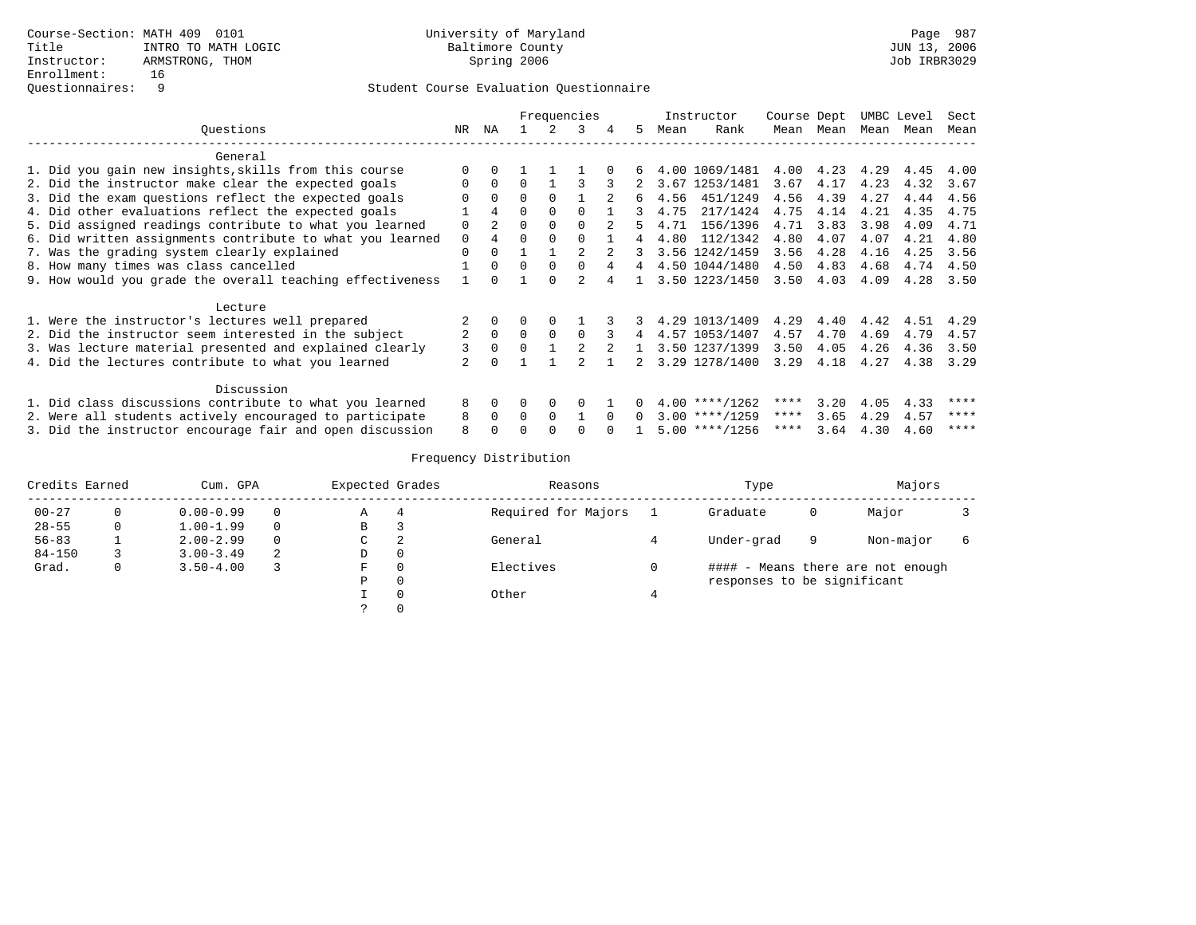|                                                           |                | Frequencies |          |          |          |              |                |      | Instructor       | Course Dept |           |      | UMBC Level | Sect |
|-----------------------------------------------------------|----------------|-------------|----------|----------|----------|--------------|----------------|------|------------------|-------------|-----------|------|------------|------|
| Ouestions                                                 | NR             | NA          |          |          | ર        | 4            | 5.             | Mean | Rank             |             | Mean Mean | Mean | Mean       | Mean |
| General                                                   |                |             |          |          |          |              |                |      |                  |             |           |      |            |      |
| 1. Did you gain new insights, skills from this course     |                |             |          |          |          |              | 6              |      | 4.00 1069/1481   | 4.00        | 4.23      | 4.29 | 4.45       | 4.00 |
| 2. Did the instructor make clear the expected goals       | $\Omega$       | $\Omega$    | $\Omega$ |          | २        | 3            |                |      | 3.67 1253/1481   | 3.67        | 4.17      | 4.23 | 4.32       | 3.67 |
| 3. Did the exam questions reflect the expected goals      | O              | $\Omega$    | $\Omega$ | $\Omega$ |          |              | 6              | 4.56 | 451/1249         | 4.56        | 4.39      | 4.27 | 4.44       | 4.56 |
| 4. Did other evaluations reflect the expected goals       |                | 4           | $\Omega$ | $\Omega$ | $\cap$   |              | २              | 4.75 | 217/1424         | 4.75        | 4.14      | 4.21 | 4.35       | 4.75 |
| 5. Did assigned readings contribute to what you learned   | $\Omega$       | 2           | $\Omega$ | $\Omega$ | $\cap$   |              |                | 4.71 | 156/1396         | 4.71        | 3.83      | 3.98 | 4.09       | 4.71 |
| 6. Did written assignments contribute to what you learned | $\Omega$       | 4           | $\cap$   |          |          |              | $\overline{4}$ | 4.80 | 112/1342         | 4.80        | 4.07      | 4.07 | 4.21       | 4.80 |
| 7. Was the grading system clearly explained               | $\Omega$       | $\Omega$    |          |          |          |              |                |      | 3.56 1242/1459   | 3.56        | 4.28      | 4.16 | 4.25       | 3.56 |
| 8. How many times was class cancelled                     |                | $\Omega$    | $\Omega$ | $\Omega$ | $\Omega$ |              | 4              |      | 4.50 1044/1480   | 4.50        | 4.83      | 4.68 | 4.74       | 4.50 |
| 9. How would you grade the overall teaching effectiveness |                |             |          |          |          |              |                |      | 3.50 1223/1450   | 3.50        | 4.03      | 4.09 | 4.28       | 3.50 |
| Lecture                                                   |                |             |          |          |          |              |                |      |                  |             |           |      |            |      |
| 1. Were the instructor's lectures well prepared           |                | $\Omega$    | $\Omega$ | $\Omega$ |          |              | 3.             |      | 4.29 1013/1409   | 4.29        | 4.40      | 4.42 | 4.51       | 4.29 |
| 2. Did the instructor seem interested in the subject      | $\mathfrak{D}$ | $\Omega$    | $\Omega$ | $\cap$   | $\cap$   | २            | 4              |      | 4.57 1053/1407   | 4.57        | 4.70      | 4.69 | 4.79       | 4.57 |
| 3. Was lecture material presented and explained clearly   | 3              | $\Omega$    | $\Omega$ |          |          |              |                |      | 3.50 1237/1399   | 3.50        | 4.05      | 4.26 | 4.36       | 3.50 |
| 4. Did the lectures contribute to what you learned        |                |             |          |          |          |              | 2              |      | 3.29 1278/1400   | 3.29        | 4.18      | 4.27 | 4.38       | 3.29 |
| Discussion                                                |                |             |          |          |          |              |                |      |                  |             |           |      |            |      |
| 1. Did class discussions contribute to what you learned   | 8              | $\Omega$    | $\Omega$ | $\Omega$ | $\Omega$ |              |                |      | $4.00$ ****/1262 | ****        | 3.20      | 4.05 | 4.33       | **** |
| 2. Were all students actively encouraged to participate   | 8              | $\Omega$    | $\Omega$ | $\Omega$ |          | $\Omega$     | $\Omega$       |      | $3.00$ ****/1259 | $***$ * *   | 3.65      | 4.29 | 4.57       | **** |
| 3. Did the instructor encourage fair and open discussion  | 8              |             |          |          |          | <sup>n</sup> |                |      | $5.00$ ****/1256 | ****        | 3.64      | 4.30 | 4.60       | **** |

| Credits Earned |          | Cum. GPA      |          | Expected Grades |          | Reasons             | Type                        |   | Majors                            |  |
|----------------|----------|---------------|----------|-----------------|----------|---------------------|-----------------------------|---|-----------------------------------|--|
| $00 - 27$      |          | $0.00 - 0.99$ | $\Omega$ | Α               | 4        | Required for Majors | Graduate                    | 0 | Major                             |  |
| $28 - 55$      | $\Omega$ | $1.00 - 1.99$ | $\Omega$ | В               | 3        |                     |                             |   |                                   |  |
| $56 - 83$      |          | $2.00 - 2.99$ | $\Omega$ | C               | 2        | General             | Under-grad                  | 9 | Non-major                         |  |
| $84 - 150$     |          | $3.00 - 3.49$ | -2       | D               | 0        |                     |                             |   |                                   |  |
| Grad.          | 0        | $3.50 - 4.00$ |          | F               | 0        | Electives           |                             |   | #### - Means there are not enough |  |
|                |          |               |          | Ρ               | 0        |                     | responses to be significant |   |                                   |  |
|                |          |               |          |                 | $\Omega$ | Other               |                             |   |                                   |  |
|                |          |               |          |                 | $\Omega$ |                     |                             |   |                                   |  |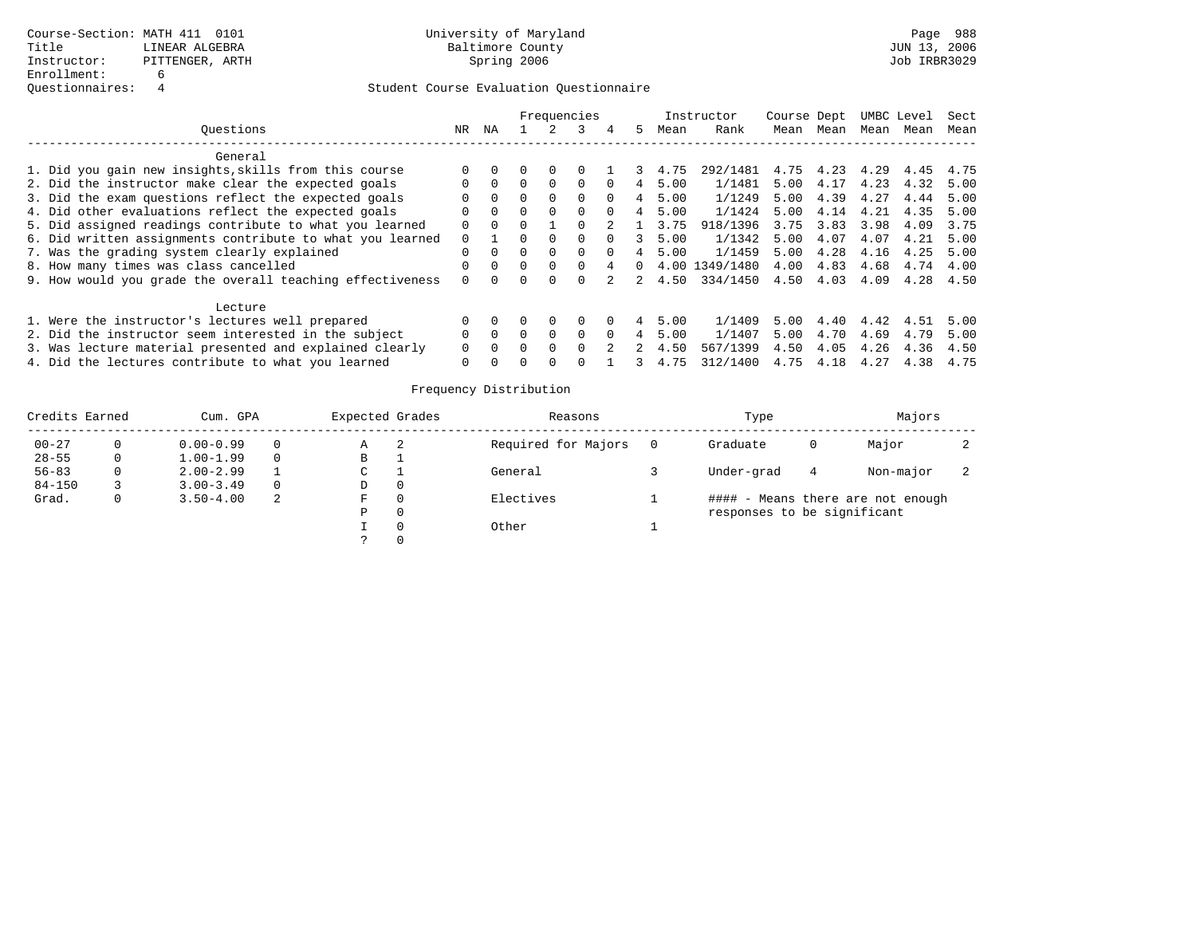|                                                           |          |          |   |          | Frequencies |          |             |      | Instructor | Course Dept |      |      | UMBC Level | Sect |
|-----------------------------------------------------------|----------|----------|---|----------|-------------|----------|-------------|------|------------|-------------|------|------|------------|------|
| Ouestions                                                 | NR.      | ΝA       |   |          |             | 4        | 5.          | Mean | Rank       | Mean        | Mean | Mean | Mean       | Mean |
| General                                                   |          |          |   |          |             |          |             |      |            |             |      |      |            |      |
| 1. Did you gain new insights, skills from this course     |          |          |   |          |             |          |             | 4.75 | 292/1481   | 4.75        | 4.23 | 4.29 | 4.45       | 4.75 |
| 2. Did the instructor make clear the expected goals       |          | $\Omega$ |   | $\Omega$ | $\Omega$    |          | 4           | 5.00 | 1/1481     | 5.00        | 4.17 | 4.23 | 4.32       | 5.00 |
| 3. Did the exam questions reflect the expected goals      |          | $\Omega$ |   | $\Omega$ | $\Omega$    | $\Omega$ | 4           | 5.00 | 1/1249     | 5.00        | 4.39 | 4.27 | 4.44       | 5.00 |
| 4. Did other evaluations reflect the expected goals       |          | $\Omega$ |   | $\Omega$ | $\Omega$    | $\Omega$ | 4           | 5.00 | 1/1424     | 5.00        | 4.14 | 4.21 | 4.35       | 5.00 |
| 5. Did assigned readings contribute to what you learned   | 0        | $\Omega$ |   |          |             |          |             | 3.75 | 918/1396   | 3.75        | 3.83 | 3.98 | 4.09       | 3.75 |
| 6. Did written assignments contribute to what you learned | $\Omega$ |          |   | $\Omega$ |             |          |             | 5.00 | 1/1342     | 5.00        | 4.07 | 4.07 | 4.21       | 5.00 |
| 7. Was the grading system clearly explained               |          | $\Omega$ |   | $\Omega$ | $\Omega$    | $\Omega$ |             | 5.00 | 1/1459     | 5.00        | 4.28 | 4.16 | 4.25       | 5.00 |
| 8. How many times was class cancelled                     |          | $\Omega$ | 0 | $\Omega$ |             |          | 0           | 4.00 | 1349/1480  | 4.00        | 4.83 | 4.68 | 4.74       | 4.00 |
| 9. How would you grade the overall teaching effectiveness | $\Omega$ | $\cap$   |   | $\Omega$ |             |          | $2^{\circ}$ | 4.50 | 334/1450   | 4.50        | 4.03 | 4.09 | 4.28       | 4.50 |
| Lecture                                                   |          |          |   |          |             |          |             |      |            |             |      |      |            |      |
| 1. Were the instructor's lectures well prepared           |          |          |   | $\Omega$ |             |          |             | 5.00 | 1/1409     | 5.00        | 4.40 | 4.42 | 4.51       | 5.00 |
| 2. Did the instructor seem interested in the subject      |          | $\Omega$ | 0 | $\Omega$ |             |          |             | 5.00 | 1/1407     | 5.00        | 4.70 | 4.69 | 4.79       | 5.00 |
| 3. Was lecture material presented and explained clearly   |          |          |   |          |             |          |             | 4.50 | 567/1399   | 4.50        | 4.05 | 4.26 | 4.36       | 4.50 |
| 4. Did the lectures contribute to what you learned        |          |          |   |          |             |          |             | 4.75 | 312/1400   | 4.75        | 4.18 | 4.27 | 4.38       | 4.75 |

| Credits Earned |   | Cum. GPA      |          | Expected Grades |   | Reasons             | Type                        |   | Majors                            |  |
|----------------|---|---------------|----------|-----------------|---|---------------------|-----------------------------|---|-----------------------------------|--|
| $00 - 27$      |   | $0.00 - 0.99$ | 0        | Α               | 2 | Required for Majors | Graduate                    | O | Major                             |  |
| $28 - 55$      | 0 | $1.00 - 1.99$ | $\Omega$ | B               |   |                     |                             |   |                                   |  |
| $56 - 83$      |   | $2.00 - 2.99$ |          | C               |   | General             | Under-grad                  | 4 | Non-major                         |  |
| $84 - 150$     |   | $3.00 - 3.49$ | $\Omega$ | D               |   |                     |                             |   |                                   |  |
| Grad.          |   | $3.50 - 4.00$ | 2        | F               |   | Electives           |                             |   | #### - Means there are not enough |  |
|                |   |               |          | P               |   |                     | responses to be significant |   |                                   |  |
|                |   |               |          |                 |   | Other               |                             |   |                                   |  |
|                |   |               |          |                 |   |                     |                             |   |                                   |  |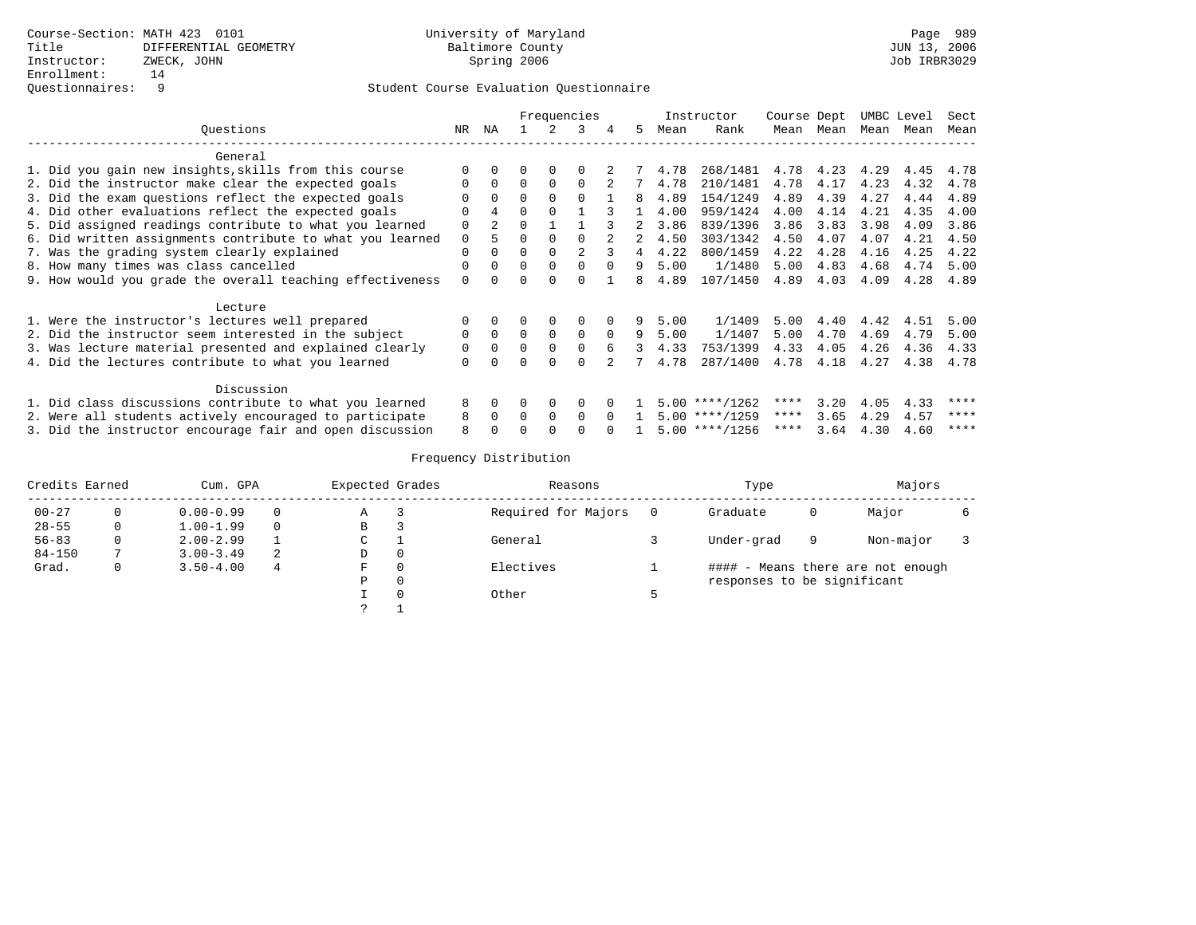|                                                           |             | Frequencies |          |          |          |              |    |      | Instructor       | Course Dept |      |      | UMBC Level | Sect |
|-----------------------------------------------------------|-------------|-------------|----------|----------|----------|--------------|----|------|------------------|-------------|------|------|------------|------|
| Ouestions                                                 | NR          | ΝA          |          |          | ર        | 4            | 5. | Mean | Rank             | Mean        | Mean | Mean | Mean       | Mean |
| General                                                   |             |             |          |          |          |              |    |      |                  |             |      |      |            |      |
| 1. Did you gain new insights, skills from this course     |             |             |          | 0        |          |              |    | 4.78 | 268/1481         | 4.78        | 4.23 | 4.29 | 4.45       | 4.78 |
| 2. Did the instructor make clear the expected goals       | $\Omega$    | $\Omega$    | $\Omega$ | $\Omega$ | $\Omega$ |              |    | 4.78 | 210/1481         | 4.78        | 4.17 | 4.23 | 4.32       | 4.78 |
| 3. Did the exam questions reflect the expected goals      |             | $\Omega$    | $\Omega$ | $\Omega$ | $\Omega$ |              | 8  | 4.89 | 154/1249         | 4.89        | 4.39 | 4.27 | 4.44       | 4.89 |
| 4. Did other evaluations reflect the expected goals       | ∩           | 4           | $\Omega$ | $\cap$   |          |              |    | 4.00 | 959/1424         | 4.00        | 4.14 | 4.21 | 4.35       | 4.00 |
| 5. Did assigned readings contribute to what you learned   | $\Omega$    | $2^{\circ}$ | U        |          |          |              |    | 3.86 | 839/1396         | 3.86        | 3.83 | 3.98 | 4.09       | 3.86 |
| 6. Did written assignments contribute to what you learned | $\Omega$    | 5           | $\Omega$ | $\Omega$ |          |              | 2  | 4.50 | 303/1342         | 4.50        | 4.07 | 4.07 | 4.21       | 4.50 |
| 7. Was the grading system clearly explained               | $\Omega$    |             | $\Omega$ |          |          | २            |    | 4.22 | 800/1459         | 4.22        | 4.28 | 4.16 | 4.25       | 4.22 |
| 8. How many times was class cancelled                     | $\Omega$    |             | $\Omega$ | $\Omega$ | $\Omega$ | $\Omega$     | 9  | 5.00 | 1/1480           | 5.00        | 4.83 | 4.68 | 4.74       | 5.00 |
| 9. How would you grade the overall teaching effectiveness | $\Omega$    |             | O        |          |          |              |    | 4.89 | 107/1450         | 4.89        | 4.03 | 4.09 | 4.28       | 4.89 |
| Lecture                                                   |             |             |          |          |          |              |    |      |                  |             |      |      |            |      |
| 1. Were the instructor's lectures well prepared           | $\Omega$    |             | 0        | 0        | $\Omega$ |              | 9  | 5.00 | 1/1409           | 5.00        | 4.40 | 4.42 | 4.51       | 5.00 |
| 2. Did the instructor seem interested in the subject      | $\Omega$    | $\Omega$    | $\Omega$ | $\Omega$ | $\Omega$ | $\Omega$     | 9  | 5.00 | 1/1407           | 5.00        | 4.70 | 4.69 | 4.79       | 5.00 |
| 3. Was lecture material presented and explained clearly   | $\mathbf 0$ | 0           | $\Omega$ | $\Omega$ | $\Omega$ | б.           | 3  | 4.33 | 753/1399         | 4.33        | 4.05 | 4.26 | 4.36       | 4.33 |
| 4. Did the lectures contribute to what you learned        | $\Omega$    |             | $\Omega$ | $\Omega$ | $\Omega$ |              |    | 4.78 | 287/1400         | 4.78        | 4.18 | 4.27 | 4.38       | 4.78 |
| Discussion                                                |             |             |          |          |          |              |    |      |                  |             |      |      |            |      |
| 1. Did class discussions contribute to what you learned   | 8           |             | 0        | 0        | $\Omega$ |              |    |      | $5.00$ ****/1262 | ****        | 3.20 | 4.05 | 4.33       | **** |
| 2. Were all students actively encouraged to participate   | 8           | $\Omega$    | $\Omega$ | $\Omega$ | $\Omega$ | $\Omega$     |    |      | $5.00$ ****/1259 | $***$ * * * | 3.65 | 4.29 | 4.57       | **** |
| 3. Did the instructor encourage fair and open discussion  | 8           |             |          |          |          | <sup>n</sup> |    |      | $5.00$ ****/1256 | ****        | 3.64 | 4.30 | 4.60       | **** |

| Credits Earned |          | Cum. GPA      |          | Expected Grades |                | Reasons             | Type                        |              | Majors                            |  |
|----------------|----------|---------------|----------|-----------------|----------------|---------------------|-----------------------------|--------------|-----------------------------------|--|
| $00 - 27$      |          | $0.00 - 0.99$ | $\Omega$ | Α               | 3              | Required for Majors | Graduate                    | $\mathbf{0}$ | Major                             |  |
| $28 - 55$      | $\Omega$ | $1.00 - 1.99$ | $\Omega$ | В               | 3              |                     |                             |              |                                   |  |
| $56 - 83$      | 0        | $2.00 - 2.99$ |          | C               |                | General             | Under-grad                  | 9            | Non-major                         |  |
| $84 - 150$     |          | $3.00 - 3.49$ | -2.      | D               | $\overline{0}$ |                     |                             |              |                                   |  |
| Grad.          | 0        | $3.50 - 4.00$ | 4        | F               | 0              | Electives           |                             |              | #### - Means there are not enough |  |
|                |          |               |          | Ρ               | 0              |                     | responses to be significant |              |                                   |  |
|                |          |               |          |                 | $\Omega$       | Other               |                             |              |                                   |  |
|                |          |               |          |                 |                |                     |                             |              |                                   |  |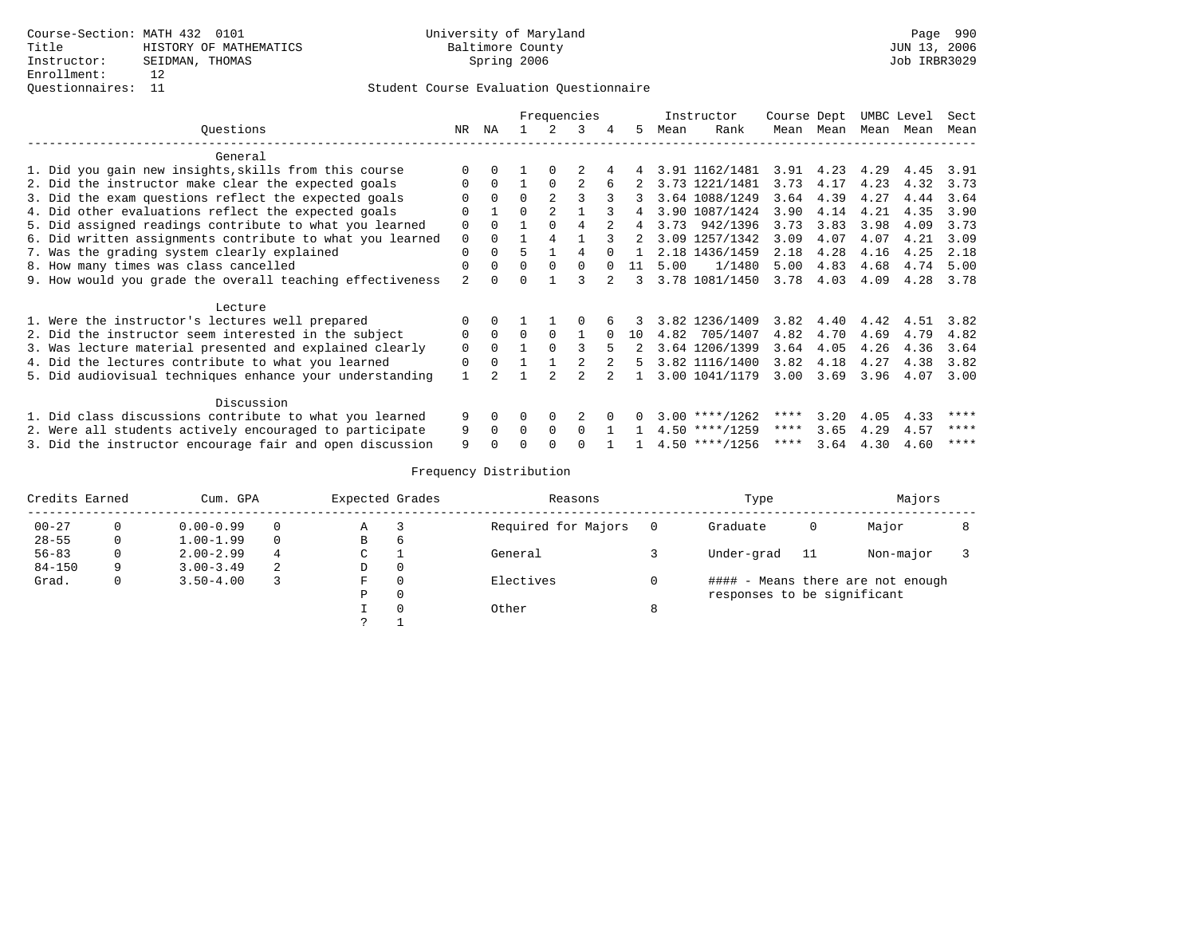### Questionnaires: 11 Student Course Evaluation Questionnaire

|                                                           | Frequencies    |          |          |          |          |             |              |      | Instructor                      | Course Dept |           | UMBC Level |      | Sect |
|-----------------------------------------------------------|----------------|----------|----------|----------|----------|-------------|--------------|------|---------------------------------|-------------|-----------|------------|------|------|
| Ouestions                                                 | NR             | NA       |          |          | 3        |             | .5.          | Mean | Rank                            |             | Mean Mean | Mean       | Mean | Mean |
| General                                                   |                |          |          |          |          |             |              |      |                                 |             |           |            |      |      |
| 1. Did you gain new insights, skills from this course     |                |          |          |          |          |             |              |      | 4 3.91 1162/1481 3.91 4.23 4.29 |             |           |            | 4.45 | 3.91 |
| 2. Did the instructor make clear the expected goals       | $\Omega$       | $\Omega$ |          | $\Omega$ |          |             |              |      | 3.73 1221/1481                  | 3.73        | 4.17      | 4.23       | 4.32 | 3.73 |
| 3. Did the exam questions reflect the expected goals      |                | $\Omega$ | $\Omega$ |          |          | 3           | 3            |      | 3.64 1088/1249                  | 3.64        | 4.39      | 4.27       | 4.44 | 3.64 |
| 4. Did other evaluations reflect the expected goals       | $\Omega$       |          | $\Omega$ |          |          |             |              |      | 3.90 1087/1424                  | 3.90        | 4.14      | 4.21       | 4.35 | 3.90 |
| 5. Did assigned readings contribute to what you learned   | $\Omega$       | 0        |          |          |          |             | 4            |      | 3.73 942/1396                   | 3.73        | 3.83      | 3.98       | 4.09 | 3.73 |
| 6. Did written assignments contribute to what you learned | $\mathbf 0$    |          |          |          |          |             |              |      | 3.09 1257/1342                  | 3.09        | 4.07      | 4.07       | 4.21 | 3.09 |
| 7. Was the grading system clearly explained               | $\Omega$       |          | 5        |          |          | $\cap$      | $\mathbf{1}$ |      | 2.18 1436/1459                  | 2.18        | 4.28      | 4.16       | 4.25 | 2.18 |
| 8. How many times was class cancelled                     | $\Omega$       |          | $\Omega$ | $\Omega$ | $\Omega$ | $\cap$      | 11           | 5.00 | 1/1480                          | 5.00        | 4.83      | 4.68       | 4.74 | 5.00 |
| 9. How would you grade the overall teaching effectiveness | $\mathfrak{D}$ | 0        | $\Omega$ |          | २        | $2^{\circ}$ | 3            |      | 3.78 1081/1450                  | 3.78        | 4.03      | 4.09       | 4.28 | 3.78 |
| Lecture                                                   |                |          |          |          |          |             |              |      |                                 |             |           |            |      |      |
| 1. Were the instructor's lectures well prepared           |                |          |          |          |          |             |              |      | 3.82 1236/1409                  | 3.82        | 4.40      | 4.42       | 4.51 | 3.82 |
| 2. Did the instructor seem interested in the subject      | $\Omega$       | $\Omega$ | $\Omega$ | $\Omega$ | 1        | $\Omega$    | 10           |      | 4.82 705/1407                   | 4.82        | 4.70      | 4.69       | 4.79 | 4.82 |
| 3. Was lecture material presented and explained clearly   | $\Omega$       | 0        |          | $\cap$   | 3        |             |              |      | 3.64 1206/1399                  | 3.64        | 4.05      | 4.26       | 4.36 | 3.64 |
| 4. Did the lectures contribute to what you learned        | $\Omega$       | $\Omega$ |          |          |          | 2           | 5.           |      | 3.82 1116/1400                  | 3.82        | 4.18      | 4.27       | 4.38 | 3.82 |
| 5. Did audiovisual techniques enhance your understanding  |                |          |          |          |          |             |              |      | 3.00 1041/1179                  | 3.00        | 3.69      | 3.96       | 4.07 | 3.00 |
| Discussion                                                |                |          |          |          |          |             |              |      |                                 |             |           |            |      |      |
| 1. Did class discussions contribute to what you learned   | 9              | $\Omega$ | $\Omega$ | $\Omega$ |          |             |              |      | $3.00$ ****/1262                | ****        | 3.20      | 4.05       | 4.33 | **** |
| 2. Were all students actively encouraged to participate   | 9              | $\Omega$ | $\Omega$ | $\Omega$ | $\Omega$ |             |              |      | $4.50$ ****/1259                | $***$ * * * | 3.65      | 4.29       | 4.57 | **** |
| 3. Did the instructor encourage fair and open discussion  | 9              |          | U        |          |          |             |              |      | $4.50$ ****/1256                | $***$ * * * | 3.64      | 4.30       | 4.60 | **** |

| Credits Earned |   | Cum. GPA      |          | Expected Grades |          | Reasons             | Type                        |      | Majors                            |  |
|----------------|---|---------------|----------|-----------------|----------|---------------------|-----------------------------|------|-----------------------------------|--|
| $00 - 27$      |   | $0.00 - 0.99$ | $\Omega$ | Α               |          | Required for Majors | Graduate                    | 0    | Major                             |  |
| $28 - 55$      | 0 | $1.00 - 1.99$ | $\Omega$ | B               | $\sigma$ |                     |                             |      |                                   |  |
| $56 - 83$      |   | $2.00 - 2.99$ | 4        | C               |          | General             | Under-grad                  | - 11 | Non-major                         |  |
| $84 - 150$     | 9 | $3.00 - 3.49$ | 2        | D               |          |                     |                             |      |                                   |  |
| Grad.          | 0 | $3.50 - 4.00$ |          | F               |          | Electives           |                             |      | #### - Means there are not enough |  |
|                |   |               |          | P               |          |                     | responses to be significant |      |                                   |  |
|                |   |               |          |                 |          | Other               |                             |      |                                   |  |
|                |   |               |          |                 |          |                     |                             |      |                                   |  |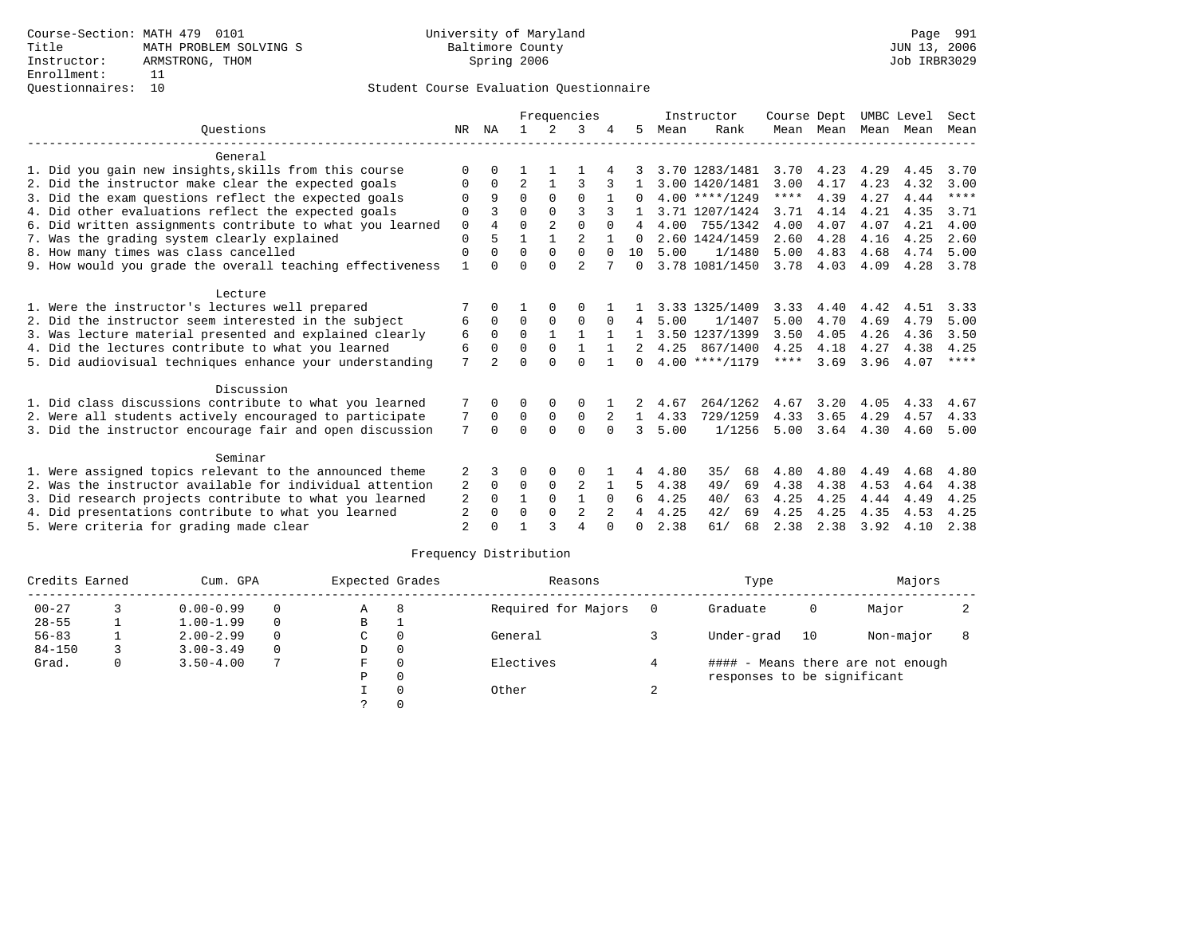|                                                           | Frequencies  |                |              |                |                |              |               |      | Instructor       | Course Dept |                   | UMBC Level |      | Sect        |
|-----------------------------------------------------------|--------------|----------------|--------------|----------------|----------------|--------------|---------------|------|------------------|-------------|-------------------|------------|------|-------------|
| Ouestions                                                 | NR           | NA             |              | $\overline{2}$ | 3              |              | 5.            | Mean | Rank             |             | Mean Mean         | Mean Mean  |      | Mean        |
| General                                                   |              |                |              |                |                |              |               |      |                  |             |                   |            |      |             |
| 1. Did you gain new insights, skills from this course     | <sup>0</sup> |                |              |                |                |              |               |      | 3.70 1283/1481   | 3.70 4.23   |                   | 4.29       | 4.45 | 3.70        |
| 2. Did the instructor make clear the expected goals       | 0            | $\Omega$       | 2            |                |                |              |               |      | 3.00 1420/1481   | 3.00        | 4.17              | 4.23       | 4.32 | 3.00        |
| 3. Did the exam questions reflect the expected goals      | 0            | 9              | $\Omega$     | $\Omega$       | $\Omega$       |              | $\Omega$      |      | $4.00$ ****/1249 | $***$ * * * | 4.39              | 4.27       | 4.44 | $***$ * * * |
| 4. Did other evaluations reflect the expected goals       | 0            | 3              | $\Omega$     | $\Omega$       | 3              |              |               |      | 3.71 1207/1424   | 3.71        | 4.14              | 4.21       | 4.35 | 3.71        |
| 6. Did written assignments contribute to what you learned | 0            | $\overline{4}$ | 0            | $\overline{a}$ | $\Omega$       | $\Omega$     | 4             |      | 4.00 755/1342    | 4.00        | 4.07              | 4.07       | 4.21 | 4.00        |
| 7. Was the grading system clearly explained               | 0            | 5              |              |                | $\overline{a}$ |              | 0             |      | 2.60 1424/1459   | 2.60        | 4.28              | 4.16       | 4.25 | 2.60        |
| 8. How many times was class cancelled                     | 0            | $\Omega$       | $\Omega$     | $\Omega$       | $\Omega$       | $\Omega$     | 1 O           | 5.00 | 1/1480           | 5.00        | 4.83              | 4.68       | 4.74 | 5.00        |
| 9. How would you grade the overall teaching effectiveness |              | $\Omega$       | $\Omega$     | $\Omega$       | $\overline{a}$ |              | $\Omega$      |      | 3.78 1081/1450   |             | 3.78 4.03         | 4.09       | 4.28 | 3.78        |
| Lecture                                                   |              |                |              |                |                |              |               |      |                  |             |                   |            |      |             |
| 1. Were the instructor's lectures well prepared           |              |                |              | $\Omega$       | <sup>0</sup>   |              |               |      | 3.33 1325/1409   | 3.33        | 4.40              | 4.42       | 4.51 | 3.33        |
| 2. Did the instructor seem interested in the subject      | 6            | $\Omega$       | $\Omega$     | $\Omega$       | $\Omega$       | $\Omega$     | 4             | 5.00 | 1/1407           | 5.00        | 4.70              | 4.69       | 4.79 | 5.00        |
| 3. Was lecture material presented and explained clearly   | 6            | $\Omega$       | $\Omega$     | $\mathbf{1}$   |                |              |               |      | 3.50 1237/1399   | 3.50        | 4.05              | 4.26       | 4.36 | 3.50        |
| 4. Did the lectures contribute to what you learned        | 6            | $\Omega$       | $\Omega$     | $\Omega$       |                | $\mathbf{1}$ | 2             | 4.25 | 867/1400         | 4.25        | 4.18              | 4.27       | 4.38 | 4.25        |
| 5. Did audiovisual techniques enhance your understanding  | 7            | $\overline{a}$ | U            | $\cap$         | $\cap$         |              | 0             |      | $4.00$ ****/1179 | ****        | 3.69              | 3.96       | 4.07 | $***$ *     |
| Discussion                                                |              |                |              |                |                |              |               |      |                  |             |                   |            |      |             |
| 1. Did class discussions contribute to what you learned   |              | $\Omega$       | 0            | 0              | 0              |              | 2             | 4.67 | 264/1262         |             | $4.67$ $3.20$     | 4.05       | 4.33 | 4.67        |
| 2. Were all students actively encouraged to participate   |              | $\mathbf 0$    | 0            | 0              | 0              | 2            | $\mathbf{1}$  | 4.33 | 729/1259         | 4.33        | 3.65              | 4.29       | 4.57 | 4.33        |
| 3. Did the instructor encourage fair and open discussion  | 7            | $\Omega$       | $\Omega$     | $\Omega$       | $\Omega$       | $\Omega$     | $\mathcal{L}$ | 5.00 | 1/1256           |             | $5.00 \quad 3.64$ | 4.30       | 4.60 | 5.00        |
| Seminar                                                   |              |                |              |                |                |              |               |      |                  |             |                   |            |      |             |
| 1. Were assigned topics relevant to the announced theme   | 2            |                | 0            | 0              | $\Omega$       |              | 4             | 4.80 | 35/<br>68        | 4.80        | 4.80              | 4.49       | 4.68 | 4.80        |
| 2. Was the instructor available for individual attention  | 2            | $\mathbf 0$    | 0            | 0              | 2              | 1            | 5             | 4.38 | 49/<br>69        | 4.38        | 4.38              | 4.53       | 4.64 | 4.38        |
| 3. Did research projects contribute to what you learned   | 2            | $\Omega$       | $\mathbf{1}$ | $\Omega$       | $\mathbf{1}$   | $\Omega$     | 6             | 4.25 | 40/<br>63        | 4.25        | 4.25              | 4.44       | 4.49 | 4.25        |
| 4. Did presentations contribute to what you learned       | 2            | <sup>0</sup>   | $\Omega$     | $\Omega$       | 2              | 2            | 4             | 4.25 | 42/<br>69        | 4.25        | 4.25              | 4.35       | 4.53 | 4.25        |
| 5. Were criteria for grading made clear                   | 2            |                |              |                | 4              | $\Omega$     | 0             | 2.38 | 61/<br>68        | 2.38        | 2.38              | 3.92       | 4.10 | 2.38        |

| Credits Earned |          | Cum. GPA      |          | Expected Grades |          | Reasons             |     | Type                        |    | Majors                            |  |
|----------------|----------|---------------|----------|-----------------|----------|---------------------|-----|-----------------------------|----|-----------------------------------|--|
| $00 - 27$      |          | $0.00 - 0.99$ | $\Omega$ | A               | 8        | Required for Majors | - 0 | Graduate                    | 0  | Major                             |  |
| $28 - 55$      |          | $1.00 - 1.99$ | $\Omega$ | в               |          |                     |     |                             |    |                                   |  |
| $56 - 83$      |          | $2.00 - 2.99$ | $\Omega$ | C               | $\Omega$ | General             |     | Under-grad                  | 10 | Non-major                         |  |
| $84 - 150$     |          | $3.00 - 3.49$ | $\Omega$ | D               | 0        |                     |     |                             |    |                                   |  |
| Grad.          | $\Omega$ | $3.50 - 4.00$ |          | F.              | $\Omega$ | Electives           |     |                             |    | #### - Means there are not enough |  |
|                |          |               |          | Ρ               | $\Omega$ |                     |     | responses to be significant |    |                                   |  |
|                |          |               |          |                 |          | Other               |     |                             |    |                                   |  |
|                |          |               |          |                 |          |                     |     |                             |    |                                   |  |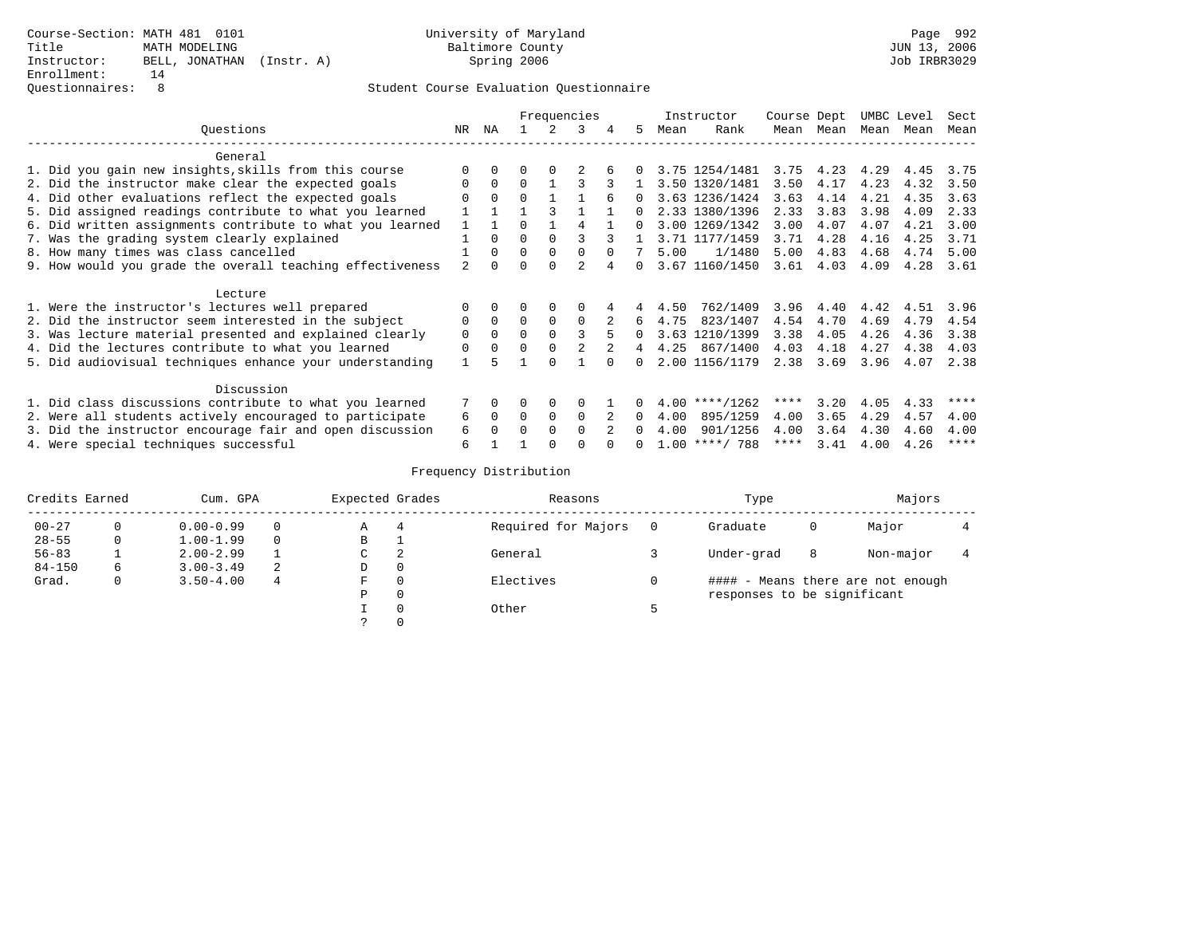## Questionnaires: 8 Student Course Evaluation Questionnaire

|                                                           |          |          |          |          | Frequencies  |   |          |      | Instructor       | Course Dept |           | UMBC Level |      | Sect |
|-----------------------------------------------------------|----------|----------|----------|----------|--------------|---|----------|------|------------------|-------------|-----------|------------|------|------|
| Ouestions                                                 | NR       | ΝA       |          | 2        | 3            | 4 | 5.       | Mean | Rank             | Mean        | Mean      | Mean       | Mean | Mean |
| General                                                   |          |          |          |          |              |   |          |      |                  |             |           |            |      |      |
| 1. Did you gain new insights, skills from this course     |          |          |          |          |              |   |          |      | 3.75 1254/1481   |             | 3.75 4.23 | 4.29       | 4.45 | 3.75 |
| 2. Did the instructor make clear the expected goals       |          | $\Omega$ | $\Omega$ |          |              |   |          |      | 3.50 1320/1481   | 3.50        | 4.17      | 4.23       | 4.32 | 3.50 |
| 4. Did other evaluations reflect the expected goals       |          | $\Omega$ | $\Omega$ |          |              |   |          |      | 3.63 1236/1424   | 3.63        | 4.14      | 4.21       | 4.35 | 3.63 |
| 5. Did assigned readings contribute to what you learned   |          |          |          |          |              |   |          |      | 2.33 1380/1396   | 2.33        | 3.83      | 3.98       | 4.09 | 2.33 |
| 6. Did written assignments contribute to what you learned |          |          | $\cap$   |          |              |   | $\Omega$ |      | 3.00 1269/1342   | 3.00        | 4.07      | 4.07       | 4.21 | 3.00 |
| 7. Was the grading system clearly explained               |          |          | $\Omega$ |          |              |   |          |      | 3.71 1177/1459   | 3.71        | 4.28      | 4.16       | 4.25 | 3.71 |
| 8. How many times was class cancelled                     |          | $\Omega$ | $\Omega$ | $\Omega$ |              |   |          | 5.00 | 1/1480           | 5.00        | 4.83      | 4.68       | 4.74 | 5.00 |
| 9. How would you grade the overall teaching effectiveness |          |          |          |          |              |   |          |      | 3.67 1160/1450   | 3.61        | 4.03      | 4.09       | 4.28 | 3.61 |
| Lecture                                                   |          |          |          |          |              |   |          |      |                  |             |           |            |      |      |
| 1. Were the instructor's lectures well prepared           |          |          |          |          |              |   |          | 4.50 | 762/1409         | 3.96        | 4.40      | 4.42       | 4.51 | 3.96 |
| 2. Did the instructor seem interested in the subject      |          |          | $\Omega$ | $\Omega$ | $\Omega$     |   | 6        | 4.75 | 823/1407         | 4.54        | 4.70      | 4.69       | 4.79 | 4.54 |
| 3. Was lecture material presented and explained clearly   | $\Omega$ | $\Omega$ | $\Omega$ |          |              |   | 0        |      | 3.63 1210/1399   | 3.38        | 4.05      | 4.26       | 4.36 | 3.38 |
| 4. Did the lectures contribute to what you learned        | $\Omega$ |          |          |          |              |   |          | 4.25 | 867/1400         | 4.03        | 4.18      | 4.27       | 4.38 | 4.03 |
| 5. Did audiovisual techniques enhance your understanding  |          |          |          |          |              |   | 0        |      | 2.00 1156/1179   | 2.38        | 3.69      | 3.96       | 4.07 | 2.38 |
| Discussion                                                |          |          |          |          |              |   |          |      |                  |             |           |            |      |      |
| 1. Did class discussions contribute to what you learned   |          |          |          |          |              |   |          | 4.00 | $***/1262$       | ****        | 3.20      | 4.05       | 4.33 | **** |
| 2. Were all students actively encouraged to participate   | 6        | $\Omega$ | $\Omega$ | $\Omega$ | $\Omega$     |   | $\Omega$ | 4.00 | 895/1259         | 4.00        | 3.65      | 4.29       | 4.57 | 4.00 |
| 3. Did the instructor encourage fair and open discussion  | 6        |          |          | $\cap$   | <sup>n</sup> |   |          | 4.00 | 901/1256         | 4.00        | 3.64      | 4.30       | 4.60 | 4.00 |
| 4. Were special techniques successful                     | 6        |          |          |          |              |   |          |      | $1.00$ ****/ 788 | ****        | 3.41      | 4.00       | 4.26 | **** |

| Credits Earned |   | Cum. GPA      |          | Expected Grades |   | Reasons             |          | Type                              | Majors    |  |
|----------------|---|---------------|----------|-----------------|---|---------------------|----------|-----------------------------------|-----------|--|
| $00 - 27$      |   | $0.00 - 0.99$ | $\Omega$ | Α               |   | Required for Majors | $\Omega$ | Graduate<br>0                     | Major     |  |
| $28 - 55$      | 0 | $1.00 - 1.99$ | $\Omega$ | В               |   |                     |          |                                   |           |  |
| $56 - 83$      |   | $2.00 - 2.99$ |          | C               | 2 | General             |          | Under-grad<br>8                   | Non-major |  |
| $84 - 150$     | 6 | $3.00 - 3.49$ | 2        | D               |   |                     |          |                                   |           |  |
| Grad.          | U | $3.50 - 4.00$ | 4        | F               |   | Electives           |          | #### - Means there are not enough |           |  |
|                |   |               |          | P               |   |                     |          | responses to be significant       |           |  |
|                |   |               |          |                 |   | Other               |          |                                   |           |  |
|                |   |               |          |                 |   |                     |          |                                   |           |  |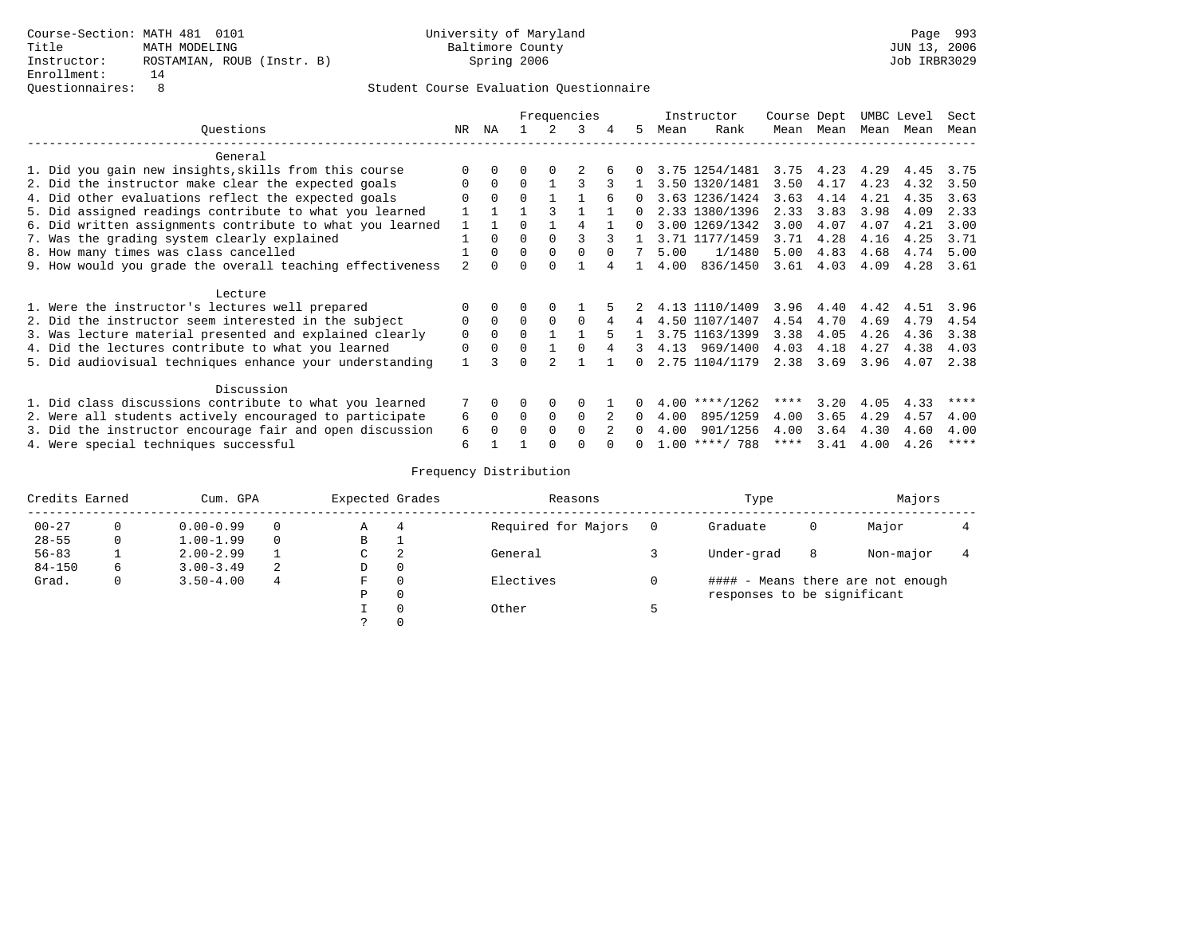## Questionnaires: 8 Student Course Evaluation Questionnaire

|                                                           |                |          |          |          | Frequencies |   |          |      | Instructor       | Course Dept |                  | UMBC Level |      | Sect        |
|-----------------------------------------------------------|----------------|----------|----------|----------|-------------|---|----------|------|------------------|-------------|------------------|------------|------|-------------|
| Ouestions                                                 | NR             | ΝA       |          | 2        | 3           | 4 | 5        | Mean | Rank             | Mean        | Mean             | Mean       | Mean | Mean        |
| General                                                   |                |          |          |          |             |   |          |      |                  |             |                  |            |      |             |
| 1. Did you gain new insights, skills from this course     |                |          |          |          |             |   |          |      | 3.75 1254/1481   |             | $3.75$ 4.23 4.29 |            | 4.45 | 3.75        |
| 2. Did the instructor make clear the expected goals       |                | $\Omega$ | $\Omega$ |          |             |   |          |      | 3.50 1320/1481   | 3.50        | 4.17             | 4.23       | 4.32 | 3.50        |
| 4. Did other evaluations reflect the expected goals       |                | $\Omega$ | $\Omega$ |          |             |   | 0        |      | 3.63 1236/1424   | 3.63        | 4.14             | 4.21       | 4.35 | 3.63        |
| 5. Did assigned readings contribute to what you learned   |                |          |          |          |             |   |          |      | 2.33 1380/1396   | 2.33        | 3.83             | 3.98       | 4.09 | 2.33        |
| 6. Did written assignments contribute to what you learned |                |          |          |          |             |   | $\Omega$ |      | 3.00 1269/1342   | 3.00        | 4.07             | 4.07       | 4.21 | 3.00        |
| 7. Was the grading system clearly explained               |                |          | $\Omega$ |          |             |   |          |      | 3.71 1177/1459   | 3.71        | 4.28             | 4.16       | 4.25 | 3.71        |
| 8. How many times was class cancelled                     |                | $\Omega$ | $\Omega$ |          |             |   |          | 5.00 | 1/1480           | 5.00        | 4.83             | 4.68       | 4.74 | 5.00        |
| 9. How would you grade the overall teaching effectiveness | $\mathfrak{D}$ |          |          |          |             |   |          | 4.00 | 836/1450         | 3.61        | 4.03             | 4.09       | 4.28 | 3.61        |
| Lecture                                                   |                |          |          |          |             |   |          |      |                  |             |                  |            |      |             |
| 1. Were the instructor's lectures well prepared           |                |          |          |          |             |   |          |      | 4.13 1110/1409   | 3.96        |                  | 4.40 4.42  | 4.51 | 3.96        |
| 2. Did the instructor seem interested in the subject      |                |          |          |          |             |   |          |      | 4.50 1107/1407   | 4.54        | 4.70             | 4.69       | 4.79 | 4.54        |
| 3. Was lecture material presented and explained clearly   | $\Omega$       |          | $\Omega$ |          |             |   |          |      | 3.75 1163/1399   | 3.38        | 4.05             | 4.26       | 4.36 | 3.38        |
| 4. Did the lectures contribute to what you learned        | $\Omega$       |          |          |          |             | 4 | 3        |      | 4.13 969/1400    | 4.03        | 4.18             | 4.27       | 4.38 | 4.03        |
| 5. Did audiovisual techniques enhance your understanding  |                |          | $\cap$   |          |             |   | $\Omega$ |      | 2.75 1104/1179   | 2.38        | 3.69             | 3.96       | 4.07 | 2.38        |
| Discussion                                                |                |          |          |          |             |   |          |      |                  |             |                  |            |      |             |
| 1. Did class discussions contribute to what you learned   | 7              |          |          |          |             |   |          |      | $4.00$ ****/1262 | ****        | 3.20             | 4.05       | 4.33 | ****        |
| 2. Were all students actively encouraged to participate   | 6              | $\Omega$ | $\Omega$ | $\Omega$ | $\Omega$    |   | $\Omega$ | 4.00 | 895/1259         | 4.00        | 3.65             | 4.29       | 4.57 | 4.00        |
| 3. Did the instructor encourage fair and open discussion  | 6              |          |          |          |             |   |          | 4.00 | 901/1256         | 4.00        | 3.64             | 4.30       | 4.60 | 4.00        |
| 4. Were special techniques successful                     | 6              |          |          |          |             |   |          |      | $1.00$ ****/ 788 | ****        | 3.41             | 4.00       | 4.26 | $***$ * * * |

| Credits Earned |   | Cum. GPA      |          | Expected Grades |   | Reasons             | Type                        |   | Majors                            |  |
|----------------|---|---------------|----------|-----------------|---|---------------------|-----------------------------|---|-----------------------------------|--|
| $00 - 27$      |   | $0.00 - 0.99$ | $\Omega$ | Α               |   | Required for Majors | Graduate                    | 0 | Major                             |  |
| $28 - 55$      | 0 | $1.00 - 1.99$ | $\Omega$ | B               |   |                     |                             |   |                                   |  |
| $56 - 83$      |   | $2.00 - 2.99$ |          | C               | 2 | General             | Under-grad                  | 8 | Non-major                         |  |
| $84 - 150$     | 6 | $3.00 - 3.49$ | 2        | D               | 0 |                     |                             |   |                                   |  |
| Grad.          |   | $3.50 - 4.00$ | 4        | F               |   | Electives           |                             |   | #### - Means there are not enough |  |
|                |   |               |          | Ρ               |   |                     | responses to be significant |   |                                   |  |
|                |   |               |          |                 |   | Other               |                             |   |                                   |  |
|                |   |               |          |                 |   |                     |                             |   |                                   |  |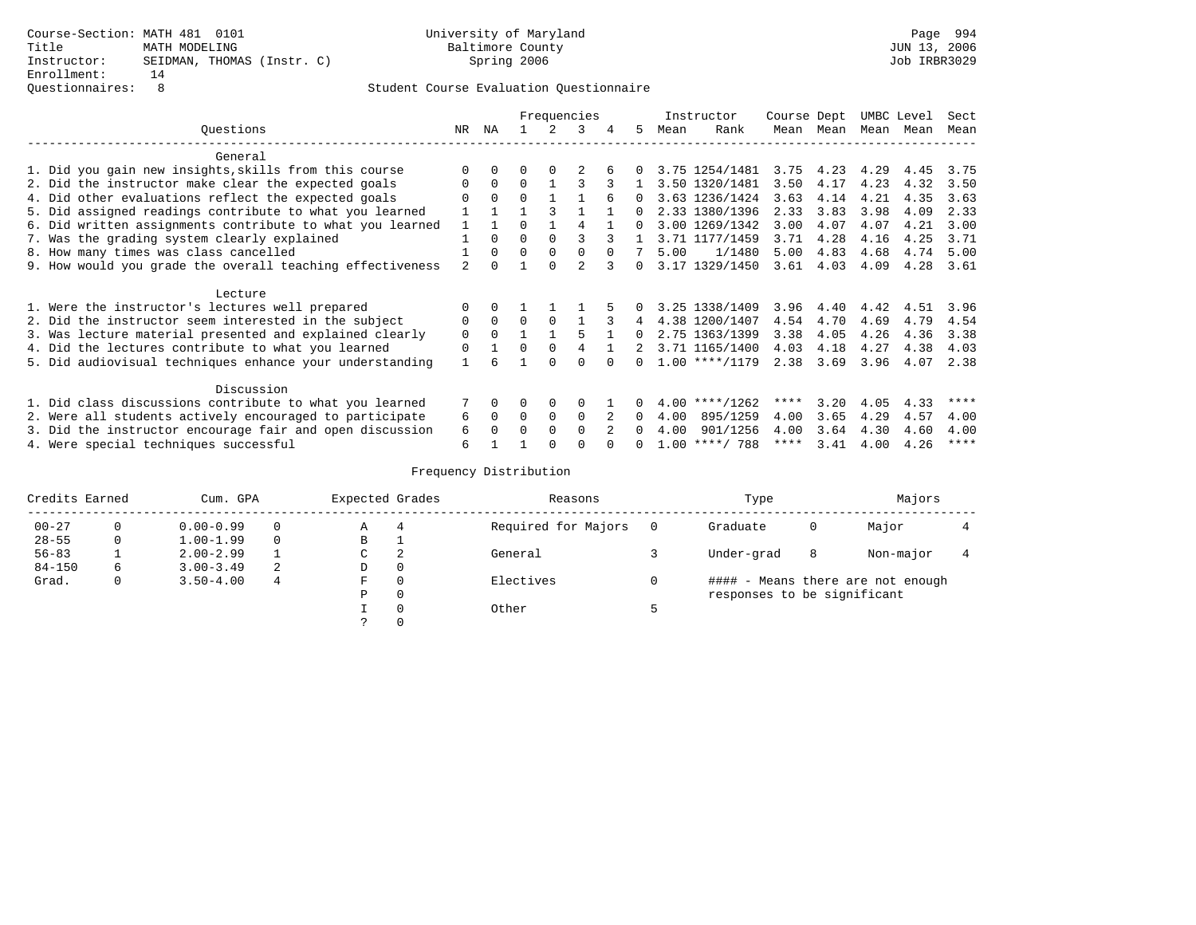## Questionnaires: 8 Student Course Evaluation Questionnaire

|                                                           |          |          |              |          | Frequencies |          |          |      | Instructor       | Course Dept |                | UMBC Level |      | Sect        |
|-----------------------------------------------------------|----------|----------|--------------|----------|-------------|----------|----------|------|------------------|-------------|----------------|------------|------|-------------|
| Ouestions                                                 | NR       | ΝA       |              |          | 3           | 4        | 5.       | Mean | Rank             | Mean        | Mean           | Mean       | Mean | Mean        |
| General                                                   |          |          |              |          |             |          |          |      |                  |             |                |            |      |             |
| 1. Did you gain new insights, skills from this course     |          |          |              |          |             |          |          |      | 3.75 1254/1481   |             | 3.75 4.23 4.29 |            | 4.45 | 3.75        |
| 2. Did the instructor make clear the expected goals       | $\Omega$ | $\Omega$ | $\Omega$     |          |             |          |          |      | 3.50 1320/1481   | 3.50        | 4.17           | 4.23       | 4.32 | 3.50        |
| 4. Did other evaluations reflect the expected goals       |          | $\Omega$ | $\Omega$     |          |             |          | 0        |      | 3.63 1236/1424   | 3.63        | 4.14           | 4.21       | 4.35 | 3.63        |
| 5. Did assigned readings contribute to what you learned   |          |          |              |          |             |          |          |      | 2.33 1380/1396   | 2.33        | 3.83           | 3.98       | 4.09 | 2.33        |
| 6. Did written assignments contribute to what you learned |          |          | <sup>0</sup> |          |             |          | O.       |      | 3.00 1269/1342   | 3.00        | 4.07           | 4.07       | 4.21 | 3.00        |
| 7. Was the grading system clearly explained               |          |          | $\Omega$     |          |             |          |          |      | 3.71 1177/1459   | 3.71        | 4.28           | 4.16       | 4.25 | 3.71        |
| 8. How many times was class cancelled                     |          | 0        | $\Omega$     |          |             | $\Omega$ |          | 5.00 | 1/1480           | 5.00        | 4.83           | 4.68       | 4.74 | 5.00        |
| 9. How would you grade the overall teaching effectiveness |          |          |              |          |             |          | O.       |      | 3.17 1329/1450   | 3.61        | 4.03           | 4.09       | 4.28 | 3.61        |
| Lecture                                                   |          |          |              |          |             |          |          |      |                  |             |                |            |      |             |
| 1. Were the instructor's lectures well prepared           |          |          |              |          |             |          |          |      | 3.25 1338/1409   | 3.96        | 4.40           | 4.42       | 4.51 | 3.96        |
| 2. Did the instructor seem interested in the subject      | 0        | $\Omega$ | $\Omega$     | $\Omega$ |             |          |          |      | 4.38 1200/1407   | 4.54        | 4.70           | 4.69       | 4.79 | 4.54        |
| 3. Was lecture material presented and explained clearly   | $\Omega$ | $\Omega$ |              |          |             |          | 0        |      | 2.75 1363/1399   | 3.38        | 4.05           | 4.26       | 4.36 | 3.38        |
| 4. Did the lectures contribute to what you learned        | $\Omega$ |          | $\Omega$     | $\Omega$ |             |          |          |      | 3.71 1165/1400   | 4.03        | 4.18           | 4.27       | 4.38 | 4.03        |
| 5. Did audiovisual techniques enhance your understanding  |          |          |              |          | $\Omega$    |          | 0        |      | $1.00$ ****/1179 | 2.38        | 3.69           | 3.96       | 4.07 | 2.38        |
| Discussion                                                |          |          |              |          |             |          |          |      |                  |             |                |            |      |             |
| 1. Did class discussions contribute to what you learned   | 7        | $\Omega$ | 0            | $\Omega$ | $\Omega$    |          | $\Omega$ | 4.00 | $***/1262$       | ****        | 3.20           | 4.05       | 4.33 | ****        |
| 2. Were all students actively encouraged to participate   | 6        | $\Omega$ | $\Omega$     | $\Omega$ | $\Omega$    |          | 0        | 4.00 | 895/1259         | 4.00        | 3.65           | 4.29       | 4.57 | 4.00        |
| 3. Did the instructor encourage fair and open discussion  | 6        |          | U            |          | $\cap$      |          | n.       | 4.00 | 901/1256         | 4.00        | 3.64           | 4.30       | 4.60 | 4.00        |
| 4. Were special techniques successful                     | 6        |          |              |          |             |          |          |      | $1.00$ ****/ 788 | ****        | 3.41           | 4.00       | 4.26 | $***$ * * * |

| Credits Earned |   | Cum. GPA      |   | Expected Grades |          | Reasons             |          | Type                        |   | Majors                            |  |
|----------------|---|---------------|---|-----------------|----------|---------------------|----------|-----------------------------|---|-----------------------------------|--|
| $00 - 27$      |   | $0.00 - 0.99$ |   | Α               |          | Required for Majors | $\Omega$ | Graduate                    | 0 | Major                             |  |
| $28 - 55$      | 0 | $1.00 - 1.99$ |   | В               |          |                     |          |                             |   |                                   |  |
| $56 - 83$      |   | $2.00 - 2.99$ |   | C               | 2        | General             |          | Under-grad                  | 8 | Non-major                         |  |
| $84 - 150$     | 6 | $3.00 - 3.49$ | 2 | D               | 0        |                     |          |                             |   |                                   |  |
| Grad.          | 0 | $3.50 - 4.00$ | 4 | F               | $\Omega$ | Electives           |          |                             |   | #### - Means there are not enough |  |
|                |   |               |   | Ρ               | 0        |                     |          | responses to be significant |   |                                   |  |
|                |   |               |   |                 | $\Omega$ | Other               |          |                             |   |                                   |  |
|                |   |               |   |                 |          |                     |          |                             |   |                                   |  |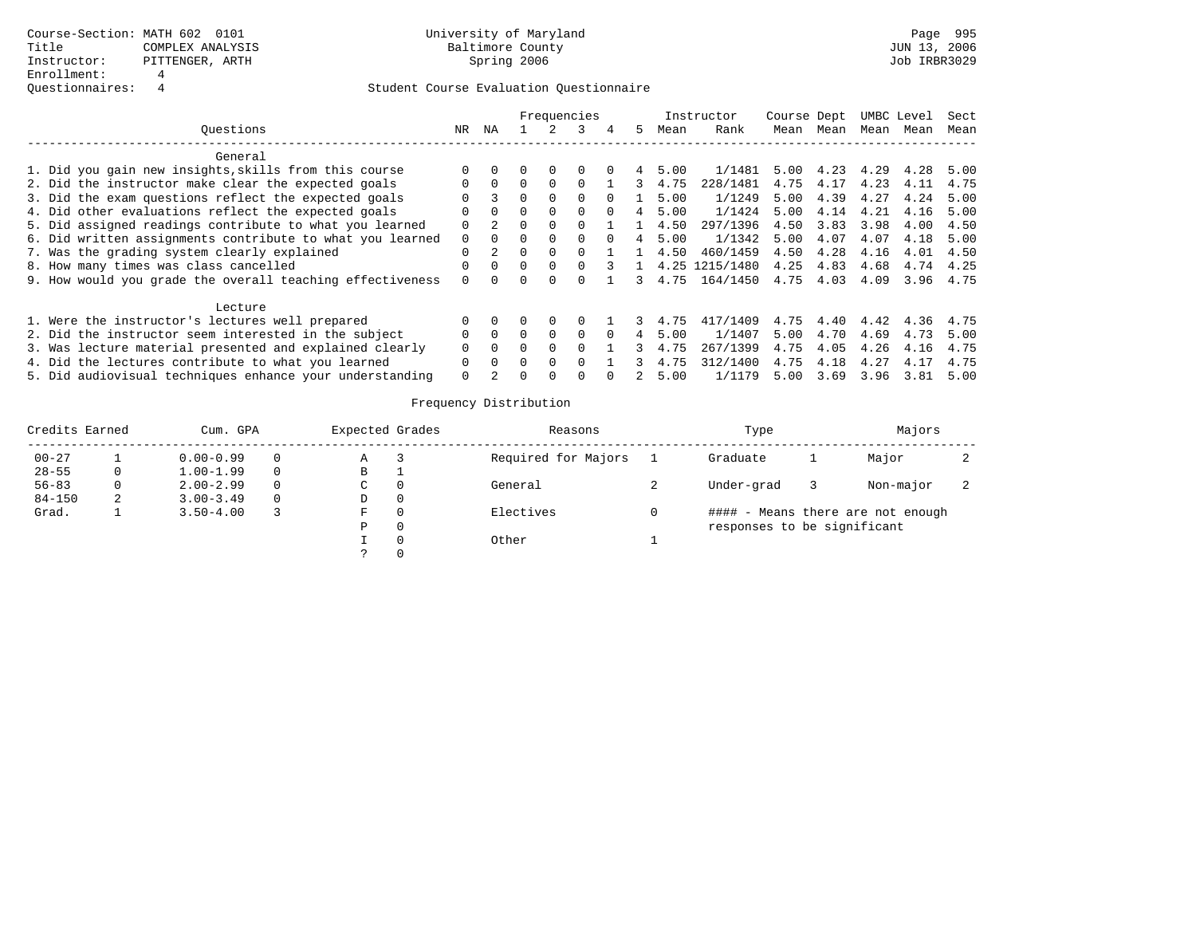|                                                           |     |          |              |          | Frequencies  |          |   |      | Instructor | Course Dept |      |      | UMBC Level | Sect |
|-----------------------------------------------------------|-----|----------|--------------|----------|--------------|----------|---|------|------------|-------------|------|------|------------|------|
| Ouestions                                                 | NR. | ΝA       |              |          |              | 4        | 5 | Mean | Rank       | Mean        | Mean | Mean | Mean       | Mean |
| General                                                   |     |          |              |          |              |          |   |      |            |             |      |      |            |      |
| 1. Did you gain new insights, skills from this course     |     |          |              | 0        |              |          |   | 5.00 | 1/1481     | 5.00        | 4.23 | 4.29 | 4.28       | 5.00 |
| 2. Did the instructor make clear the expected goals       |     | $\Omega$ |              | $\Omega$ |              |          |   | 4.75 | 228/1481   | 4.75        | 4.17 | 4.23 | 4.11       | 4.75 |
| 3. Did the exam questions reflect the expected goals      |     | 3        |              | $\Omega$ |              |          |   | 5.00 | 1/1249     | 5.00        | 4.39 | 4.27 | 4.24       | 5.00 |
| 4. Did other evaluations reflect the expected goals       |     | $\Omega$ | 0            | $\Omega$ | 0            | $\Omega$ |   | 5.00 | 1/1424     | 5.00        | 4.14 | 4.21 | 4.16       | 5.00 |
| 5. Did assigned readings contribute to what you learned   | O   |          | 0            | $\Omega$ |              |          |   | 4.50 | 297/1396   | 4.50        | 3.83 | 3.98 | 4.00       | 4.50 |
| 6. Did written assignments contribute to what you learned | 0   | $\Omega$ |              |          |              |          |   | 5.00 | 1/1342     | 5.00        | 4.07 | 4.07 | 4.18       | 5.00 |
| 7. Was the grading system clearly explained               |     |          | <sup>0</sup> | $\Omega$ |              |          |   | 4.50 | 460/1459   | 4.50        | 4.28 | 4.16 | 4.01       | 4.50 |
| 8. How many times was class cancelled                     |     | $\Omega$ | 0            | $\Omega$ |              |          |   | 4.25 | 1215/1480  | 4.25        | 4.83 | 4.68 | 4.74       | 4.25 |
| 9. How would you grade the overall teaching effectiveness |     |          |              |          |              |          |   | 4.75 | 164/1450   | 4.75        | 4.03 | 4.09 | 3.96       | 4.75 |
| Lecture                                                   |     |          |              |          |              |          |   |      |            |             |      |      |            |      |
| 1. Were the instructor's lectures well prepared           |     |          |              | $\Omega$ |              |          |   | 4.75 | 417/1409   | 4.75        | 4.40 | 4.42 | 4.36       | 4.75 |
| 2. Did the instructor seem interested in the subject      |     | $\Omega$ | 0            | $\Omega$ | <sup>0</sup> |          |   | 5.00 | 1/1407     | 5.00        | 4.70 | 4.69 | 4.73       | 5.00 |
| 3. Was lecture material presented and explained clearly   |     | $\Omega$ |              | $\Omega$ |              |          |   | 4.75 | 267/1399   | 4.75        | 4.05 | 4.26 | 4.16       | 4.75 |
| 4. Did the lectures contribute to what you learned        | 0   | $\Omega$ | <sup>n</sup> | $\Omega$ |              |          |   | 4.75 | 312/1400   | 4.75        | 4.18 | 4.27 | 4.17       | 4.75 |
| 5. Did audiovisual techniques enhance your understanding  | 0   |          |              |          |              |          |   | 5.00 | 1/1179     | 5.00        | 3.69 | 3.96 | 3.81       | 5.00 |

| Credits Earned |   | Cum. GPA      |          | Expected Grades | Reasons             | Type                        | Majors                            |  |
|----------------|---|---------------|----------|-----------------|---------------------|-----------------------------|-----------------------------------|--|
| $00 - 27$      |   | $0.00 - 0.99$ | 0        | Α               | Required for Majors | Graduate                    | Major                             |  |
| $28 - 55$      | 0 | $1.00 - 1.99$ | $\Omega$ | В               |                     |                             |                                   |  |
| $56 - 83$      |   | $2.00 - 2.99$ | $\Omega$ | C               | General             | Under-grad                  | Non-major                         |  |
| $84 - 150$     | 2 | $3.00 - 3.49$ | $\Omega$ | D               |                     |                             |                                   |  |
| Grad.          |   | $3.50 - 4.00$ |          | F               | Electives           |                             | #### - Means there are not enough |  |
|                |   |               |          | P               |                     | responses to be significant |                                   |  |
|                |   |               |          |                 | Other               |                             |                                   |  |
|                |   |               |          |                 |                     |                             |                                   |  |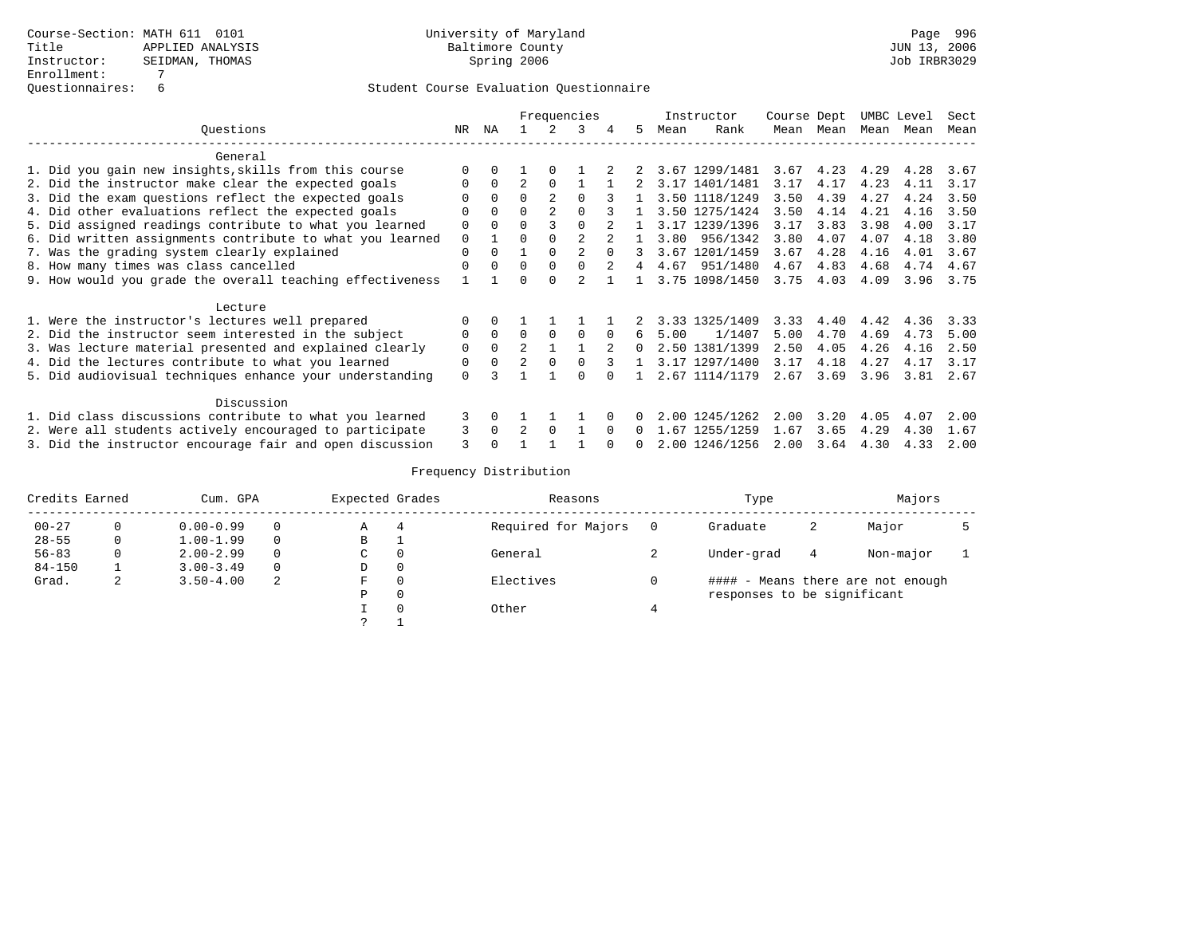### Questionnaires: 6 Student Course Evaluation Questionnaire

|                                                           |          |          |                |          | Frequencies |          |    |      | Instructor     | Course Dept |           | UMBC Level |      | Sect |
|-----------------------------------------------------------|----------|----------|----------------|----------|-------------|----------|----|------|----------------|-------------|-----------|------------|------|------|
| Ouestions                                                 | NR       | ΝA       |                |          | ર           |          | 5. | Mean | Rank           | Mean        | Mean      | Mean       | Mean | Mean |
| General                                                   |          |          |                |          |             |          |    |      |                |             |           |            |      |      |
| 1. Did you gain new insights, skills from this course     |          |          |                |          |             |          |    |      | 3.67 1299/1481 | 3.67        | 4.23 4.29 |            | 4.28 | 3.67 |
| 2. Did the instructor make clear the expected goals       |          |          |                |          |             |          |    |      | 3.17 1401/1481 | 3.17        | 4.17      | 4.23       | 4.11 | 3.17 |
| 3. Did the exam questions reflect the expected goals      |          |          | $\Omega$       |          |             |          |    |      | 3.50 1118/1249 | 3.50        | 4.39      | 4.27       | 4.24 | 3.50 |
| 4. Did other evaluations reflect the expected goals       |          |          |                |          |             |          |    |      | 3.50 1275/1424 | 3.50        | 4.14      | 4.21       | 4.16 | 3.50 |
| 5. Did assigned readings contribute to what you learned   |          |          |                |          |             |          |    |      | 3.17 1239/1396 | 3.17        | 3.83      | 3.98       | 4.00 | 3.17 |
| 6. Did written assignments contribute to what you learned | 0        |          |                |          |             |          |    | 3.80 | 956/1342       | 3.80        | 4.07      | 4.07       | 4.18 | 3.80 |
| 7. Was the grading system clearly explained               | $\Omega$ | $\cap$   |                |          |             | $\cap$   | २  |      | 3.67 1201/1459 | 3.67        | 4.28      | 4.16       | 4.01 | 3.67 |
| 8. How many times was class cancelled                     | ∩        |          | $\Omega$       | $\cap$   |             |          |    | 4.67 | 951/1480       | 4.67        | 4.83      | 4.68       | 4.74 | 4.67 |
| 9. How would you grade the overall teaching effectiveness |          |          | $\cap$         |          |             |          |    |      | 3.75 1098/1450 | 3.75        | 4.03      | 4.09       | 3.96 | 3.75 |
| Lecture                                                   |          |          |                |          |             |          |    |      |                |             |           |            |      |      |
| 1. Were the instructor's lectures well prepared           |          |          |                |          |             |          |    |      | 3.33 1325/1409 | 3.33        | 4.40      | 4.42       | 4.36 | 3.33 |
| 2. Did the instructor seem interested in the subject      | $\Omega$ | $\Omega$ | $\Omega$       | $\Omega$ | $\Omega$    | $\Omega$ | 6  | 5.00 | 1/1407         | 5.00        | 4.70      | 4.69       | 4.73 | 5.00 |
| 3. Was lecture material presented and explained clearly   | $\Omega$ | $\Omega$ |                |          |             |          | 0  |      | 2.50 1381/1399 | 2.50        | 4.05      | 4.26       | 4.16 | 2.50 |
| 4. Did the lectures contribute to what you learned        | $\Omega$ | $\Omega$ | $\overline{2}$ | $\Omega$ |             |          |    |      | 3.17 1297/1400 | 3.17        | 4.18      | 4.27       | 4.17 | 3.17 |
| 5. Did audiovisual techniques enhance your understanding  | $\Omega$ |          |                |          |             |          |    |      | 2.67 1114/1179 | 2.67        | 3.69      | 3.96       | 3.81 | 2.67 |
| Discussion                                                |          |          |                |          |             |          |    |      |                |             |           |            |      |      |
| 1. Did class discussions contribute to what you learned   | 3        | $\Omega$ |                |          |             |          |    |      | 2.00 1245/1262 | 2.00        | 3.20      | 4.05       | 4.07 | 2.00 |
| 2. Were all students actively encouraged to participate   | 3        | $\Omega$ |                | $\Omega$ |             |          |    | 1.67 | 1255/1259      | 1.67        | 3.65      | 4.29       | 4.30 | 1.67 |
| 3. Did the instructor encourage fair and open discussion  |          |          |                |          |             |          |    |      | 2.00 1246/1256 | 2.00        | 3.64      | 4.30       | 4.33 | 2.00 |

| Credits Earned |   | Cum. GPA      |          | Expected Grades | Reasons             |   | Type                        |   | Majors                            |  |
|----------------|---|---------------|----------|-----------------|---------------------|---|-----------------------------|---|-----------------------------------|--|
| $00 - 27$      |   | $0.00 - 0.99$ | $\Omega$ | Α               | Required for Majors |   | Graduate                    | 2 | Major                             |  |
| $28 - 55$      | 0 | $1.00 - 1.99$ | $\Omega$ | В               |                     |   |                             |   |                                   |  |
| $56 - 83$      |   | $2.00 - 2.99$ | $\Omega$ | C               | General             | ∠ | Under-grad                  | 4 | Non-major                         |  |
| $84 - 150$     |   | $3.00 - 3.49$ | $\Omega$ | D               |                     |   |                             |   |                                   |  |
| Grad.          | ∠ | $3.50 - 4.00$ | 2        | F               | Electives           |   |                             |   | #### - Means there are not enough |  |
|                |   |               |          | P               |                     |   | responses to be significant |   |                                   |  |
|                |   |               |          |                 | Other               |   |                             |   |                                   |  |
|                |   |               |          |                 |                     |   |                             |   |                                   |  |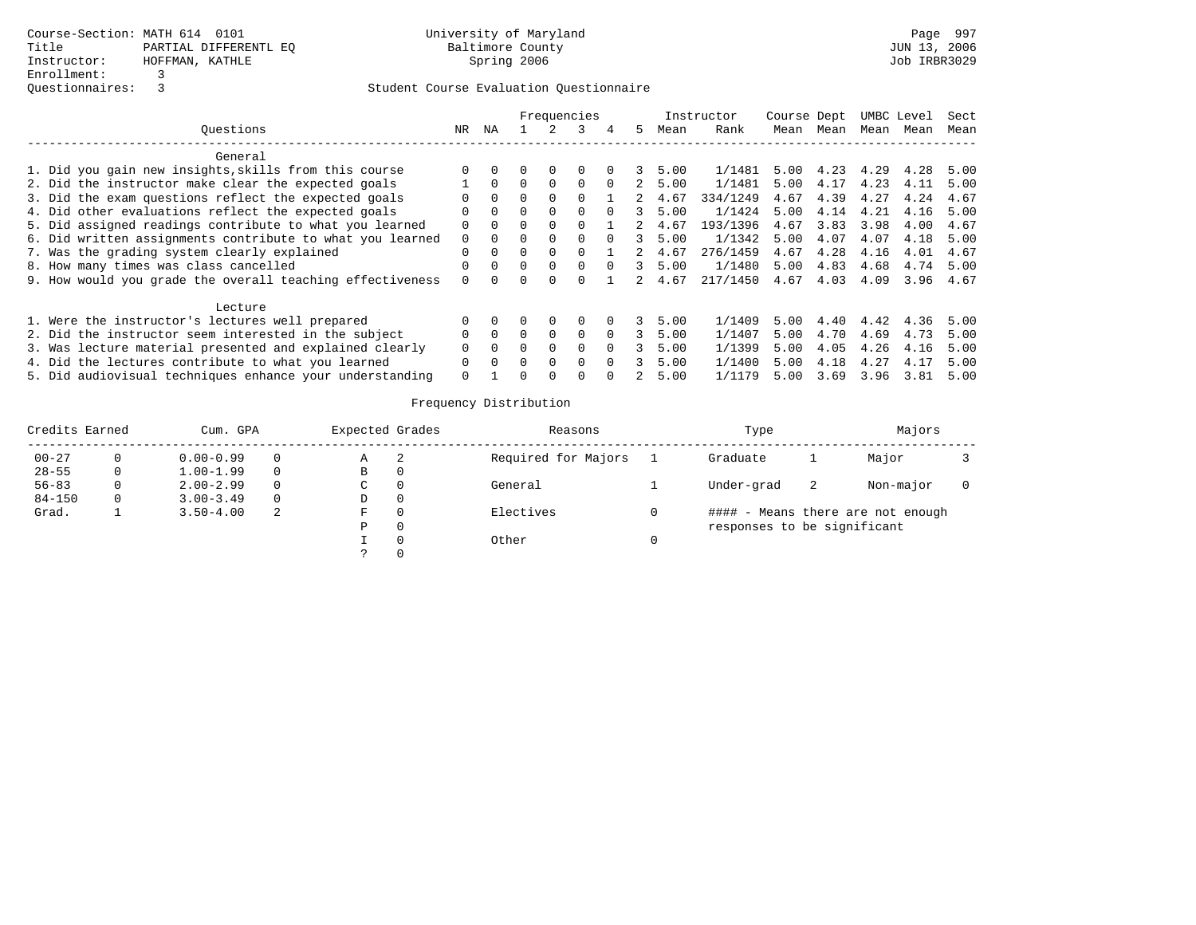|                                                           |          |          |          |          | Frequencies |          |    |      | Instructor | Course Dept |      |      | UMBC Level | Sect |
|-----------------------------------------------------------|----------|----------|----------|----------|-------------|----------|----|------|------------|-------------|------|------|------------|------|
| Ouestions                                                 | NR       | ΝA       |          |          |             | 4        | 5. | Mean | Rank       | Mean        | Mean | Mean | Mean       | Mean |
| General                                                   |          |          |          |          |             |          |    |      |            |             |      |      |            |      |
| 1. Did you gain new insights, skills from this course     |          |          |          | $\Omega$ | $\Omega$    |          |    | 5.00 | 1/1481     | 5.00        | 4.23 | 4.29 | 4.28       | 5.00 |
| 2. Did the instructor make clear the expected goals       |          | $\Omega$ |          | $\Omega$ | $\Omega$    |          |    | 5.00 | 1/1481     | 5.00        | 4.17 | 4.23 | 4.11       | 5.00 |
| 3. Did the exam questions reflect the expected goals      |          | $\Omega$ |          | $\Omega$ |             |          |    | 4.67 | 334/1249   | 4.67        | 4.39 | 4.27 | 4.24       | 4.67 |
| 4. Did other evaluations reflect the expected goals       | O        | $\Omega$ | $\Omega$ | $\Omega$ | 0           |          |    | 5.00 | 1/1424     | 5.00        | 4.14 | 4.21 | 4.16       | 5.00 |
| 5. Did assigned readings contribute to what you learned   | 0        | $\Omega$ | 0        | $\Omega$ |             |          |    | 4.67 | 193/1396   | 4.67        | 3.83 | 3.98 | 4.00       | 4.67 |
| 6. Did written assignments contribute to what you learned | 0        | $\Omega$ |          |          | 0           |          |    | 5.00 | 1/1342     | 5.00        | 4.07 | 4.07 | 4.18       | 5.00 |
| 7. Was the grading system clearly explained               | $\Omega$ | $\Omega$ | $\Omega$ | $\Omega$ |             |          |    | 4.67 | 276/1459   | 4.67        | 4.28 | 4.16 | 4.01       | 4.67 |
| 8. How many times was class cancelled                     | O        | $\Omega$ | $\Omega$ | $\Omega$ | 0           | $\cap$   |    | 5.00 | 1/1480     | 5.00        | 4.83 | 4.68 | 4.74       | 5.00 |
| 9. How would you grade the overall teaching effectiveness | $\Omega$ |          |          |          |             |          |    | 4.67 | 217/1450   | 4.67        | 4.03 | 4.09 | 3.96       | 4.67 |
| Lecture                                                   |          |          |          |          |             |          |    |      |            |             |      |      |            |      |
| 1. Were the instructor's lectures well prepared           | $\Omega$ |          |          | $\Omega$ | $\Omega$    |          | 3  | 5.00 | 1/1409     | 5.00        | 4.40 | 4.42 | 4.36       | 5.00 |
| 2. Did the instructor seem interested in the subject      | 0        | $\Omega$ | 0        | $\Omega$ | $\Omega$    | $\Omega$ |    | 5.00 | 1/1407     | 5.00        | 4.70 | 4.69 | 4.73       | 5.00 |
| 3. Was lecture material presented and explained clearly   |          | $\Omega$ |          | $\Omega$ | $\Omega$    | $\Omega$ |    | 5.00 | 1/1399     | 5.00        | 4.05 | 4.26 | 4.16       | 5.00 |
| 4. Did the lectures contribute to what you learned        | 0        | $\Omega$ | $\Omega$ | $\Omega$ | $\Omega$    | $\Omega$ |    | 5.00 | 1/1400     | 5.00        | 4.18 | 4.27 | 4.17       | 5.00 |
| 5. Did audiovisual techniques enhance your understanding  | $\Omega$ |          |          | $\Omega$ |             |          |    | 5.00 | 1/1179     | 5.00        | 3.69 | 3.96 | 3.81       | 5.00 |

| Credits Earned |    | Cum. GPA      |          | Expected Grades |   | Reasons             | Type                        |    | Majors                            |  |
|----------------|----|---------------|----------|-----------------|---|---------------------|-----------------------------|----|-----------------------------------|--|
| $00 - 27$      |    | $0.00 - 0.99$ | 0        | Α               | 2 | Required for Majors | Graduate                    |    | Major                             |  |
| $28 - 55$      | 0  | $1.00 - 1.99$ | $\Omega$ | В               |   |                     |                             |    |                                   |  |
| $56 - 83$      |    | $2.00 - 2.99$ | $\Omega$ | C               |   | General             | Under-grad                  | -2 | Non-major                         |  |
| $84 - 150$     | 0. | $3.00 - 3.49$ | $\Omega$ | D               |   |                     |                             |    |                                   |  |
| Grad.          |    | $3.50 - 4.00$ | 2        | F               |   | Electives           |                             |    | #### - Means there are not enough |  |
|                |    |               |          | P               |   |                     | responses to be significant |    |                                   |  |
|                |    |               |          |                 |   | Other               |                             |    |                                   |  |
|                |    |               |          |                 |   |                     |                             |    |                                   |  |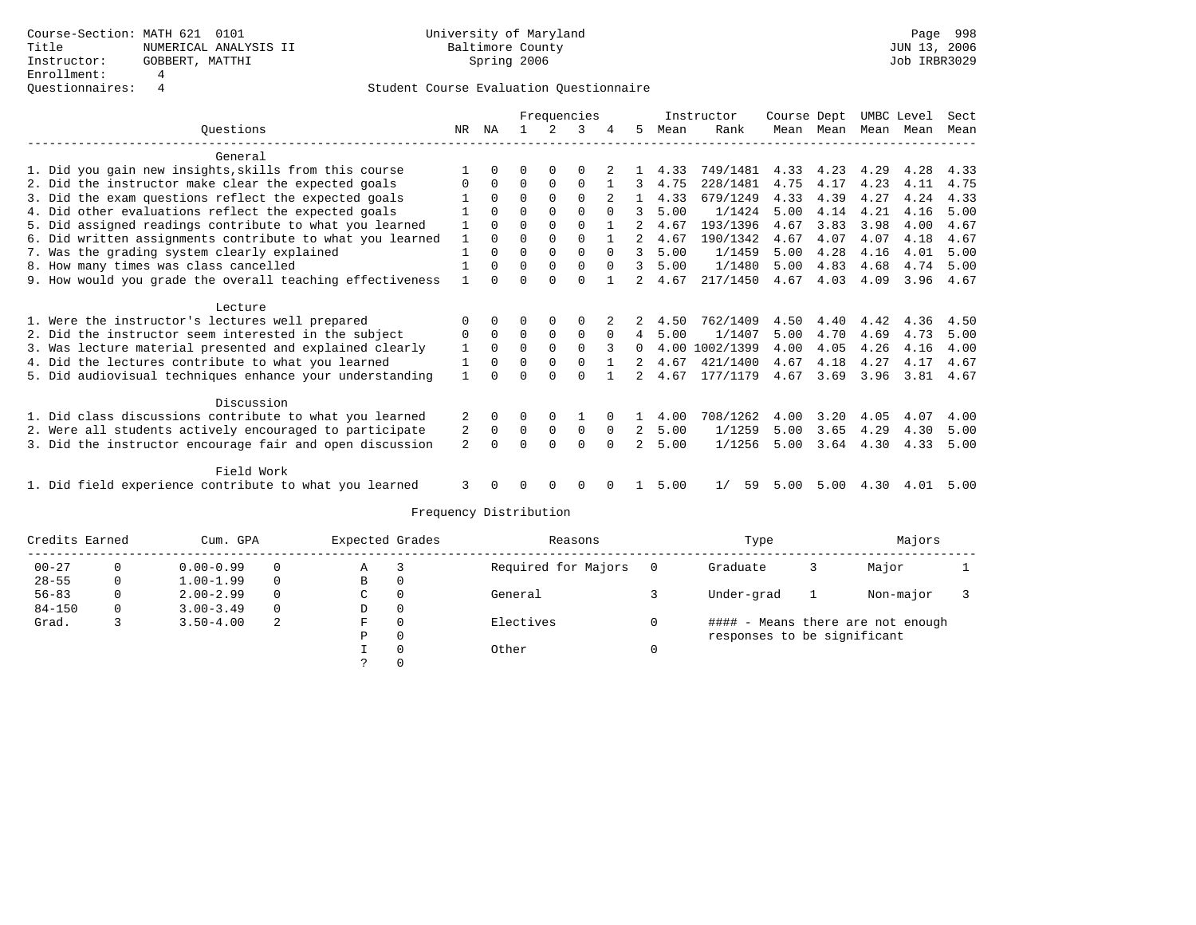|                                                           |              |             |          |              | Frequencies  |          |                |      | Instructor | Course Dept |           | UMBC Level |      | Sect |
|-----------------------------------------------------------|--------------|-------------|----------|--------------|--------------|----------|----------------|------|------------|-------------|-----------|------------|------|------|
| Ouestions                                                 | NR.          | ΝA          |          |              |              |          | 5              | Mean | Rank       |             | Mean Mean | Mean       | Mean | Mean |
| General                                                   |              |             |          |              |              |          |                |      |            |             |           |            |      |      |
| 1. Did you gain new insights, skills from this course     |              | $\Omega$    |          |              | 0            |          |                | 4.33 | 749/1481   | 4.33        | 4.23      | 4.29       | 4.28 | 4.33 |
| 2. Did the instructor make clear the expected goals       |              | $\Omega$    | 0        | $\Omega$     | $\Omega$     |          |                | 4.75 | 228/1481   | 4.75        | 4.17      | 4.23       | 4.11 | 4.75 |
| 3. Did the exam questions reflect the expected goals      |              | $\Omega$    | $\Omega$ | $\Omega$     | $\Omega$     |          |                | 4.33 | 679/1249   | 4.33        | 4.39      | 4.27       | 4.24 | 4.33 |
| 4. Did other evaluations reflect the expected goals       |              | $\Omega$    | $\Omega$ | $\Omega$     | $\Omega$     | $\Omega$ |                | 5.00 | 1/1424     | 5.00        | 4.14      | 4.21       | 4.16 | 5.00 |
| 5. Did assigned readings contribute to what you learned   |              | $\Omega$    | U        | $\Omega$     | $\Omega$     |          |                | 4.67 | 193/1396   | 4.67        | 3.83      | 3.98       | 4.00 | 4.67 |
| 6. Did written assignments contribute to what you learned |              | $\Omega$    | 0        | $\Omega$     | $\Omega$     |          |                | 4.67 | 190/1342   | 4.67        | 4.07      | 4.07       | 4.18 | 4.67 |
| 7. Was the grading system clearly explained               |              | $\Omega$    | 0        | $\mathbf{0}$ | 0            | $\Omega$ | 3              | 5.00 | 1/1459     | 5.00        | 4.28      | 4.16       | 4.01 | 5.00 |
| 8. How many times was class cancelled                     |              | $\Omega$    | 0        | $\Omega$     | $\Omega$     | $\Omega$ |                | 5.00 | 1/1480     | 5.00        | 4.83      | 4.68       | 4.74 | 5.00 |
| 9. How would you grade the overall teaching effectiveness |              | $\Omega$    | U        | U            | <sup>0</sup> |          |                | 4.67 | 217/1450   | 4.67        | 4.03      | 4.09       | 3.96 | 4.67 |
| Lecture                                                   |              |             |          |              |              |          |                |      |            |             |           |            |      |      |
| 1. Were the instructor's lectures well prepared           | O            | $\Omega$    |          | $\Omega$     | O            |          |                | 4.50 | 762/1409   | 4.50        | 4.40      | 4.42       | 4.36 | 4.50 |
| 2. Did the instructor seem interested in the subject      | 0            | $\mathbf 0$ | $\Omega$ | $\mathbf 0$  | $\Omega$     | $\Omega$ | 4              | 5.00 | 1/1407     | 5.00        | 4.70      | 4.69       | 4.73 | 5.00 |
| 3. Was lecture material presented and explained clearly   | 1            | $\Omega$    | $\Omega$ | $\Omega$     | $\Omega$     | 3        | 0              | 4.00 | 1002/1399  | 4.00        | 4.05      | 4.26       | 4.16 | 4.00 |
| 4. Did the lectures contribute to what you learned        |              | $\Omega$    | 0        | $\Omega$     | $\Omega$     |          |                | 4.67 | 421/1400   | 4.67        | 4.18      | 4.27       | 4.17 | 4.67 |
| 5. Did audiovisual techniques enhance your understanding  | $\mathbf{1}$ |             |          | U            |              |          | 2              | 4.67 | 177/1179   | 4.67        | 3.69      | 3.96       | 3.81 | 4.67 |
| Discussion                                                |              |             |          |              |              |          |                |      |            |             |           |            |      |      |
| 1. Did class discussions contribute to what you learned   |              | $\Omega$    |          | $\Omega$     |              |          |                | 4.00 | 708/1262   | 4.00        | 3.20      | 4.05       | 4.07 | 4.00 |
| 2. Were all students actively encouraged to participate   | 2            | $\Omega$    | $\Omega$ | $\Omega$     | $\Omega$     | $\Omega$ | 2              | 5.00 | 1/1259     | 5.00        | 3.65      | 4.29       | 4.30 | 5.00 |
| 3. Did the instructor encourage fair and open discussion  | 2            |             | U        | $\Omega$     | $\Omega$     |          | $\mathfrak{D}$ | 5.00 | 1/1256     | 5.00        | 3.64      | 4.30       | 4.33 | 5.00 |
| Field Work                                                |              |             |          |              |              |          |                |      |            |             |           |            |      |      |
| 1. Did field experience contribute to what you learned    |              |             |          |              |              |          |                | 5.00 | 59<br>1/   | 5.00        | 5.00      | 4.30       | 4.01 | 5.00 |

| Credits Earned |              | Cum. GPA      |          | Expected Grades |          | Reasons             |     | Type                        | Majors                            |  |
|----------------|--------------|---------------|----------|-----------------|----------|---------------------|-----|-----------------------------|-----------------------------------|--|
| $00 - 27$      | 0            | $0.00 - 0.99$ | $\Omega$ | Α               |          | Required for Majors | - 0 | Graduate                    | Major                             |  |
| $28 - 55$      | $\mathbf{0}$ | $1.00 - 1.99$ | $\Omega$ | В               | 0        |                     |     |                             |                                   |  |
| $56 - 83$      | 0            | $2.00 - 2.99$ | $\Omega$ | C               | $\Omega$ | General             |     | Under-grad                  | Non-major                         |  |
| $84 - 150$     | 0            | $3.00 - 3.49$ | $\Omega$ | D               | 0        |                     |     |                             |                                   |  |
| Grad.          |              | $3.50 - 4.00$ | 2        | F.              | $\Omega$ | Electives           |     |                             | #### - Means there are not enough |  |
|                |              |               |          | Ρ               | $\Omega$ |                     |     | responses to be significant |                                   |  |
|                |              |               |          |                 | $\Omega$ | Other               |     |                             |                                   |  |
|                |              |               |          |                 |          |                     |     |                             |                                   |  |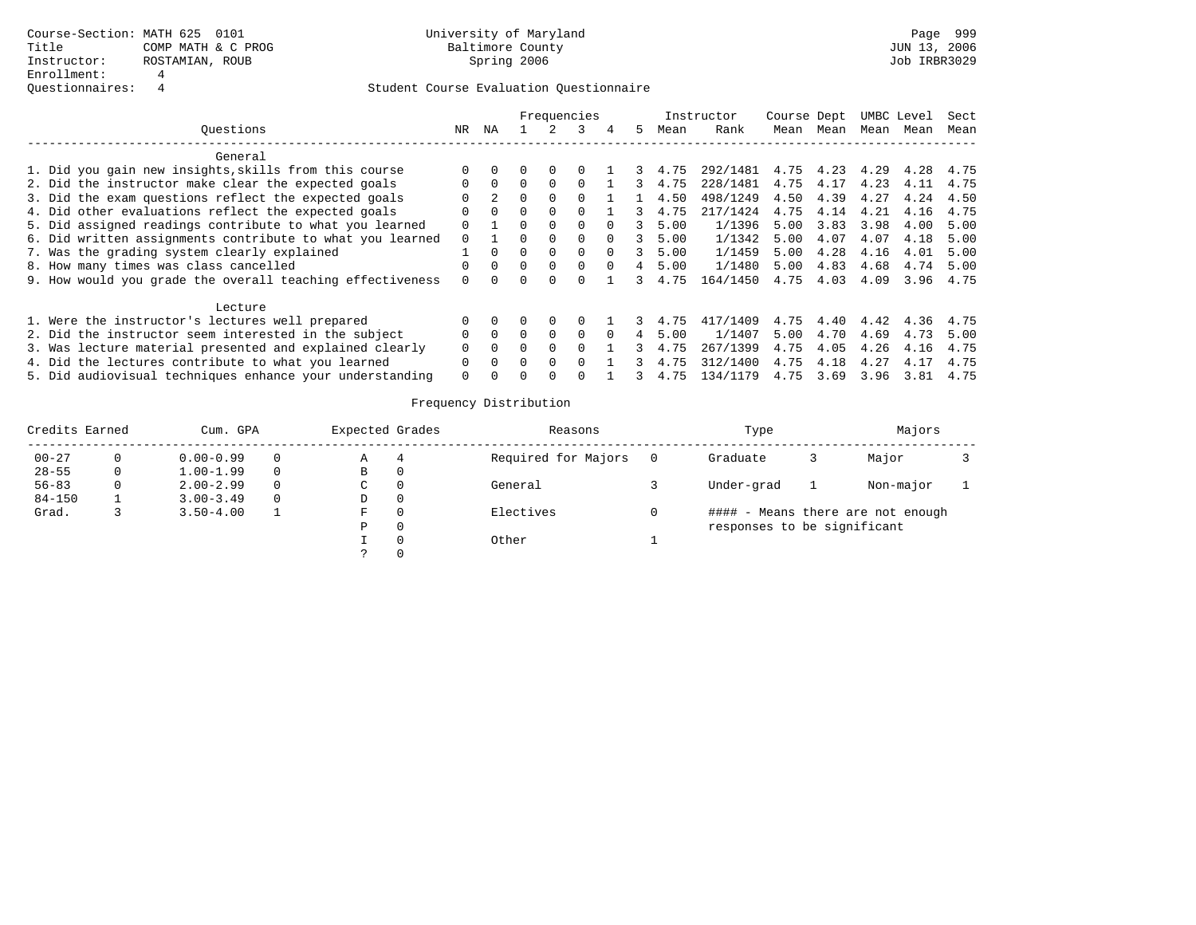|                                                           |          |          |              |              | Frequencies  |          |   |      | Instructor | Course Dept |      |      | UMBC Level | Sect |
|-----------------------------------------------------------|----------|----------|--------------|--------------|--------------|----------|---|------|------------|-------------|------|------|------------|------|
| Ouestions                                                 | NR.      | ΝA       |              |              |              | 4        | 5 | Mean | Rank       | Mean        | Mean | Mean | Mean       | Mean |
| General                                                   |          |          |              |              |              |          |   |      |            |             |      |      |            |      |
| 1. Did you gain new insights, skills from this course     |          |          |              | $\Omega$     |              |          |   | 4.75 | 292/1481   | 4.75        | 4.23 | 4.29 | 4.28       | 4.75 |
| 2. Did the instructor make clear the expected goals       |          | $\Omega$ |              | $\Omega$     |              |          |   | 4.75 | 228/1481   | 4.75        | 4.17 | 4.23 | 4.11       | 4.75 |
| 3. Did the exam questions reflect the expected goals      |          |          |              |              |              |          |   | 4.50 | 498/1249   | 4.50        | 4.39 | 4.27 | 4.24       | 4.50 |
| 4. Did other evaluations reflect the expected goals       |          | $\Omega$ | 0            | <sup>0</sup> |              |          |   | 4.75 | 217/1424   | 4.75        | 4.14 | 4.21 | 4.16       | 4.75 |
| 5. Did assigned readings contribute to what you learned   |          |          | 0            | $\Omega$     |              |          |   | 5.00 | 1/1396     | 5.00        | 3.83 | 3.98 | 4.00       | 5.00 |
| 6. Did written assignments contribute to what you learned | $\Omega$ |          |              |              | $\Omega$     |          |   | 5.00 | 1/1342     | 5.00        | 4.07 | 4.07 | 4.18       | 5.00 |
| 7. Was the grading system clearly explained               |          |          |              | $\Omega$     | $\Omega$     | $\Omega$ |   | 5.00 | 1/1459     | 5.00        | 4.28 | 4.16 | 4.01       | 5.00 |
| 8. How many times was class cancelled                     |          | $\Omega$ | 0            | $\Omega$     | 0            | $\Omega$ |   | 5.00 | 1/1480     | 5.00        | 4.83 | 4.68 | 4.74       | 5.00 |
| 9. How would you grade the overall teaching effectiveness |          |          |              |              |              |          |   | 4.75 | 164/1450   | 4.75        | 4.03 | 4.09 | 3.96       | 4.75 |
| Lecture                                                   |          |          |              |              |              |          |   |      |            |             |      |      |            |      |
| 1. Were the instructor's lectures well prepared           |          |          |              | $\Omega$     |              |          |   | 4.75 | 417/1409   | 4.75        | 4.40 | 4.42 | 4.36       | 4.75 |
| 2. Did the instructor seem interested in the subject      |          | $\Omega$ | 0            | $\Omega$     | <sup>0</sup> |          |   | 5.00 | 1/1407     | 5.00        | 4.70 | 4.69 | 4.73       | 5.00 |
| 3. Was lecture material presented and explained clearly   |          | $\Omega$ |              |              |              |          |   | 4.75 | 267/1399   | 4.75        | 4.05 | 4.26 | 4.16       | 4.75 |
| 4. Did the lectures contribute to what you learned        | 0        | $\Omega$ | <sup>n</sup> | $\Omega$     |              |          |   | 4.75 | 312/1400   | 4.75        | 4.18 | 4.27 | 4.17       | 4.75 |
| 5. Did audiovisual techniques enhance your understanding  | 0        |          |              |              |              |          |   | 4.75 | 134/1179   | 4.75        | 3.69 | 3.96 | 3.81       | 4.75 |

| Credits Earned<br>$00 - 27$ | Cum. GPA      |          | Expected Grades |   | Reasons             | Type                        | Majors |                                   |  |
|-----------------------------|---------------|----------|-----------------|---|---------------------|-----------------------------|--------|-----------------------------------|--|
|                             | $0.00 - 0.99$ | 0        | Α               | 4 | Required for Majors | Graduate                    |        | Major                             |  |
| $28 - 55$                   | $1.00 - 1.99$ | $\Omega$ | в               |   |                     |                             |        |                                   |  |
| $56 - 83$                   | $2.00 - 2.99$ | $\Omega$ | C               |   | General             | Under-grad                  |        | Non-major                         |  |
| $84 - 150$                  | $3.00 - 3.49$ | $\Omega$ | D               |   |                     |                             |        |                                   |  |
| Grad.                       | $3.50 - 4.00$ |          | F               |   | Electives           |                             |        | #### - Means there are not enough |  |
|                             |               |          | Ρ               |   |                     | responses to be significant |        |                                   |  |
|                             |               |          |                 |   | Other               |                             |        |                                   |  |
|                             |               |          |                 |   |                     |                             |        |                                   |  |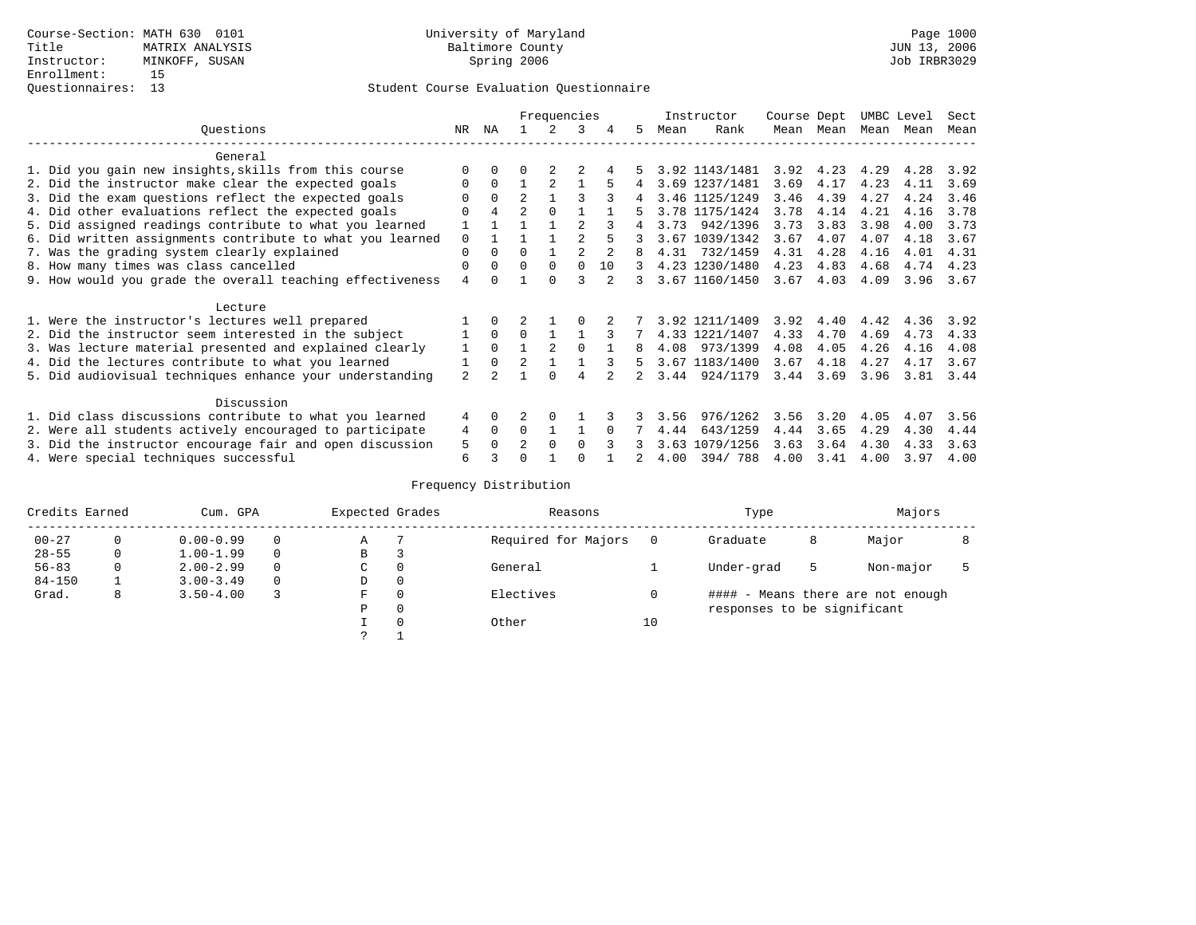|                                                           |              |              |                | Frequencies    |          |    |    |      | Instructor     | Course Dept |      | UMBC Level |      | Sect |
|-----------------------------------------------------------|--------------|--------------|----------------|----------------|----------|----|----|------|----------------|-------------|------|------------|------|------|
| Ouestions                                                 | NR.          | ΝA           |                |                | 3        |    | 5. | Mean | Rank           | Mean        | Mean | Mean       | Mean | Mean |
| General                                                   |              |              |                |                |          |    |    |      |                |             |      |            |      |      |
| 1. Did you gain new insights, skills from this course     | ∩            |              | U              |                |          |    |    |      | 3.92 1143/1481 | 3.92        | 4.23 | 4.29       | 4.28 | 3.92 |
| 2. Did the instructor make clear the expected goals       | $\Omega$     | $\Omega$     |                |                |          |    | 4  |      | 3.69 1237/1481 | 3.69        | 4.17 | 4.23       | 4.11 | 3.69 |
| 3. Did the exam questions reflect the expected goals      |              | $\Omega$     | $\overline{a}$ |                | २        |    |    |      | 3.46 1125/1249 | 3.46        | 4.39 | 4.27       | 4.24 | 3.46 |
| 4. Did other evaluations reflect the expected goals       | $\Omega$     | 4            | $\mathfrak{D}$ |                |          |    |    |      | 3.78 1175/1424 | 3.78        | 4.14 | 4.21       | 4.16 | 3.78 |
| 5. Did assigned readings contribute to what you learned   |              |              |                |                |          |    |    | 3.73 | 942/1396       | 3.73        | 3.83 | 3.98       | 4.00 | 3.73 |
| 6. Did written assignments contribute to what you learned | $\Omega$     |              |                |                |          |    |    |      | 3.67 1039/1342 | 3.67        | 4.07 | 4.07       | 4.18 | 3.67 |
| 7. Was the grading system clearly explained               | $\Omega$     | $\Omega$     | $\Omega$       |                |          |    |    | 4.31 | 732/1459       | 4.31        | 4.28 | 4.16       | 4.01 | 4.31 |
| 8. How many times was class cancelled                     | $\Omega$     | 0            | $\Omega$       | $\Omega$       | $\Omega$ | 10 | 3  |      | 4.23 1230/1480 | 4.23        | 4.83 | 4.68       | 4.74 | 4.23 |
| 9. How would you grade the overall teaching effectiveness | 4            | <sup>n</sup> |                | <sup>n</sup>   | 3        |    | २  |      | 3.67 1160/1450 | 3.67        | 4.03 | 4.09       | 3.96 | 3.67 |
|                                                           |              |              |                |                |          |    |    |      |                |             |      |            |      |      |
| Lecture                                                   |              |              |                |                |          |    |    |      |                |             |      |            |      |      |
| 1. Were the instructor's lectures well prepared           |              |              |                |                |          |    |    |      | 3.92 1211/1409 | 3.92        | 4.40 | 4.42       | 4.36 | 3.92 |
| 2. Did the instructor seem interested in the subject      |              | $\Omega$     | $\Omega$       |                |          |    |    |      | 4.33 1221/1407 | 4.33        | 4.70 | 4.69       | 4.73 | 4.33 |
| 3. Was lecture material presented and explained clearly   | $\mathbf{1}$ | $\Omega$     |                | $\mathfrak{D}$ | $\cap$   |    | 8  | 4.08 | 973/1399       | 4.08        | 4.05 | 4.26       | 4.16 | 4.08 |
| 4. Did the lectures contribute to what you learned        |              | $\Omega$     | $\mathfrak{D}$ |                |          |    | 5  |      | 3.67 1183/1400 | 3.67        | 4.18 | 4.27       | 4.17 | 3.67 |
| 5. Did audiovisual techniques enhance your understanding  | 2            |              |                |                |          |    |    | 3.44 | 924/1179       | 3.44        | 3.69 | 3.96       | 3.81 | 3.44 |
| Discussion                                                |              |              |                |                |          |    |    |      |                |             |      |            |      |      |
| 1. Did class discussions contribute to what you learned   | 4            | 0            |                | ∩              |          |    |    | 3.56 | 976/1262       | 3.56        | 3.20 | 4.05       | 4.07 | 3.56 |
| 2. Were all students actively encouraged to participate   |              |              | $\Omega$       |                |          |    |    | 4.44 | 643/1259       | 4.44        | 3.65 | 4.29       | 4.30 | 4.44 |
| 3. Did the instructor encourage fair and open discussion  |              |              | $\mathfrak{D}$ | $\Omega$       | $\Omega$ |    |    | 3.63 | 1079/1256      | 3.63        | 3.64 | 4.30       | 4.33 | 3.63 |
| 4. Were special techniques successful                     | 5<br>6       |              | ∩              |                |          |    |    | 4.00 | 394/788        | 4.00        | 3.41 | 4.00       | 3.97 | 4.00 |

| Credits Earned |          | Cum. GPA      |          | Expected Grades |          | Reasons             |    | Type                        |   | Majors                            |  |
|----------------|----------|---------------|----------|-----------------|----------|---------------------|----|-----------------------------|---|-----------------------------------|--|
| $00 - 27$      | $\Omega$ | $0.00 - 0.99$ |          | Α               |          | Required for Majors | 0  | Graduate                    | 8 | Major                             |  |
| $28 - 55$      | 0        | $1.00 - 1.99$ |          | В               | З        |                     |    |                             |   |                                   |  |
| $56 - 83$      | 0        | $2.00 - 2.99$ |          | $\sim$<br>◡     | 0        | General             |    | Under-grad                  | 5 | Non-major                         |  |
| $84 - 150$     |          | $3.00 - 3.49$ | $\Omega$ | D               | 0        |                     |    |                             |   |                                   |  |
| Grad.          | 8        | $3.50 - 4.00$ |          | F               | 0        | Electives           | 0  |                             |   | #### - Means there are not enough |  |
|                |          |               |          | Ρ               | 0        |                     |    | responses to be significant |   |                                   |  |
|                |          |               |          |                 | $\Omega$ | Other               | 10 |                             |   |                                   |  |
|                |          |               |          | C               |          |                     |    |                             |   |                                   |  |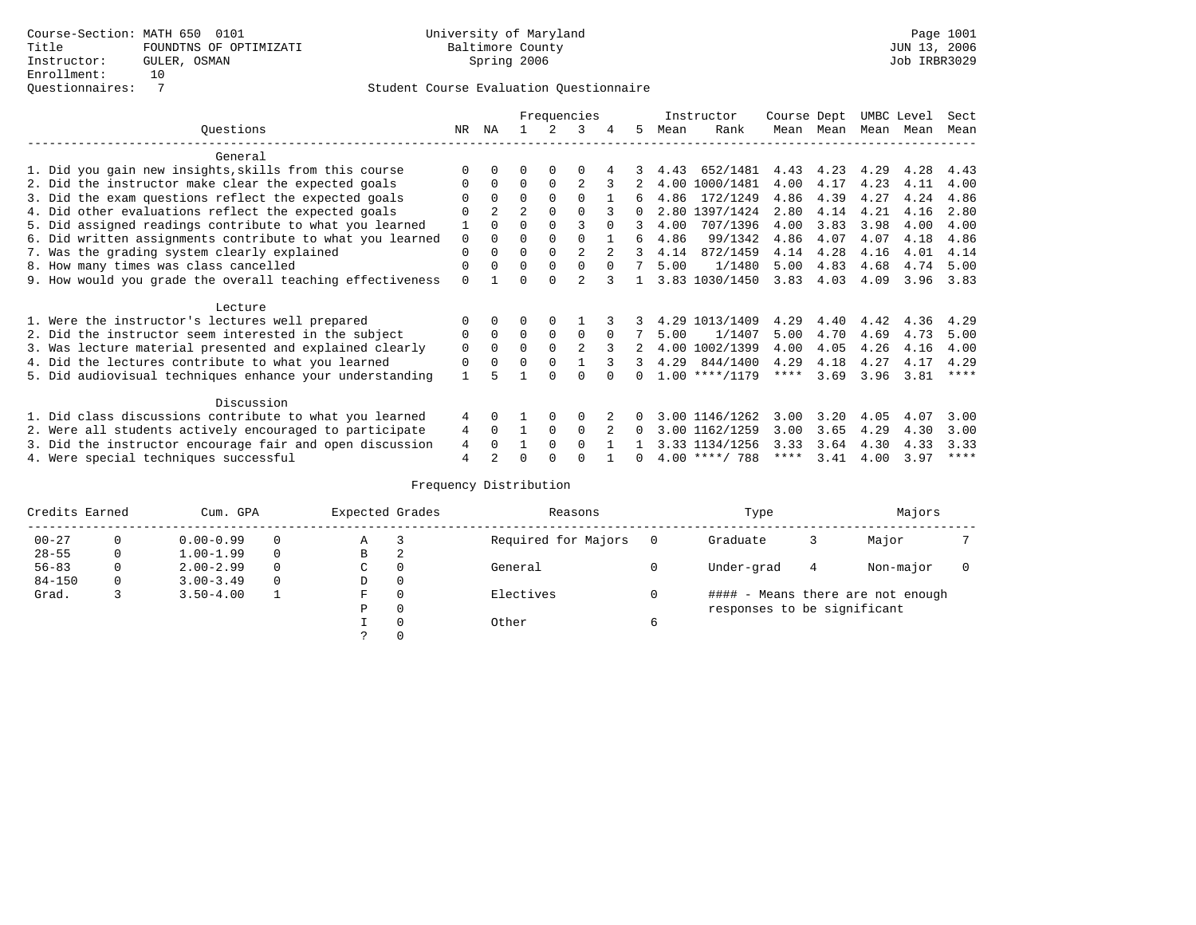|                                                           |          |                |                |          | Frequencies    |          |          |      | Instructor       | Course Dept |      | UMBC Level |      | Sect        |
|-----------------------------------------------------------|----------|----------------|----------------|----------|----------------|----------|----------|------|------------------|-------------|------|------------|------|-------------|
| Ouestions                                                 | NR       | ΝA             |                |          | 3              | 4        | 5.       | Mean | Rank             | Mean        | Mean | Mean       | Mean | Mean        |
| General                                                   |          |                |                |          |                |          |          |      |                  |             |      |            |      |             |
| 1. Did you gain new insights, skills from this course     |          | $\Omega$       | O              | $\Omega$ | O              |          |          | 4.43 | 652/1481         | 4.43        | 4.23 | 4.29       | 4.28 | 4.43        |
| 2. Did the instructor make clear the expected goals       | 0        | $\Omega$       | $\Omega$       | $\Omega$ | $\mathfrak{D}$ |          |          | 4.00 | 1000/1481        | 4.00        | 4.17 | 4.23       | 4.11 | 4.00        |
| 3. Did the exam questions reflect the expected goals      | O        | $\Omega$       | 0              | $\Omega$ | $\Omega$       |          | б.       | 4.86 | 172/1249         | 4.86        | 4.39 | 4.27       | 4.24 | 4.86        |
| 4. Did other evaluations reflect the expected goals       | O        | $\overline{2}$ | $\overline{a}$ | $\Omega$ | $\Omega$       |          | $\Omega$ |      | 2.80 1397/1424   | 2.80        | 4.14 | 4.21       | 4.16 | 2.80        |
| 5. Did assigned readings contribute to what you learned   |          |                |                |          |                | $\cap$   | 3        | 4.00 | 707/1396         | 4.00        | 3.83 | 3.98       | 4.00 | 4.00        |
| 6. Did written assignments contribute to what you learned | 0        | $\Omega$       | 0              | $\Omega$ |                |          | б.       | 4.86 | 99/1342          | 4.86        | 4.07 | 4.07       | 4.18 | 4.86        |
| 7. Was the grading system clearly explained               | $\Omega$ | $\Omega$       | $\Omega$       | $\Omega$ | $\overline{2}$ |          | २        | 4.14 | 872/1459         | 4.14        | 4.28 | 4.16       | 4.01 | 4.14        |
| 8. How many times was class cancelled                     | $\Omega$ | $\Omega$       | $\Omega$       | $\Omega$ | $\Omega$       | $\Omega$ |          | 5.00 | 1/1480           | 5.00        | 4.83 | 4.68       | 4.74 | 5.00        |
| 9. How would you grade the overall teaching effectiveness | $\Omega$ |                | $\Omega$       | $\Omega$ | $\overline{a}$ |          |          |      | 3.83 1030/1450   | 3.83        | 4.03 | 4.09       | 3.96 | 3.83        |
| Lecture                                                   |          |                |                |          |                |          |          |      |                  |             |      |            |      |             |
| 1. Were the instructor's lectures well prepared           |          |                |                | $\Omega$ |                |          |          | 4.29 | 1013/1409        | 4.29        | 4.40 | 4.42       | 4.36 | 4.29        |
| 2. Did the instructor seem interested in the subject      | 0        | $\Omega$       | $\Omega$       | $\Omega$ | $\Omega$       | $\Omega$ |          | 5.00 | 1/1407           | 5.00        | 4.70 | 4.69       | 4.73 | 5.00        |
| 3. Was lecture material presented and explained clearly   | $\Omega$ | $\Omega$       | $\Omega$       | $\Omega$ | $\mathfrak{D}$ | 3        |          |      | 4.00 1002/1399   | 4.00        | 4.05 | 4.26       | 4.16 | 4.00        |
| 4. Did the lectures contribute to what you learned        | $\Omega$ | $\Omega$       | $\Omega$       | $\Omega$ |                | 3        | 3        | 4.29 | 844/1400         | 4.29        | 4.18 | 4.27       | 4.17 | 4.29        |
| 5. Did audiovisual techniques enhance your understanding  |          |                |                | $\cap$   | U              |          |          |      | $1.00$ ****/1179 | $***$ * * * | 3.69 | 3.96       | 3.81 | $***$ * * * |
| Discussion                                                |          |                |                |          |                |          |          |      |                  |             |      |            |      |             |
| 1. Did class discussions contribute to what you learned   | 4        | $\Omega$       |                | $\Omega$ | $\Omega$       |          | $\Omega$ |      | 3.00 1146/1262   | 3.00        | 3.20 | 4.05       | 4.07 | 3.00        |
| 2. Were all students actively encouraged to participate   | 4        | $\Omega$       | $\mathbf{1}$   | $\Omega$ | $\Omega$       |          | $\Omega$ |      | 3.00 1162/1259   | 3.00        | 3.65 | 4.29       | 4.30 | 3.00        |
| 3. Did the instructor encourage fair and open discussion  | 4        | $\cap$         |                | $\Omega$ | $\Omega$       |          |          |      | 3.33 1134/1256   | 3.33        | 3.64 | 4.30       | 4.33 | 3.33        |
| 4. Were special techniques successful                     | 4        |                | U              | $\cap$   | U              |          | 0        |      | $4.00$ ****/ 788 | $***$ * *   | 3.41 | 4.00       | 3.97 | $***$ *     |

| Credits Earned |              | Cum. GPA      |          |    | Expected Grades | Reasons             | Type                        | Majors |                                   |  |
|----------------|--------------|---------------|----------|----|-----------------|---------------------|-----------------------------|--------|-----------------------------------|--|
| $00 - 27$      |              | $0.00 - 0.99$ |          | Α  |                 | Required for Majors | Graduate                    |        | Major                             |  |
| $28 - 55$      | $\mathbf{0}$ | $1.00 - 1.99$ | 0        | B  | 2               |                     |                             |        |                                   |  |
| $56 - 83$      | $\mathbf{0}$ | $2.00 - 2.99$ |          | C. | 0               | General             | Under-grad                  | 4      | Non-major                         |  |
| $84 - 150$     | $\mathbf{0}$ | $3.00 - 3.49$ | $\Omega$ | D  | 0               |                     |                             |        |                                   |  |
| Grad.          |              | $3.50 - 4.00$ |          | F  | $\Omega$        | Electives           |                             |        | #### - Means there are not enough |  |
|                |              |               |          | P  | 0               |                     | responses to be significant |        |                                   |  |
|                |              |               |          |    | $\Omega$        | Other               |                             |        |                                   |  |
|                |              |               |          |    |                 |                     |                             |        |                                   |  |